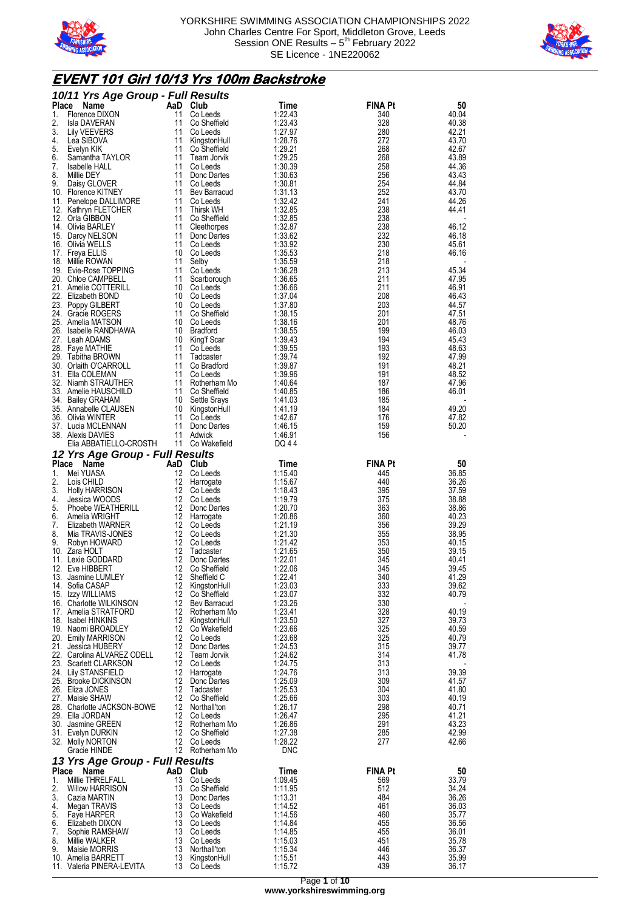



### **EVENT 101 Girl 10/13 Yrs 100m Backstroke**  *10/11 Yrs Age Group - Full Results*

|             | 10/11 Yrs Age Group - Full Results              |          | AaD Club                        |                       | <b>FINA Pt</b> |                |
|-------------|-------------------------------------------------|----------|---------------------------------|-----------------------|----------------|----------------|
| Place<br>1. | Name<br>Florence DIXON                          | 11       | Co Leeds                        | Time<br>1:22.43       | 340            | 50<br>40.04    |
| 2.          | Isla DAVERAN                                    | 11       | Co Sheffield                    | 1:23.43               | 328            | 40.38          |
| 3.          | Lily VEEVERS                                    | 11       | Co Leeds                        | 1:27.97               | 280            | 42.21          |
| 4.          | Lea SIBOVA                                      | 11       | KingstonHull                    | 1:28.76               | 272            | 43.70          |
| 5.<br>6.    | Evelyn KIK<br>Samantha TAYLOR                   | 11<br>11 | Co Sheffield<br>Team Jorvik     | 1:29.21<br>1:29.25    | 268<br>268     | 42.67<br>43.89 |
| 7.          | <b>Isabelle HALL</b>                            | 11       | Co Leeds                        | 1:30.39               | 258            | 44.36          |
| 8.          | Millie DEY                                      | 11       | Donc Dartes                     | 1:30.63               | 256            | 43.43          |
| 9.          | Daisy GLOVER                                    | 11       | Co Leeds                        | 1:30.81               | 254            | 44.84          |
|             | 10. Florence KITNEY                             | 11       | Bev Barracud                    | 1:31.13               | 252            | 43.70          |
|             | 11. Penelope DALLIMORE                          |          | 11 Co Leeds                     | 1:32.42               | 241            | 44.26          |
|             | 12. Kathryn FLETCHER<br>12. Orla GIBBON         | 11<br>11 | Thirsk WH<br>Co Sheffield       | 1:32.85<br>1:32.85    | 238<br>238     | 44.41          |
|             | 14. Olivia BARLEY                               | 11       | Cleethorpes                     | 1:32.87               | 238            | 46.12          |
|             | 15. Darcy NELSON                                | 11       | Donc Dartes                     | 1:33.62               | 232            | 46.18          |
|             | 16. Olivia WELLS                                | 11       | Co Leeds                        | 1:33.92               | 230            | 45.61          |
|             | 17. Freya ELLIS                                 | 10       | Co Leeds                        | 1:35.53               | 218            | 46.16          |
|             | 18. Millie ROWAN                                | 11       | Selby                           | 1:35.59               | 218            |                |
|             | 19. Evie-Rose TOPPING<br>20. Chloe CAMPBELL     | 11<br>11 | Co Leeds<br>Scarborough         | 1:36.28<br>1:36.65    | 213<br>211     | 45.34<br>47.95 |
|             | 21. Amelie COTTERILL                            | 10       | Co Leeds                        | 1:36.66               | 211            | 46.91          |
|             | 22. Elizabeth BOND                              | 10       | Co Leeds                        | 1:37.04               | 208            | 46.43          |
|             | 23. Poppy GILBERT                               | 10       | Co Leeds                        | 1:37.80               | 203            | 44.57          |
|             | 24. Gracie ROGERS                               | 11       | Co Sheffield                    | 1:38.15               | 201            | 47.51          |
|             | 25. Amelia MATSON                               | 10       | Co Leeds                        | 1:38.16               | 201            | 48.76          |
|             | 26. Isabelle RANDHAWA<br>27. Leah ADAMS         | 10<br>10 | Bradford<br>King'f Scar         | 1:38.55<br>1:39.43    | 199<br>194     | 46.03<br>45.43 |
|             | 28. Faye MATHIE                                 | 11       | Co Leeds                        | 1:39.55               | 193            | 48.63          |
|             | 29. Tabitha BROWN                               | 11       | Tadcaster                       | 1:39.74               | 192            | 47.99          |
|             | 30. Orlaith O'CARROLL                           | 11       | Co Bradford                     | 1:39.87               | 191            | 48.21          |
|             | 31. Ella COLEMAN                                | 11       | Co Leeds                        | 1:39.96               | 191            | 48.52          |
|             | 32. Niamh STRAUTHER                             | 11       | Rotherham Mo                    | 1:40.64               | 187            | 47.96          |
|             | 33. Amelie HAUSCHILD                            |          | 11 Co Sheffield                 | 1:40.85               | 186            | 46.01          |
|             | 34. Bailey GRAHAM<br>35. Annabelle CLAUSEN      | 10       | Settle Srays<br>10 KingstonHull | 1:41.03<br>1:41.19    | 185<br>184     | 49.20          |
|             | 36. Olivia WINTER                               | 11       | Co Leeds                        | 1:42.67               | 176            | 47.82          |
|             | 37. Lucia MCLENNAN                              | 11       | Donc Dartes                     | 1:46.15               | 159            | 50.20          |
|             | 38. Alexis DAVIES                               | 11       | Adwick                          | 1:46.91               | 156            |                |
|             | Elia ABBATIELLO-CROSTH                          |          | 11 Co Wakefield                 | DQ 44                 |                |                |
|             | 12 Yrs Age Group - Full Results                 |          |                                 |                       |                |                |
|             |                                                 |          |                                 | Time                  | <b>FINA Pt</b> | 50             |
|             | Place Name                                      |          | AaD Club                        |                       |                |                |
| 1.          | Mei YUASA                                       | 12       | Co Leeds                        | 1:15.40               | 445            | 36.85          |
| 2.          | Lois CHILD                                      | 12       | Harrogate                       | 1:15.67               | 440            | 36.26          |
| 3.          | <b>Holly HARRISON</b>                           | 12       | Co Leeds                        | 1:18.43               | 395            | 37.59          |
| 4.<br>5.    | Jessica WOODS                                   | 12       | 12 Co Leeds                     | 1:19.79               | 375            | 38.88          |
| 6.          | Phoebe WEATHERILL<br>Amelia WRIGHT              | 12       | Donc Dartes<br>Harrogate        | 1:20.70<br>1:20.86    | 363<br>360     | 38.86<br>40.23 |
| 7.          | Elizabeth WARNER                                | 12       | Co Leeds                        | 1:21.19               | 356            | 39.29          |
| 8.          | Mia TRAVIS-JONES                                | 12       | Co Leeds                        | 1:21.30               | 355            | 38.95          |
| 9.          | Robyn HOWARD                                    | 12       | Co Leeds                        | 1:21.42               | 353            | 40.15          |
|             | 10. Zara HOLT                                   | 12       | Tadcaster                       | 1:21.65               | 350            | 39.15          |
|             | 11. Lexie GODDARD<br>12. Eve HIBBERT            | 12<br>12 | Donc Dartes<br>Co Sheffield     | 1:22.01<br>1:22.06    | 345<br>345     | 40.41<br>39.45 |
|             | 13. Jasmine LUMLEY                              |          | 12 Sheffield C                  | 1:22.41               | 340            | 41.29          |
|             | 14. Sofia CASAP                                 | 12       | KingstonHull                    | 1:23.03               | 333            | 39.62          |
|             | 15. Izzy WILLIAMS                               | 12       | Co Sheffield                    | 1:23.07               | 332            | 40.79          |
|             | 16. Charlotte WILKINSON                         | 12       | Bev Barracud                    | 1:23.26               | 330            |                |
|             | 17. Amelia STRATFORD                            | 12       | Rotherham Mo                    | 1:23.41               | 328            | 40.19          |
|             | 18. Isabel HINKINS                              | 12       | KingstonHull                    | 1:23.50               | 327            | 39.73          |
|             | 19. Naomi BROADLEY<br>20. Emily MARRISON        | 12<br>12 | Co Wakefield<br>Co Leeds        | 1:23.66<br>1:23.68    | 325<br>325     | 40.59<br>40.79 |
|             | 21. Jessica HUBERY                              | 12       | Donc Dartes                     | 1:24.53               | 315            | 39.77          |
|             | 22. Carolina ALVAREZ ODELL                      | 12       | Team Jorvik                     | 1:24.62               | 314            | 41.78          |
|             | 23. Scarlett CLARKSON                           | 12       | Co Leeds                        | 1:24.75               | 313            |                |
|             | 24. Lily STANSFIELD                             | 12       | Harrogate                       | 1:24.76               | 313            | 39.39          |
|             | 25. Brooke DICKINSON                            | 12       | Donc Dartes                     | 1:25.09               | 309            | 41.57          |
|             | 26. Eliza JONES<br>27. Maisie SHAW              | 12<br>12 | Tadcaster<br>Co Sheffield       | 1:25.53<br>1:25.66    | 304<br>303     | 41.80<br>40.19 |
|             | 28. Charlotte JACKSON-BOWE                      | 12       | Northall'ton                    | 1:26.17               | 298            | 40.71          |
|             | 29. Ella JORDAN                                 | 12       | Co Leeds                        | 1:26.47               | 295            | 41.21          |
|             | 30. Jasmine GREEN                               | 12       | Rotherham Mo                    | 1:26.86               | 291            | 43.23          |
|             | 31. Evelyn DURKIN                               | 12       | Co Sheffield                    | 1:27.38               | 285            | 42.99          |
|             | 32. Molly NORTON<br>Gracie HINDE                | 12<br>12 | Co Leeds<br>Rotherham Mo        | 1:28.22<br><b>DNC</b> | 277            | 42.66          |
|             |                                                 |          |                                 |                       |                |                |
| Place       | 13 Yrs Age Group - Full Results<br>Name<br>AaD  |          | Club                            | Time                  | <b>FINA Pt</b> | 50             |
| 1.          | Millie THRELFALL                                | 13       | Co Leeds                        | 1:09.45               | 569            | 33.79          |
| 2.          | <b>Willow HARRISON</b>                          | 13       | Co Sheffield                    | 1:11.95               | 512            | 34.24          |
| 3.          | Cazia MARTIN                                    | 13       | Donc Dartes                     | 1:13.31               | 484            | 36.26          |
| 4.          | Megan TRAVIS                                    | 13       | Co Leeds                        | 1:14.52               | 461            | 36.03          |
| 5.          | Faye HARPER                                     | 13       | Co Wakefield                    | 1:14.56               | 460            | 35.77          |
| 6.<br>7.    | Elizabeth DIXON<br>Sophie RAMSHAW               | 13<br>13 | Co Leeds<br>Co Leeds            | 1:14.84<br>1:14.85    | 455<br>455     | 36.56          |
| 8.          | Millie WALKER                                   | 13       | Co Leeds                        | 1:15.03               | 451            | 36.01<br>35.78 |
| 9.          | Maisie MORRIS                                   | 13       | Northall'ton                    | 1:15.34               | 446            | 36.37          |
|             | 10. Amelia BARRETT<br>11. Valeria PINERA-LEVITA | 13<br>13 | KingstonHull<br>Co Leeds        | 1:15.51<br>1:15.72    | 443<br>439     | 35.99<br>36.17 |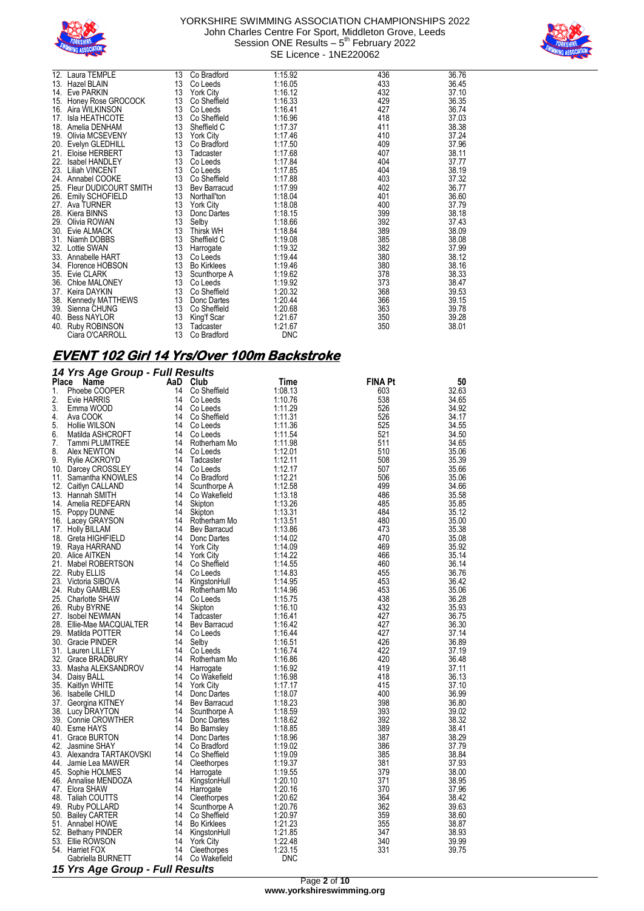



| 12. | Laura TEMPLE              | 13 | Co Bradford        | 1:15.92    | 436 | 36.76 |
|-----|---------------------------|----|--------------------|------------|-----|-------|
|     | 13. Hazel BLAIN           | 13 | Co Leeds           | 1:16.05    | 433 | 36.45 |
|     | 14. Eve PARKIN            | 13 | <b>York City</b>   | 1:16.12    | 432 | 37.10 |
|     | 15. Honey Rose GROCOCK    | 13 | Co Sheffield       | 1:16.33    | 429 | 36.35 |
|     | 16. Aira WILKINSON        |    | 13 Co Leeds        | 1:16.41    | 427 | 36.74 |
| 17. | Isla HEATHCOTE            | 13 | Co Sheffield       | 1:16.96    | 418 | 37.03 |
|     | 18. Amelia DENHAM         | 13 | Sheffield C        | 1:17.37    | 411 | 38.38 |
|     | 19. Olivia MCSEVENY       | 13 | <b>York City</b>   | 1:17.46    | 410 | 37.24 |
|     | 20. Evelyn GLEDHILL       | 13 | Co Bradford        | 1:17.50    | 409 | 37.96 |
| 21. | Eloise HERBERT            | 13 | Tadcaster          | 1:17.68    | 407 | 38.11 |
| 22. | Isabel HANDLEY            | 13 | Co Leeds           | 1:17.84    | 404 | 37.77 |
|     | 23. Liliah VINCENT        | 13 | Co Leeds           | 1:17.85    | 404 | 38.19 |
|     | 24. Annabel COOKE         | 13 | Co Sheffield       | 1:17.88    | 403 | 37.32 |
|     | 25. Fleur DUDICOURT SMITH | 13 | Bev Barracud       | 1:17.99    | 402 | 36.77 |
|     | 26. Emily SCHOFIELD       | 13 | Northall'ton       | 1:18.04    | 401 | 36.60 |
| 27. | Ava TURNER                | 13 | <b>York City</b>   | 1:18.08    | 400 | 37.79 |
|     | 28. Kiera BINNS           | 13 | Donc Dartes        | 1:18.15    | 399 | 38.18 |
| 29. | Olivia ROWAN              | 13 | Selby              | 1:18.66    | 392 | 37.43 |
|     | 30. Evie ALMACK           | 13 | <b>Thirsk WH</b>   | 1:18.84    | 389 | 38.09 |
|     | 31. Niamh DOBBS           | 13 | Sheffield C        | 1:19.08    | 385 | 38.08 |
| 32. | <b>Lottie SWAN</b>        | 13 | Harrogate          | 1:19.32    | 382 | 37.99 |
|     | 33. Annabelle HART        | 13 | Co Leeds           | 1:19.44    | 380 | 38.12 |
|     | 34. Florence HOBSON       | 13 | <b>Bo Kirklees</b> | 1:19.46    | 380 | 38.16 |
|     | 35. Evie CLARK            | 13 | Scunthorpe A       | 1:19.62    | 378 | 38.33 |
|     | 36. Chloe MALONEY         | 13 | Co Leeds           | 1:19.92    | 373 | 38.47 |
|     | 37. Keira DAYKIN          | 13 | Co Sheffield       | 1:20.32    | 368 | 39.53 |
|     | 38. Kennedy MATTHEWS      | 13 | Donc Dartes        | 1:20.44    | 366 | 39.15 |
| 39. | Sienna CHUNG              | 13 | Co Sheffield       | 1:20.68    | 363 | 39.78 |
|     | 40. Bess NAYLOR           | 13 | King'f Scar        | 1:21.67    | 350 | 39.28 |
| 40. | Ruby ROBINSON             | 13 | Tadcaster          | 1:21.67    | 350 | 38.01 |
|     | Ciara O'CARROLL           | 13 | Co Bradford        | <b>DNC</b> |     |       |

# **EVENT 102 Girl 14 Yrs/Over 100m Backstroke**

### *14 Yrs Age Group - Full Results*

|    | - ס<br>Place Name         | AaD | Club             | <b>Time</b> | <b>FINA Pt</b> | 50    |
|----|---------------------------|-----|------------------|-------------|----------------|-------|
| 1. | Phoebe COOPER             | 14  | Co Sheffield     | 1:08.13     | 603            | 32.63 |
| 2. | Evie HARRIS               |     | 14 Co Leeds      | 1:10.76     | 538            | 34.65 |
| 3. | Emma WOOD                 |     | 14 Co Leeds      | 1:11.29     | 526            | 34.92 |
| 4. | Ava COOK                  |     | 14 Co Sheffield  | 1:11.31     | 526            | 34.17 |
| 5. | Hollie WILSON             |     | 14 Co Leeds      | 1:11.36     | 525            | 34.55 |
| 6. | Matilda ASHCROFT          |     | 14 Co Leeds      | 1:11.54     | 521            | 34.50 |
| 7. | Tammi PLUMTREE            |     | 14 Rotherham Mo  | 1:11.98     | 511            | 34.65 |
| 8. | Alex NEWTON               |     | 14 Co Leeds      | 1:12.01     | 510            | 35.06 |
| 9. | Rylie ACKROYD             |     | 14 Tadcaster     | 1:12.11     | 508            | 35.39 |
|    | 10. Darcey CROSSLEY       |     | 14 Co Leeds      | 1:12.17     | 507            | 35.66 |
|    | 11. Samantha KNOWLES      |     | 14 Co Bradford   | 1:12.21     | 506            | 35.06 |
|    | 12. Caitlyn CALLAND       |     | 14 Scunthorpe A  | 1:12.58     | 499            | 34.66 |
|    | 13. Hannah SMITH          |     | 14 Co Wakefield  | 1:13.18     | 486            | 35.58 |
|    | 14. Amelia REDFEARN       |     | 14 Skipton       | 1:13.26     | 485            | 35.85 |
|    | 15. Poppy DUNNE           |     | 14 Skipton       | 1:13.31     | 484            | 35.12 |
|    | 16. Lacey GRAYSON         |     | 14 Rotherham Mo  | 1:13.51     | 480            | 35.00 |
|    | 17. Holly BILLAM          |     | 14 Bev Barracud  | 1:13.86     | 473            | 35.38 |
|    | 18. Greta HIGHFIELD       |     | 14 Donc Dartes   | 1:14.02     | 470            | 35.08 |
|    | 19.   Raya HARRAND .      | 14  | <b>York City</b> | 1:14.09     | 469            | 35.92 |
|    | 20. Alice AITKEN          |     | 14 York City     | 1:14.22     | 466            | 35.14 |
|    | 21. Mabel ROBERTSON       |     | 14 Co Sheffield  | 1:14.55     | 460            | 36.14 |
|    | 22. Ruby ELLIS            | 14  | Co Leeds         | 1:14.83     | 455            | 36.76 |
|    | 23. Victoria SIBOVA       |     | 14 KingstonHull  | 1:14.95     | 453            | 36.42 |
|    | 24. Ruby GAMBLES          |     | 14 Rotherham Mo  | 1:14.96     | 453            | 35.06 |
|    | 25. Charlotte SHAW        |     | 14 Co Leeds      | 1:15.75     | 438            | 36.28 |
|    | 26. Ruby BYRNE            |     | 14 Skipton       | 1:16.10     | 432            | 35.93 |
|    | 27. Isobel NEWMAN         |     | 14 Tadcaster     | 1:16.41     | 427            | 36.75 |
|    | 28. Ellie-Mae MACQUALTER  |     | 14 Bev Barracud  | 1:16.42     | 427            | 36.30 |
|    | 29. Matilda POTTER        |     | 14 Co Leeds      | 1:16.44     | 427            | 37.14 |
|    | 30. Gracie PINDER         |     | 14 Selby         | 1:16.51     | 426            | 36.89 |
|    | 31. Lauren LILLEY         |     | 14 Co Leeds      | 1:16.74     | 422            | 37.19 |
|    | 32. Grace BRADBURY        |     | 14 Rotherham Mo  | 1:16.86     | 420            | 36.48 |
|    | 33.   Masha ALEKSANDROV   |     | 14 Harrogate     | 1:16.92     | 419            | 37.11 |
|    | 34. Daisy BALL            |     | 14 Co Wakefield  | 1:16.98     | 418            | 36.13 |
|    | 35. Kaitlyn WHITE         |     | 14 York City     | 1:17.17     | 415            | 37.10 |
|    | 36. Isabelle CHILD        |     | 14 Donc Dartes   | 1:18.07     | 400            | 36.99 |
|    | 37. Georgina KITNEY       |     | 14 Bev Barracud  | 1:18.23     | 398            | 36.80 |
|    | 38. Lucy DRAYTON          |     | 14 Scunthorpe A  | 1:18.59     | 393            | 39.02 |
|    | 39. Connie CROWTHER       |     | 14 Donc Dartes   | 1:18.62     | 392            | 38.32 |
|    | 40. Esme HAYS             |     | 14 Bo Barnsley   | 1:18.85     | 389            | 38.41 |
|    | 41. Grace BURTON          |     | 14 Donc Dartes   | 1:18.96     | 387            | 38.29 |
|    | 42. Jasmine SHAY          |     | 14 Co Bradford   | 1:19.02     | 386            | 37.79 |
|    | 43. Alexandra TARTAKOVSKI |     | 14 Co Sheffield  | 1:19.09     | 385            | 38.84 |
|    | 44.   Jamie Lea MAWER     |     | 14 Cleethorpes   | 1:19.37     | 381            | 37.93 |
|    | 45. Sophie HOLMES         |     | 14 Harrogate     | 1:19.55     | 379            | 38.00 |
|    | 46. Annalise MENDOZA      |     | 14 KingstonHull  | 1:20.10     | 371            | 38.95 |
|    | 47. Elora SHAW            | 14  | Harrogate        | 1:20.16     | 370            | 37.96 |
|    | 48. Taliah COUTTS         |     | 14 Cleethorpes   | 1:20.62     | 364            | 38.42 |
|    | 49. Ruby POLLARD          |     | 14 Scunthorpe A  | 1:20.76     | 362            | 39.63 |
|    | 50. Bailey CARTER         |     | 14 Co Sheffield  | 1:20.97     | 359            | 38.60 |
|    | 51. Annabel HOWE          |     | 14 Bo Kirklees   | 1:21.23     | 355            | 38.87 |
|    | 52. Bethany PINDER        |     | 14 KingstonHull  | 1:21.85     | 347            | 38.93 |
|    | 53. Ellie ROWSON          | 14  | <b>York City</b> | 1:22.48     | 340            | 39.99 |
|    | 54. Harriet FOX           | 14  | Cleethorpes      | 1:23.15     | 331            | 39.75 |
|    | Gabriella BURNETT         | 14  | Co Wakefield     | <b>DNC</b>  |                |       |
|    |                           |     |                  |             |                |       |

*15 Yrs Age Group - Full Results*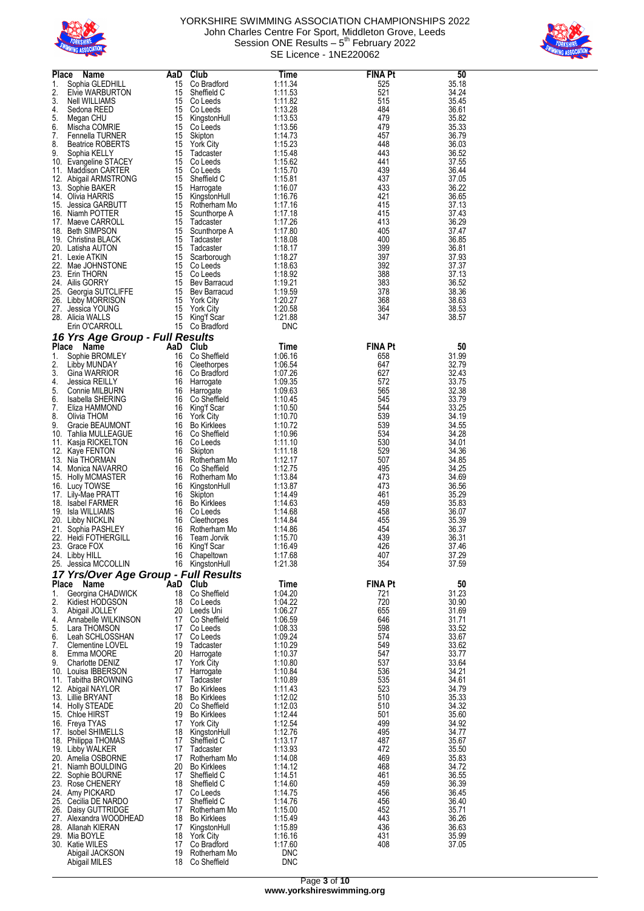



| <b>Place</b> | Name                                       | AaD      | Club                              | Time                  | <b>FINA Pt</b> | 50             |
|--------------|--------------------------------------------|----------|-----------------------------------|-----------------------|----------------|----------------|
| 1.           | Sophia GLEDHILL                            | 15       | Co Bradford                       | 1:11.34               | 525            | 35.18          |
| 2.<br>3.     | Elvie WARBURTON                            | 15       | Sheffield C                       | 1:11.53               | 521            | 34.24          |
| 4.           | Nell WILLIAMS<br>Sedona REED               | 15<br>15 | Co Leeds<br>Co Leeds              | 1:11.82<br>1:13.28    | 515<br>484     | 35.45<br>36.61 |
| 5.           | Megan CHU                                  | 15       | KingstonHull                      | 1:13.53               | 479            | 35.82          |
| 6.           | Mischa COMRIE                              | 15       | Co Leeds                          | 1:13.56               | 479            | 35.33          |
| 7.           | Fennella TURNER                            | 15       | Skipton                           | 1:14.73               | 457            | 36.79          |
| 8.           | <b>Beatrice ROBERTS</b>                    | 15       | <b>York City</b>                  | 1:15.23               | 448            | 36.03          |
| 9.           | Sophia KELLY                               | 15       | Tadcaster                         | 1:15.48               | 443            | 36.52          |
|              | 10. Evangeline STACEY                      | 15       | Co Leeds                          | 1:15.62               | 441            | 37.55          |
| 11.          | <b>Maddison CARTER</b>                     | 15       | Co Leeds                          | 1:15.70               | 439            | 36.44          |
| 12.          | Abigail ARMSTRONG                          | 15       | Sheffield C                       | 1:15.81               | 437            | 37.05          |
| 13.          | Sophie BAKER<br>14. Olivia HARRIS          | 15<br>15 | Harrogate<br>KingstonHull         | 1:16.07<br>1:16.76    | 433<br>421     | 36.22<br>36.65 |
| 15.          | <b>Jessica GARBUTT</b>                     | 15       | Rotherham Mo                      | 1:17.16               | 415            | 37.13          |
| 16.          | Niamh POTTER                               | 15       | Scunthorpe A                      | 1:17.18               | 415            | 37.43          |
| 17.          | Maeve CARROLL                              | 15       | Tadcaster                         | 1:17.26               | 413            | 36.29          |
| 18.          | <b>Beth SIMPSON</b>                        | 15       | Scunthorpe A                      | 1:17.80               | 405            | 37.47          |
|              | 19. Christina BLACK                        | 15       | Tadcaster                         | 1:18.08               | 400            | 36.85          |
|              | 20. Latisha AUTON                          | 15       | Tadcaster                         | 1:18.17               | 399            | 36.81          |
|              | 21. Lexie ATKIN                            | 15       | Scarborough                       | 1:18.27               | 397            | 37.93          |
|              | 22. Mae JOHNSTONE                          | 15       | Co Leeds                          | 1:18.63               | 392            | 37.37          |
| 24.          | 23. Erin THORN<br><b>Ailis GORRY</b>       | 15<br>15 | Co Leeds<br>Bev Barracud          | 1:18.92<br>1:19.21    | 388<br>383     | 37.13<br>36.52 |
| 25.          | Georgia SUTCLIFFE                          | 15       | <b>Bev Barracud</b>               | 1:19.59               | 378            | 38.36          |
| 26.          | Libby MORRISON                             | 15       | <b>York City</b>                  | 1:20.27               | 368            | 38.63          |
| 27.          | Jessica YOUNG                              | 15       | <b>York City</b>                  | 1:20.58               | 364            | 38.53          |
|              | 28. Alicia WALLS                           | 15       | King'f Scar                       | 1:21.88               | 347            | 38.57          |
|              | Erin O'CARROLL                             | 15       | Co Bradford                       | DNC                   |                |                |
|              | 16 Yrs Age Group - Full Results            |          |                                   |                       |                |                |
| Place        | Name                                       | AaD      | Club                              | Time                  | <b>FINA Pt</b> | 50             |
| 1.           | Sophie BROMLEY                             | 16       | Co Sheffield                      | 1:06.16               | 658            | 31.99          |
| 2.           | Libby MUNDAY                               | 16       | Cleethorpes                       | 1:06.54               | 647            | 32.79          |
| 3.           | Gina WARRIOR                               | 16       | Co Bradford                       | 1:07.26               | 627            | 32.43          |
| 4.           | <b>Jessica REILLY</b>                      | 16       | Harrogate                         | 1:09.35               | 572            | 33.75          |
| 5.           | Connie MILBURN                             | 16       | Harrogate                         | 1:09.63               | 565            | 32.38          |
| 6.<br>7.     | Isabella SHERING<br>Eliza HAMMOND          | 16<br>16 | Co Sheffield                      | 1:10.45<br>1:10.50    | 545<br>544     | 33.79<br>33.25 |
| 8.           | Olivia THOM                                | 16       | King'f Scar<br><b>York City</b>   | 1:10.70               | 539            | 34.19          |
| 9.           | Gracie BEAUMONT                            | 16       | <b>Bo Kirklees</b>                | 1:10.72               | 539            | 34.55          |
| 10.          | Tahlia MULLEAGUE                           | 16       | Co Sheffield                      | 1:10.96               | 534            | 34.28          |
| 11.          | Kasja RICKELTON                            | 16       | Co Leeds                          | 1:11.10               | 530            | 34.01          |
| 12.          | Kaye FENTON                                | 16       | Skipton                           | 1:11.18               | 529            | 34.36          |
| 13.          | Nia THORMAN                                | 16       | Rotherham Mo                      | 1:12.17               | 507            | 34.85          |
| 14.          | Monica NAVARRO                             | 16       | Co Sheffield                      | 1:12.75               | 495            | 34.25          |
|              | 15. Holly MCMASTER                         | 16       | Rotherham Mo                      | 1:13.84               | 473            | 34.69<br>36.56 |
| 17.          | 16. Lucy TOWSE<br>Lily-Mae PRATT           | 16<br>16 | KingstonHull<br>Skipton           | 1:13.87<br>1:14.49    | 473<br>461     | 35.29          |
| 18.          | <b>Isabel FARMER</b>                       | 16       | <b>Bo Kirklees</b>                | 1:14.63               | 459            | 35.83          |
| 19.          | Isla WILLIAMS                              | 16       | Co Leeds                          | 1:14.68               | 458            | 36.07          |
| 20.          | Libby NICKLIN                              | 16       | Cleethorpes                       | 1:14.84               | 455            | 35.39          |
| 21.          | Sophia PASHLEY                             | 16       | Rotherham Mo                      | 1:14.86               | 454            | 36.37          |
|              | 22.   Heidi FOTHERGILL                     | 16       | Team Jorvik                       | 1:15.70               | 439            | 36.31          |
|              | 23. Grace FOX                              | 16       | King'f Scar                       | 1:16.49               | 426            | 37.46          |
|              | 24. Libby HILL                             | 16       | Chapeltown                        | 1:17.68               | 407            | 37.29          |
|              | 25. Jessica MCCOLLIN                       | 16       | KingstonHull                      | 1:21.38               | 354            | 37.59          |
|              | 17 Yrs/Over Age Group - Full Results       |          |                                   |                       |                |                |
| Place        | Name                                       | AaD      | Club                              | Time                  | <b>FINA Pt</b> | 50             |
| 1.           | Georgina CHADWICK                          | 18<br>18 | Co Sheffield<br>Co Leeds          | 1:04.20<br>1:04.22    | 721<br>720     | 31.23          |
| 2.<br>3.     | Kidiest HODGSON<br>Abigail JOLLEY          | 20       | Leeds Uni                         | 1:06.27               | 655            | 30.90<br>31.69 |
| 4.           | Annabelle WILKINSON                        | 17       | Co Sheffield                      | 1:06.59               | 646            | 31.71          |
| 5.           | Lara THOMSON                               |          | 17 Co Leeds                       | 1:08.33               | 598            | 33.52          |
| 6.           | Leah SCHLOSSHAN                            | 17       | Co Leeds                          | 1:09.24               | 574            | 33.67          |
| 7.           | Clementine LOVEL                           | 19       | Tadcaster                         | 1:10.29               | 549            | 33.62          |
| 8.           | Emma MOORE                                 | 20       | Harrogate                         | 1:10.37               | 547            | 33.77          |
| 9.           | Charlotte DENIZ                            | 17       | <b>York City</b>                  | 1:10.80               | 537            | 33.64          |
|              | 10. Louisa IBBERSON                        | 17       | Harrogate                         | 1:10.84               | 536            | 34.21          |
|              | 11. Tabitha BROWNING<br>12. Abigail NAYLOR | 17<br>17 | Tadcaster<br><b>Bo Kirklees</b>   | 1:10.89<br>1:11.43    | 535<br>523     | 34.61<br>34.79 |
|              | 13. Lillie BRYANT                          | 18       | <b>Bo Kirklees</b>                | 1:12.02               | 510            | 35.33          |
|              | 14. Holly STEADE                           | 20       | Co Sheffield                      | 1:12.03               | 510            | 34.32          |
|              | 15. Chloe HIRST                            | 19       | <b>Bo Kirklees</b>                | 1:12.44               | 501            | 35.60          |
|              | 16. Freya TYAS                             | 17       | <b>York City</b>                  | 1:12.54               | 499            | 34.92          |
| 17.          | <b>Isobel SHIMELLS</b>                     | 18       | KingstonHull                      | 1:12.76               | 495            | 34.77          |
|              | 18. Philippa THOMAS                        | 17       | Sheffield C                       | 1:13.17               | 487            | 35.67          |
|              | 19. Libby WALKER                           | 17       | Tadcaster                         | 1:13.93               | 472            | 35.50          |
|              | 20. Amelia OSBORNE                         | 17       | Rotherham Mo                      | 1:14.08               | 469            | 35.83          |
|              | 21. Niamh BOULDING<br>22. Sophie BOURNE    | 20<br>17 | <b>Bo Kirklees</b><br>Sheffield C | 1:14.12<br>1:14.51    | 468<br>461     | 34.72<br>36.55 |
|              | 23. Rose CHENERY                           | 18       | Sheffield C                       | 1:14.60               | 459            | 36.39          |
|              | 24. Amy PICKARD                            | 17       | Co Leeds                          | 1:14.75               | 456            | 36.45          |
|              | 25. Cecilia DE NARDO                       | 17       | Sheffield C                       | 1:14.76               | 456            | 36.40          |
|              | 26. Daisy GUTTRIDGE                        | 17       | Rotherham Mo                      | 1:15.00               | 452            | 35.71          |
| 27.          | Alexandra WOODHEAD                         | 18       | <b>Bo Kirklees</b>                | 1:15.49               | 443            | 36.26          |
| 28.          | Allanah KIERAN                             | 17       | KingstonHull                      | 1:15.89               | 436            | 36.63          |
|              | 29. Mia BOYLE                              | 18       | <b>York City</b>                  | 1:16.16               | 431            | 35.99          |
|              | 30. Katie WILES<br>Abigail JACKSON         | 17<br>19 | Co Bradford<br>Rotherham Mo       | 1:17.60<br><b>DNC</b> | 408            | 37.05          |
|              | Abigail MILES                              | 18       | Co Sheffield                      | <b>DNC</b>            |                |                |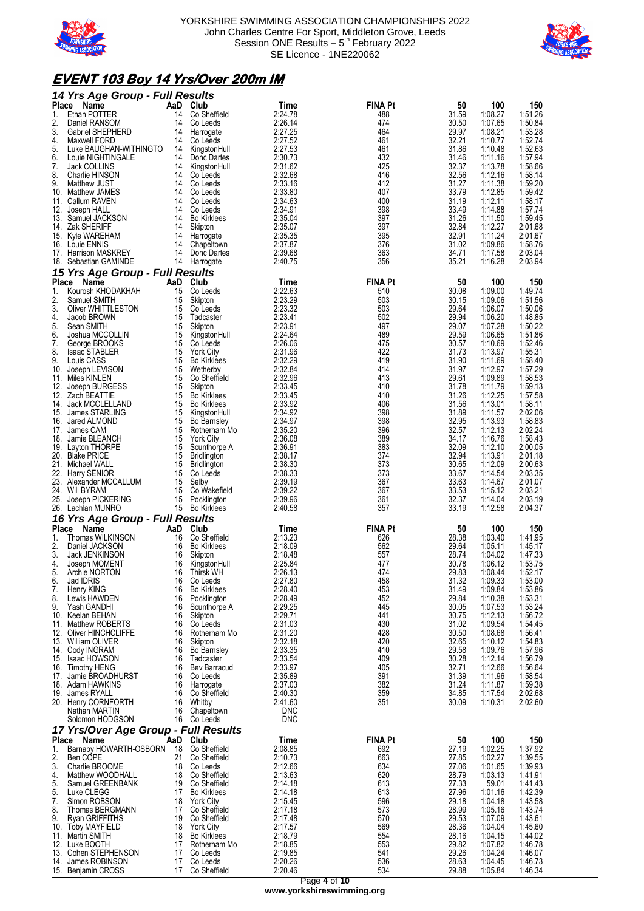



# **EVENT 103 Boy 14 Yrs/Over 200m IM**

|              | 14 Yrs Age Group - Full Results                         |           |                                    |                    |                       |                |                    |                    |
|--------------|---------------------------------------------------------|-----------|------------------------------------|--------------------|-----------------------|----------------|--------------------|--------------------|
| Place<br>1.  | Name<br>Ethan POTTER                                    | AaD<br>14 | Club<br>Co Sheffield               | Time<br>2:24.78    | <b>FINA Pt</b><br>488 | 50<br>31.59    | 100<br>1:08.27     | 150<br>1:51.26     |
| 2.           | Daniel RANSOM                                           | 14        | Co Leeds                           | 2:26.14            | 474                   | 30.50          | 1:07.65            | 1:50.84            |
| 3.<br>4.     | Gabriel SHEPHERD<br>Maxwell FORD                        | 14<br>14  | Harrogate                          | 2:27.25<br>2:27.52 | 464<br>461            | 29.97<br>32.21 | 1:08.21<br>1:10.77 | 1:53.28<br>1:52.74 |
| 5.           | Luke BAUGHAN-WITHINGTO                                  | 14        | Co Leeds<br>KingstonHull           | 2:27.53            | 461                   | 31.86          | 1:10.48            | 1:52.63            |
| 6.           | Louie NIGHTINGALE                                       | 14        | Donc Dartes                        | 2:30.73            | 432                   | 31.46          | 1:11.16            | 1:57.94            |
| 7.           | Jack COLLINS                                            | 14        | KingstonHull                       | 2:31.62            | 425<br>416            | 32.37<br>32.56 | 1:13.78            | 1:58.66<br>1:58.14 |
| 8.<br>9.     | Charlie HINSON<br>Matthew JUST                          | 14<br>14  | Co Leeds<br>Co Leeds               | 2:32.68<br>2:33.16 | 412                   | 31.27          | 1:12.16<br>1:11.38 | 1:59.20            |
| 10.          | Matthew JAMES                                           | 14        | Co Leeds                           | 2:33.80            | 407                   | 33.79          | 1:12.85            | 1:59.42            |
| 11.          | Callum RAVEN                                            | 14        | Co Leeds                           | 2:34.63            | 400                   | 31.19          | 1:12.11            | 1:58.17            |
| 12.<br>13.   | Joseph HALL<br>Samuel JACKSON                           | 14<br>14  | Co Leeds<br><b>Bo Kirklees</b>     | 2:34.91<br>2:35.04 | 398<br>397            | 33.49<br>31.26 | 1:14.88<br>1:11.50 | 1:57.74<br>1:59.45 |
|              | 14. Zak SHERIFF                                         | 14        | Skipton                            | 2:35.07            | 397                   | 32.84          | 1:12.27            | 2:01.68            |
|              | 15. Kyle WAREHAM                                        | 14        | Harrogate                          | 2:35.35            | 395                   | 32.91          | 1:11.24            | 2:01.67            |
|              | 16. Louie ENNIS<br>17. Harrison MASKREY                 | 14<br>14  | Chapeltown<br>Donc Dartes          | 2:37.87<br>2:39.68 | 376<br>363            | 31.02<br>34.71 | 1:09.86<br>1:17.58 | 1:58.76<br>2:03.04 |
|              | 18. Sebastian GAMINDE                                   | 14        | Harrogate                          | 2:40.75            | 356                   | 35.21          | 1:16.28            | 2:03.94            |
|              | 15 Yrs Age Group - Full Results                         |           |                                    |                    |                       |                |                    |                    |
| Place<br>1.  | Name<br>Kourosh KHODAKHAH                               | AaD<br>15 | Club<br>Co Leeds                   | Time<br>2:22.63    | <b>FINA Pt</b><br>510 | 50<br>30.08    | 100<br>1:09.00     | 150<br>1:49.74     |
| 2.           | Samuel SMITH                                            | 15        | Skipton                            | 2:23.29            | 503                   | 30.15          | 1:09.06            | 1:51.56            |
| 3.           | Oliver WHITTLESTON                                      | 15        | Co Leeds                           | 2:23.32            | 503                   | 29.64          | 1:06.07            | 1:50.06            |
| 4.           | Jacob BROWN                                             | 15        | Tadcaster                          | 2:23.41            | 502                   | 29.94          | 1:06.20            | 1:48.85            |
| 5.<br>6.     | Sean SMITH<br>Joshua MCCOLLIN                           | 15<br>15  | Skipton<br>KingstonHull            | 2:23.91<br>2:24.64 | 497<br>489            | 29.07<br>29.59 | 1:07.28<br>1:06.65 | 1:50.22<br>1:51.86 |
| 7.           | George BROOKS                                           | 15        | Co Leeds                           | 2:26.06            | 475                   | 30.57          | 1:10.69            | 1:52.46            |
| 8.           | <b>Isaac STABLER</b>                                    | 15        | <b>York City</b>                   | 2:31.96            | 422                   | 31.73          | 1:13.97            | 1:55.31            |
| 9.           | Louis CASS                                              | 15        | <b>Bo Kirklees</b>                 | 2:32.29            | 419                   | 31.90          | 1:11.69            | 1:58.40            |
| 10.<br>11.   | Joseph LEVISON<br>Miles KINLEN                          | 15<br>15  | Wetherby<br>Co Sheffield           | 2:32.84<br>2:32.96 | 414<br>413            | 31.97<br>29.61 | 1:12.97<br>1:09.89 | 1:57.29<br>1:58.53 |
| 12.          | Joseph BURGESS                                          | 15        | Skipton                            | 2:33.45            | 410                   | 31.78          | 1:11.79            | 1:59.13            |
|              | 12. Zach BEATTIE                                        | 15        | <b>Bo Kirklees</b>                 | 2:33.45            | 410                   | 31.26          | 1:12.25            | 1:57.58            |
| 14.          | Jack MCCLELLAND                                         | 15        | <b>Bo Kirklees</b>                 | 2:33.92            | 406                   | 31.56          | 1:13.01            | 1:58.11            |
| 16.          | 15. James STARLING<br>Jared ALMOND                      | 15<br>15  | KingstonHull<br><b>Bo Barnsley</b> | 2:34.92<br>2:34.97 | 398<br>398            | 31.89<br>32.95 | 1:11.57<br>1:13.93 | 2:02.06<br>1:58.83 |
| 17.          | James CAM                                               | 15        | Rotherham Mo                       | 2:35.20            | 396                   | 32.57          | 1:12.13            | 2:02.24            |
| 18.          | Jamie BLEANCH                                           | 15        | <b>York City</b>                   | 2:36.08            | 389                   | 34.17          | 1:16.76            | 1:58.43            |
|              | 19. Layton THORPE                                       | 15        | Scunthorpe A                       | 2:36.91            | 383                   | 32.09          | 1:12.10            | 2:00.05            |
| 20.          | <b>Blake PRICE</b><br>21. Michael WALL                  | 15<br>15  | <b>Bridlington</b><br>Bridlington  | 2:38.17<br>2:38.30 | 374<br>373            | 32.94<br>30.65 | 1:13.91<br>1:12.09 | 2:01.18<br>2:00.63 |
|              | 22. Harry SENIOR                                        | 15        | Co Leeds                           | 2:38.33            | 373                   | 33.67          | 1:14.54            | 2:03.35            |
|              | 23. Alexander MCCALLUM                                  | 15        | Selby                              | 2:39.19            | 367                   | 33.63          | 1:14.67            | 2:01.07            |
|              | 24. Will BYRAM                                          | 15        | Co Wakefield                       | 2:39.22            | 367                   | 33.53          | 1:15.12            | 2:03.21            |
|              | 25. Joseph PICKERING<br>26. Lachlan MUNRO               | 15<br>15  | Pocklington<br><b>Bo Kirklees</b>  | 2:39.96<br>2:40.58 | 361<br>357            | 32.37<br>33.19 | 1:14.04<br>1:12.58 | 2:03.19<br>2:04.37 |
|              | 16 Yrs Age Group - Full Results                         |           |                                    |                    |                       |                |                    |                    |
| Place        | Name                                                    | AaD       | Club                               | Time               | <b>FINA Pt</b>        | 50             | 100                | 150                |
| 1.           | Thomas WILKINSON                                        | 16        | Co Sheffield                       | 2:13.23            | 626                   | 28.38          | 1:03.40            | 1:41.95            |
| 2.<br>3.     | Daniel JACKSON<br>Jack JENKINSON                        | 16<br>16  | <b>Bo Kirklees</b><br>Skipton      | 2:18.09<br>2:18.48 | 562<br>557            | 29.64<br>28.74 | 1:05.11<br>1:04.02 | 1:45.17<br>1:47.33 |
| 4.           | Joseph MOMENT                                           | 16        | KingstonHull                       | 2:25.84            | 477                   | 30.78          | 1:06.12            | 1:53.75            |
| 5.           | Archie NORTON                                           | 16        | <b>Thirsk WH</b>                   | 2:26.13            | 474                   | 29.83          | 1:08.44            | 1:52.17            |
| 6.           | Jad IDRIS                                               | 16        | Co Leeds                           | 2:27.80            | 458                   | 31.32          | 1:09.33            | 1:53.00            |
| 7.<br>8.     | Henry KING<br>Lewis HAWDEN                              | 16<br>16  | <b>Bo Kirklees</b><br>Pocklington  | 2:28.40<br>2:28.49 | 453<br>452            | 31.49<br>29.84 | 1:09.84<br>1:10.38 | 1:53.86<br>1:53.31 |
| 9.           | Yash GANDHI                                             | 16        | Scunthorpe A                       | 2:29.25            | 445                   | 30.05          | 1:07.53            | 1:53.24            |
|              | 10. Keelan BEHAN                                        | 16        | Skipton                            | 2:29.71            | 441                   | 30.75          | 1:12.13            | 1:56.72            |
|              | 11. Matthew ROBERTS                                     | 16        | Co Leeds                           | 2:31.03            | 430                   | 31.02          | 1:09.54            | 1:54.45            |
|              | 12. Oliver HINCHCLIFFE<br>13. William OLIVER            | 16<br>16  | Rotherham Mo<br>Skipton            | 2:31.20<br>2:32.18 | 428<br>420            | 30.50<br>32.65 | 1:08.68<br>1:10.12 | 1:56.41<br>1:54.83 |
|              | 14. Cody INGRAM                                         | 16        | <b>Bo Barnsley</b>                 | 2:33.35            | 410                   | 29.58          | 1:09.76            | 1:57.96            |
|              | 15. Isaac HOWSON                                        | 16        | Tadcaster                          | 2:33.54            | 409                   | 30.28          | 1:12.14            | 1:56.79            |
|              | 16. Timothy HENG                                        | 16        | Bev Barracud                       | 2:33.97            | 405                   | 32.71          | 1:12.66            | 1:56.64            |
|              | 17. Jamie BROADHURST<br>18. Adam HAWKINS                | 16<br>16  | Co Leeds<br>Harrogate              | 2:35.89<br>2:37.03 | 391<br>382            | 31.39<br>31.24 | 1:11.96<br>1:11.87 | 1:58.54<br>1:59.38 |
|              | 19. James RYALL                                         | 16        | Co Sheffield                       | 2:40.30            | 359                   | 34.85          | 1:17.54            | 2:02.68            |
|              | 20. Henry CORNFORTH                                     | 16        | Whitby                             | 2:41.60            | 351                   | 30.09          | 1:10.31            | 2:02.60            |
|              | Nathan MARTIN                                           | 16        | Chapeltown                         | DNC                |                       |                |                    |                    |
|              | Solomon HODGSON<br>17 Yrs/Over Age Group - Full Results | 16        | Co Leeds                           | DNC                |                       |                |                    |                    |
| <b>Place</b> | Name                                                    | AaD       | Club                               | Time               | <b>FINA Pt</b>        | 50             | 100                | 150                |
| 1.           | Barnaby HOWARTH-OSBORN                                  | 18        | Co Sheffield                       | 2:08.85            | 692                   | 27.19          | 1:02.25            | 1:37.92            |
| 2.           | Ben COPE                                                | 21        | Co Sheffield                       | 2:10.73            | 663                   | 27.85          | 1:02.27            | 1:39.55            |
| 3.<br>4.     | Charlie BROOME                                          | 18<br>18  | Co Leeds<br>Co Sheffield           | 2:12.66<br>2:13.63 | 634<br>620            | 27.06<br>28.79 | 1:01.65<br>1:03.13 | 1:39.93<br>1:41.91 |
|              |                                                         |           |                                    | 2:14.18            | 613                   | 27.33          | 59.01              | 1:41.43            |
|              | Matthew WOODHALL                                        | 19        | Co Sheffield                       |                    |                       |                |                    |                    |
| 5.<br>5.     | Samuel GREENBANK<br>Luke CLEGG                          | 17        | <b>Bo Kirklees</b>                 | 2:14.18            | 613                   | 27.96          | 1:01.16            | 1:42.39            |
| 7.           | Simon ROBSON                                            | 18        | <b>York City</b>                   | 2:15.45            | 596                   | 29.18          | 1:04.18            | 1:43.58            |
| 8.           | Thomas BERGMANN                                         | 17        | Co Sheffield                       | 2:17.18            | 573                   | 28.99          | 1:05.16            | 1:43.74            |
| 9.           | Ryan GRIFFITHS<br>10. Toby MAYFIELD                     | 19<br>18  | Co Sheffield<br><b>York City</b>   | 2:17.48<br>2:17.57 | 570<br>569            | 29.53<br>28.36 | 1:07.09            | 1:43.61<br>1:45.60 |
|              | 11. Martin SMITH                                        | 18        | <b>Bo Kirklees</b>                 | 2:18.79            | 554                   | 28.16          | 1:04.04<br>1:04.15 | 1:44.02            |
|              | 12. Luke BOOTH                                          | 17        | Rotherham Mo                       | 2:18.85            | 553                   | 29.82          | 1:07.82            | 1:46.78            |
|              | 13. Cohen STEPHENSON<br>14. James ROBINSON              | 17<br>17  | Co Leeds<br>Co Leeds               | 2:19.85<br>2:20.26 | 541<br>536            | 29.26<br>28.63 | 1:04.24<br>1:04.45 | 1:46.07<br>1:46.73 |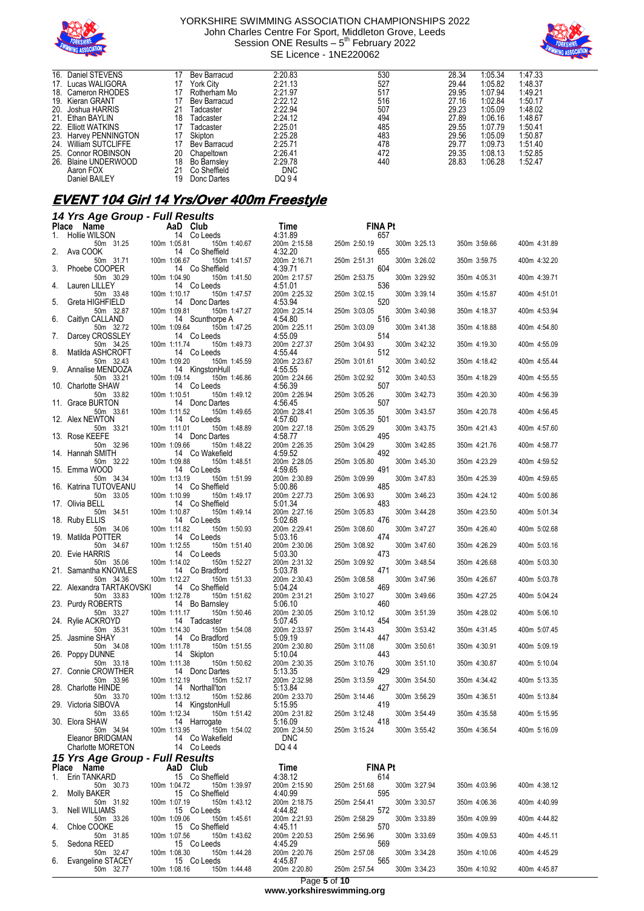



|               | 17                                                                                                                                                                                                                                                  | Bev Barracud       | 2:20.83    | 530 | 28.34 | 1:05.34 | 1:47.33 |
|---------------|-----------------------------------------------------------------------------------------------------------------------------------------------------------------------------------------------------------------------------------------------------|--------------------|------------|-----|-------|---------|---------|
|               | 17                                                                                                                                                                                                                                                  | York Citv          | 2:21.13    | 527 | 29.44 | 1:05.82 | 1:48.37 |
|               | 17                                                                                                                                                                                                                                                  | Rotherham Mo       | 2:21.97    | 517 | 29.95 | 1:07.94 | 1:49.21 |
|               | 17                                                                                                                                                                                                                                                  | Bev Barracud       | 2:22.12    | 516 | 27.16 | 1:02.84 | 1:50.17 |
|               | 21                                                                                                                                                                                                                                                  | Tadcaster          | 2:22.94    | 507 | 29.23 | 1:05.09 | 1:48.02 |
|               | 18                                                                                                                                                                                                                                                  | Tadcaster          | 2:24.12    | 494 | 27.89 | 1:06.16 | 1:48.67 |
|               | 17                                                                                                                                                                                                                                                  | <b>Tadcaster</b>   | 2:25.01    | 485 | 29.55 | 1:07.79 | 1:50.41 |
|               | 17                                                                                                                                                                                                                                                  | Skipton            | 2:25.28    | 483 | 29.56 | 1:05.09 | 1:50.87 |
|               | 17                                                                                                                                                                                                                                                  | Bev Barracud       | 2:25.71    | 478 | 29.77 | 1:09.73 | 1:51.40 |
|               | 20                                                                                                                                                                                                                                                  | Chapeltown         | 2:26.41    | 472 | 29.35 | 1:08.13 | 1:52.85 |
|               | 18                                                                                                                                                                                                                                                  | <b>Bo Barnslev</b> | 2:29.78    | 440 | 28.83 | 1:06.28 | 1:52.47 |
| Aaron FOX     | 21                                                                                                                                                                                                                                                  | Co Sheffield       | <b>DNC</b> |     |       |         |         |
| Daniel BAILEY | 19                                                                                                                                                                                                                                                  | Donc Dartes        | DQ 94      |     |       |         |         |
|               | 16. Daniel STEVENS<br>17. Lucas WALIGORA<br>18. Cameron RHODES<br>19. Kieran GRANT<br>20. Joshua HARRIS<br>21. Ethan BAYLIN<br>22. Elliott WATKINS<br>23. Harvey PENNINGTON<br>24. William SUTCLIFFE<br>25. Connor ROBINSON<br>26. Blaine UNDERWOOD |                    |            |     |       |         |         |

# **EVENT 104 Girl 14 Yrs/Over 400m Freestyle**

## *14 Yrs Age Group - Full Results*

|     | Place Name                                           |              | AaD Club                        | Time                       | <b>FINA Pt</b>      |              |              |              |
|-----|------------------------------------------------------|--------------|---------------------------------|----------------------------|---------------------|--------------|--------------|--------------|
| 1.  | Hollie WILSON<br>50m 31.25                           | 100m 1:05.81 | 14 Co Leeds<br>150m 1:40.67     | 4:31.89<br>200m 2:15.58    | 657<br>250m 2:50.19 | 300m 3:25.13 | 350m 3:59.66 | 400m 4:31.89 |
| 2.  | Ava COOK<br>50m 31.71                                | 100m 1:06.67 | 14 Co Sheffield<br>150m 1:41.57 | 4:32.20<br>200m 2:16.71    | 655<br>250m 2:51.31 | 300m 3:26.02 | 350m 3:59.75 | 400m 4:32.20 |
| 3.  | Phoebe COOPER<br>50m 30.29                           | 100m 1:04.90 | 14 Co Sheffield<br>150m 1:41.50 | 4:39.71<br>200m 2:17.57    | 604<br>250m 2:53.75 | 300m 3:29.92 | 350m 4:05.31 | 400m 4:39.71 |
| 4.  | Lauren LILLEY<br>50m 33.48                           | 100m 1:10.17 | 14 Co Leeds<br>150m 1:47.57     | 4:51.01<br>200m 2:25.32    | 536<br>250m 3:02.15 | 300m 3:39.14 | 350m 4:15.87 | 400m 4:51.01 |
| 5.  | Greta HIGHFIELD<br>50m 32.87                         | 100m 1:09.81 | 14 Donc Dartes<br>150m 1:47.27  | 4:53.94<br>200m 2:25.14    | 520<br>250m 3:03.05 | 300m 3:40.98 | 350m 4:18.37 | 400m 4:53.94 |
| 6.  | Caitlyn CALLAND<br>50m 32.72                         | 100m 1:09.64 | 14 Scunthorpe A<br>150m 1:47.25 | 4:54.80<br>200m 2:25.11    | 516<br>250m 3:03.09 | 300m 3:41.38 | 350m 4:18.88 | 400m 4:54.80 |
| 7.  | Darcey CROSSLEY<br>50m 34.25                         | 100m 1:11.74 | 14 Co Leeds<br>150m 1:49.73     | 4:55.09<br>200m 2:27.37    | 514<br>250m 3:04.93 | 300m 3:42.32 | 350m 4:19.30 | 400m 4:55.09 |
| 8.  | Matilda ASHCROFT<br>50m 32.43                        | 100m 1:09.20 | 14 Co Leeds<br>150m 1:45.59     | 4:55.44<br>200m 2:23.67    | 512<br>250m 3:01.61 | 300m 3:40.52 | 350m 4:18.42 | 400m 4:55.44 |
| 9.  | Annalise MENDOZA<br>50m 33.21                        | 100m 1:09.14 | 14 KingstonHull<br>150m 1:46.86 | 4:55.55<br>200m 2:24.66    | 512<br>250m 3:02.92 | 300m 3:40.53 | 350m 4:18.29 | 400m 4:55.55 |
|     | 10. Charlotte SHAW<br>50m 33.82                      | 100m 1:10.51 | 14 Co Leeds<br>150m 1:49.12     | 4:56.39<br>200m 2:26.94    | 507<br>250m 3:05.26 | 300m 3:42.73 | 350m 4:20.30 | 400m 4:56.39 |
|     | 11. Grace BURTON<br>50m 33.61                        | 100m 1:11.52 | 14 Donc Dartes<br>150m 1:49.65  | 4:56.45<br>200m 2:28.41    | 507<br>250m 3:05.35 | 300m 3:43.57 | 350m 4:20.78 | 400m 4:56.45 |
|     | 12. Alex NEWTON<br>50m 33.21                         | 100m 1:11.01 | 14 Co Leeds<br>150m 1:48.89     | 4:57.60<br>200m 2:27.18    | 501<br>250m 3:05.29 | 300m 3:43.75 | 350m 4:21.43 | 400m 4:57.60 |
|     | 13. Rose KEEFE<br>50m 32.96                          | 100m 1:09.66 | 14 Donc Dartes<br>150m 1:48.22  | 4:58.77<br>200m 2:26.35    | 495<br>250m 3:04.29 | 300m 3:42.85 | 350m 4:21.76 | 400m 4:58.77 |
|     | 14. Hannah SMITH<br>50m 32.22                        | 100m 1:09.88 | 14 Co Wakefield<br>150m 1:48.51 | 4:59.52<br>200m 2:28.05    | 492<br>250m 3:05.80 | 300m 3:45.30 | 350m 4:23.29 | 400m 4:59.52 |
|     | 15. Emma WOOD<br>50m 34.34                           | 100m 1:13.19 | 14 Co Leeds<br>150m 1:51.99     | 4:59.65<br>200m 2:30.89    | 491<br>250m 3:09.99 | 300m 3:47.83 | 350m 4:25.39 | 400m 4:59.65 |
|     | 16. Katrina TUTOVEANU<br>50m 33.05                   | 100m 1:10.99 | 14 Co Sheffield<br>150m 1:49.17 | 5:00.86<br>200m 2:27.73    | 485<br>250m 3:06.93 | 300m 3:46.23 | 350m 4:24.12 | 400m 5:00.86 |
|     | 17. Olivia BELL                                      | 100m 1:10.87 | 14 Co Sheffield<br>150m 1:49.14 | 5:01.34<br>200m 2:27.16    | 483<br>250m 3:05.83 | 300m 3:44.28 | 350m 4:23.50 | 400m 5:01.34 |
|     | 34.51<br>50m<br>18. Ruby ELLIS                       |              | 14 Co Leeds                     | 5:02.68                    | 476                 |              |              |              |
|     | 50m 34.06<br>19. Matilda POTTER                      | 100m 1:11.82 | 150m 1:50.93<br>14 Co Leeds     | 200m 2:29.41<br>5:03.16    | 250m 3:08.60<br>474 | 300m 3:47.27 | 350m 4:26.40 | 400m 5:02.68 |
|     | 50m 34.67<br>20. Evie HARRIS                         | 100m 1:12.55 | 150m 1:51.40<br>14 Co Leeds     | 200m 2:30.06<br>5:03.30    | 250m 3:08.92<br>473 | 300m 3:47.60 | 350m 4:26.29 | 400m 5:03.16 |
|     | 50m 35.06<br>21. Samantha KNOWLES                    | 100m 1:14.02 | 150m 1:52.27<br>14 Co Bradford  | 200m 2:31.32<br>5:03.78    | 250m 3:09.92<br>471 | 300m 3:48.54 | 350m 4:26.68 | 400m 5:03.30 |
|     | 50m 34.36<br>22. Alexandra TARTAKOVSKI               | 100m 1:12.27 | 150m 1:51.33<br>14 Co Sheffield | 200m 2:30.43<br>5:04.24    | 250m 3:08.58<br>469 | 300m 3:47.96 | 350m 4:26.67 | 400m 5:03.78 |
|     | 50m 33.83<br>23. Purdy ROBERTS                       | 100m 1:12.78 | 150m 1:51.62<br>14 Bo Barnsley  | 200m 2:31.21<br>5:06.10    | 250m 3:10.27<br>460 | 300m 3:49.66 | 350m 4:27.25 | 400m 5:04.24 |
|     | 50m 33.27<br>24. Rylie ACKROYD                       | 100m 1:11.17 | 150m 1:50.46<br>14 Tadcaster    | 200m 2:30.05<br>5:07.45    | 250m 3:10.12<br>454 | 300m 3:51.39 | 350m 4:28.02 | 400m 5:06.10 |
| 25. | 50m 35.31<br>Jasmine SHAY                            | 100m 1:14.30 | 150m 1:54.08<br>14 Co Bradford  | 200m 2:33.97<br>5:09.19    | 250m 3:14.43<br>447 | 300m 3:53.42 | 350m 4:31.45 | 400m 5:07.45 |
|     | 50m 34.08<br>26. Poppy DUNNE                         | 100m 1:11.78 | 150m 1:51.55<br>14 Skipton      | 200m 2:30.80<br>5:10.04    | 250m 3:11.08<br>443 | 300m 3:50.61 | 350m 4:30.91 | 400m 5:09.19 |
|     | 50m 33.18<br>27. Connie CROWTHER                     | 100m 1:11.38 | 150m 1:50.62<br>14 Donc Dartes  | 200m 2:30.35<br>5:13.35    | 250m 3:10.76<br>429 | 300m 3:51.10 | 350m 4:30.87 | 400m 5:10.04 |
|     | 50m 33.96<br>28. Charlotte HINDE                     | 100m 1:12.19 | 150m 1:52.17<br>14 Northall'ton | 200m 2:32.98<br>5:13.84    | 250m 3:13.59<br>427 | 300m 3:54.50 | 350m 4:34.42 | 400m 5:13.35 |
|     | 50m 33.70<br>29. Victoria SIBOVA                     | 100m 1:13.12 | 150m 1:52.86<br>14 KingstonHull | 200m 2:33.70<br>5:15.95    | 250m 3:14.46<br>419 | 300m 3:56.29 | 350m 4:36.51 | 400m 5:13.84 |
|     | 50m 33.65<br>30. Elora SHAW                          | 100m 1:12.34 | 150m 1:51.42<br>14 Harrogate    | 200m 2:31.82<br>5:16.09    | 250m 3:12.48<br>418 | 300m 3:54.49 | 350m 4:35.58 | 400m 5:15.95 |
|     | 50m 34.94<br>Eleanor BRIDGMAN                        | 100m 1:13.95 | 150m 1:54.02<br>14 Co Wakefield | 200m 2:34.50<br><b>DNC</b> | 250m 3:15.24        | 300m 3:55.42 | 350m 4:36.54 | 400m 5:16.09 |
|     | Charlotte MORETON<br>15 Yrs Age Group - Full Results |              | 14 Co Leeds                     | DQ 44                      |                     |              |              |              |
|     | Place Name                                           |              | AaD Club                        | Time                       | <b>FINA Pt</b>      |              |              |              |
| 1.  | Erin TANKARD                                         |              | 15 Co Sheffield                 | 4:38.12                    | 614                 |              |              |              |
| 2.  | 50m 30.73<br>Molly BAKER                             | 100m 1:04.72 | 150m 1:39.97<br>15 Co Sheffield | 200m 2:15.90<br>4:40.99    | 250m 2:51.68<br>595 | 300m 3:27.94 | 350m 4:03.96 | 400m 4:38.12 |
| 3.  | 50m 31.92<br><b>Nell WILLIAMS</b>                    | 100m 1:07.19 | 150m 1:43.12<br>15 Co Leeds     | 200m 2:18.75<br>4:44.82    | 250m 2:54.41<br>572 | 300m 3:30.57 | 350m 4:06.36 | 400m 4:40.99 |
| 4.  | 50m 33.26<br>Chloe COOKE                             | 100m 1:09.06 | 150m 1:45.61<br>15 Co Sheffield | 200m 2:21.93<br>4:45.11    | 250m 2:58.29<br>570 | 300m 3:33.89 | 350m 4:09.99 | 400m 4:44.82 |
| 5.  | 50m 31.85<br>Sedona REED                             | 100m 1:07.56 | 150m 1:43.62<br>15 Co Leeds     | 200m 2:20.53<br>4:45.29    | 250m 2:56.96<br>569 | 300m 3:33.69 | 350m 4:09.53 | 400m 4:45.11 |
| 6.  | 50m 32.47<br>Evangeline STACEY                       | 100m 1:08.30 | 150m 1:44.28<br>15 Co Leeds     | 200m 2:20.76<br>4:45.87    | 250m 2:57.08<br>565 | 300m 3:34.28 | 350m 4:10.06 | 400m 4:45.29 |
|     | 50m 32.77                                            | 100m 1:08.16 | 150m 1:44.48                    | 200m 2:20.80               | 250m 2:57.54        | 300m 3:34.23 | 350m 4:10.92 | 400m 4:45.87 |

Page **5** of **10**

**www.yorkshireswimming.org**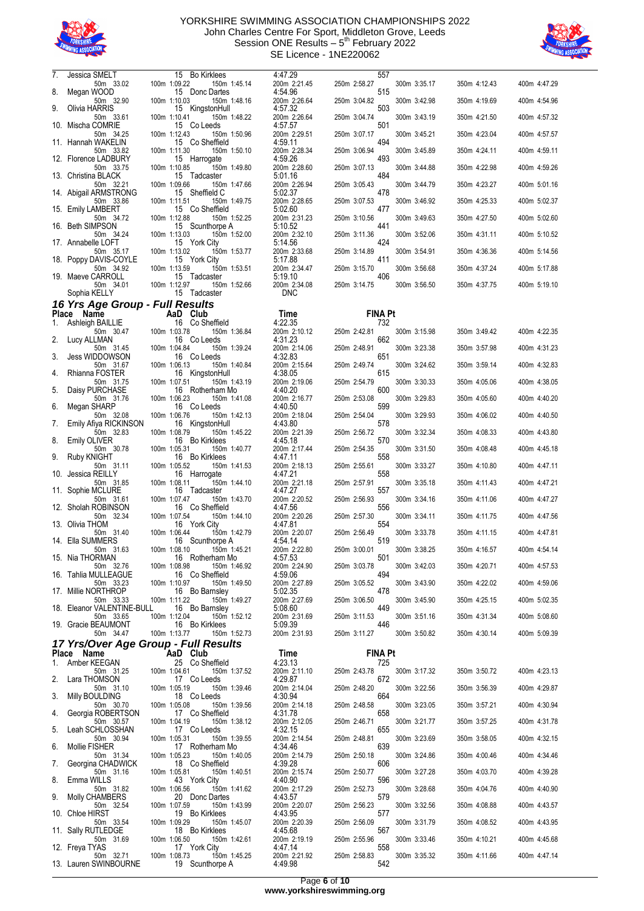



|     |                                         |                                                  | 4:47.29                    |                                     |              |              |
|-----|-----------------------------------------|--------------------------------------------------|----------------------------|-------------------------------------|--------------|--------------|
| 7.  | Jessica SMELT<br>50m 33.02              | 15 Bo Kirklees<br>100m 1:09.22<br>150m 1:45.14   | 200m 2:21.45               | 557<br>250m 2:58.27<br>300m 3:35.17 | 350m 4:12.43 | 400m 4:47.29 |
| 8.  | Megan WOOD<br>50m 32.90                 | 15 Donc Dartes<br>100m 1:10.03<br>150m 1:48.16   | 4:54.96<br>200m 2:26.64    | 515<br>250m 3:04.82<br>300m 3:42.98 | 350m 4:19.69 | 400m 4:54.96 |
| 9.  | Olivia HARRIS<br>50m 33.61              | 15 KingstonHull<br>100m 1:10.41<br>150m 1:48.22  | 4:57.32<br>200m 2:26.64    | 503<br>250m 3:04.74<br>300m 3:43.19 | 350m 4:21.50 | 400m 4:57.32 |
| 10. | Mischa COMRIE<br>50m 34.25              | 15 Co Leeds<br>100m 1:12.43<br>150m 1:50.96      | 4:57.57<br>200m 2:29.51    | 501<br>250m 3:07.17<br>300m 3:45.21 | 350m 4:23.04 | 400m 4:57.57 |
|     | 11. Hannah WAKELIN<br>50m 33.82         | 15 Co Sheffield<br>100m 1:11.30<br>150m 1:50.10  | 4:59.11<br>200m 2:28.34    | 494<br>250m 3:06.94<br>300m 3:45.89 | 350m 4:24.11 | 400m 4:59.11 |
|     | 12. Florence LADBURY<br>50m 33.75       | 15 Harrogate<br>100m 1:10.85<br>150m 1:49.80     | 4:59.26<br>200m 2:28.60    | 493<br>250m 3:07.13<br>300m 3:44.88 | 350m 4:22.98 | 400m 4:59.26 |
|     | 13. Christina BLACK<br>50m 32.21        | 15 Tadcaster<br>100m 1:09.66<br>150m 1:47.66     | 5:01.16<br>200m 2:26.94    | 484<br>250m 3:05.43<br>300m 3:44.79 | 350m 4:23.27 | 400m 5:01.16 |
|     | 14. Abigail ARMSTRONG<br>50m 33.86      | 15 Sheffield C<br>150m 1:49.75<br>100m 1:11.51   | 5:02.37<br>200m 2:28.65    | 478<br>250m 3:07.53<br>300m 3:46.92 | 350m 4:25.33 | 400m 5:02.37 |
|     | 15. Emily LAMBERT                       | 15 Co Sheffield                                  | 5:02.60                    | 477                                 |              |              |
| 16. | 50m 34.72<br><b>Beth SIMPSON</b>        | 100m 1:12.88<br>150m 1:52.25<br>15 Scunthorpe A  | 200m 2:31.23<br>5:10.52    | 250m 3:10.56<br>300m 3:49.63<br>441 | 350m 4:27.50 | 400m 5:02.60 |
|     | 50m 34.24<br>17. Annabelle LOFT         | 100m 1:13.03<br>150m 1:52.00<br>15 York City     | 200m 2:32.10<br>5:14.56    | 250m 3:11.36<br>300m 3:52.06<br>424 | 350m 4:31.11 | 400m 5:10.52 |
|     | 50m 35.17<br>18. Poppy DAVIS-COYLE      | 100m 1:13.02<br>150m 1:53.77<br>15 York City     | 200m 2:33.68<br>5:17.88    | 300m 3:54.91<br>250m 3:14.89<br>411 | 350m 4:36.36 | 400m 5:14.56 |
|     | 50m 34.92<br>19. Maeve CARROLL          | 100m 1:13.59<br>150m 1:53.51<br>15 Tadcaster     | 200m 2:34.47<br>5:19.10    | 300m 3:56.68<br>250m 3:15.70<br>406 | 350m 4:37.24 | 400m 5:17.88 |
|     | 50m 34.01<br>Sophia KELLY               | 100m 1:12.97<br>150m 1:52.66<br>15 Tadcaster     | 200m 2:34.08<br><b>DNC</b> | 250m 3:14.75<br>300m 3:56.50        | 350m 4:37.75 | 400m 5:19.10 |
|     | 16 Yrs Age Group - Full Results         |                                                  |                            |                                     |              |              |
| 1.  | Place Name<br>Ashleigh BAILLIE          | AaD Club<br>16 Co Sheffield                      | Time<br>4:22.35            | <b>FINA Pt</b><br>732               |              |              |
| 2.  | 50m 30.47<br>Lucy ALLMAN                | 100m 1:03.78<br>150m 1:36.84<br>16 Co Leeds      | 200m 2:10.12<br>4:31.23    | 250m 2:42.81<br>300m 3:15.98<br>662 | 350m 3:49.42 | 400m 4:22.35 |
| 3.  | 50m 31.45<br><b>Jess WIDDOWSON</b>      | 100m 1:04.84<br>150m 1:39.24<br>16 Co Leeds      | 200m 2:14.06<br>4:32.83    | 250m 2:48.91<br>300m 3:23.38<br>651 | 350m 3:57.98 | 400m 4:31.23 |
| 4.  | 50m 31.67<br>Rhianna FOSTER             | 150m 1:40.84<br>100m 1:06.13<br>16 KingstonHull  | 200m 2:15.64<br>4:38.05    | 250m 2:49.74<br>300m 3:24.62<br>615 | 350m 3:59.14 | 400m 4:32.83 |
| 5.  | 50m 31.75<br>Daisy PURCHASE             | 100m 1:07.51<br>150m 1:43.19                     | 200m 2:19.06<br>4:40.20    | 250m 2:54.79<br>300m 3:30.33<br>600 | 350m 4:05.06 | 400m 4:38.05 |
|     | 50m 31.76                               | 16 Rotherham Mo<br>100m 1:06.23<br>150m 1:41.08  | 200m 2:16.77               | 250m 2:53.08<br>300m 3:29.83        | 350m 4:05.60 | 400m 4:40.20 |
| 6.  | Megan SHARP<br>50m 32.08                | 16 Co Leeds<br>100m 1:06.76<br>150m 1:42.13      | 4:40.50<br>200m 2:18.04    | 599<br>250m 2:54.04<br>300m 3:29.93 | 350m 4:06.02 | 400m 4:40.50 |
| 7.  | Emily Afiya RICKINSON<br>50m 32.83      | 16 KingstonHull<br>100m 1:08.79<br>150m 1:45.22  | 4:43.80<br>200m 2:21.39    | 578<br>250m 2:56.72<br>300m 3:32.34 | 350m 4:08.33 | 400m 4:43.80 |
| 8.  | Emily OLIVER<br>50m 30.78               | 16 Bo Kirklees<br>100m 1:05.31<br>150m 1:40.77   | 4:45.18<br>200m 2:17.44    | 570<br>300m 3:31.50<br>250m 2:54.35 | 350m 4:08.48 | 400m 4:45.18 |
| 9.  | Ruby KNIGHT<br>50m 31.11                | 16 Bo Kirklees<br>100m 1:05.52<br>150m 1:41.53   | 4:47.11<br>200m 2:18.13    | 558<br>250m 2:55.61<br>300m 3:33.27 | 350m 4:10.80 | 400m 4:47.11 |
| 10. | <b>Jessica REILLY</b><br>50m 31.85      | 16 Harrogate<br>100m 1:08.11<br>150m 1:44.10     | 4:47.21<br>200m 2:21.18    | 558<br>250m 2:57.91<br>300m 3:35.18 | 350m 4:11.43 | 400m 4:47.21 |
|     | 11. Sophie MCLURE<br>50m 31.61          | 16 Tadcaster<br>100m 1:07.47<br>150m 1:43.70     | 4:47.27<br>200m 2:20.52    | 557<br>250m 2:56.93<br>300m 3:34.16 | 350m 4:11.06 | 400m 4:47.27 |
|     | 12. Sholah ROBINSON<br>50m 32.34        | 16 Co Sheffield<br>150m 1:44.10<br>100m 1:07.54  | 4:47.56<br>200m 2:20.26    | 556<br>250m 2:57.30<br>300m 3:34.11 | 350m 4:11.75 | 400m 4:47.56 |
|     | 13. Olivia THOM<br>50m 31.40            | 16 York City<br>100m 1:06.44<br>150m 1:42.79     | 4:47.81<br>200m 2:20.07    | 554<br>250m 2:56.49<br>300m 3:33.78 | 350m 4:11.15 | 400m 4:47.81 |
|     | 14. Ella SUMMERS                        | 16 Scunthorpe A                                  | 4:54.14                    | 519                                 |              |              |
| 15. | 50m 31.63<br>Nia THORMAN                | 100m 1:08.10<br>150m 1:45.21<br>16 Rotherham Mo  | 200m 2:22.80<br>4.57.53    | 250m 3:00.01<br>300m 3:38.25<br>501 | 350m 4:16.57 | 400m 4:54.14 |
|     | 50m 32.76<br>16. Tahlia MULLEAGUE       | 100m 1:08.98<br>150m 1:46.92<br>16 Co Sheffield  | 200m 2:24.90<br>4:59.06    | 250m 3:03.78<br>300m 3:42.03<br>494 | 350m 4:20.71 | 400m 4:57.53 |
|     | 50m 33.23<br>17. Millie NORTHROP        | 100m 1:10.97<br>150m 1:49.50<br>16 Bo Barnsley   | 200m 2:27.89<br>5:02.35    | 250m 3:05.52<br>300m 3:43.90<br>478 | 350m 4:22.02 | 400m 4:59.06 |
|     | 50m 33.33<br>18. Eleanor VALENTINE-BULL | 100m 1:11.22<br>150m 1:49.27<br>16 Bo Barnsley   | 200m 2:27.69<br>5:08.60    | 250m 3:06.50<br>300m 3:45.90<br>449 | 350m 4:25.15 | 400m 5:02.35 |
|     | 50m 33.65<br>19. Gracie BEAUMONT        | 100m 1:12.04<br>150m 1:52.12<br>16 Bo Kirklees   | 200m 2:31.69<br>5:09.39    | 300m 3:51.16<br>250m 3:11.53<br>446 | 350m 4:31.34 | 400m 5:08.60 |
|     | 50m 34.47                               | 100m 1:13.77<br>150m 1:52.73                     | 200m 2:31.93               | 250m 3:11.27<br>300m 3:50.82        | 350m 4:30.14 | 400m 5:09.39 |
|     | Place Name                              | 17 Yrs/Over Age Group - Full Results<br>AaD Club | Time                       | <b>FINA Pt</b>                      |              |              |
| 1.  | Amber KEEGAN<br>50m 31.25               | 25 Co Sheffield<br>150m 1:37.52<br>100m 1:04.61  | 4:23.13<br>200m 2:11.10    | 725<br>250m 2:43.78<br>300m 3:17.32 | 350m 3:50.72 | 400m 4:23.13 |
| 2.  | Lara THOMSON<br>50m 31.10               | 17 Co Leeds<br>150m 1:39.46<br>100m 1:05.19      | 4:29.87<br>200m 2:14.04    | 672<br>300m 3:22.56<br>250m 2:48.20 | 350m 3:56.39 | 400m 4:29.87 |
| 3.  | Milly BOULDING<br>50m 30.70             | 18 Co Leeds<br>100m 1:05.08<br>150m 1:39.56      | 4:30.94<br>200m 2:14.18    | 664<br>250m 2:48.58<br>300m 3:23.05 | 350m 3:57.21 | 400m 4:30.94 |
| 4.  | Georgia ROBERTSON<br>50m 30.57          | 17 Co Sheffield<br>100m 1:04.19<br>150m 1:38.12  | 4:31.78<br>200m 2:12.05    | 658<br>300m 3:21.77<br>250m 2:46.71 | 350m 3:57.25 | 400m 4:31.78 |
| 5.  | Leah SCHLOSSHAN                         | 17 Co Leeds                                      | 4:32.15                    | 655                                 |              |              |
| 6.  | 50m 30.94<br>Mollie FISHER              | 100m 1:05.31<br>150m 1:39.55<br>17 Rotherham Mo  | 200m 2:14.54<br>4:34.46    | 300m 3:23.69<br>250m 2:48.81<br>639 | 350m 3:58.05 | 400m 4:32.15 |
| 7.  | 50m 31.34<br>Georgina CHADWICK          | 100m 1:05.23<br>150m 1:40.05<br>18 Co Sheffield  | 200m 2:14.79<br>4:39.28    | 250m 2:50.18<br>300m 3:24.86<br>606 | 350m 4:00.46 | 400m 4:34.46 |
| 8.  | 50m 31.16<br>Emma WILLS                 | 100m 1:05.81<br>150m 1:40.51<br>43 York City     | 200m 2:15.74<br>4:40.90    | 250m 2:50.77<br>300m 3:27.28<br>596 | 350m 4:03.70 | 400m 4:39.28 |
| 9.  | 50m 31.82<br>Molly CHAMBERS             | 100m 1:06.56<br>150m 1:41.62<br>20 Donc Dartes   | 200m 2:17.29<br>4:43.57    | 300m 3:28.68<br>250m 2:52.73<br>579 | 350m 4:04.76 | 400m 4:40.90 |
|     | 50m 32.54<br>10. Chloe HIRST            | 100m 1:07.59<br>150m 1:43.99<br>19 Bo Kirklees   | 200m 2:20.07<br>4:43.95    | 250m 2:56.23<br>300m 3:32.56<br>577 | 350m 4:08.88 | 400m 4:43.57 |
|     | 50m 33.54<br>11. Sally RUTLEDGE         | 100m 1:09.29<br>150m 1:45.07<br>18 Bo Kirklees   | 200m 2:20.39<br>4:45.68    | 250m 2:56.09<br>300m 3:31.79<br>567 | 350m 4:08.52 | 400m 4:43.95 |
|     | 50m 31.69<br>12. Freya TYAS             | 100m 1:06.50<br>150m 1:42.61<br>17 York City     | 200m 2:19.19<br>4:47.14    | 250m 2:55.96<br>300m 3:33.46<br>558 | 350m 4:10.21 | 400m 4:45.68 |
|     | 50m 32.71                               | 100m 1:08.73<br>150m 1:45.25                     | 200m 2:21.92<br>4:49.98    | 250m 2:58.83<br>300m 3:35.32        | 350m 4:11.66 | 400m 4:47.14 |
|     | 13. Lauren SWINBOURNE                   | 19 Scunthorpe A                                  |                            | 542                                 |              |              |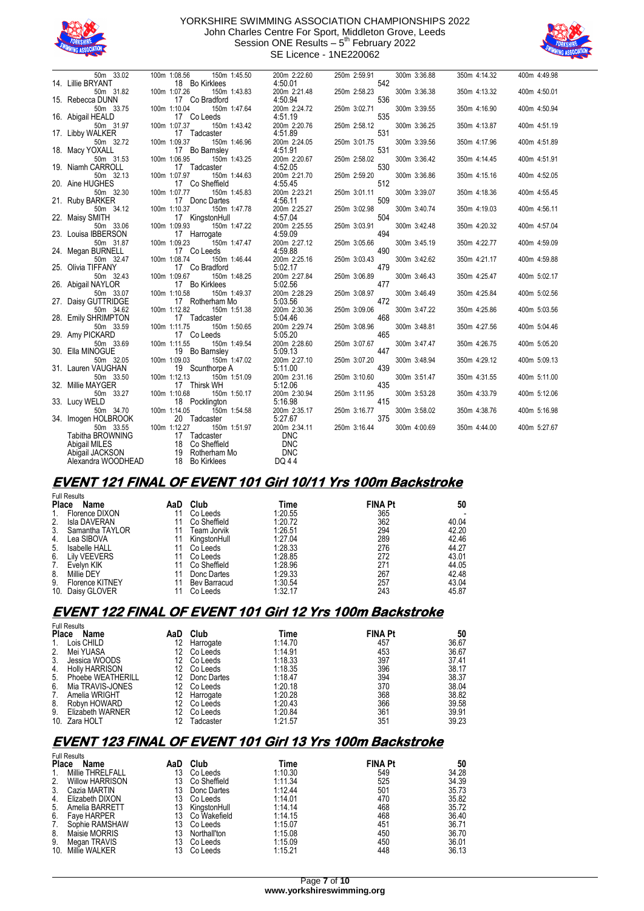



| 50m 33.02                       | 100m 1:08.56 | 150m 1:45.50                   | 200m 2:22.60            | 250m 2:59.91        | 300m 3:36.88 | 350m 4:14.32 | 400m 4:49.98 |
|---------------------------------|--------------|--------------------------------|-------------------------|---------------------|--------------|--------------|--------------|
| 14. Lillie BRYANT               |              | 18 Bo Kirklees                 | 4:50.01                 | 542                 |              |              |              |
| 50m 31.82                       | 100m 1:07.26 | 150m 1:43.83<br>17 Co Bradford | 200m 2:21.48<br>4:50.94 | 250m 2:58.23<br>536 | 300m 3:36.38 | 350m 4:13.32 | 400m 4:50.01 |
| 15. Rebecca DUNN<br>50m 33.75   | 100m 1:10.04 | 150m 1:47.64                   | 200m 2:24.72            | 250m 3:02.71        | 300m 3:39.55 | 350m 4:16.90 | 400m 4:50.94 |
| 16. Abigail HEALD               |              | 17 Co Leeds                    | 4:51.19                 | 535                 |              |              |              |
| 50m 31.97                       | 100m 1:07.37 | 150m 1:43.42                   | 200m 2:20.76            | 250m 2:58.12        | 300m 3:36.25 | 350m 4:13.87 | 400m 4:51.19 |
| 17. Libby WALKER                |              | 17 Tadcaster                   | 4:51.89                 | 531                 |              |              |              |
| 50m 32.72                       | 100m 1:09.37 | 150m 1:46.96                   | 200m 2:24.05            | 250m 3:01.75        | 300m 3:39.56 | 350m 4:17.96 | 400m 4:51.89 |
| 18. Macy YOXALL                 |              | 17 Bo Barnsley                 | 4:51.91                 | 531                 |              |              |              |
| 50m 31.53                       | 100m 1:06.95 | 150m 1:43.25                   | 200m 2:20.67            | 250m 2:58.02        | 300m 3:36.42 | 350m 4:14.45 | 400m 4:51.91 |
| 19. Niamh CARROLL               |              | 17 Tadcaster                   | 4:52.05                 | 530                 |              |              |              |
| 50m 32.13                       | 100m 1:07.97 | 150m 1:44.63                   | 200m 2:21.70            | 250m 2:59.20        | 300m 3:36.86 | 350m 4:15.16 | 400m 4:52.05 |
| 20. Aine HUGHES                 |              | 17 Co Sheffield                | 4:55.45                 | 512                 |              |              |              |
| 50m 32.30                       | 100m 1:07.77 | 150m 1:45.83                   | 200m 2:23.21            | 250m 3:01.11        | 300m 3:39.07 | 350m 4:18.36 | 400m 4:55.45 |
| 21. Ruby BARKER                 |              | 17 Donc Dartes                 | 4:56.11                 | 509                 |              |              |              |
| 50m 34.12                       | 100m 1:10.37 | 150m 1:47.78                   | 200m 2:25.27            | 250m 3:02.98        | 300m 3:40.74 | 350m 4:19.03 | 400m 4:56.11 |
| 22. Maisy SMITH                 |              | 17 KingstonHull                | 4:57.04                 | 504                 |              |              |              |
| 50m 33.06                       | 100m 1:09.93 | 150m 1:47.22                   | 200m 2:25.55            | 250m 3:03.91        | 300m 3:42.48 | 350m 4:20.32 | 400m 4:57.04 |
| 23. Louisa IBBERSON             |              | 17 Harrogate                   | 4:59.09                 | 494                 |              |              |              |
| 50m 31.87                       | 100m 1:09.23 | 150m 1:47.47                   | 200m 2:27.12            | 250m 3:05.66        | 300m 3:45.19 | 350m 4:22.77 | 400m 4:59.09 |
| 24. Megan BURNELL               |              | 17 Co Leeds                    | 4:59.88                 | 490                 |              |              |              |
| 50m 32.47                       | 100m 1:08.74 | 150m 1:46.44                   | 200m 2:25.16            | 250m 3:03.43<br>479 | 300m 3:42.62 | 350m 4:21.17 | 400m 4:59.88 |
| 25. Olivia TIFFANY<br>50m 32.43 | 100m 1:09.67 | 17 Co Bradford<br>150m 1:48.25 | 5:02.17<br>200m 2:27.84 | 250m 3:06.89        | 300m 3:46.43 | 350m 4:25.47 | 400m 5:02.17 |
| 26. Abigail NAYLOR              |              | 17 Bo Kirklees                 | 5:02.56                 | 477                 |              |              |              |
| 50m 33.07                       | 100m 1:10.58 | 150m 1:49.37                   | 200m 2:28.29            | 250m 3:08.97        | 300m 3:46.49 | 350m 4:25.84 | 400m 5:02.56 |
| 27. Daisy GUTTRIDGE             |              | 17 Rotherham Mo                | 5:03.56                 | 472                 |              |              |              |
| 50m 34.62                       | 100m 1:12.82 | 150m 1:51.38                   | 200m 2:30.36            | 250m 3:09.06        | 300m 3:47.22 | 350m 4:25.86 | 400m 5:03.56 |
| 28. Emily SHRIMPTON             |              | 17 Tadcaster                   | 5:04.46                 | 468                 |              |              |              |
| 50m 33.59                       | 100m 1:11.75 | 150m 1:50.65                   | 200m 2:29.74            | 250m 3:08.96        | 300m 3:48.81 | 350m 4:27.56 | 400m 5:04.46 |
| 29. Amy PICKARD                 |              | 17 Co Leeds                    | 5:05.20                 | 465                 |              |              |              |
| 50m 33.69                       | 100m 1:11.55 | 150m 1:49.54                   | 200m 2:28.60            | 250m 3:07.67        | 300m 3:47.47 | 350m 4:26.75 | 400m 5:05.20 |
| 30. Ella MINOGUE                |              | 19 Bo Barnsley                 | 5:09.13                 | 447                 |              |              |              |
| 50m 32.05                       | 100m 1:09.03 | 150m 1:47.02                   | 200m 2:27.10            | 250m 3:07.20        | 300m 3:48.94 | 350m 4:29.12 | 400m 5:09.13 |
| 31. Lauren VAUGHAN              |              | 19 Scunthorpe A                | 5:11.00                 | 439                 |              |              |              |
| 50m 33.50                       | 100m 1:12.13 | 150m 1:51.09                   | 200m 2:31.16            | 250m 3:10.60        | 300m 3:51.47 | 350m 4:31.55 | 400m 5:11.00 |
| 32. Millie MAYGER               |              | 17 Thirsk WH                   | 5:12.06                 | 435                 |              |              |              |
| 50m 33.27                       | 100m 1:10.68 | 150m 1:50.17<br>18 Pocklington | 200m 2:30.94<br>5:16.98 | 250m 3:11.95<br>415 | 300m 3:53.28 | 350m 4:33.79 | 400m 5:12.06 |
| 33. Lucy WELD<br>50m 34.70      | 100m 1:14.05 | 150m 1:54.58                   | 200m 2:35.17            | 250m 3:16.77        | 300m 3:58.02 | 350m 4:38.76 | 400m 5:16.98 |
| 34. Imogen HOLBROOK             |              | 20 Tadcaster                   | 5:27.67                 | 375                 |              |              |              |
| 50m 33.55                       | 100m 1:12.27 | 150m 1:51.97                   | 200m 2:34.11            | 250m 3:16.44        | 300m 4:00.69 | 350m 4:44.00 | 400m 5:27.67 |
| Tabitha BROWNING                |              | 17 Tadcaster                   | <b>DNC</b>              |                     |              |              |              |
| Abigail MILES                   |              | 18<br>Co Sheffield             | <b>DNC</b>              |                     |              |              |              |
| Abigail JACKSON                 |              | 19<br>Rotherham Mo             | <b>DNC</b>              |                     |              |              |              |
| Alexandra WOODHEAD              |              | 18<br><b>Bo Kirklees</b>       | DQ 44                   |                     |              |              |              |
|                                 |              |                                |                         |                     |              |              |              |

# **EVENT 121 FINAL OF EVENT 101 Girl 10/11 Yrs 100m Backstroke**

|              | <b>Full Results</b>    |     |              |         |                |       |  |  |  |
|--------------|------------------------|-----|--------------|---------|----------------|-------|--|--|--|
| <b>Place</b> | Name                   | AaD | Club         | Time    | <b>FINA Pt</b> | 50    |  |  |  |
| 1.           | Florence DIXON         |     | Co Leeds     | 1:20.55 | 365            |       |  |  |  |
| 2.           | <b>Isla DAVERAN</b>    |     | Co Sheffield | 1:20.72 | 362            | 40.04 |  |  |  |
| 3.           | Samantha TAYLOR        |     | Team Jorvik  | 1:26.51 | 294            | 42.20 |  |  |  |
| 4.           | Lea SIBOVA             |     | KingstonHull | 1:27.04 | 289            | 42.46 |  |  |  |
| 5.           | <b>Isabelle HALL</b>   |     | Co Leeds     | 1:28.33 | 276            | 44.27 |  |  |  |
| 6.           | <b>Lily VEEVERS</b>    |     | Co Leeds     | 1:28.85 | 272            | 43.01 |  |  |  |
| 7.           | Evelyn KIK             |     | Co Sheffield | 1:28.96 | 271            | 44.05 |  |  |  |
| 8.           | Millie DEY             |     | Donc Dartes  | 1:29.33 | 267            | 42.48 |  |  |  |
| 9.           | <b>Florence KITNEY</b> |     | Bev Barracud | 1:30.54 | 257            | 43.04 |  |  |  |
|              | 10. Daisy GLOVER       |     | Co Leeds     | 1:32.17 | 243            | 45.87 |  |  |  |

# **EVENT 122 FINAL OF EVENT 101 Girl 12 Yrs 100m Backstroke**

|       | <b>Full Results</b>   |     |             |         |                |       |  |  |
|-------|-----------------------|-----|-------------|---------|----------------|-------|--|--|
| Place | Name                  | AaD | Club        | Time    | <b>FINA Pt</b> | 50    |  |  |
| 1.    | Lois CHILD            | 12  | Harrogate   | 1:14.70 | 457            | 36.67 |  |  |
| 2.    | Mei YUASA             | 12. | Co Leeds    | 1:14.91 | 453            | 36.67 |  |  |
| 3.    | Jessica WOODS         | 12  | Co Leeds    | 1:18.33 | 397            | 37.41 |  |  |
| 4.    | <b>Holly HARRISON</b> | 12  | Co Leeds    | 1:18.35 | 396            | 38.17 |  |  |
| 5.    | Phoebe WEATHERILL     | 12  | Donc Dartes | 1:18.47 | 394            | 38.37 |  |  |
| 6.    | Mia TRAVIS-JONES      | 12  | Co Leeds    | 1:20.18 | 370            | 38.04 |  |  |
| 7.    | Amelia WRIGHT         | 12  | Harrogate   | 1:20.28 | 368            | 38.82 |  |  |
| 8.    | Robyn HOWARD          |     | Co Leeds    | 1:20.43 | 366            | 39.58 |  |  |
| 9.    | Elizabeth WARNER      | 12  | Co Leeds    | 1:20.84 | 361            | 39.91 |  |  |
|       | 10. Zara HOLT         |     | Tadcaster   | 1:21.57 | 351            | 39.23 |  |  |

### **EVENT 123 FINAL OF EVENT 101 Girl 13 Yrs 100m Backstroke**  Full Results

| ı uli i vəsullə |                        |     |              |         |                |       |
|-----------------|------------------------|-----|--------------|---------|----------------|-------|
|                 | Place<br>Name          | AaD | Club         | Time    | <b>FINA Pt</b> | 50    |
| 1.              | Millie THRELFALL       | 13  | Co Leeds     | 1:10.30 | 549            | 34.28 |
| 2.              | <b>Willow HARRISON</b> | 13  | Co Sheffield | 1:11.34 | 525            | 34.39 |
| 3.              | Cazia MARTIN           | 13  | Donc Dartes  | 1:12.44 | 501            | 35.73 |
| 4.              | Elizabeth DIXON        | 13  | Co Leeds     | 1:14.01 | 470            | 35.82 |
| 5.              | Amelia BARRETT         | 13  | KinastonHull | 1:14.14 | 468            | 35.72 |
| 6.              | Faye HARPER            | 13  | Co Wakefield | 1:14.15 | 468            | 36.40 |
| 7.              | Sophie RAMSHAW         | 13  | Co Leeds     | 1:15.07 | 451            | 36.71 |
| 8.              | Maisie MORRIS          | 13  | Northall'ton | 1:15.08 | 450            | 36.70 |
| 9.              | Megan TRAVIS           | 13. | Co Leeds     | 1:15.09 | 450            | 36.01 |
|                 | 10. Millie WALKER      |     | Co Leeds     | 1:15.21 | 448            | 36.13 |
|                 |                        |     |              |         |                |       |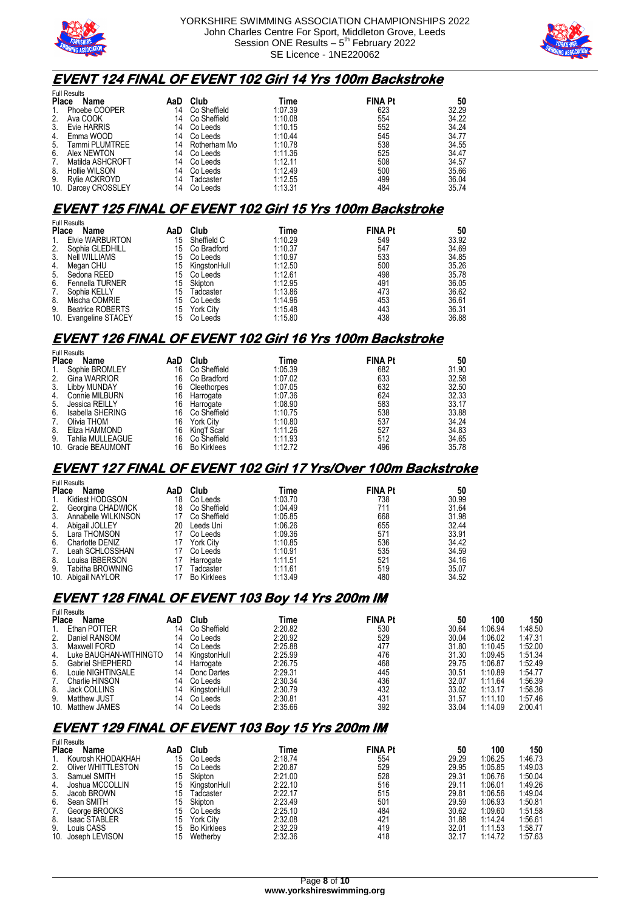



## **EVENT 124 FINAL OF EVENT 102 Girl 14 Yrs 100m Backstroke**

|              | <b>Full Results</b> |     |              |         |                |       |  |
|--------------|---------------------|-----|--------------|---------|----------------|-------|--|
| <b>Place</b> | Name                | AaD | Club         | Time    | <b>FINA Pt</b> | 50    |  |
| 1.           | Phoebe COOPER       | 14  | Co Sheffield | 1:07.39 | 623            | 32.29 |  |
| 2.           | Ava COOK            | 14  | Co Sheffield | 1:10.08 | 554            | 34.22 |  |
| 3.           | Evie HARRIS         | 14  | Co Leeds     | 1:10.15 | 552            | 34.24 |  |
| 4.           | Emma WOOD           | 14  | Co Leeds     | 1:10.44 | 545            | 34.77 |  |
| 5.           | Tammi PLUMTREE      | 14  | Rotherham Mo | 1:10.78 | 538            | 34.55 |  |
| 6.           | Alex NEWTON         | 14  | Co Leeds     | 1:11.36 | 525            | 34.47 |  |
| 7.           | Matilda ASHCROFT    | 14  | Co Leeds     | 1:12.11 | 508            | 34.57 |  |
| 8.           | Hollie WILSON       | 14  | Co Leeds     | 1:12.49 | 500            | 35.66 |  |
| 9.           | Rylie ACKROYD       | 14  | Tadcaster    | 1:12.55 | 499            | 36.04 |  |
|              | 10. Darcey CROSSLEY | 14  | Co Leeds     | 1:13.31 | 484            | 35.74 |  |

### **EVENT 125 FINAL OF EVENT 102 Girl 15 Yrs 100m Backstroke**

| <b>Full Results</b>            |     |                  |         |                |       |  |  |  |  |
|--------------------------------|-----|------------------|---------|----------------|-------|--|--|--|--|
| <b>Place</b><br>Name           | AaD | Club             | Time    | <b>FINA Pt</b> | 50    |  |  |  |  |
| Elvie WARBURTON<br>$1_{\cdot}$ | 15  | Sheffield C      | 1:10.29 | 549            | 33.92 |  |  |  |  |
| 2.<br>Sophia GLEDHILL          |     | 15 Co Bradford   | 1:10.37 | 547            | 34.69 |  |  |  |  |
| 3.<br>Nell WILLIAMS            | 15  | Co Leeds         | 1:10.97 | 533            | 34.85 |  |  |  |  |
| 4.<br>Megan CHU                | 15  | KinastonHull     | 1:12.50 | 500            | 35.26 |  |  |  |  |
| 5.<br>Sedona REED              |     | 15 Co Leeds      | 1:12.61 | 498            | 35.78 |  |  |  |  |
| 6.<br>Fennella TURNER          | 15  | Skipton          | 1:12.95 | 491            | 36.05 |  |  |  |  |
| Sophia KELLY<br>7.             | 15  | Tadcaster        | 1:13.86 | 473            | 36.62 |  |  |  |  |
| 8.<br>Mischa COMRIE            | 15  | Co Leeds         | 1:14.96 | 453            | 36.61 |  |  |  |  |
| 9.<br><b>Beatrice ROBERTS</b>  | 15  | <b>York City</b> | 1:15.48 | 443            | 36.31 |  |  |  |  |
| 10. Evangeline STACEY          | 15  | Co Leeds         | 1:15.80 | 438            | 36.88 |  |  |  |  |

# **EVENT 126 FINAL OF EVENT 102 Girl 16 Yrs 100m Backstroke**

|              | <b>Full Results</b> |     |                    |         |                |       |  |
|--------------|---------------------|-----|--------------------|---------|----------------|-------|--|
| <b>Place</b> | Name                | AaD | Club               | Time    | <b>FINA Pt</b> | 50    |  |
| 1.           | Sophie BROMLEY      | 16  | Co Sheffield       | 1:05.39 | 682            | 31.90 |  |
| 2.           | <b>Gina WARRIOR</b> | 16  | Co Bradford        | 1:07.02 | 633            | 32.58 |  |
| 3.           | Libby MUNDAY        | 16  | Cleethorpes        | 1:07.05 | 632            | 32.50 |  |
| 4.           | Connie MILBURN      | 16  | Harrogate          | 1:07.36 | 624            | 32.33 |  |
| 5.           | Jessica REILLY      | 16  | Harrogate          | 1:08.90 | 583            | 33.17 |  |
| 6.           | Isabella SHERING    | 16  | Co Sheffield       | 1:10.75 | 538            | 33.88 |  |
| 7.           | Olivia THOM         | 16  | <b>York City</b>   | 1:10.80 | 537            | 34.24 |  |
| 8.           | Eliza HAMMOND       | 16  | King'f Scar        | 1:11.26 | 527            | 34.83 |  |
| 9.           | Tahlia MULLEAGUE    | 16  | Co Sheffield       | 1:11.93 | 512            | 34.65 |  |
|              | 10. Gracie BEAUMONT | 16  | <b>Bo Kirklees</b> | 1:12.72 | 496            | 35.78 |  |

### **EVENT 127 FINAL OF EVENT 102 Girl 17 Yrs/Over 100m Backstroke**

|              | <b>Full Results</b> |     |                    |         |                |       |  |  |
|--------------|---------------------|-----|--------------------|---------|----------------|-------|--|--|
| <b>Place</b> | Name                | AaD | Club               | Time    | <b>FINA Pt</b> | 50    |  |  |
| 1.           | Kidiest HODGSON     | 18  | Co Leeds           | 1:03.70 | 738            | 30.99 |  |  |
| 2.           | Georgina CHADWICK   | 18  | Co Sheffield       | 1:04.49 | 711            | 31.64 |  |  |
| 3.           | Annabelle WILKINSON | 17  | Co Sheffield       | 1:05.85 | 668            | 31.98 |  |  |
| 4.           | Abigail JOLLEY      | 20  | Leeds Uni          | 1:06.26 | 655            | 32.44 |  |  |
| 5.           | Lara THOMSON        |     | Co Leeds           | 1:09.36 | 571            | 33.91 |  |  |
| 6.           | Charlotte DENIZ     | 17  | <b>York City</b>   | 1:10.85 | 536            | 34.42 |  |  |
| 7.           | Leah SCHLOSSHAN     |     | Co Leeds           | 1:10.91 | 535            | 34.59 |  |  |
| 8.           | Louisa IBBERSON     |     | Harrogate          | 1:11.51 | 521            | 34.16 |  |  |
| 9.           | Tabitha BROWNING    |     | Tadcaster          | 1:11.61 | 519            | 35.07 |  |  |
|              | 10. Abigail NAYLOR  |     | <b>Bo Kirklees</b> | 1:13.49 | 480            | 34.52 |  |  |

# **EVENT 128 FINAL OF EVENT 103 Boy 14 Yrs 200m IM**

|              | <b>Full Results</b>     |     |              |         |                |       |         |         |
|--------------|-------------------------|-----|--------------|---------|----------------|-------|---------|---------|
| <b>Place</b> | <b>Name</b>             | AaD | Club         | Time    | <b>FINA Pt</b> | 50    | 100     | 150     |
|              | Ethan POTTER            | 14  | Co Sheffield | 2:20.82 | 530            | 30.64 | 1:06.94 | 1:48.50 |
| 2.           | Daniel RANSOM           | 14  | Co Leeds     | 2:20.92 | 529            | 30.04 | 1:06.02 | 1:47.31 |
| 3.           | Maxwell FORD            | 14  | Co Leeds     | 2:25.88 | 477            | 31.80 | 1:10.45 | 1:52.00 |
| 4.           | Luke BAUGHAN-WITHINGTO  | 14  | KingstonHull | 2:25.99 | 476            | 31.30 | 1:09.45 | 1:51.34 |
| 5.           | <b>Gabriel SHEPHERD</b> | 14  | Harrogate    | 2:26.75 | 468            | 29.75 | 1:06.87 | 1:52.49 |
| 6.           | Louie NIGHTINGALE       | 14  | Donc Dartes  | 2:29.31 | 445            | 30.51 | 1:10.89 | 1:54.77 |
| 7.           | Charlie HINSON          | 14  | Co Leeds     | 2:30.34 | 436            | 32.07 | 1:11.64 | 1:56.39 |
| 8.           | Jack COLLINS            | 14  | KingstonHull | 2:30.79 | 432            | 33.02 | 1:13.17 | 1:58.36 |
| 9.           | Matthew JUST            | 14  | Co Leeds     | 2:30.81 | 431            | 31.57 | 1:11.10 | 1:57.46 |
| 10.          | <b>Matthew JAMES</b>    | 14  | Co Leeds     | 2:35.66 | 392            | 33.04 | 1:14.09 | 2:00.41 |

# **EVENT 129 FINAL OF EVENT 103 Boy 15 Yrs 200m IM**

|              | <b>Full Results</b>  |     |                    |         |                |       |         |         |
|--------------|----------------------|-----|--------------------|---------|----------------|-------|---------|---------|
| <b>Place</b> | Name                 | AaD | Club               | Гіmе    | <b>FINA Pt</b> | 50    | 100     | 150     |
|              | Kourosh KHODAKHAH    | 15  | Co Leeds           | 2:18.74 | 554            | 29.29 | 1:06.25 | 1:46.73 |
| 2.           | Oliver WHITTLESTON   | 15  | Co Leeds           | 2:20.87 | 529            | 29.95 | 1:05.85 | 1:49.03 |
| 3.           | Samuel SMITH         | 15  | Skipton            | 2:21.00 | 528            | 29.31 | 1:06.76 | 1:50.04 |
| 4.           | Joshua MCCOLLIN      | 15  | KingstonHull       | 2:22.10 | 516            | 29.11 | 1:06.01 | 1:49.26 |
| 5.           | Jacob BROWN          | 15  | Tadcaster          | 2:22.17 | 515            | 29.81 | 1:06.56 | 1:49.04 |
| 6.           | Sean SMITH           | 15  | Skipton            | 2:23.49 | 501            | 29.59 | 1:06.93 | 1:50.81 |
|              | George BROOKS        | 15  | Co Leeds           | 2:25.10 | 484            | 30.62 | 1:09.60 | 1:51.58 |
| 8.           | <b>Isaac STABLER</b> | 15  | <b>York City</b>   | 2:32.08 | 421            | 31.88 | 1:14:24 | 1:56.61 |
| 9.           | Louis CASS           | 15  | <b>Bo Kirklees</b> | 2:32.29 | 419            | 32.01 | 1:11.53 | 1:58.77 |
| 10.          | Joseph LEVISON       | 15  | Wetherby           | 2:32.36 | 418            | 32.17 | 1:14.72 | 1:57.63 |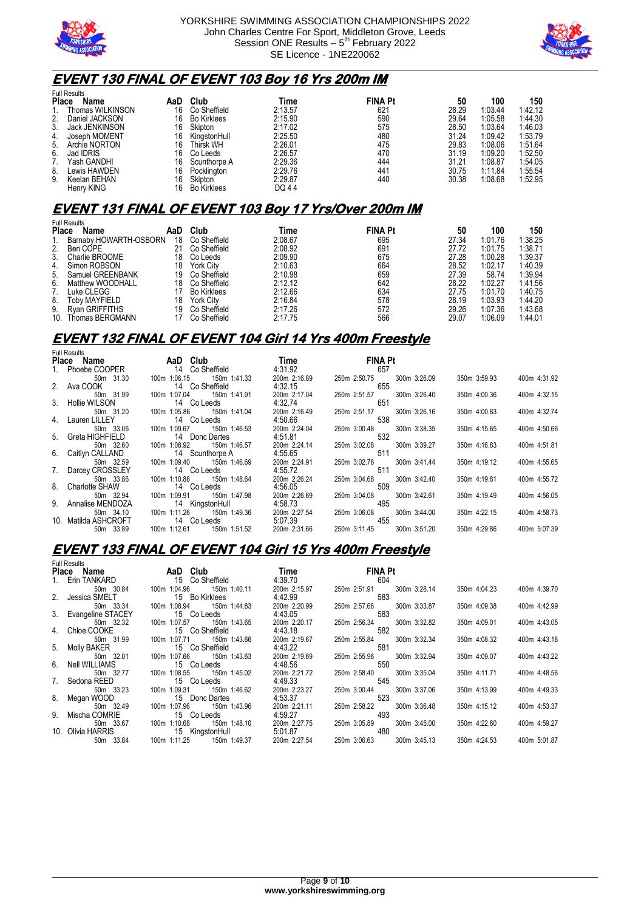



## **EVENT 130 FINAL OF EVENT 103 Boy 16 Yrs 200m IM**

|    | <b>Full Results</b>  |     |                      |         |                |       |         |         |
|----|----------------------|-----|----------------------|---------|----------------|-------|---------|---------|
|    | <b>Place</b><br>Name | AaD | Club                 | Time    | <b>FINA Pt</b> | 50    | 100     | 150     |
|    | Thomas WILKINSON     | 16  | Co Sheffield         | 2:13.57 | 621            | 28.29 | 1:03.44 | 1:42.12 |
| 2. | Daniel JACKSON       | 16  | <b>Bo Kirklees</b>   | 2:15.90 | 590            | 29.64 | 1:05.58 | 1:44.30 |
| 3. | Jack JENKINSON       | 16  | Skipton              | 2:17.02 | 575            | 28.50 | 1:03.64 | 1:46.03 |
| 4. | Joseph MOMENT        | 16  | KingstonHull         | 2:25.50 | 480            | 31.24 | 1:09.42 | 1:53.79 |
| 5. | Archie NORTON        | 16  | <b>Thirsk WH</b>     | 2:26.01 | 475            | 29.83 | 1:08.06 | 1:51.64 |
| 6. | Jad IDRIS            | 16  | Co Leeds             | 2:26.57 | 470            | 31.19 | 1:09.20 | 1:52.50 |
| 7. | Yash GANDHI          | 16  | Scunthorpe A         | 2:29.36 | 444            | 31.21 | 1:08.87 | 1:54.05 |
| 8. | Lewis HAWDEN         | 16  | Pocklington          | 2:29.76 | 441            | 30.75 | 1:11.84 | 1:55.54 |
| 9. | Keelan BEHAN         | 16  | Skipton <sup>®</sup> | 2:29.87 | 440            | 30.38 | 1:08.68 | 1:52.95 |
|    | Henry KING           | 16  | <b>Bo Kirklees</b>   | DQ 44   |                |       |         |         |

# **EVENT 131 FINAL OF EVENT 103 Boy 17 Yrs/Over 200m IM**

| <b>Full Results</b>   |                                |                        |         |                |       |         |         |
|-----------------------|--------------------------------|------------------------|---------|----------------|-------|---------|---------|
| Name                  | AaD                            | Club                   | Time    | <b>FINA Pt</b> | 50    | 100     | 150     |
|                       | 18                             | Co Sheffield           | 2:08.67 | 695            | 27.34 | 1:01.76 | 1:38.25 |
|                       | 21                             | Co Sheffield           | 2:08.92 | 691            | 27.72 | 1:01.75 | 1:38.71 |
| Charlie BROOME        | 18                             | Co Leeds               | 2:09.90 | 675            | 27.28 | 1:00.28 | 1:39.37 |
| Simon ROBSON          | 18                             | <b>York City</b>       | 2:10.63 | 664            | 28.52 | 1:02.17 | 1:40.39 |
| Samuel GREENBANK      | 19                             | Co Sheffield           | 2:10.98 | 659            | 27.39 | 58.74   | 1:39.94 |
| Matthew WOODHALL      | 18                             | Co Sheffield           | 2:12.12 | 642            | 28.22 | 1:02.27 | 1:41.56 |
| Luke CLEGG            |                                | <b>Bo Kirklees</b>     | 2:12.66 | 634            | 27.75 | 1:01.70 | 1:40.75 |
| Toby MAYFIELD         | 18                             | York City              | 2:16.84 | 578            | 28.19 | 1:03.93 | 1:44.20 |
| <b>Rvan GRIFFITHS</b> | 19                             | Co Sheffield           | 2:17.26 | 572            | 29.26 | 1:07.36 | 1:43.68 |
| Thomas BERGMANN       |                                | Co Sheffield           | 2:17.75 | 566            | 29.07 | 1:06.09 | 1:44.01 |
| 5.<br>10.             | <b>Place</b><br>2.<br>Ben COPE | Barnaby HOWARTH-OSBORN |         |                |       |         |         |

# **EVENT 132 FINAL OF EVENT 104 Girl 14 Yrs 400m Freestyle**

| <b>Full Results</b>      |                              |              |                                     |              |              |  |  |  |
|--------------------------|------------------------------|--------------|-------------------------------------|--------------|--------------|--|--|--|
| Place Name               | AaD Club                     | Time         | <b>FINA Pt</b>                      |              |              |  |  |  |
| Phoebe COOPER            | 14 Co Sheffield              | 4:31.92      | 657                                 |              |              |  |  |  |
| 50m 31.30                | 150m 1:41.33<br>100m 1:06.15 | 200m 2:16.89 | 300m 3:26.09<br>250m 2:50.75        | 350m 3:59.93 | 400m 4:31.92 |  |  |  |
| 2. Ava COOK              | 14 Co Sheffield              | 4:32.15      | 655                                 |              |              |  |  |  |
| 50m 31.99                | 100m 1:07.04<br>150m 1:41.91 | 200m 2:17.04 | 300m 3:26.40<br>250m 2:51.57        | 350m 4:00.36 | 400m 4:32.15 |  |  |  |
| 3. Hollie WILSON         | 14 Co Leeds                  | 4:32.74      | 651                                 |              |              |  |  |  |
| 50m 31.20                | 100m 1:05.86<br>150m 1:41.04 | 200m 2:16.49 | 250m 2:51.17<br>300m 3:26.16        | 350m 4:00.83 | 400m 4:32.74 |  |  |  |
| 4. Lauren LILLEY         | 14 Co Leeds                  | 4:50.66      | 538                                 |              |              |  |  |  |
| 50m 33.06                | 100m 1:09.67<br>150m 1:46.53 | 200m 2:24.04 | 300m 3:38.35<br>250m 3:00.48        | 350m 4:15.65 | 400m 4:50.66 |  |  |  |
| 5. Greta HIGHFIELD       | 14 Donc Dartes               | 4:51.81      | 532                                 |              |              |  |  |  |
| 50m 32.60                | 100m 1:08.92<br>150m 1:46.57 | 200m 2:24.14 | 300m 3:39.27<br>250m 3:02.08        | 350m 4:16.83 | 400m 4:51.81 |  |  |  |
| 6. Caitlyn CALLAND       | 14 Scunthorpe A              | 4:55.65      | 511                                 |              |              |  |  |  |
| 50m 32.59                | 100m 1:09.40<br>150m 1:46.69 | 200m 2:24.91 | 300m 3:41.44<br>250m 3:02.76        | 350m 4:19.12 | 400m 4:55.65 |  |  |  |
| 7. Darcey CROSSLEY       | 14 Co Leeds                  | 4:55.72      | 511                                 |              |              |  |  |  |
| 50m 33.86                | 100m 1:10.88<br>150m 1:48.64 | 200m 2:26.24 | 300m 3:42.40<br>250m 3:04.68        | 350m 4:19.81 | 400m 4:55.72 |  |  |  |
| 8. Charlotte SHAW        | 14 Co Leeds                  | 4:56.05      | 509                                 |              |              |  |  |  |
| 50m 32.94                | 100m 1:09.91<br>150m 1:47.98 | 200m 2:26.69 | 250m 3:04.08<br>300m 3:42.61        | 350m 4:19.49 | 400m 4:56.05 |  |  |  |
| 9. Annalise MENDOZA      | 14 KingstonHull              | 4:58.73      | 495                                 |              |              |  |  |  |
| 50m 34.10                | 100m 1:11.26<br>150m 1:49.36 | 200m 2:27.54 | 250m 3:06.08<br>300m 3:44.00<br>455 | 350m 4:22.15 | 400m 4:58.73 |  |  |  |
| 10. Matilda ASHCROFT     | 14 Co Leeds                  | 5:07.39      |                                     |              |              |  |  |  |
| 50 <sub>m</sub><br>33.89 | 100m 1:12.61<br>150m 1:51.52 | 200m 2:31.66 | 250m 3:11.45<br>300m 3:51.20        | 350m 4:29.86 | 400m 5:07.39 |  |  |  |

### **EVENT 133 FINAL OF EVENT 104 Girl 15 Yrs 400m Freestyle**

| <b>Full Results</b>  |                                   |              |                              |              |              |
|----------------------|-----------------------------------|--------------|------------------------------|--------------|--------------|
| Place Name           | AaD Club                          | <b>Time</b>  | <b>FINA Pt</b>               |              |              |
| 1. Erin TANKARD      | 15 Co Sheffield                   | 4:39.70      | 604                          |              |              |
| 50m 30.84            | 100m 1:04.96<br>150m 1:40.11      | 200m 2:15.97 | 300m 3:28.14<br>250m 2:51.91 | 350m 4:04.23 | 400m 4:39.70 |
| 2. Jessica SMELT     | 15 Bo Kirklees                    | 4:42.99      | 583                          |              |              |
| 50m 33.34            | 100m 1:08.94<br>150m 1:44.83      | 200m 2:20.99 | 250m 2:57.66<br>300m 3:33.87 | 350m 4:09.38 | 400m 4:42.99 |
| 3. Evangeline STACEY | 15 Co Leeds                       | 4:43.05      | 583                          |              |              |
| 50m 32.32            | 100m 1:07.57<br>150m 1:43.65      | 200m 2:20.17 | 250m 2:56.34<br>300m 3:32.82 | 350m 4:09.01 | 400m 4:43.05 |
| 4. Chloe COOKE       | 15 Co Sheffield                   | 4:43.18      | 582                          |              |              |
| 50m 31.99            | 150m 1:43.66<br>100m 1:07.71      | 200m 2:19.67 | 300m 3:32.34<br>250m 2:55.84 | 350m 4:08.32 | 400m 4:43.18 |
| 5. Molly BAKER       | 15 Co Sheffield                   | 4:43.22      | 581                          |              |              |
| 50m 32.01            | 100m 1:07.66<br>150m 1:43.63      | 200m 2:19.69 | 250m 2:55.96<br>300m 3:32.94 | 350m 4:09.07 | 400m 4:43.22 |
| 6. Nell WILLIAMS     | 15 Co Leeds                       | 4:48.56      | 550                          |              |              |
| 50m 32.77            | 150m 1:45.02<br>100m 1:08.55      | 200m 2:21.72 | 250m 2:58.40<br>300m 3:35.04 | 350m 4:11.71 | 400m 4:48.56 |
| 7. Sedona REED       | 15 Co Leeds                       | 4:49.33      | 545                          |              |              |
| 50m 33.23            | 100m 1:09.31<br>150m 1:46.62      | 200m 2:23.27 | 250m 3:00.44<br>300m 3:37.06 | 350m 4:13.99 | 400m 4:49.33 |
| 8. Megan WOOD        | 15 Donc Dartes                    | 4:53.37      | 523                          |              |              |
| 50m 32.49            | 100m 1:07.96<br>150m 1:43.96      | 200m 2:21.11 | 250m 2:58.22<br>300m 3:36.48 | 350m 4:15.12 | 400m 4:53.37 |
| 9. Mischa COMRIE     | 15 Co Leeds                       | 4:59.27      | 493                          |              |              |
| 50m 33.67            | 100m 1:10.68<br>150m 1:48.10      | 200m 2:27.75 | 250m 3:05.89<br>300m 3:45.00 | 350m 4:22.60 | 400m 4:59.27 |
|                      | 10. Olivia HARRIS 15 KingstonHull | 5:01.87      | 480                          |              |              |
| 50m 33.84            | 100m 1:11.25<br>150m 1:49.37      | 200m 2:27.54 | 250m 3:06.63<br>300m 3:45.13 | 350m 4:24.53 | 400m 5:01.87 |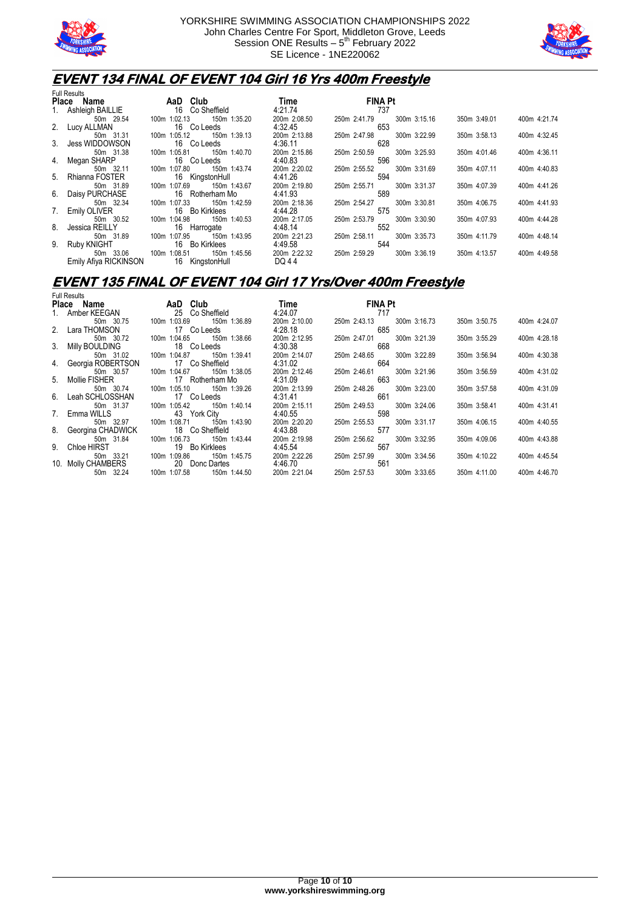



## **EVENT 134 FINAL OF EVENT 104 Girl 16 Yrs 400m Freestyle**

|    | <b>Full Results</b>            |                                                 |                         |                                     |              |              |  |  |
|----|--------------------------------|-------------------------------------------------|-------------------------|-------------------------------------|--------------|--------------|--|--|
|    | Place Name                     | AaD Club                                        | Time                    | <b>FINA Pt</b>                      |              |              |  |  |
|    | 1. Ashleigh BAILLIE            | 16 Co Sheffield                                 | 4:21.74                 | 737                                 |              |              |  |  |
|    | 50m 29.54<br>2. Lucy ALLMAN    | 150m 1:35.20<br>100m 1:02.13<br>16 Co Leeds     | 200m 2:08.50<br>4:32.45 | 250m 2:41.79<br>300m 3:15.16<br>653 | 350m 3:49.01 | 400m 4:21.74 |  |  |
|    | 50m 31.31<br>3. Jess WIDDOWSON | 150m 1:39.13<br>100m 1:05.12<br>16 Co Leeds     | 200m 2:13.88<br>4:36.11 | 250m 2:47.98<br>300m 3:22.99<br>628 | 350m 3:58.13 | 400m 4:32.45 |  |  |
|    | 50m 31.38<br>4. Megan SHARP    | 150m 1:40.70<br>100m 1:05.81<br>16 Co Leeds     | 200m 2:15.86<br>4:40.83 | 300m 3:25.93<br>250m 2:50.59<br>596 | 350m 4:01.46 | 400m 4:36.11 |  |  |
|    | 50m 32.11<br>5. Rhianna FOSTER | 100m 1:07.80<br>150m 1:43.74<br>16 KingstonHull | 200m 2:20.02<br>4:41.26 | 250m 2:55.52<br>300m 3:31.69<br>594 | 350m 4:07.11 | 400m 4:40.83 |  |  |
|    | 50m 31.89<br>6. Daisy PURCHASE | 150m 1:43.67<br>100m 1:07.69<br>16 Rotherham Mo | 200m 2:19.80<br>4:41.93 | 300m 3:31.37<br>250m 2:55.71<br>589 | 350m 4:07.39 | 400m 4:41.26 |  |  |
|    | 50m 32.34                      | 150m 1:42.59<br>100m 1:07.33                    | 200m 2:18.36            | 250m 2:54.27<br>300m 3:30.81        | 350m 4:06.75 | 400m 4:41.93 |  |  |
|    | 7. Emily OLIVER<br>50m 30.52   | 16 Bo Kirklees<br>100m 1:04.98<br>150m 1:40.53  | 4:44.28<br>200m 2:17.05 | 575<br>250m 2:53.79<br>300m 3:30.90 | 350m 4:07.93 | 400m 4:44.28 |  |  |
| 8. | Jessica REILLY<br>50m 31.89    | 16 Harrogate<br>100m 1:07.95<br>150m 1:43.95    | 4:48.14<br>200m 2:21.23 | 552<br>300m 3:35.73<br>250m 2:58.11 | 350m 4:11.79 | 400m 4:48.14 |  |  |
|    | 9. Ruby KNIGHT<br>50m 33.06    | 16 Bo Kirklees<br>100m 1:08.51<br>150m 1:45.56  | 4:49.58<br>200m 2:22.32 | 544<br>300m 3:36.19<br>250m 2:59.29 | 350m 4:13.57 | 400m 4:49.58 |  |  |
|    | Emily Afiya RICKINSON          | 16 KingstonHull                                 | DQ 44                   |                                     |              |              |  |  |

## **EVENT 135 FINAL OF EVENT 104 Girl 17 Yrs/Over 400m Freestyle**

| <b>Full Results</b>  |                              |              |                              |              |              |
|----------------------|------------------------------|--------------|------------------------------|--------------|--------------|
| Place Name           | AaD Club                     | <b>Time</b>  | <b>FINA Pt</b>               |              |              |
| 1. Amber KEEGAN      | 25 Co Sheffield              | 4:24.07      | 717                          |              |              |
| 50m 30.75            | 100m 1:03.69<br>150m 1:36.89 | 200m 2:10.00 | 250m 2:43.13<br>300m 3:16.73 | 350m 3:50.75 | 400m 4:24.07 |
| 2. Lara THOMSON      | 17 Co Leeds                  | 4:28.18      | 685                          |              |              |
| 50m 30.72            | 100m 1:04.65<br>150m 1:38.66 | 200m 2:12.95 | 250m 2:47.01<br>300m 3:21.39 | 350m 3:55.29 | 400m 4:28.18 |
| 3. Milly BOULDING    | 18 Co Leeds                  | 4:30.38      | 668                          |              |              |
| 50m 31.02            | 100m 1:04.87<br>150m 1:39.41 | 200m 2:14.07 | 250m 2:48.65<br>300m 3:22.89 | 350m 3:56.94 | 400m 4:30.38 |
| 4. Georgia ROBERTSON | 17 Co Sheffield              | 4:31.02      | 664                          |              |              |
| 50m 30.57            | 100m 1:04.67<br>150m 1:38.05 | 200m 2:12.46 | 300m 3:21.96<br>250m 2:46.61 | 350m 3:56.59 | 400m 4:31.02 |
| 5. Mollie FISHER     | 17 Rotherham Mo              | 4:31.09      | 663                          |              |              |
| 50m 30.74            | 100m 1:05.10<br>150m 1:39.26 | 200m 2:13.99 | 250m 2:48.26<br>300m 3:23.00 | 350m 3:57.58 | 400m 4:31.09 |
| 6. Leah SCHLOSSHAN   | 17 Co Leeds                  | 4:31.41      | 661                          |              |              |
| 50m 31.37            | 100m 1:05.42<br>150m 1:40.14 | 200m 2:15.11 | 300m 3:24.06<br>250m 2:49.53 | 350m 3:58.41 | 400m 4:31.41 |
| 7. Emma WILLS        | 43 York City                 | 4:40.55      | 598                          |              |              |
| 50m 32.97            | 100m 1:08.71<br>150m 1:43.90 | 200m 2:20.20 | 300m 3:31.17<br>250m 2:55.53 | 350m 4:06.15 | 400m 4:40.55 |
| 8. Georgina CHADWICK | 18 Co Sheffield              | 4:43.88      | 577                          |              |              |
| 50m 31.84            | 100m 1:06.73<br>150m 1:43.44 | 200m 2:19.98 | 250m 2:56.62<br>300m 3:32.95 | 350m 4:09.06 | 400m 4:43.88 |
| 9. Chloe HIRST       | 19 Bo Kirklees               | 4:45.54      | 567                          |              |              |
| 50m 33.21            | 100m 1:09.86<br>150m 1:45.75 | 200m 2:22.26 | 250m 2:57.99<br>300m 3:34.56 | 350m 4:10.22 | 400m 4:45.54 |
| 10. Molly CHAMBERS   | 20 Donc Dartes               | 4:46.70      | 561                          |              |              |
| 50m 32.24            | 100m 1:07.58<br>150m 1:44.50 | 200m 2:21.04 | 250m 2:57.53<br>300m 3:33.65 | 350m 4:11.00 | 400m 4:46.70 |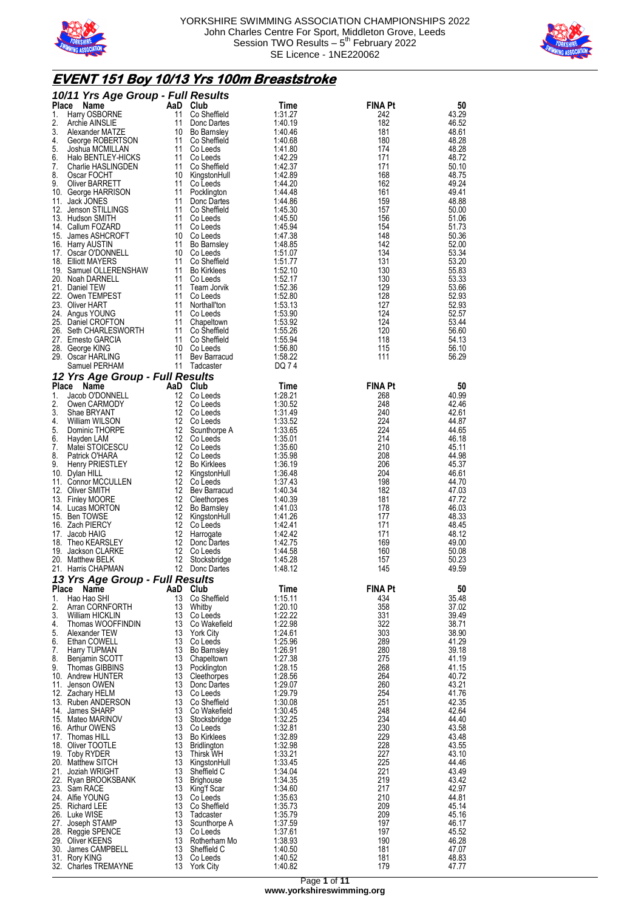



# **EVENT 151 Boy 10/13 Yrs 100m Breaststroke**

| Place<br>AaD Club<br>11<br>Harry OSBORNE<br>Co Sheffield<br>1:31.27<br>242<br>43.29<br>1.<br>11<br>182<br>1:40.19<br>46.52<br>Archie AINSLIE<br>Donc Dartes<br>10<br>181<br>48.61<br>Alexander MATZE<br>Bo Barnsley<br>1:40.46<br>George ROBERTSON<br>11<br>180<br>48.28<br>4.<br>Co Sheffield<br>1:40.68<br>174<br>48.28<br>5.<br>11 Co Leeds<br>Joshua MCMILLAN<br>1:41.80<br>Halo BENTLEY-HICKS<br>11 Co Leeds<br>1:42.29<br>171<br>48.72<br>Charlie HASLINGDEN<br>11<br>Co Sheffield<br>1:42.37<br>171<br>50.10<br>8.<br>10<br>1:42.89<br>168<br>48.75<br>Oscar FOCHT<br>KingstonHull<br>9.<br>Oliver BARRETT<br>11<br>1:44.20<br>162<br>49.24<br>Co Leeds<br>11<br>1:44.48<br>161<br>49.41<br>10. George HARRISON<br>Pocklington<br>159<br>11<br>48.88<br>11. Jack JONES<br>1:44.86<br>Donc Dartes<br>12. Jenson STILLINGS<br>11<br>Co Sheffield<br>1:45.30<br>157<br>50.00<br>13. Hudson SMITH<br>11<br>156<br>51.06<br>Co Leeds<br>1:45.50<br>14. Callum FOZARD<br>11<br>1:45.94<br>154<br>51.73<br>Co Leeds<br>15. James ASHCROFT<br>10 Co Leeds<br>148<br>50.36<br>1:47.38<br>11<br>1:48.85<br>142<br>52.00<br>16. Harry AUSTIN<br>Bo Barnsley<br>134<br>10<br>53.34<br>17. Oscar O'DONNELL<br>1:51.07<br>Co Leeds<br>11<br>18. Elliott MAYERS<br>Co Sheffield<br>1:51.77<br>131<br>53.20<br>To. Eilioll MATERS<br>19. Samuel OLLERENSHAW<br>20. Noab DARNELL<br>11<br><b>Bo Kirklees</b><br>1:52.10<br>130<br>55.83<br>20. Noah DARNELL<br>53.33<br>11<br>1:52.17<br>130<br>Co Leeds<br>11<br>21. Daniel TEW<br>Team Jorvik<br>1:52.36<br>129<br>53.66<br>52.93<br>22. Owen TEMPEST<br>11<br>1:52.80<br>128<br>Co Leeds<br>23. Oliver HART<br>52.93<br>11<br>1:53.13<br>127<br>Northall'ton<br>11<br>24. Angus YOUNG<br>Co Leeds<br>1:53.90<br>124<br>52.57<br>25. Daniel CROFTON<br>11<br>1:53.92<br>124<br>53.44<br>Chapeltown<br>25. Daniel UTC.<br>26. Seth CHARLESWORTH<br>11<br>120<br>1:55.26<br>56.60<br>Co Sheffield<br>27. Ernesto GARCIA<br>11 Co Sheffield<br>1:55.94<br>118<br>54.13<br>28. George KING<br>10 Co Leeds<br>1:56.80<br>115<br>56.10<br>11 Bev Barracud<br>1:58.22<br>111<br>56.29<br>29. Oscar HARLING<br>Samuel PERHAM<br>11 Tadcaster<br>DQ 74<br>12 Yrs Age Group - Full Results<br><b>FINA Pt</b><br>Place Name<br>AaD Club<br>Time<br>50<br>12<br>1.<br>Jacob O'DONNELL<br>Co Leeds<br>1:28.21<br>268<br>40.99<br>2.<br>12<br>1:30.52<br>248<br>42.46<br>Owen CARMODY<br>Co Leeds<br>12<br>1:31.49<br>240<br>42.61<br>Shae BRYANT<br>Co Leeds<br>12 Co Leeds<br>224<br>William WILSON<br>1:33.52<br>44.87<br>5.<br>12 Scunthorpe A<br>224<br>Dominic THORPE<br>1:33.65<br>44.65<br>12<br>6.<br>1:35.01<br>214<br>46.18<br>Co Leeds<br>Hayden LAM<br>12 Co Leeds<br>210<br>Matei STOICESCU<br>1:35.60<br>45.11<br>12 Co Leeds<br>208<br>1:35.98<br>44.98<br>Patrick O'HARA<br>12 Bo Kirklees<br>9.<br>206<br>45.37<br>Henry PRIESTLEY<br>1:36.19<br>12 KingstonHull<br>1:36.48<br>204<br>46.61<br>10. Dylan HILL<br>12 Co Leeds<br>11. Connor MCCULLEN<br>1:37.43<br>198<br>44.70<br>12 Bev Barracud<br>182<br>47.03<br>12. Oliver SMITH<br>1:40.34<br>12 Cleethorpes<br>1:40.39<br>181<br>47.72<br>13. Finley MOORE<br>12<br>178<br>46.03<br>14. Lucas MORTON<br>Bo Barnsley<br>1:41.03<br>12<br>177<br>48.33<br>15. Ben TOWSE<br>KingstonHull<br>1:41.26<br>16. Zach PIERCY<br>12<br>1:42.41<br>171<br>48.45<br>Co Leeds<br>12<br>1:42.42<br>171<br>48.12<br>17. Jacob HAIG<br>Harrogate<br>12<br>1:42.75<br>49.00<br>18. Theo KEARSLEY<br>Donc Dartes<br>169<br>12<br>1:44.58<br>160<br>50.08<br>19. Jackson CLARKE<br>Co Leeds<br>20. Matthew BELK<br>12<br>Stocksbridge<br>1:45.28<br>157<br>50.23<br>21. Harris CHAPMAN<br>12<br>145<br>49.59<br>Donc Dartes<br>1:48.12<br>13 Yrs Age Group - Full Results<br>Place<br>AaD Club<br>Time<br><b>FINA Pt</b><br>50<br>Name<br>Hao Hao SHI<br>13<br>Co Sheffield<br>1:15.11<br>434<br>35.48<br>13<br>Whitby<br>1:20.10<br>358<br>Arran CORNFORTH<br>37.02<br>3.<br>13<br>Co Leeds<br>1:22.22<br>331<br>39.49<br>William HICKLIN<br>322<br>38.71<br>Thomas WOOFFINDIN<br>13<br>Co Wakefield<br>1:22.98<br>4.<br>13<br>1:24.61<br>303<br>38.90<br>Alexander TEW<br><b>York City</b><br>Ethan COWELL<br>13<br>1:25.96<br>289<br>41.29<br>Co Leeds<br>1:26.91<br>280<br>Harry TUPMAN<br>13<br>39.18<br>7.<br>Bo Barnsley<br>41.19<br>8.<br>13<br>1:27.38<br>275<br>Benjamin SCOTT<br>Chapeltown<br>13<br>Pocklington<br>1:28.15<br>268<br>41.15<br>Thomas GIBBINS<br>264<br>10. Andrew HUNTER<br>13<br>1:28.56<br>40.72<br>Cleethorpes<br>43.21<br>13<br>1:29.07<br>260<br>11. Jenson OWEN<br>Donc Dartes<br>12. Zachary HELM<br>13<br>1:29.79<br>254<br>41.76<br>Co Leeds<br>251<br>13<br>Co Sheffield<br>1:30.08<br>42.35<br>13. Ruben ANDERSON<br>42.64<br>13<br>1:30.45<br>248<br>14. James SHARP<br>Co Wakefield<br>15. Mateo MARINOV<br>13<br>1:32.25<br>234<br>44.40<br>Stocksbridge<br>13<br>1:32.81<br>230<br>43.58<br>16. Arthur OWENS<br>Co Leeds<br>229<br>13<br>1:32.89<br>43.48<br>17. Thomas HILL<br><b>Bo Kirklees</b><br>18. Oliver TOOTLE<br>13<br>1:32.98<br>228<br>43.55<br><b>Bridlington</b><br>13<br>1:33.21<br>227<br>43.10<br>19. Toby RYDER<br><b>Thirsk WH</b><br>225<br>20. Matthew SITCH<br>13<br>1:33.45<br>44.46<br>KingstonHull<br>21. Joziah WRIGHT<br>13<br>1:34.04<br>221<br>43.49<br>Sheffield C<br>13<br>219<br>22. Ryan BROOKSBANK<br>1:34.35<br>43.42<br><b>Brighouse</b><br>217<br>23. Sam RACE<br>13<br>42.97<br>King'f Scar<br>1:34.60<br>44.81<br>24. Alfie YOUNG<br>13<br>Co Leeds<br>1:35.63<br>210<br>25. Richard LEE<br>13<br>209<br>45.14<br>Co Sheffield<br>1:35.73<br>26. Luke WISE<br>13<br>1:35.79<br>209<br>45.16<br>Tadcaster<br>13<br>27. Joseph STAMP<br>Scunthorpe A<br>1:37.59<br>197<br>46.17<br>13<br>197<br>45.52<br>28. Reggie SPENCE<br>Co Leeds<br>1:37.61<br>29. Oliver KEENS<br>13<br>1:38.93<br>190<br>46.28<br>Rotherham Mo<br>30. James CAMPBELL<br>13<br>Sheffield C<br>1:40.50<br>181<br>47.07<br>13<br>1:40.52<br>181<br>48.83<br>31. Rory KING<br>Co Leeds<br>13 York City<br>32. Charles TREMAYNE |    | 10/11 Yrs Age Group - Full Results |  |         |                |       |
|--------------------------------------------------------------------------------------------------------------------------------------------------------------------------------------------------------------------------------------------------------------------------------------------------------------------------------------------------------------------------------------------------------------------------------------------------------------------------------------------------------------------------------------------------------------------------------------------------------------------------------------------------------------------------------------------------------------------------------------------------------------------------------------------------------------------------------------------------------------------------------------------------------------------------------------------------------------------------------------------------------------------------------------------------------------------------------------------------------------------------------------------------------------------------------------------------------------------------------------------------------------------------------------------------------------------------------------------------------------------------------------------------------------------------------------------------------------------------------------------------------------------------------------------------------------------------------------------------------------------------------------------------------------------------------------------------------------------------------------------------------------------------------------------------------------------------------------------------------------------------------------------------------------------------------------------------------------------------------------------------------------------------------------------------------------------------------------------------------------------------------------------------------------------------------------------------------------------------------------------------------------------------------------------------------------------------------------------------------------------------------------------------------------------------------------------------------------------------------------------------------------------------------------------------------------------------------------------------------------------------------------------------------------------------------------------------------------------------------------------------------------------------------------------------------------------------------------------------------------------------------------------------------------------------------------------------------------------------------------------------------------------------------------------------------------------------------------------------------------------------------------------------------------------------------------------------------------------------------------------------------------------------------------------------------------------------------------------------------------------------------------------------------------------------------------------------------------------------------------------------------------------------------------------------------------------------------------------------------------------------------------------------------------------------------------------------------------------------------------------------------------------------------------------------------------------------------------------------------------------------------------------------------------------------------------------------------------------------------------------------------------------------------------------------------------------------------------------------------------------------------------------------------------------------------------------------------------------------------------------------------------------------------------------------------------------------------------------------------------------------------------------------------------------------------------------------------------------------------------------------------------------------------------------------------------------------------------------------------------------------------------------------------------------------------------------------------------------------------------------------------------------------------------------------------------------------------------------------------------------------------------------------------------------------------------------------------------------------------------------------------------------------------------------------------------------------------------------------------------------------------------------------------------------------------------------------------------------------------------------------------------------------------------------------------------------------------------------------------------------------------------------------------------------------------------------------------------------------------------------------------------------------------------------------------------------------------------------------------------------------------------------------------------------------------------------------------------------------------------------------------------------------------------------------------------------------------------------------------------------------------------------------------------------------------------------------------------------------------------------------------------------------------------------------------------------|----|------------------------------------|--|---------|----------------|-------|
|                                                                                                                                                                                                                                                                                                                                                                                                                                                                                                                                                                                                                                                                                                                                                                                                                                                                                                                                                                                                                                                                                                                                                                                                                                                                                                                                                                                                                                                                                                                                                                                                                                                                                                                                                                                                                                                                                                                                                                                                                                                                                                                                                                                                                                                                                                                                                                                                                                                                                                                                                                                                                                                                                                                                                                                                                                                                                                                                                                                                                                                                                                                                                                                                                                                                                                                                                                                                                                                                                                                                                                                                                                                                                                                                                                                                                                                                                                                                                                                                                                                                                                                                                                                                                                                                                                                                                                                                                                                                                                                                                                                                                                                                                                                                                                                                                                                                                                                                                                                                                                                                                                                                                                                                                                                                                                                                                                                                                                                                                                                                                                                                                                                                                                                                                                                                                                                                                                                                                                                                                                                                    |    | Name                               |  | Time    | <b>FINA Pt</b> | 50    |
|                                                                                                                                                                                                                                                                                                                                                                                                                                                                                                                                                                                                                                                                                                                                                                                                                                                                                                                                                                                                                                                                                                                                                                                                                                                                                                                                                                                                                                                                                                                                                                                                                                                                                                                                                                                                                                                                                                                                                                                                                                                                                                                                                                                                                                                                                                                                                                                                                                                                                                                                                                                                                                                                                                                                                                                                                                                                                                                                                                                                                                                                                                                                                                                                                                                                                                                                                                                                                                                                                                                                                                                                                                                                                                                                                                                                                                                                                                                                                                                                                                                                                                                                                                                                                                                                                                                                                                                                                                                                                                                                                                                                                                                                                                                                                                                                                                                                                                                                                                                                                                                                                                                                                                                                                                                                                                                                                                                                                                                                                                                                                                                                                                                                                                                                                                                                                                                                                                                                                                                                                                                                    | 2. |                                    |  |         |                |       |
|                                                                                                                                                                                                                                                                                                                                                                                                                                                                                                                                                                                                                                                                                                                                                                                                                                                                                                                                                                                                                                                                                                                                                                                                                                                                                                                                                                                                                                                                                                                                                                                                                                                                                                                                                                                                                                                                                                                                                                                                                                                                                                                                                                                                                                                                                                                                                                                                                                                                                                                                                                                                                                                                                                                                                                                                                                                                                                                                                                                                                                                                                                                                                                                                                                                                                                                                                                                                                                                                                                                                                                                                                                                                                                                                                                                                                                                                                                                                                                                                                                                                                                                                                                                                                                                                                                                                                                                                                                                                                                                                                                                                                                                                                                                                                                                                                                                                                                                                                                                                                                                                                                                                                                                                                                                                                                                                                                                                                                                                                                                                                                                                                                                                                                                                                                                                                                                                                                                                                                                                                                                                    | 3. |                                    |  |         |                |       |
|                                                                                                                                                                                                                                                                                                                                                                                                                                                                                                                                                                                                                                                                                                                                                                                                                                                                                                                                                                                                                                                                                                                                                                                                                                                                                                                                                                                                                                                                                                                                                                                                                                                                                                                                                                                                                                                                                                                                                                                                                                                                                                                                                                                                                                                                                                                                                                                                                                                                                                                                                                                                                                                                                                                                                                                                                                                                                                                                                                                                                                                                                                                                                                                                                                                                                                                                                                                                                                                                                                                                                                                                                                                                                                                                                                                                                                                                                                                                                                                                                                                                                                                                                                                                                                                                                                                                                                                                                                                                                                                                                                                                                                                                                                                                                                                                                                                                                                                                                                                                                                                                                                                                                                                                                                                                                                                                                                                                                                                                                                                                                                                                                                                                                                                                                                                                                                                                                                                                                                                                                                                                    |    |                                    |  |         |                |       |
|                                                                                                                                                                                                                                                                                                                                                                                                                                                                                                                                                                                                                                                                                                                                                                                                                                                                                                                                                                                                                                                                                                                                                                                                                                                                                                                                                                                                                                                                                                                                                                                                                                                                                                                                                                                                                                                                                                                                                                                                                                                                                                                                                                                                                                                                                                                                                                                                                                                                                                                                                                                                                                                                                                                                                                                                                                                                                                                                                                                                                                                                                                                                                                                                                                                                                                                                                                                                                                                                                                                                                                                                                                                                                                                                                                                                                                                                                                                                                                                                                                                                                                                                                                                                                                                                                                                                                                                                                                                                                                                                                                                                                                                                                                                                                                                                                                                                                                                                                                                                                                                                                                                                                                                                                                                                                                                                                                                                                                                                                                                                                                                                                                                                                                                                                                                                                                                                                                                                                                                                                                                                    | 6. |                                    |  |         |                |       |
|                                                                                                                                                                                                                                                                                                                                                                                                                                                                                                                                                                                                                                                                                                                                                                                                                                                                                                                                                                                                                                                                                                                                                                                                                                                                                                                                                                                                                                                                                                                                                                                                                                                                                                                                                                                                                                                                                                                                                                                                                                                                                                                                                                                                                                                                                                                                                                                                                                                                                                                                                                                                                                                                                                                                                                                                                                                                                                                                                                                                                                                                                                                                                                                                                                                                                                                                                                                                                                                                                                                                                                                                                                                                                                                                                                                                                                                                                                                                                                                                                                                                                                                                                                                                                                                                                                                                                                                                                                                                                                                                                                                                                                                                                                                                                                                                                                                                                                                                                                                                                                                                                                                                                                                                                                                                                                                                                                                                                                                                                                                                                                                                                                                                                                                                                                                                                                                                                                                                                                                                                                                                    | 7. |                                    |  |         |                |       |
|                                                                                                                                                                                                                                                                                                                                                                                                                                                                                                                                                                                                                                                                                                                                                                                                                                                                                                                                                                                                                                                                                                                                                                                                                                                                                                                                                                                                                                                                                                                                                                                                                                                                                                                                                                                                                                                                                                                                                                                                                                                                                                                                                                                                                                                                                                                                                                                                                                                                                                                                                                                                                                                                                                                                                                                                                                                                                                                                                                                                                                                                                                                                                                                                                                                                                                                                                                                                                                                                                                                                                                                                                                                                                                                                                                                                                                                                                                                                                                                                                                                                                                                                                                                                                                                                                                                                                                                                                                                                                                                                                                                                                                                                                                                                                                                                                                                                                                                                                                                                                                                                                                                                                                                                                                                                                                                                                                                                                                                                                                                                                                                                                                                                                                                                                                                                                                                                                                                                                                                                                                                                    |    |                                    |  |         |                |       |
|                                                                                                                                                                                                                                                                                                                                                                                                                                                                                                                                                                                                                                                                                                                                                                                                                                                                                                                                                                                                                                                                                                                                                                                                                                                                                                                                                                                                                                                                                                                                                                                                                                                                                                                                                                                                                                                                                                                                                                                                                                                                                                                                                                                                                                                                                                                                                                                                                                                                                                                                                                                                                                                                                                                                                                                                                                                                                                                                                                                                                                                                                                                                                                                                                                                                                                                                                                                                                                                                                                                                                                                                                                                                                                                                                                                                                                                                                                                                                                                                                                                                                                                                                                                                                                                                                                                                                                                                                                                                                                                                                                                                                                                                                                                                                                                                                                                                                                                                                                                                                                                                                                                                                                                                                                                                                                                                                                                                                                                                                                                                                                                                                                                                                                                                                                                                                                                                                                                                                                                                                                                                    |    |                                    |  |         |                |       |
|                                                                                                                                                                                                                                                                                                                                                                                                                                                                                                                                                                                                                                                                                                                                                                                                                                                                                                                                                                                                                                                                                                                                                                                                                                                                                                                                                                                                                                                                                                                                                                                                                                                                                                                                                                                                                                                                                                                                                                                                                                                                                                                                                                                                                                                                                                                                                                                                                                                                                                                                                                                                                                                                                                                                                                                                                                                                                                                                                                                                                                                                                                                                                                                                                                                                                                                                                                                                                                                                                                                                                                                                                                                                                                                                                                                                                                                                                                                                                                                                                                                                                                                                                                                                                                                                                                                                                                                                                                                                                                                                                                                                                                                                                                                                                                                                                                                                                                                                                                                                                                                                                                                                                                                                                                                                                                                                                                                                                                                                                                                                                                                                                                                                                                                                                                                                                                                                                                                                                                                                                                                                    |    |                                    |  |         |                |       |
|                                                                                                                                                                                                                                                                                                                                                                                                                                                                                                                                                                                                                                                                                                                                                                                                                                                                                                                                                                                                                                                                                                                                                                                                                                                                                                                                                                                                                                                                                                                                                                                                                                                                                                                                                                                                                                                                                                                                                                                                                                                                                                                                                                                                                                                                                                                                                                                                                                                                                                                                                                                                                                                                                                                                                                                                                                                                                                                                                                                                                                                                                                                                                                                                                                                                                                                                                                                                                                                                                                                                                                                                                                                                                                                                                                                                                                                                                                                                                                                                                                                                                                                                                                                                                                                                                                                                                                                                                                                                                                                                                                                                                                                                                                                                                                                                                                                                                                                                                                                                                                                                                                                                                                                                                                                                                                                                                                                                                                                                                                                                                                                                                                                                                                                                                                                                                                                                                                                                                                                                                                                                    |    |                                    |  |         |                |       |
|                                                                                                                                                                                                                                                                                                                                                                                                                                                                                                                                                                                                                                                                                                                                                                                                                                                                                                                                                                                                                                                                                                                                                                                                                                                                                                                                                                                                                                                                                                                                                                                                                                                                                                                                                                                                                                                                                                                                                                                                                                                                                                                                                                                                                                                                                                                                                                                                                                                                                                                                                                                                                                                                                                                                                                                                                                                                                                                                                                                                                                                                                                                                                                                                                                                                                                                                                                                                                                                                                                                                                                                                                                                                                                                                                                                                                                                                                                                                                                                                                                                                                                                                                                                                                                                                                                                                                                                                                                                                                                                                                                                                                                                                                                                                                                                                                                                                                                                                                                                                                                                                                                                                                                                                                                                                                                                                                                                                                                                                                                                                                                                                                                                                                                                                                                                                                                                                                                                                                                                                                                                                    |    |                                    |  |         |                |       |
|                                                                                                                                                                                                                                                                                                                                                                                                                                                                                                                                                                                                                                                                                                                                                                                                                                                                                                                                                                                                                                                                                                                                                                                                                                                                                                                                                                                                                                                                                                                                                                                                                                                                                                                                                                                                                                                                                                                                                                                                                                                                                                                                                                                                                                                                                                                                                                                                                                                                                                                                                                                                                                                                                                                                                                                                                                                                                                                                                                                                                                                                                                                                                                                                                                                                                                                                                                                                                                                                                                                                                                                                                                                                                                                                                                                                                                                                                                                                                                                                                                                                                                                                                                                                                                                                                                                                                                                                                                                                                                                                                                                                                                                                                                                                                                                                                                                                                                                                                                                                                                                                                                                                                                                                                                                                                                                                                                                                                                                                                                                                                                                                                                                                                                                                                                                                                                                                                                                                                                                                                                                                    |    |                                    |  |         |                |       |
|                                                                                                                                                                                                                                                                                                                                                                                                                                                                                                                                                                                                                                                                                                                                                                                                                                                                                                                                                                                                                                                                                                                                                                                                                                                                                                                                                                                                                                                                                                                                                                                                                                                                                                                                                                                                                                                                                                                                                                                                                                                                                                                                                                                                                                                                                                                                                                                                                                                                                                                                                                                                                                                                                                                                                                                                                                                                                                                                                                                                                                                                                                                                                                                                                                                                                                                                                                                                                                                                                                                                                                                                                                                                                                                                                                                                                                                                                                                                                                                                                                                                                                                                                                                                                                                                                                                                                                                                                                                                                                                                                                                                                                                                                                                                                                                                                                                                                                                                                                                                                                                                                                                                                                                                                                                                                                                                                                                                                                                                                                                                                                                                                                                                                                                                                                                                                                                                                                                                                                                                                                                                    |    |                                    |  |         |                |       |
|                                                                                                                                                                                                                                                                                                                                                                                                                                                                                                                                                                                                                                                                                                                                                                                                                                                                                                                                                                                                                                                                                                                                                                                                                                                                                                                                                                                                                                                                                                                                                                                                                                                                                                                                                                                                                                                                                                                                                                                                                                                                                                                                                                                                                                                                                                                                                                                                                                                                                                                                                                                                                                                                                                                                                                                                                                                                                                                                                                                                                                                                                                                                                                                                                                                                                                                                                                                                                                                                                                                                                                                                                                                                                                                                                                                                                                                                                                                                                                                                                                                                                                                                                                                                                                                                                                                                                                                                                                                                                                                                                                                                                                                                                                                                                                                                                                                                                                                                                                                                                                                                                                                                                                                                                                                                                                                                                                                                                                                                                                                                                                                                                                                                                                                                                                                                                                                                                                                                                                                                                                                                    |    |                                    |  |         |                |       |
|                                                                                                                                                                                                                                                                                                                                                                                                                                                                                                                                                                                                                                                                                                                                                                                                                                                                                                                                                                                                                                                                                                                                                                                                                                                                                                                                                                                                                                                                                                                                                                                                                                                                                                                                                                                                                                                                                                                                                                                                                                                                                                                                                                                                                                                                                                                                                                                                                                                                                                                                                                                                                                                                                                                                                                                                                                                                                                                                                                                                                                                                                                                                                                                                                                                                                                                                                                                                                                                                                                                                                                                                                                                                                                                                                                                                                                                                                                                                                                                                                                                                                                                                                                                                                                                                                                                                                                                                                                                                                                                                                                                                                                                                                                                                                                                                                                                                                                                                                                                                                                                                                                                                                                                                                                                                                                                                                                                                                                                                                                                                                                                                                                                                                                                                                                                                                                                                                                                                                                                                                                                                    |    |                                    |  |         |                |       |
|                                                                                                                                                                                                                                                                                                                                                                                                                                                                                                                                                                                                                                                                                                                                                                                                                                                                                                                                                                                                                                                                                                                                                                                                                                                                                                                                                                                                                                                                                                                                                                                                                                                                                                                                                                                                                                                                                                                                                                                                                                                                                                                                                                                                                                                                                                                                                                                                                                                                                                                                                                                                                                                                                                                                                                                                                                                                                                                                                                                                                                                                                                                                                                                                                                                                                                                                                                                                                                                                                                                                                                                                                                                                                                                                                                                                                                                                                                                                                                                                                                                                                                                                                                                                                                                                                                                                                                                                                                                                                                                                                                                                                                                                                                                                                                                                                                                                                                                                                                                                                                                                                                                                                                                                                                                                                                                                                                                                                                                                                                                                                                                                                                                                                                                                                                                                                                                                                                                                                                                                                                                                    |    |                                    |  |         |                |       |
|                                                                                                                                                                                                                                                                                                                                                                                                                                                                                                                                                                                                                                                                                                                                                                                                                                                                                                                                                                                                                                                                                                                                                                                                                                                                                                                                                                                                                                                                                                                                                                                                                                                                                                                                                                                                                                                                                                                                                                                                                                                                                                                                                                                                                                                                                                                                                                                                                                                                                                                                                                                                                                                                                                                                                                                                                                                                                                                                                                                                                                                                                                                                                                                                                                                                                                                                                                                                                                                                                                                                                                                                                                                                                                                                                                                                                                                                                                                                                                                                                                                                                                                                                                                                                                                                                                                                                                                                                                                                                                                                                                                                                                                                                                                                                                                                                                                                                                                                                                                                                                                                                                                                                                                                                                                                                                                                                                                                                                                                                                                                                                                                                                                                                                                                                                                                                                                                                                                                                                                                                                                                    |    |                                    |  |         |                |       |
|                                                                                                                                                                                                                                                                                                                                                                                                                                                                                                                                                                                                                                                                                                                                                                                                                                                                                                                                                                                                                                                                                                                                                                                                                                                                                                                                                                                                                                                                                                                                                                                                                                                                                                                                                                                                                                                                                                                                                                                                                                                                                                                                                                                                                                                                                                                                                                                                                                                                                                                                                                                                                                                                                                                                                                                                                                                                                                                                                                                                                                                                                                                                                                                                                                                                                                                                                                                                                                                                                                                                                                                                                                                                                                                                                                                                                                                                                                                                                                                                                                                                                                                                                                                                                                                                                                                                                                                                                                                                                                                                                                                                                                                                                                                                                                                                                                                                                                                                                                                                                                                                                                                                                                                                                                                                                                                                                                                                                                                                                                                                                                                                                                                                                                                                                                                                                                                                                                                                                                                                                                                                    |    |                                    |  |         |                |       |
|                                                                                                                                                                                                                                                                                                                                                                                                                                                                                                                                                                                                                                                                                                                                                                                                                                                                                                                                                                                                                                                                                                                                                                                                                                                                                                                                                                                                                                                                                                                                                                                                                                                                                                                                                                                                                                                                                                                                                                                                                                                                                                                                                                                                                                                                                                                                                                                                                                                                                                                                                                                                                                                                                                                                                                                                                                                                                                                                                                                                                                                                                                                                                                                                                                                                                                                                                                                                                                                                                                                                                                                                                                                                                                                                                                                                                                                                                                                                                                                                                                                                                                                                                                                                                                                                                                                                                                                                                                                                                                                                                                                                                                                                                                                                                                                                                                                                                                                                                                                                                                                                                                                                                                                                                                                                                                                                                                                                                                                                                                                                                                                                                                                                                                                                                                                                                                                                                                                                                                                                                                                                    |    |                                    |  |         |                |       |
|                                                                                                                                                                                                                                                                                                                                                                                                                                                                                                                                                                                                                                                                                                                                                                                                                                                                                                                                                                                                                                                                                                                                                                                                                                                                                                                                                                                                                                                                                                                                                                                                                                                                                                                                                                                                                                                                                                                                                                                                                                                                                                                                                                                                                                                                                                                                                                                                                                                                                                                                                                                                                                                                                                                                                                                                                                                                                                                                                                                                                                                                                                                                                                                                                                                                                                                                                                                                                                                                                                                                                                                                                                                                                                                                                                                                                                                                                                                                                                                                                                                                                                                                                                                                                                                                                                                                                                                                                                                                                                                                                                                                                                                                                                                                                                                                                                                                                                                                                                                                                                                                                                                                                                                                                                                                                                                                                                                                                                                                                                                                                                                                                                                                                                                                                                                                                                                                                                                                                                                                                                                                    |    |                                    |  |         |                |       |
|                                                                                                                                                                                                                                                                                                                                                                                                                                                                                                                                                                                                                                                                                                                                                                                                                                                                                                                                                                                                                                                                                                                                                                                                                                                                                                                                                                                                                                                                                                                                                                                                                                                                                                                                                                                                                                                                                                                                                                                                                                                                                                                                                                                                                                                                                                                                                                                                                                                                                                                                                                                                                                                                                                                                                                                                                                                                                                                                                                                                                                                                                                                                                                                                                                                                                                                                                                                                                                                                                                                                                                                                                                                                                                                                                                                                                                                                                                                                                                                                                                                                                                                                                                                                                                                                                                                                                                                                                                                                                                                                                                                                                                                                                                                                                                                                                                                                                                                                                                                                                                                                                                                                                                                                                                                                                                                                                                                                                                                                                                                                                                                                                                                                                                                                                                                                                                                                                                                                                                                                                                                                    |    |                                    |  |         |                |       |
|                                                                                                                                                                                                                                                                                                                                                                                                                                                                                                                                                                                                                                                                                                                                                                                                                                                                                                                                                                                                                                                                                                                                                                                                                                                                                                                                                                                                                                                                                                                                                                                                                                                                                                                                                                                                                                                                                                                                                                                                                                                                                                                                                                                                                                                                                                                                                                                                                                                                                                                                                                                                                                                                                                                                                                                                                                                                                                                                                                                                                                                                                                                                                                                                                                                                                                                                                                                                                                                                                                                                                                                                                                                                                                                                                                                                                                                                                                                                                                                                                                                                                                                                                                                                                                                                                                                                                                                                                                                                                                                                                                                                                                                                                                                                                                                                                                                                                                                                                                                                                                                                                                                                                                                                                                                                                                                                                                                                                                                                                                                                                                                                                                                                                                                                                                                                                                                                                                                                                                                                                                                                    |    |                                    |  |         |                |       |
|                                                                                                                                                                                                                                                                                                                                                                                                                                                                                                                                                                                                                                                                                                                                                                                                                                                                                                                                                                                                                                                                                                                                                                                                                                                                                                                                                                                                                                                                                                                                                                                                                                                                                                                                                                                                                                                                                                                                                                                                                                                                                                                                                                                                                                                                                                                                                                                                                                                                                                                                                                                                                                                                                                                                                                                                                                                                                                                                                                                                                                                                                                                                                                                                                                                                                                                                                                                                                                                                                                                                                                                                                                                                                                                                                                                                                                                                                                                                                                                                                                                                                                                                                                                                                                                                                                                                                                                                                                                                                                                                                                                                                                                                                                                                                                                                                                                                                                                                                                                                                                                                                                                                                                                                                                                                                                                                                                                                                                                                                                                                                                                                                                                                                                                                                                                                                                                                                                                                                                                                                                                                    |    |                                    |  |         |                |       |
|                                                                                                                                                                                                                                                                                                                                                                                                                                                                                                                                                                                                                                                                                                                                                                                                                                                                                                                                                                                                                                                                                                                                                                                                                                                                                                                                                                                                                                                                                                                                                                                                                                                                                                                                                                                                                                                                                                                                                                                                                                                                                                                                                                                                                                                                                                                                                                                                                                                                                                                                                                                                                                                                                                                                                                                                                                                                                                                                                                                                                                                                                                                                                                                                                                                                                                                                                                                                                                                                                                                                                                                                                                                                                                                                                                                                                                                                                                                                                                                                                                                                                                                                                                                                                                                                                                                                                                                                                                                                                                                                                                                                                                                                                                                                                                                                                                                                                                                                                                                                                                                                                                                                                                                                                                                                                                                                                                                                                                                                                                                                                                                                                                                                                                                                                                                                                                                                                                                                                                                                                                                                    |    |                                    |  |         |                |       |
|                                                                                                                                                                                                                                                                                                                                                                                                                                                                                                                                                                                                                                                                                                                                                                                                                                                                                                                                                                                                                                                                                                                                                                                                                                                                                                                                                                                                                                                                                                                                                                                                                                                                                                                                                                                                                                                                                                                                                                                                                                                                                                                                                                                                                                                                                                                                                                                                                                                                                                                                                                                                                                                                                                                                                                                                                                                                                                                                                                                                                                                                                                                                                                                                                                                                                                                                                                                                                                                                                                                                                                                                                                                                                                                                                                                                                                                                                                                                                                                                                                                                                                                                                                                                                                                                                                                                                                                                                                                                                                                                                                                                                                                                                                                                                                                                                                                                                                                                                                                                                                                                                                                                                                                                                                                                                                                                                                                                                                                                                                                                                                                                                                                                                                                                                                                                                                                                                                                                                                                                                                                                    |    |                                    |  |         |                |       |
|                                                                                                                                                                                                                                                                                                                                                                                                                                                                                                                                                                                                                                                                                                                                                                                                                                                                                                                                                                                                                                                                                                                                                                                                                                                                                                                                                                                                                                                                                                                                                                                                                                                                                                                                                                                                                                                                                                                                                                                                                                                                                                                                                                                                                                                                                                                                                                                                                                                                                                                                                                                                                                                                                                                                                                                                                                                                                                                                                                                                                                                                                                                                                                                                                                                                                                                                                                                                                                                                                                                                                                                                                                                                                                                                                                                                                                                                                                                                                                                                                                                                                                                                                                                                                                                                                                                                                                                                                                                                                                                                                                                                                                                                                                                                                                                                                                                                                                                                                                                                                                                                                                                                                                                                                                                                                                                                                                                                                                                                                                                                                                                                                                                                                                                                                                                                                                                                                                                                                                                                                                                                    |    |                                    |  |         |                |       |
|                                                                                                                                                                                                                                                                                                                                                                                                                                                                                                                                                                                                                                                                                                                                                                                                                                                                                                                                                                                                                                                                                                                                                                                                                                                                                                                                                                                                                                                                                                                                                                                                                                                                                                                                                                                                                                                                                                                                                                                                                                                                                                                                                                                                                                                                                                                                                                                                                                                                                                                                                                                                                                                                                                                                                                                                                                                                                                                                                                                                                                                                                                                                                                                                                                                                                                                                                                                                                                                                                                                                                                                                                                                                                                                                                                                                                                                                                                                                                                                                                                                                                                                                                                                                                                                                                                                                                                                                                                                                                                                                                                                                                                                                                                                                                                                                                                                                                                                                                                                                                                                                                                                                                                                                                                                                                                                                                                                                                                                                                                                                                                                                                                                                                                                                                                                                                                                                                                                                                                                                                                                                    | 3. |                                    |  |         |                |       |
|                                                                                                                                                                                                                                                                                                                                                                                                                                                                                                                                                                                                                                                                                                                                                                                                                                                                                                                                                                                                                                                                                                                                                                                                                                                                                                                                                                                                                                                                                                                                                                                                                                                                                                                                                                                                                                                                                                                                                                                                                                                                                                                                                                                                                                                                                                                                                                                                                                                                                                                                                                                                                                                                                                                                                                                                                                                                                                                                                                                                                                                                                                                                                                                                                                                                                                                                                                                                                                                                                                                                                                                                                                                                                                                                                                                                                                                                                                                                                                                                                                                                                                                                                                                                                                                                                                                                                                                                                                                                                                                                                                                                                                                                                                                                                                                                                                                                                                                                                                                                                                                                                                                                                                                                                                                                                                                                                                                                                                                                                                                                                                                                                                                                                                                                                                                                                                                                                                                                                                                                                                                                    | 4. |                                    |  |         |                |       |
|                                                                                                                                                                                                                                                                                                                                                                                                                                                                                                                                                                                                                                                                                                                                                                                                                                                                                                                                                                                                                                                                                                                                                                                                                                                                                                                                                                                                                                                                                                                                                                                                                                                                                                                                                                                                                                                                                                                                                                                                                                                                                                                                                                                                                                                                                                                                                                                                                                                                                                                                                                                                                                                                                                                                                                                                                                                                                                                                                                                                                                                                                                                                                                                                                                                                                                                                                                                                                                                                                                                                                                                                                                                                                                                                                                                                                                                                                                                                                                                                                                                                                                                                                                                                                                                                                                                                                                                                                                                                                                                                                                                                                                                                                                                                                                                                                                                                                                                                                                                                                                                                                                                                                                                                                                                                                                                                                                                                                                                                                                                                                                                                                                                                                                                                                                                                                                                                                                                                                                                                                                                                    |    |                                    |  |         |                |       |
|                                                                                                                                                                                                                                                                                                                                                                                                                                                                                                                                                                                                                                                                                                                                                                                                                                                                                                                                                                                                                                                                                                                                                                                                                                                                                                                                                                                                                                                                                                                                                                                                                                                                                                                                                                                                                                                                                                                                                                                                                                                                                                                                                                                                                                                                                                                                                                                                                                                                                                                                                                                                                                                                                                                                                                                                                                                                                                                                                                                                                                                                                                                                                                                                                                                                                                                                                                                                                                                                                                                                                                                                                                                                                                                                                                                                                                                                                                                                                                                                                                                                                                                                                                                                                                                                                                                                                                                                                                                                                                                                                                                                                                                                                                                                                                                                                                                                                                                                                                                                                                                                                                                                                                                                                                                                                                                                                                                                                                                                                                                                                                                                                                                                                                                                                                                                                                                                                                                                                                                                                                                                    | 7. |                                    |  |         |                |       |
|                                                                                                                                                                                                                                                                                                                                                                                                                                                                                                                                                                                                                                                                                                                                                                                                                                                                                                                                                                                                                                                                                                                                                                                                                                                                                                                                                                                                                                                                                                                                                                                                                                                                                                                                                                                                                                                                                                                                                                                                                                                                                                                                                                                                                                                                                                                                                                                                                                                                                                                                                                                                                                                                                                                                                                                                                                                                                                                                                                                                                                                                                                                                                                                                                                                                                                                                                                                                                                                                                                                                                                                                                                                                                                                                                                                                                                                                                                                                                                                                                                                                                                                                                                                                                                                                                                                                                                                                                                                                                                                                                                                                                                                                                                                                                                                                                                                                                                                                                                                                                                                                                                                                                                                                                                                                                                                                                                                                                                                                                                                                                                                                                                                                                                                                                                                                                                                                                                                                                                                                                                                                    | 8. |                                    |  |         |                |       |
|                                                                                                                                                                                                                                                                                                                                                                                                                                                                                                                                                                                                                                                                                                                                                                                                                                                                                                                                                                                                                                                                                                                                                                                                                                                                                                                                                                                                                                                                                                                                                                                                                                                                                                                                                                                                                                                                                                                                                                                                                                                                                                                                                                                                                                                                                                                                                                                                                                                                                                                                                                                                                                                                                                                                                                                                                                                                                                                                                                                                                                                                                                                                                                                                                                                                                                                                                                                                                                                                                                                                                                                                                                                                                                                                                                                                                                                                                                                                                                                                                                                                                                                                                                                                                                                                                                                                                                                                                                                                                                                                                                                                                                                                                                                                                                                                                                                                                                                                                                                                                                                                                                                                                                                                                                                                                                                                                                                                                                                                                                                                                                                                                                                                                                                                                                                                                                                                                                                                                                                                                                                                    |    |                                    |  |         |                |       |
|                                                                                                                                                                                                                                                                                                                                                                                                                                                                                                                                                                                                                                                                                                                                                                                                                                                                                                                                                                                                                                                                                                                                                                                                                                                                                                                                                                                                                                                                                                                                                                                                                                                                                                                                                                                                                                                                                                                                                                                                                                                                                                                                                                                                                                                                                                                                                                                                                                                                                                                                                                                                                                                                                                                                                                                                                                                                                                                                                                                                                                                                                                                                                                                                                                                                                                                                                                                                                                                                                                                                                                                                                                                                                                                                                                                                                                                                                                                                                                                                                                                                                                                                                                                                                                                                                                                                                                                                                                                                                                                                                                                                                                                                                                                                                                                                                                                                                                                                                                                                                                                                                                                                                                                                                                                                                                                                                                                                                                                                                                                                                                                                                                                                                                                                                                                                                                                                                                                                                                                                                                                                    |    |                                    |  |         |                |       |
|                                                                                                                                                                                                                                                                                                                                                                                                                                                                                                                                                                                                                                                                                                                                                                                                                                                                                                                                                                                                                                                                                                                                                                                                                                                                                                                                                                                                                                                                                                                                                                                                                                                                                                                                                                                                                                                                                                                                                                                                                                                                                                                                                                                                                                                                                                                                                                                                                                                                                                                                                                                                                                                                                                                                                                                                                                                                                                                                                                                                                                                                                                                                                                                                                                                                                                                                                                                                                                                                                                                                                                                                                                                                                                                                                                                                                                                                                                                                                                                                                                                                                                                                                                                                                                                                                                                                                                                                                                                                                                                                                                                                                                                                                                                                                                                                                                                                                                                                                                                                                                                                                                                                                                                                                                                                                                                                                                                                                                                                                                                                                                                                                                                                                                                                                                                                                                                                                                                                                                                                                                                                    |    |                                    |  |         |                |       |
|                                                                                                                                                                                                                                                                                                                                                                                                                                                                                                                                                                                                                                                                                                                                                                                                                                                                                                                                                                                                                                                                                                                                                                                                                                                                                                                                                                                                                                                                                                                                                                                                                                                                                                                                                                                                                                                                                                                                                                                                                                                                                                                                                                                                                                                                                                                                                                                                                                                                                                                                                                                                                                                                                                                                                                                                                                                                                                                                                                                                                                                                                                                                                                                                                                                                                                                                                                                                                                                                                                                                                                                                                                                                                                                                                                                                                                                                                                                                                                                                                                                                                                                                                                                                                                                                                                                                                                                                                                                                                                                                                                                                                                                                                                                                                                                                                                                                                                                                                                                                                                                                                                                                                                                                                                                                                                                                                                                                                                                                                                                                                                                                                                                                                                                                                                                                                                                                                                                                                                                                                                                                    |    |                                    |  |         |                |       |
|                                                                                                                                                                                                                                                                                                                                                                                                                                                                                                                                                                                                                                                                                                                                                                                                                                                                                                                                                                                                                                                                                                                                                                                                                                                                                                                                                                                                                                                                                                                                                                                                                                                                                                                                                                                                                                                                                                                                                                                                                                                                                                                                                                                                                                                                                                                                                                                                                                                                                                                                                                                                                                                                                                                                                                                                                                                                                                                                                                                                                                                                                                                                                                                                                                                                                                                                                                                                                                                                                                                                                                                                                                                                                                                                                                                                                                                                                                                                                                                                                                                                                                                                                                                                                                                                                                                                                                                                                                                                                                                                                                                                                                                                                                                                                                                                                                                                                                                                                                                                                                                                                                                                                                                                                                                                                                                                                                                                                                                                                                                                                                                                                                                                                                                                                                                                                                                                                                                                                                                                                                                                    |    |                                    |  |         |                |       |
|                                                                                                                                                                                                                                                                                                                                                                                                                                                                                                                                                                                                                                                                                                                                                                                                                                                                                                                                                                                                                                                                                                                                                                                                                                                                                                                                                                                                                                                                                                                                                                                                                                                                                                                                                                                                                                                                                                                                                                                                                                                                                                                                                                                                                                                                                                                                                                                                                                                                                                                                                                                                                                                                                                                                                                                                                                                                                                                                                                                                                                                                                                                                                                                                                                                                                                                                                                                                                                                                                                                                                                                                                                                                                                                                                                                                                                                                                                                                                                                                                                                                                                                                                                                                                                                                                                                                                                                                                                                                                                                                                                                                                                                                                                                                                                                                                                                                                                                                                                                                                                                                                                                                                                                                                                                                                                                                                                                                                                                                                                                                                                                                                                                                                                                                                                                                                                                                                                                                                                                                                                                                    |    |                                    |  |         |                |       |
|                                                                                                                                                                                                                                                                                                                                                                                                                                                                                                                                                                                                                                                                                                                                                                                                                                                                                                                                                                                                                                                                                                                                                                                                                                                                                                                                                                                                                                                                                                                                                                                                                                                                                                                                                                                                                                                                                                                                                                                                                                                                                                                                                                                                                                                                                                                                                                                                                                                                                                                                                                                                                                                                                                                                                                                                                                                                                                                                                                                                                                                                                                                                                                                                                                                                                                                                                                                                                                                                                                                                                                                                                                                                                                                                                                                                                                                                                                                                                                                                                                                                                                                                                                                                                                                                                                                                                                                                                                                                                                                                                                                                                                                                                                                                                                                                                                                                                                                                                                                                                                                                                                                                                                                                                                                                                                                                                                                                                                                                                                                                                                                                                                                                                                                                                                                                                                                                                                                                                                                                                                                                    |    |                                    |  |         |                |       |
|                                                                                                                                                                                                                                                                                                                                                                                                                                                                                                                                                                                                                                                                                                                                                                                                                                                                                                                                                                                                                                                                                                                                                                                                                                                                                                                                                                                                                                                                                                                                                                                                                                                                                                                                                                                                                                                                                                                                                                                                                                                                                                                                                                                                                                                                                                                                                                                                                                                                                                                                                                                                                                                                                                                                                                                                                                                                                                                                                                                                                                                                                                                                                                                                                                                                                                                                                                                                                                                                                                                                                                                                                                                                                                                                                                                                                                                                                                                                                                                                                                                                                                                                                                                                                                                                                                                                                                                                                                                                                                                                                                                                                                                                                                                                                                                                                                                                                                                                                                                                                                                                                                                                                                                                                                                                                                                                                                                                                                                                                                                                                                                                                                                                                                                                                                                                                                                                                                                                                                                                                                                                    |    |                                    |  |         |                |       |
|                                                                                                                                                                                                                                                                                                                                                                                                                                                                                                                                                                                                                                                                                                                                                                                                                                                                                                                                                                                                                                                                                                                                                                                                                                                                                                                                                                                                                                                                                                                                                                                                                                                                                                                                                                                                                                                                                                                                                                                                                                                                                                                                                                                                                                                                                                                                                                                                                                                                                                                                                                                                                                                                                                                                                                                                                                                                                                                                                                                                                                                                                                                                                                                                                                                                                                                                                                                                                                                                                                                                                                                                                                                                                                                                                                                                                                                                                                                                                                                                                                                                                                                                                                                                                                                                                                                                                                                                                                                                                                                                                                                                                                                                                                                                                                                                                                                                                                                                                                                                                                                                                                                                                                                                                                                                                                                                                                                                                                                                                                                                                                                                                                                                                                                                                                                                                                                                                                                                                                                                                                                                    |    |                                    |  |         |                |       |
|                                                                                                                                                                                                                                                                                                                                                                                                                                                                                                                                                                                                                                                                                                                                                                                                                                                                                                                                                                                                                                                                                                                                                                                                                                                                                                                                                                                                                                                                                                                                                                                                                                                                                                                                                                                                                                                                                                                                                                                                                                                                                                                                                                                                                                                                                                                                                                                                                                                                                                                                                                                                                                                                                                                                                                                                                                                                                                                                                                                                                                                                                                                                                                                                                                                                                                                                                                                                                                                                                                                                                                                                                                                                                                                                                                                                                                                                                                                                                                                                                                                                                                                                                                                                                                                                                                                                                                                                                                                                                                                                                                                                                                                                                                                                                                                                                                                                                                                                                                                                                                                                                                                                                                                                                                                                                                                                                                                                                                                                                                                                                                                                                                                                                                                                                                                                                                                                                                                                                                                                                                                                    |    |                                    |  |         |                |       |
|                                                                                                                                                                                                                                                                                                                                                                                                                                                                                                                                                                                                                                                                                                                                                                                                                                                                                                                                                                                                                                                                                                                                                                                                                                                                                                                                                                                                                                                                                                                                                                                                                                                                                                                                                                                                                                                                                                                                                                                                                                                                                                                                                                                                                                                                                                                                                                                                                                                                                                                                                                                                                                                                                                                                                                                                                                                                                                                                                                                                                                                                                                                                                                                                                                                                                                                                                                                                                                                                                                                                                                                                                                                                                                                                                                                                                                                                                                                                                                                                                                                                                                                                                                                                                                                                                                                                                                                                                                                                                                                                                                                                                                                                                                                                                                                                                                                                                                                                                                                                                                                                                                                                                                                                                                                                                                                                                                                                                                                                                                                                                                                                                                                                                                                                                                                                                                                                                                                                                                                                                                                                    |    |                                    |  |         |                |       |
|                                                                                                                                                                                                                                                                                                                                                                                                                                                                                                                                                                                                                                                                                                                                                                                                                                                                                                                                                                                                                                                                                                                                                                                                                                                                                                                                                                                                                                                                                                                                                                                                                                                                                                                                                                                                                                                                                                                                                                                                                                                                                                                                                                                                                                                                                                                                                                                                                                                                                                                                                                                                                                                                                                                                                                                                                                                                                                                                                                                                                                                                                                                                                                                                                                                                                                                                                                                                                                                                                                                                                                                                                                                                                                                                                                                                                                                                                                                                                                                                                                                                                                                                                                                                                                                                                                                                                                                                                                                                                                                                                                                                                                                                                                                                                                                                                                                                                                                                                                                                                                                                                                                                                                                                                                                                                                                                                                                                                                                                                                                                                                                                                                                                                                                                                                                                                                                                                                                                                                                                                                                                    | 1. |                                    |  |         |                |       |
|                                                                                                                                                                                                                                                                                                                                                                                                                                                                                                                                                                                                                                                                                                                                                                                                                                                                                                                                                                                                                                                                                                                                                                                                                                                                                                                                                                                                                                                                                                                                                                                                                                                                                                                                                                                                                                                                                                                                                                                                                                                                                                                                                                                                                                                                                                                                                                                                                                                                                                                                                                                                                                                                                                                                                                                                                                                                                                                                                                                                                                                                                                                                                                                                                                                                                                                                                                                                                                                                                                                                                                                                                                                                                                                                                                                                                                                                                                                                                                                                                                                                                                                                                                                                                                                                                                                                                                                                                                                                                                                                                                                                                                                                                                                                                                                                                                                                                                                                                                                                                                                                                                                                                                                                                                                                                                                                                                                                                                                                                                                                                                                                                                                                                                                                                                                                                                                                                                                                                                                                                                                                    | 2. |                                    |  |         |                |       |
|                                                                                                                                                                                                                                                                                                                                                                                                                                                                                                                                                                                                                                                                                                                                                                                                                                                                                                                                                                                                                                                                                                                                                                                                                                                                                                                                                                                                                                                                                                                                                                                                                                                                                                                                                                                                                                                                                                                                                                                                                                                                                                                                                                                                                                                                                                                                                                                                                                                                                                                                                                                                                                                                                                                                                                                                                                                                                                                                                                                                                                                                                                                                                                                                                                                                                                                                                                                                                                                                                                                                                                                                                                                                                                                                                                                                                                                                                                                                                                                                                                                                                                                                                                                                                                                                                                                                                                                                                                                                                                                                                                                                                                                                                                                                                                                                                                                                                                                                                                                                                                                                                                                                                                                                                                                                                                                                                                                                                                                                                                                                                                                                                                                                                                                                                                                                                                                                                                                                                                                                                                                                    |    |                                    |  |         |                |       |
|                                                                                                                                                                                                                                                                                                                                                                                                                                                                                                                                                                                                                                                                                                                                                                                                                                                                                                                                                                                                                                                                                                                                                                                                                                                                                                                                                                                                                                                                                                                                                                                                                                                                                                                                                                                                                                                                                                                                                                                                                                                                                                                                                                                                                                                                                                                                                                                                                                                                                                                                                                                                                                                                                                                                                                                                                                                                                                                                                                                                                                                                                                                                                                                                                                                                                                                                                                                                                                                                                                                                                                                                                                                                                                                                                                                                                                                                                                                                                                                                                                                                                                                                                                                                                                                                                                                                                                                                                                                                                                                                                                                                                                                                                                                                                                                                                                                                                                                                                                                                                                                                                                                                                                                                                                                                                                                                                                                                                                                                                                                                                                                                                                                                                                                                                                                                                                                                                                                                                                                                                                                                    | 5. |                                    |  |         |                |       |
|                                                                                                                                                                                                                                                                                                                                                                                                                                                                                                                                                                                                                                                                                                                                                                                                                                                                                                                                                                                                                                                                                                                                                                                                                                                                                                                                                                                                                                                                                                                                                                                                                                                                                                                                                                                                                                                                                                                                                                                                                                                                                                                                                                                                                                                                                                                                                                                                                                                                                                                                                                                                                                                                                                                                                                                                                                                                                                                                                                                                                                                                                                                                                                                                                                                                                                                                                                                                                                                                                                                                                                                                                                                                                                                                                                                                                                                                                                                                                                                                                                                                                                                                                                                                                                                                                                                                                                                                                                                                                                                                                                                                                                                                                                                                                                                                                                                                                                                                                                                                                                                                                                                                                                                                                                                                                                                                                                                                                                                                                                                                                                                                                                                                                                                                                                                                                                                                                                                                                                                                                                                                    | 6. |                                    |  |         |                |       |
|                                                                                                                                                                                                                                                                                                                                                                                                                                                                                                                                                                                                                                                                                                                                                                                                                                                                                                                                                                                                                                                                                                                                                                                                                                                                                                                                                                                                                                                                                                                                                                                                                                                                                                                                                                                                                                                                                                                                                                                                                                                                                                                                                                                                                                                                                                                                                                                                                                                                                                                                                                                                                                                                                                                                                                                                                                                                                                                                                                                                                                                                                                                                                                                                                                                                                                                                                                                                                                                                                                                                                                                                                                                                                                                                                                                                                                                                                                                                                                                                                                                                                                                                                                                                                                                                                                                                                                                                                                                                                                                                                                                                                                                                                                                                                                                                                                                                                                                                                                                                                                                                                                                                                                                                                                                                                                                                                                                                                                                                                                                                                                                                                                                                                                                                                                                                                                                                                                                                                                                                                                                                    |    |                                    |  |         |                |       |
|                                                                                                                                                                                                                                                                                                                                                                                                                                                                                                                                                                                                                                                                                                                                                                                                                                                                                                                                                                                                                                                                                                                                                                                                                                                                                                                                                                                                                                                                                                                                                                                                                                                                                                                                                                                                                                                                                                                                                                                                                                                                                                                                                                                                                                                                                                                                                                                                                                                                                                                                                                                                                                                                                                                                                                                                                                                                                                                                                                                                                                                                                                                                                                                                                                                                                                                                                                                                                                                                                                                                                                                                                                                                                                                                                                                                                                                                                                                                                                                                                                                                                                                                                                                                                                                                                                                                                                                                                                                                                                                                                                                                                                                                                                                                                                                                                                                                                                                                                                                                                                                                                                                                                                                                                                                                                                                                                                                                                                                                                                                                                                                                                                                                                                                                                                                                                                                                                                                                                                                                                                                                    | 9. |                                    |  |         |                |       |
|                                                                                                                                                                                                                                                                                                                                                                                                                                                                                                                                                                                                                                                                                                                                                                                                                                                                                                                                                                                                                                                                                                                                                                                                                                                                                                                                                                                                                                                                                                                                                                                                                                                                                                                                                                                                                                                                                                                                                                                                                                                                                                                                                                                                                                                                                                                                                                                                                                                                                                                                                                                                                                                                                                                                                                                                                                                                                                                                                                                                                                                                                                                                                                                                                                                                                                                                                                                                                                                                                                                                                                                                                                                                                                                                                                                                                                                                                                                                                                                                                                                                                                                                                                                                                                                                                                                                                                                                                                                                                                                                                                                                                                                                                                                                                                                                                                                                                                                                                                                                                                                                                                                                                                                                                                                                                                                                                                                                                                                                                                                                                                                                                                                                                                                                                                                                                                                                                                                                                                                                                                                                    |    |                                    |  |         |                |       |
|                                                                                                                                                                                                                                                                                                                                                                                                                                                                                                                                                                                                                                                                                                                                                                                                                                                                                                                                                                                                                                                                                                                                                                                                                                                                                                                                                                                                                                                                                                                                                                                                                                                                                                                                                                                                                                                                                                                                                                                                                                                                                                                                                                                                                                                                                                                                                                                                                                                                                                                                                                                                                                                                                                                                                                                                                                                                                                                                                                                                                                                                                                                                                                                                                                                                                                                                                                                                                                                                                                                                                                                                                                                                                                                                                                                                                                                                                                                                                                                                                                                                                                                                                                                                                                                                                                                                                                                                                                                                                                                                                                                                                                                                                                                                                                                                                                                                                                                                                                                                                                                                                                                                                                                                                                                                                                                                                                                                                                                                                                                                                                                                                                                                                                                                                                                                                                                                                                                                                                                                                                                                    |    |                                    |  |         |                |       |
|                                                                                                                                                                                                                                                                                                                                                                                                                                                                                                                                                                                                                                                                                                                                                                                                                                                                                                                                                                                                                                                                                                                                                                                                                                                                                                                                                                                                                                                                                                                                                                                                                                                                                                                                                                                                                                                                                                                                                                                                                                                                                                                                                                                                                                                                                                                                                                                                                                                                                                                                                                                                                                                                                                                                                                                                                                                                                                                                                                                                                                                                                                                                                                                                                                                                                                                                                                                                                                                                                                                                                                                                                                                                                                                                                                                                                                                                                                                                                                                                                                                                                                                                                                                                                                                                                                                                                                                                                                                                                                                                                                                                                                                                                                                                                                                                                                                                                                                                                                                                                                                                                                                                                                                                                                                                                                                                                                                                                                                                                                                                                                                                                                                                                                                                                                                                                                                                                                                                                                                                                                                                    |    |                                    |  |         |                |       |
|                                                                                                                                                                                                                                                                                                                                                                                                                                                                                                                                                                                                                                                                                                                                                                                                                                                                                                                                                                                                                                                                                                                                                                                                                                                                                                                                                                                                                                                                                                                                                                                                                                                                                                                                                                                                                                                                                                                                                                                                                                                                                                                                                                                                                                                                                                                                                                                                                                                                                                                                                                                                                                                                                                                                                                                                                                                                                                                                                                                                                                                                                                                                                                                                                                                                                                                                                                                                                                                                                                                                                                                                                                                                                                                                                                                                                                                                                                                                                                                                                                                                                                                                                                                                                                                                                                                                                                                                                                                                                                                                                                                                                                                                                                                                                                                                                                                                                                                                                                                                                                                                                                                                                                                                                                                                                                                                                                                                                                                                                                                                                                                                                                                                                                                                                                                                                                                                                                                                                                                                                                                                    |    |                                    |  |         |                |       |
|                                                                                                                                                                                                                                                                                                                                                                                                                                                                                                                                                                                                                                                                                                                                                                                                                                                                                                                                                                                                                                                                                                                                                                                                                                                                                                                                                                                                                                                                                                                                                                                                                                                                                                                                                                                                                                                                                                                                                                                                                                                                                                                                                                                                                                                                                                                                                                                                                                                                                                                                                                                                                                                                                                                                                                                                                                                                                                                                                                                                                                                                                                                                                                                                                                                                                                                                                                                                                                                                                                                                                                                                                                                                                                                                                                                                                                                                                                                                                                                                                                                                                                                                                                                                                                                                                                                                                                                                                                                                                                                                                                                                                                                                                                                                                                                                                                                                                                                                                                                                                                                                                                                                                                                                                                                                                                                                                                                                                                                                                                                                                                                                                                                                                                                                                                                                                                                                                                                                                                                                                                                                    |    |                                    |  |         |                |       |
|                                                                                                                                                                                                                                                                                                                                                                                                                                                                                                                                                                                                                                                                                                                                                                                                                                                                                                                                                                                                                                                                                                                                                                                                                                                                                                                                                                                                                                                                                                                                                                                                                                                                                                                                                                                                                                                                                                                                                                                                                                                                                                                                                                                                                                                                                                                                                                                                                                                                                                                                                                                                                                                                                                                                                                                                                                                                                                                                                                                                                                                                                                                                                                                                                                                                                                                                                                                                                                                                                                                                                                                                                                                                                                                                                                                                                                                                                                                                                                                                                                                                                                                                                                                                                                                                                                                                                                                                                                                                                                                                                                                                                                                                                                                                                                                                                                                                                                                                                                                                                                                                                                                                                                                                                                                                                                                                                                                                                                                                                                                                                                                                                                                                                                                                                                                                                                                                                                                                                                                                                                                                    |    |                                    |  |         |                |       |
|                                                                                                                                                                                                                                                                                                                                                                                                                                                                                                                                                                                                                                                                                                                                                                                                                                                                                                                                                                                                                                                                                                                                                                                                                                                                                                                                                                                                                                                                                                                                                                                                                                                                                                                                                                                                                                                                                                                                                                                                                                                                                                                                                                                                                                                                                                                                                                                                                                                                                                                                                                                                                                                                                                                                                                                                                                                                                                                                                                                                                                                                                                                                                                                                                                                                                                                                                                                                                                                                                                                                                                                                                                                                                                                                                                                                                                                                                                                                                                                                                                                                                                                                                                                                                                                                                                                                                                                                                                                                                                                                                                                                                                                                                                                                                                                                                                                                                                                                                                                                                                                                                                                                                                                                                                                                                                                                                                                                                                                                                                                                                                                                                                                                                                                                                                                                                                                                                                                                                                                                                                                                    |    |                                    |  |         |                |       |
|                                                                                                                                                                                                                                                                                                                                                                                                                                                                                                                                                                                                                                                                                                                                                                                                                                                                                                                                                                                                                                                                                                                                                                                                                                                                                                                                                                                                                                                                                                                                                                                                                                                                                                                                                                                                                                                                                                                                                                                                                                                                                                                                                                                                                                                                                                                                                                                                                                                                                                                                                                                                                                                                                                                                                                                                                                                                                                                                                                                                                                                                                                                                                                                                                                                                                                                                                                                                                                                                                                                                                                                                                                                                                                                                                                                                                                                                                                                                                                                                                                                                                                                                                                                                                                                                                                                                                                                                                                                                                                                                                                                                                                                                                                                                                                                                                                                                                                                                                                                                                                                                                                                                                                                                                                                                                                                                                                                                                                                                                                                                                                                                                                                                                                                                                                                                                                                                                                                                                                                                                                                                    |    |                                    |  |         |                |       |
|                                                                                                                                                                                                                                                                                                                                                                                                                                                                                                                                                                                                                                                                                                                                                                                                                                                                                                                                                                                                                                                                                                                                                                                                                                                                                                                                                                                                                                                                                                                                                                                                                                                                                                                                                                                                                                                                                                                                                                                                                                                                                                                                                                                                                                                                                                                                                                                                                                                                                                                                                                                                                                                                                                                                                                                                                                                                                                                                                                                                                                                                                                                                                                                                                                                                                                                                                                                                                                                                                                                                                                                                                                                                                                                                                                                                                                                                                                                                                                                                                                                                                                                                                                                                                                                                                                                                                                                                                                                                                                                                                                                                                                                                                                                                                                                                                                                                                                                                                                                                                                                                                                                                                                                                                                                                                                                                                                                                                                                                                                                                                                                                                                                                                                                                                                                                                                                                                                                                                                                                                                                                    |    |                                    |  |         |                |       |
|                                                                                                                                                                                                                                                                                                                                                                                                                                                                                                                                                                                                                                                                                                                                                                                                                                                                                                                                                                                                                                                                                                                                                                                                                                                                                                                                                                                                                                                                                                                                                                                                                                                                                                                                                                                                                                                                                                                                                                                                                                                                                                                                                                                                                                                                                                                                                                                                                                                                                                                                                                                                                                                                                                                                                                                                                                                                                                                                                                                                                                                                                                                                                                                                                                                                                                                                                                                                                                                                                                                                                                                                                                                                                                                                                                                                                                                                                                                                                                                                                                                                                                                                                                                                                                                                                                                                                                                                                                                                                                                                                                                                                                                                                                                                                                                                                                                                                                                                                                                                                                                                                                                                                                                                                                                                                                                                                                                                                                                                                                                                                                                                                                                                                                                                                                                                                                                                                                                                                                                                                                                                    |    |                                    |  |         |                |       |
|                                                                                                                                                                                                                                                                                                                                                                                                                                                                                                                                                                                                                                                                                                                                                                                                                                                                                                                                                                                                                                                                                                                                                                                                                                                                                                                                                                                                                                                                                                                                                                                                                                                                                                                                                                                                                                                                                                                                                                                                                                                                                                                                                                                                                                                                                                                                                                                                                                                                                                                                                                                                                                                                                                                                                                                                                                                                                                                                                                                                                                                                                                                                                                                                                                                                                                                                                                                                                                                                                                                                                                                                                                                                                                                                                                                                                                                                                                                                                                                                                                                                                                                                                                                                                                                                                                                                                                                                                                                                                                                                                                                                                                                                                                                                                                                                                                                                                                                                                                                                                                                                                                                                                                                                                                                                                                                                                                                                                                                                                                                                                                                                                                                                                                                                                                                                                                                                                                                                                                                                                                                                    |    |                                    |  |         |                |       |
|                                                                                                                                                                                                                                                                                                                                                                                                                                                                                                                                                                                                                                                                                                                                                                                                                                                                                                                                                                                                                                                                                                                                                                                                                                                                                                                                                                                                                                                                                                                                                                                                                                                                                                                                                                                                                                                                                                                                                                                                                                                                                                                                                                                                                                                                                                                                                                                                                                                                                                                                                                                                                                                                                                                                                                                                                                                                                                                                                                                                                                                                                                                                                                                                                                                                                                                                                                                                                                                                                                                                                                                                                                                                                                                                                                                                                                                                                                                                                                                                                                                                                                                                                                                                                                                                                                                                                                                                                                                                                                                                                                                                                                                                                                                                                                                                                                                                                                                                                                                                                                                                                                                                                                                                                                                                                                                                                                                                                                                                                                                                                                                                                                                                                                                                                                                                                                                                                                                                                                                                                                                                    |    |                                    |  |         |                |       |
|                                                                                                                                                                                                                                                                                                                                                                                                                                                                                                                                                                                                                                                                                                                                                                                                                                                                                                                                                                                                                                                                                                                                                                                                                                                                                                                                                                                                                                                                                                                                                                                                                                                                                                                                                                                                                                                                                                                                                                                                                                                                                                                                                                                                                                                                                                                                                                                                                                                                                                                                                                                                                                                                                                                                                                                                                                                                                                                                                                                                                                                                                                                                                                                                                                                                                                                                                                                                                                                                                                                                                                                                                                                                                                                                                                                                                                                                                                                                                                                                                                                                                                                                                                                                                                                                                                                                                                                                                                                                                                                                                                                                                                                                                                                                                                                                                                                                                                                                                                                                                                                                                                                                                                                                                                                                                                                                                                                                                                                                                                                                                                                                                                                                                                                                                                                                                                                                                                                                                                                                                                                                    |    |                                    |  |         |                |       |
|                                                                                                                                                                                                                                                                                                                                                                                                                                                                                                                                                                                                                                                                                                                                                                                                                                                                                                                                                                                                                                                                                                                                                                                                                                                                                                                                                                                                                                                                                                                                                                                                                                                                                                                                                                                                                                                                                                                                                                                                                                                                                                                                                                                                                                                                                                                                                                                                                                                                                                                                                                                                                                                                                                                                                                                                                                                                                                                                                                                                                                                                                                                                                                                                                                                                                                                                                                                                                                                                                                                                                                                                                                                                                                                                                                                                                                                                                                                                                                                                                                                                                                                                                                                                                                                                                                                                                                                                                                                                                                                                                                                                                                                                                                                                                                                                                                                                                                                                                                                                                                                                                                                                                                                                                                                                                                                                                                                                                                                                                                                                                                                                                                                                                                                                                                                                                                                                                                                                                                                                                                                                    |    |                                    |  |         |                |       |
|                                                                                                                                                                                                                                                                                                                                                                                                                                                                                                                                                                                                                                                                                                                                                                                                                                                                                                                                                                                                                                                                                                                                                                                                                                                                                                                                                                                                                                                                                                                                                                                                                                                                                                                                                                                                                                                                                                                                                                                                                                                                                                                                                                                                                                                                                                                                                                                                                                                                                                                                                                                                                                                                                                                                                                                                                                                                                                                                                                                                                                                                                                                                                                                                                                                                                                                                                                                                                                                                                                                                                                                                                                                                                                                                                                                                                                                                                                                                                                                                                                                                                                                                                                                                                                                                                                                                                                                                                                                                                                                                                                                                                                                                                                                                                                                                                                                                                                                                                                                                                                                                                                                                                                                                                                                                                                                                                                                                                                                                                                                                                                                                                                                                                                                                                                                                                                                                                                                                                                                                                                                                    |    |                                    |  |         |                |       |
|                                                                                                                                                                                                                                                                                                                                                                                                                                                                                                                                                                                                                                                                                                                                                                                                                                                                                                                                                                                                                                                                                                                                                                                                                                                                                                                                                                                                                                                                                                                                                                                                                                                                                                                                                                                                                                                                                                                                                                                                                                                                                                                                                                                                                                                                                                                                                                                                                                                                                                                                                                                                                                                                                                                                                                                                                                                                                                                                                                                                                                                                                                                                                                                                                                                                                                                                                                                                                                                                                                                                                                                                                                                                                                                                                                                                                                                                                                                                                                                                                                                                                                                                                                                                                                                                                                                                                                                                                                                                                                                                                                                                                                                                                                                                                                                                                                                                                                                                                                                                                                                                                                                                                                                                                                                                                                                                                                                                                                                                                                                                                                                                                                                                                                                                                                                                                                                                                                                                                                                                                                                                    |    |                                    |  |         |                |       |
|                                                                                                                                                                                                                                                                                                                                                                                                                                                                                                                                                                                                                                                                                                                                                                                                                                                                                                                                                                                                                                                                                                                                                                                                                                                                                                                                                                                                                                                                                                                                                                                                                                                                                                                                                                                                                                                                                                                                                                                                                                                                                                                                                                                                                                                                                                                                                                                                                                                                                                                                                                                                                                                                                                                                                                                                                                                                                                                                                                                                                                                                                                                                                                                                                                                                                                                                                                                                                                                                                                                                                                                                                                                                                                                                                                                                                                                                                                                                                                                                                                                                                                                                                                                                                                                                                                                                                                                                                                                                                                                                                                                                                                                                                                                                                                                                                                                                                                                                                                                                                                                                                                                                                                                                                                                                                                                                                                                                                                                                                                                                                                                                                                                                                                                                                                                                                                                                                                                                                                                                                                                                    |    |                                    |  | 1:40.82 | 179            | 47.77 |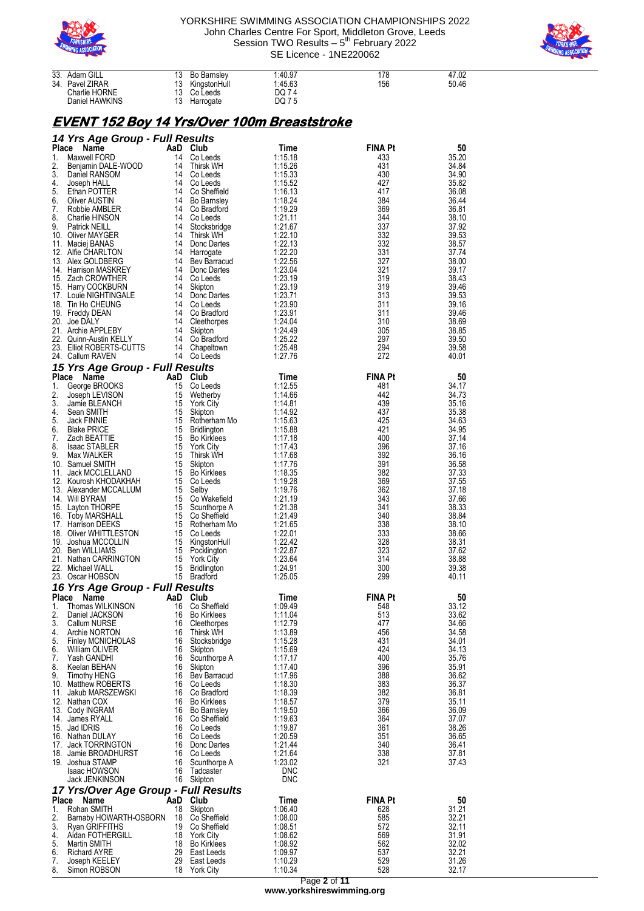



| <b>MING ROOVING</b>                                                       |                                                                              | SE Licence - 1NE220062               |                |                |
|---------------------------------------------------------------------------|------------------------------------------------------------------------------|--------------------------------------|----------------|----------------|
| 33.<br>Adam GILL<br>Pavel ZIRAR<br>34.<br>Charlie HORNE<br>Daniel HAWKINS | 13<br>Bo Barnsley<br>13<br>KingstonHull<br>13<br>Co Leeds<br>13<br>Harrogate | 1:40.97<br>1:45.63<br>DQ 74<br>DQ 75 | 178<br>156     | 47.02<br>50.46 |
| <u>EVENT 152 Boy 14 Yrs/Over 100m Breaststroke</u>                        |                                                                              |                                      |                |                |
| 14 Yrs Age Group - Full Results                                           |                                                                              |                                      |                |                |
| Place<br>Name                                                             | AaD Club                                                                     | Time                                 | <b>FINA Pt</b> | 50             |
| Maxwell FORD<br>1.                                                        | 14<br>Co Leeds                                                               | 1:15.18                              | 433            | 35.20          |
| 2.<br>Benjamin DALE-WOOD                                                  | 14<br><b>Thirsk WH</b>                                                       | 1:15.26                              | 431            | 34.84          |
| 3.<br>Daniel RANSOM                                                       | Co Leeds<br>14                                                               | 1:15.33                              | 430            | 34.90          |
| 4.<br>Joseph HALL                                                         | Co Leeds<br>14                                                               | 1:15.52                              | 427            | 35.82          |
| 5.<br>Ethan POTTER                                                        | Co Sheffield<br>14                                                           | 1:16.13                              | 417            | 36.08          |
| 6.<br><b>Oliver AUSTIN</b>                                                | 14<br><b>Bo Barnsley</b>                                                     | 1:18.24                              | 384            | 36.44          |
| 7.<br>Robbie AMBLER                                                       | 14<br>Co Bradford                                                            | 1:19.29                              | 369            | 36.81          |
| 8.<br>Charlie HINSON                                                      | 14<br>Co Leeds                                                               | 1:21.11                              | 344            | 38.10          |
| 9.<br><b>Patrick NEILL</b>                                                | 14<br>Stocksbridge                                                           | 1:21.67                              | 337            | 37.92          |
| 10.<br>Oliver MAYGER                                                      | 14<br><b>Thirsk WH</b>                                                       | 1:22.10                              | 332            | 39.53          |
| 11.<br>Maciej BANAS                                                       | 14<br>Donc Dartes                                                            | 1:22.13                              | 332            | 38.57          |
| 12.<br>Alfie CHARLTON                                                     | 14<br>Harrogate                                                              | 1:22.20                              | 331            | 37.74          |
| 13.<br>Alex GOLDBERG                                                      | 14<br>Bev Barracud                                                           | 1:22.56                              | 327            | 38.00          |
| <b>Harrison MASKREY</b><br>14.                                            | 14<br>Donc Dartes                                                            | 1:23.04                              | 321            | 39.17          |
| Zach CROWTHER<br>15.                                                      | 14<br>Co Leeds                                                               | 1:23.19                              | 319            | 38.43          |
| 15. Harry COCKBURN                                                        | Skipton<br>14                                                                | 1:23.19                              | 319            | 39.46          |
| 17. Louie NIGHTINGALE                                                     | 14<br>Donc Dartes                                                            | 1:23.71                              | 313            | 39.53          |
| 18.<br>Tin Ho CHEUNG                                                      | 14<br>Co Leeds                                                               | 1:23.90                              | 311            | 39.16          |
| 19.<br>Freddy DEAN                                                        | Co Bradford<br>14                                                            | 1:23.91                              | 311            | 39.46          |
| 20.<br>Joe DALY                                                           | 14<br>Cleethorpes                                                            | 1:24.04                              | 310            | 38.69          |
| <b>Archie APPLEBY</b><br>21.                                              | Skipton<br>14                                                                | 1:24.49                              | 305            | 38.85          |
| 22.<br>Quinn-Austin KELLY<br>00<br><b>FILLE DODEDTO OUTTO</b>             | 14<br>Co Bradford<br>Chandlim<br>4A                                          | 1:25.22<br>1.05.10                   | 297<br>001     | 39.50<br>on co |
|                                                                           |                                                                              |                                      |                |                |

|       | 23. Elliot ROBERTS-CUTTS<br>24. Callum RAVEN | 14       | Chapeltown<br>14 Co Leeds | 1:25.48<br>1:27.76 | 294<br>272     | 39.58<br>40.01 |
|-------|----------------------------------------------|----------|---------------------------|--------------------|----------------|----------------|
|       | 15 Yrs Age Group - Full Results              |          |                           |                    |                |                |
|       | Place Name                                   |          | AaD Club                  | Time               | <b>FINA Pt</b> | 50             |
| 1.    | George BROOKS                                | 15       | Co Leeds                  | 1:12.55            | 481            | 34.17          |
| 2.    | Joseph LEVISON                               | 15       | Wetherby                  | 1:14.66            | 442            | 34.73          |
| 3.    | Jamie BLEANCH                                | 15       | <b>York City</b>          | 1:14.81            | 439            | 35.16          |
| 4.    | Sean SMITH                                   | 15       | Skipton                   | 1:14.92            | 437            | 35.38          |
| 5.    | Jack FINNIE                                  | 15       | Rotherham Mo              | 1:15.63            | 425            | 34.63          |
| 6.    | <b>Blake PRICE</b>                           | 15       | Bridlington               | 1:15.88            | 421            | 34.95          |
| 7.    | Zach BEATTIE                                 | 15       | <b>Bo Kirklees</b>        | 1:17.18            | 400            | 37.14          |
| 8.    | <b>Isaac STABLER</b>                         | 15       | <b>York City</b>          | 1:17.43            | 396            | 37.16          |
| 9.    | Max WALKER                                   | 15       | <b>Thirsk WH</b>          | 1:17.68            | 392            | 36.16          |
|       | 10. Samuel SMITH                             | 15       | Skipton                   | 1:17.76            | 391            | 36.58          |
| 11.   | Jack MCCLELLAND                              | 15       | <b>Bo Kirklees</b>        | 1:18.35            | 382            | 37.33          |
|       | 12. Kourosh KHODAKHAH                        | 15       | Co Leeds                  | 1:19.28            | 369            | 37.55          |
|       | 13. Alexander MCCALLUM<br>14. Will BYRAM     | 15<br>15 | Selby<br>Co Wakefield     | 1:19.76<br>1:21.19 | 362<br>343     | 37.18<br>37.66 |
|       | 15. Layton THORPE                            | 15       | Scunthorpe A              | 1:21.38            | 341            | 38.33          |
|       | 16. Toby MARSHALL                            |          | 15 Co Sheffield           | 1:21.49            | 340            | 38.84          |
|       | 17. Harrison DEEKS                           | 15       | Rotherham Mo              | 1:21.65            | 338            | 38.10          |
|       | 18. Oliver WHITTLESTON                       | 15       | Co Leeds                  | 1:22.01            | 333            | 38.66          |
|       | 19. Joshua MCCOLLIN                          | 15       | KingstonHull              | 1:22.42            | 328            | 38.31          |
|       | 20. Ben WILLIAMS                             | 15       | Pocklington               | 1:22.87            | 323            | 37.62          |
|       | 21. Nathan CARRINGTON                        | 15       | <b>York City</b>          | 1:23.64            | 314            | 38.88          |
|       | 22. Michael WALL                             | 15       | <b>Bridlington</b>        | 1:24.91            | 300            | 39.38          |
|       | 23. Oscar HOBSON                             |          | 15 Bradford               | 1:25.05            | 299            | 40.11          |
|       | 16 Yrs Age Group - Full Results              |          |                           |                    |                |                |
| Place | Name                                         | AaD      | Club                      | Time               | <b>FINA Pt</b> | 50             |
| 1.    | Thomas WILKINSON                             | 16       | Co Sheffield              | 1:09.49            | 548            | 33.12          |
| 2.    | Daniel JACKSON                               | 16       | <b>Bo Kirklees</b>        | 1:11.04            | 513            | 33.62          |
| 3.    | Callum NURSE                                 | 16       | Cleethorpes               | 1:12.79            | 477            | 34.66          |
| 4.    | Archie NORTON                                | 16       | Thirsk WH                 | 1:13.89            | 456            | 34.58          |
| 5.    | <b>Finley MCNICHOLAS</b>                     | 16       | Stocksbridge              | 1:15.28            | 431            | 34.01          |
| 6.    | William OLIVER                               | 16       | Skipton                   | 1:15.69            | 424            | 34.13          |
| 7.    | Yash GANDHI                                  | 16       | Scunthorpe A              | 1:17.17            | 400            | 35.76          |
| 8.    | Keelan BEHAN                                 | 16       | Skipton                   | 1:17.40            | 396            | 35.91          |
| 9.    | <b>Timothy HENG</b>                          | 16       | Bev Barracud              | 1:17.96            | 388            | 36.62          |
|       | 10. Matthew ROBERTS                          | 16       | Co Leeds                  | 1:18.30            | 383            | 36.37          |
| 11.   | Jakub MARSZEWSKI                             | 16       | Co Bradford               | 1:18.39            | 382            | 36.81          |
|       | 12. Nathan COX                               | 16       | <b>Bo Kirklees</b>        | 1:18.57            | 379            | 35.11          |
|       | 13. Cody INGRAM                              | 16       | <b>Bo Barnsley</b>        | 1:19.50            | 366            | 36.09          |
| 15.   | 14. James RYALL                              | 16<br>16 | Co Sheffield              | 1:19.63            | 364<br>361     | 37.07          |
|       | Jad IDRIS<br>16. Nathan DULAY                | 16       | Co Leeds<br>Co Leeds      | 1:19.87<br>1:20.59 | 351            | 38.26<br>36.65 |
| 17.   | <b>Jack TORRINGTON</b>                       |          | 16 Donc Dartes            | 1:21.44            | 340            | 36.41          |
|       | 18. Jamie BROADHURST                         |          | 16 Co Leeds               | 1:21.64            | 338            | 37.81          |
|       | 19. Joshua STAMP                             | 16       | Scunthorpe A              | 1:23.02            | 321            | 37.43          |
|       | <b>Isaac HOWSON</b>                          | 16       | Tadcaster                 | <b>DNC</b>         |                |                |
|       | Jack JENKINSON                               |          | 16 Skipton                | <b>DNC</b>         |                |                |
|       | 17 Yrs/Over Age Group - Full Results         |          |                           |                    |                |                |
| Place | Name                                         | AaD      | Club                      | Time               | <b>FINA Pt</b> | 50             |
| 1.    | Rohan SMITH                                  | 18       | Skipton                   | 1:06.40            | 628            | 31.21          |
| 2.    | Barnaby HOWARTH-OSBORN                       | -18      | Co Sheffield              | 1:08.00            | 585            | 32.21          |
| 3.    | <b>Ryan GRIFFITHS</b>                        | 19       | Co Sheffield              | 1:08.51            | 572            | 32.11          |
| 4.    | Aidan FOTHERGILL                             | 18       | <b>York City</b>          | 1:08.62            | 569            | 31.91          |
| 5.    | Martin SMITH                                 | 18       | <b>Bo Kirklees</b>        | 1:08.92            | 562            | 32.02          |
| 6.    | <b>Richard AYRE</b>                          | 29       | East Leeds                | 1:09.97            | 537            | 32.21          |
|       | Joseph KEELEY                                | 29       | East Leeds                | 1:10.29            | 529            | 31.26          |

8. Simon ROBSON 18 York City 1:10.34 528 528 32.17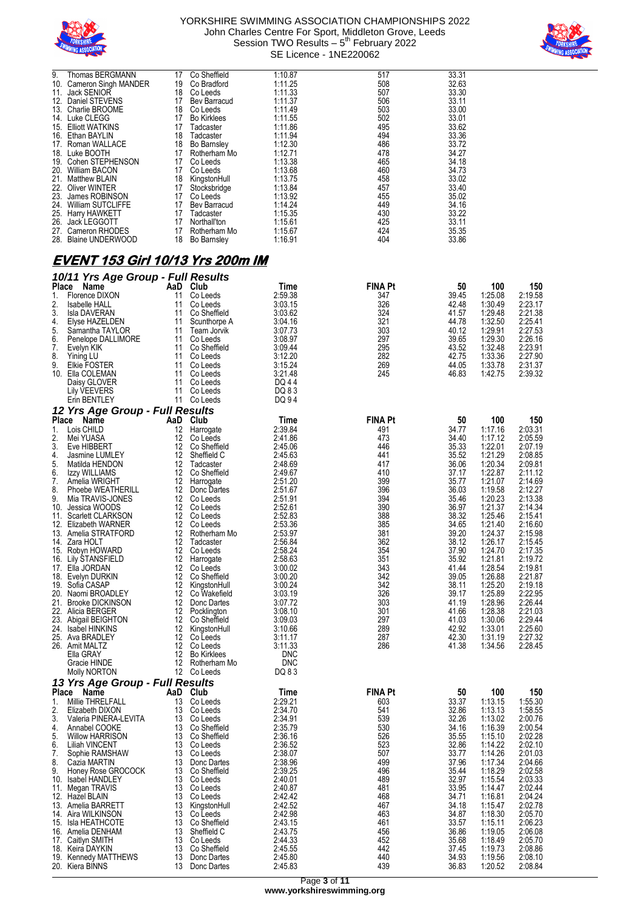



| 9.     | Thomas BERGMANN                         | 17 | Co Sheffield                                                 | 1:10.87 | 517            | 33.31 |         |         |
|--------|-----------------------------------------|----|--------------------------------------------------------------|---------|----------------|-------|---------|---------|
|        | 10. Cameron Singh MANDER                | 19 | Co Bradford                                                  | 1:11.25 | 508            | 32.63 |         |         |
|        | 11. Jack SENIOR                         |    | 18 Co Leeds                                                  | 1:11.33 | 507            | 33.30 |         |         |
|        | 12. Daniel STEVENS                      | 17 | Bev Barracud                                                 | 1:11.37 | 506            | 33.11 |         |         |
|        | 13. Charlie BROOME                      |    | 18 Co Leeds                                                  | 1:11.49 | 503            | 33.00 |         |         |
|        | 14. Luke CLEGG                          | 17 | <b>Bo Kirklees</b>                                           | 1:11.55 | 502            | 33.01 |         |         |
|        | 15. Elliott WATKINS                     | 17 | Tadcaster                                                    | 1:11.86 | 495            | 33.62 |         |         |
|        | 16. Ethan BAYLIN                        | 18 | Tadcaster                                                    | 1:11.94 | 494            | 33.36 |         |         |
|        | 17. Roman WALLACE                       | 18 | Bo Barnsley                                                  | 1:12.30 | 486            | 33.72 |         |         |
|        | 18. Luke BOOTH                          |    | 17 Rotherham Mo                                              | 1:12.71 | 478            | 34.27 |         |         |
|        | 19. Cohen STEPHENSON                    |    | 17 Co Leeds                                                  | 1:13.38 | 465            | 34.18 |         |         |
|        | 20. William BACON                       |    | 17 Co Leeds                                                  | 1:13.68 | 460            | 34.73 |         |         |
|        | 21. Matthew BLAIN                       | 18 | KingstonHull                                                 | 1:13.75 | 458            | 33.02 |         |         |
|        | 22. Oliver WINTER                       | 17 | Stocksbridge                                                 | 1:13.84 | 457            | 33.40 |         |         |
|        | 23. James ROBINSON                      | 17 | Co Leeds                                                     | 1:13.92 | 455            | 35.02 |         |         |
|        | 24. William SUTCLIFFE                   |    | 17 Bev Barracud                                              | 1:14.24 | 449            | 34.16 |         |         |
|        | 25. Harry HAWKETT                       |    | 17 Tadcaster                                                 | 1:15.35 | 430            | 33.22 |         |         |
|        | 26. Jack LEGGOTT                        | 17 | Northall'ton                                                 | 1:15.61 | 425            | 33.11 |         |         |
|        | 27. Cameron RHODES                      | 17 | Rotherham Mo                                                 | 1:15.67 | 424            | 35.35 |         |         |
|        | 28. Blaine UNDERWOOD                    | 18 | Bo Barnsley                                                  | 1:16.91 | 404            | 33.86 |         |         |
|        |                                         |    |                                                              |         |                |       |         |         |
|        | <b>EVENT 153 Girl 10/13 Yrs 200m IM</b> |    |                                                              |         |                |       |         |         |
|        |                                         |    |                                                              |         |                |       |         |         |
|        | 10/11 Yrs Age Group - Full Results      |    |                                                              |         |                |       |         |         |
|        | Place Name                              |    | AaD Club                                                     | Time    | <b>FINA Pt</b> | 50    | 100     | 150     |
| 1.     | Florence DIXON                          | 11 | Co Leeds                                                     | 2:59.38 | 347            | 39.45 | 1:25.08 | 2:19.58 |
| 2.     | <b>Isabelle HALL</b>                    | 11 | Co Leeds                                                     | 3:03.15 | 326            | 42.48 | 1:30.49 | 2:23.17 |
| 3.     | Isla DAVERAN                            | 11 | Co Sheffield                                                 | 3:03.62 | 324            | 41.57 | 1:29.48 | 2:21.38 |
| 4.     | Elyse HAZELDEN                          | 11 | Scunthorpe A                                                 | 3:04.16 | 321            | 44.78 | 1:32.50 | 2:25.41 |
| 5.     | Samantha TAYLOR                         | 11 | Team Jorvik                                                  | 3:07.73 | 303            | 40.12 | 1:29.91 | 2:27.53 |
| 6.     | Penelope DALLIMORE                      |    | 11 Co Leeds                                                  | 3:08.97 | 297            | 39.65 | 1:29.30 | 2:26.16 |
| 7.     | Evelyn KIK                              |    | 11 Co Sheffield                                              | 3:09.44 | 295            | 43.52 | 1:32.48 | 2:23.91 |
| 8.     | Yining LU                               | 11 | Co Leeds                                                     | 3:12.20 | 282            | 42.75 | 1:33.36 | 2:27.90 |
| $\sim$ | $F''$ Footen                            |    | $\overline{11}$ $\overline{2}$ $\overline{1}$ $\overline{1}$ | 0.1501  | 0.00           | 1107  | 1.0072  | 0.01.07 |

| ۰.,<br>Place<br>Name                            | AaD      | Club                              | Time               | <b>FINA Pt</b> | 50             | 100                | 150                |
|-------------------------------------------------|----------|-----------------------------------|--------------------|----------------|----------------|--------------------|--------------------|
| Florence DIXON<br>1.                            | 11       | Co Leeds                          | 2:59.38            | 347            | 39.45          | 1:25.08            | 2:19.58            |
| 2.<br><b>Isabelle HALL</b>                      | 11       | Co Leeds                          | 3:03.15            | 326            | 42.48          | 1:30.49            | 2:23.17            |
| 3.<br>Isla DAVERAN                              | 11       | Co Sheffield                      | 3:03.62            | 324            | 41.57          | 1:29.48            | 2:21.38            |
| Elyse HAZELDEN<br>4.<br>5.<br>Samantha TAYLOR   |          | 11 Scunthorpe A<br>11 Team Jorvik | 3:04.16<br>3:07.73 | 321<br>303     | 44.78<br>40.12 | 1:32.50<br>1:29.91 | 2:25.41<br>2:27.53 |
| 6.<br>Penelope DALLIMORE                        |          | 11 Co Leeds                       | 3:08.97            | 297            | 39.65          | 1:29.30            | 2:26.16            |
| 7.<br>Evelyn KIK                                |          | 11 Co Sheffield                   | 3:09.44            | 295            | 43.52          | 1:32.48            | 2:23.91            |
| 8.<br>Yining LU                                 |          | 11 Co Leeds                       | 3:12.20            | 282            | 42.75          | 1:33.36            | 2:27.90            |
| 9.<br><b>Elkie FOSTER</b>                       |          | 11 Co Leeds                       | 3:15.24            | 269            | 44.05          | 1:33.78            | 2:31.37            |
| 10. Ella COLEMAN                                |          | 11 Co Leeds                       | 3:21.48            | 245            | 46.83          | 1:42.75            | 2:39.32            |
| Daisy GLOVER<br><b>Lily VEEVERS</b>             |          | 11 Co Leeds<br>11 Co Leeds        | DQ 44<br>DQ 83     |                |                |                    |                    |
| Erin BENTLEY                                    |          | 11 Co Leeds                       | DQ 94              |                |                |                    |                    |
| 12 Yrs Age Group - Full Results                 |          |                                   |                    |                |                |                    |                    |
| Place Name                                      |          | AaD Club                          | Time               | <b>FINA Pt</b> | 50             | 100                | 150                |
| 1.<br>Lois CHILD                                |          | 12 Harrogate                      | 2:39.84            | 491            | 34.77          | 1:17.16            | 2:03.31            |
| 2.<br>Mei YUASA                                 |          | 12 Co Leeds                       | 2:41.86            | 473            | 34.40          | 1:17.12            | 2:05.59            |
| 3.<br>Eve HIBBERT<br>4.<br>Jasmine LUMLEY       |          | 12 Co Sheffield<br>12 Sheffield C | 2:45.06<br>2:45.63 | 446<br>441     | 35.33<br>35.52 | 1:22.01<br>1:21.29 | 2:07.19<br>2:08.85 |
| 5.<br>Matilda HENDON                            |          | 12 Tadcaster                      | 2:48.69            | 417            | 36.06          | 1:20.34            | 2:09.81            |
| 6.<br>Izzy WILLIAMS                             |          | 12 Co Sheffield                   | 2:49.67            | 410            | 37.17          | 1:22.87            | 2:11.12            |
| 7.<br>Amelia WRIGHT                             |          | 12 Harrogate                      | 2:51.20            | 399            | 35.77          | 1:21.07            | 2:14.69            |
| 8.<br>Phoebe WEATHERILL                         |          | 12 Donc Dartes                    | 2:51.67            | 396            | 36.03          | 1:19.58            | 2:12.27            |
| 9.<br>Mia TRAVIS-JONES                          |          | 12 Co Leeds                       | 2:51.91            | 394            | 35.46          | 1:20.23            | 2:13.38            |
| 10. Jessica WOODS<br>11. Scarlett CLARKSON      |          | 12 Co Leeds<br>12 Co Leeds        | 2:52.61<br>2:52.83 | 390<br>388     | 36.97<br>38.32 | 1:21.37<br>1:25.46 | 2:14.34<br>2:15.41 |
| 12. Elizabeth WARNER                            |          | 12 Co Leeds                       | 2:53.36            | 385            | 34.65          | 1:21.40            | 2:16.60            |
| 13. Amelia STRATFORD                            |          | 12 Rotherham Mo                   | 2:53.97            | 381            | 39.20          | 1:24.37            | 2:15.98            |
| 14. Zara HOLT                                   |          | 12 Tadcaster                      | 2:56.84            | 362            | 38.12          | 1:26.17            | 2:15.45            |
| 15. Robyn HOWARD                                |          | 12 Co Leeds                       | 2:58.24            | 354            | 37.90          | 1:24.70            | 2:17.35            |
| 16. Lily STANSFIELD                             |          | 12 Harrogate                      | 2:58.63            | 351            | 35.92          | 1:21.81            | 2:19.72            |
| 17. Ella JORDAN<br>18. Evelyn DURKIN            |          | 12 Co Leeds<br>12 Co Sheffield    | 3:00.02            | 343<br>342     | 41.44          | 1:28.54<br>1:26.88 | 2:19.81<br>2:21.87 |
| 19. Sofia CASAP                                 |          | 12 KingstonHull                   | 3:00.20<br>3:00.24 | 342            | 39.05<br>38.11 | 1:25.20            | 2:19.18            |
| 20.   Naomi BROADLEY                            |          | 12 Co Wakefield                   | 3:03.19            | 326            | 39.17          | 1:25.89            | 2:22.95            |
| 21. Brooke DICKINSON                            |          | 12 Donc Dartes                    | 3:07.72            | 303            | 41.19          | 1:28.96            | 2:26.44            |
| 22. Alicia BERGER                               |          | 12 Pocklington                    | 3:08.10            | 301            | 41.66          | 1:28.38            | 2:21.03            |
| 23. Abigail BEIGHTON                            |          | 12 Co Sheffield                   | 3:09.03            | 297            | 41.03          | 1:30.06            | 2:29.44            |
| 24. Isabel HINKINS                              |          | 12 KingstonHull                   | 3:10.66            | 289            | 42.92          | 1:33.01            | 2:25.60            |
| 25. Ava BRADLEY<br>26. Amit MALTZ               |          | 12 Co Leeds<br>12 Co Leeds        | 3:11.17<br>3:11.33 | 287<br>286     | 42.30<br>41.38 | 1:31.19<br>1:34.56 | 2:27.32<br>2:28.45 |
| Ella GRAY                                       |          | 12 Bo Kirklees                    | <b>DNC</b>         |                |                |                    |                    |
| Gracie HINDE                                    |          | 12 Rotherham Mo                   | <b>DNC</b>         |                |                |                    |                    |
| Molly NORTON                                    |          | 12 Co Leeds                       | DQ 83              |                |                |                    |                    |
| 13 Yrs Age Group - Full Results                 |          |                                   |                    |                |                |                    |                    |
| Place Name                                      |          | AaD Club                          | Time               | <b>FINA Pt</b> | 50             | 100                | 150                |
| Millie THRELFALL<br>1.<br>2.<br>Elizabeth DIXON |          | 13 Co Leeds<br>13 Co Leeds        | 2:29.21<br>2:34.70 | 603<br>541     | 33.37          | 1:13.15<br>1:13.13 | 1:55.30<br>1:58.55 |
| 3.<br>Valeria PINERA-LEVITA                     |          | 13 Co Leeds                       | 2:34.91            | 539            | 32.86<br>32.26 | 1:13.02            | 2:00.76            |
| 4.<br>Annabel COOKE                             |          | 13 Co Sheffield                   | 2:35.79            | 530            | 34.16          | 1:16.39            | 2:00.54            |
| <b>Willow HARRISON</b><br>5.                    |          | 13 Co Sheffield                   | 2:36.16            | 526            | 35.55          | 1:15.10            | 2:02.28            |
| 6.<br>Liliah VINCENT                            |          | 13 Co Leeds                       | 2:36.52            | 523            | 32.86          | 1:14.22            | 2:02.10            |
| 7.<br>Sophie RAMSHAW                            |          | 13 Co Leeds                       | 2:38.07            | 507            | 33.77          | 1:14.26            | 2:01.03            |
| 8.<br>Cazia MARTIN<br>Honey Rose GROCOCK<br>9.  | 13       | 13 Donc Dartes<br>Co Sheffield    | 2:38.96<br>2:39.25 | 499<br>496     | 37.96<br>35.44 | 1:17.34<br>1:18.29 | 2:04.66<br>2:02.58 |
| 10. Isabel HANDLEY                              | 13       | Co Leeds                          | 2:40.01            | 489            | 32.97          | 1:15.54            | 2:03.33            |
| 11. Megan TRAVIS                                | 13       | Co Leeds                          | 2:40.87            | 481            | 33.95          | 1:14.47            | 2:02.44            |
| 12. Hazel BLAIN                                 | 13       | Co Leeds                          | 2:42.42            | 468            | 34.71          | 1:16.81            | 2:04.24            |
| 13. Amelia BARRETT                              | 13       | KingstonHull                      | 2:42.52            | 467            | 34.18          | 1:15.47            | 2:02.78            |
| 14. Aira WILKINSON                              | 13       | Co Leeds                          | 2:42.98            | 463            | 34.87          | 1:18.30            | 2:05.70            |
| 15. Isla HEATHCOTE                              | 13       | Co Sheffield                      | 2:43.15<br>2:43.75 | 461<br>456     | 33.57<br>36.86 | 1:15.11<br>1:19.05 | 2:06.23<br>2:06.08 |
| 16. Amelia DENHAM<br>17. Caitlyn SMITH          | 13<br>13 | Sheffield C<br>Co Leeds           | 2:44.33            | 452            | 35.68          | 1:18.49            | 2:05.70            |
| 18. Keira DAYKIN                                | 13       | Co Sheffield                      | 2:45.55            | 442            | 37.45          | 1:19.73            | 2:08.86            |
| 19. Kennedy MATTHEWS                            | 13       | Donc Dartes                       | 2:45.80            | 440            | 34.93          | 1:19.56            | 2:08.10            |
| 20. Kiera BINNS                                 | 13       | Donc Dartes                       | 2:45.83            | 439            | 36.83          | 1:20.52            | 2:08.84            |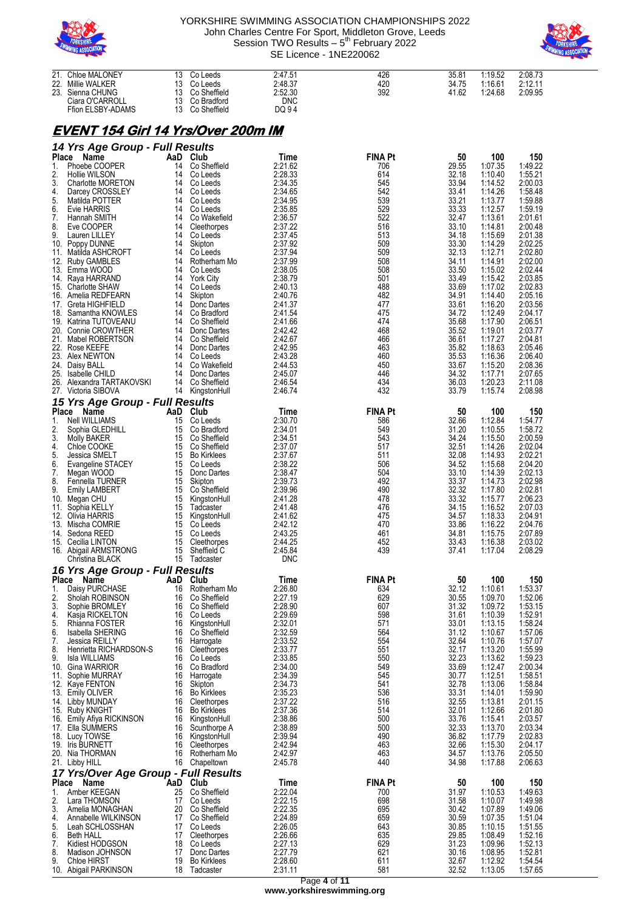



| 21.<br>22.     | Chloe MALONEY<br>Millie WALKER                     | 13<br>13       | Co Leeds<br>Co Leeds               | 2:47.51<br>2:48.37    | 426<br>420            | 35.81<br>34.75 | 1:19.52<br>1:16.61 | 2:08.73<br>2:12.11 |
|----------------|----------------------------------------------------|----------------|------------------------------------|-----------------------|-----------------------|----------------|--------------------|--------------------|
|                | 23. Sienna CHUNG                                   | 13             | Co Sheffield                       | 2:52.30               | 392                   | 41.62          | 1:24.68            | 2:09.95            |
|                | Ciara O'CARROLL<br>Ffion ELSBY-ADAMS               | 13<br>13       | Co Bradford<br>Co Sheffield        | <b>DNC</b><br>DQ 94   |                       |                |                    |                    |
|                | EVENT 154 Girl 14 Yrs/Over 200m IM                 |                |                                    |                       |                       |                |                    |                    |
|                | 14 Yrs Age Group - Full Results                    |                |                                    |                       |                       |                |                    |                    |
|                | Place Name                                         | AaD Club       |                                    | Time                  | <b>FINA Pt</b>        | 50             | 100                | 150                |
| 1.<br>2.       | Phoebe COOPER<br><b>Hollie WILSON</b>              | 14<br>14       | Co Sheffield<br>Co Leeds           | 2:21.62<br>2:28.33    | 706<br>614            | 29.55<br>32.18 | 1:07.35<br>1:10.40 | 1:49.22<br>1:55.21 |
| 3.<br>4.       | Charlotte MORETON<br>Darcey CROSSLEY               | 14<br>14       | Co Leeds<br>Co Leeds               | 2:34.35<br>2:34.65    | 545<br>542            | 33.94<br>33.41 | 1:14.52<br>1:14.26 | 2:00.03<br>1:58.48 |
| 5.             | Matilda POTTER                                     | 14             | Co Leeds                           | 2:34.95               | 539<br>529            | 33.21<br>33.33 | 1:13.77<br>1:12.57 | 1:59.88            |
| 6.<br>7.       | Evie HARRIS<br>Hannah SMITH                        | 14<br>14       | Co Leeds<br>Co Wakefield           | 2:35.85<br>2:36.57    | 522                   | 32.47          | 1:13.61            | 1:59.19<br>2:01.61 |
| 8.<br>9.       | Eve COOPER<br>Lauren LILLEY                        | 14<br>14       | Cleethorpes<br>Co Leeds            | 2:37.22<br>2:37.45    | 516<br>513            | 33.10<br>34.18 | 1:14.81<br>1:15.69 | 2:00.48<br>2:01.38 |
| 10.            | Poppy DUNNE                                        | 14<br>14       | Skipton                            | 2:37.92<br>2:37.94    | 509<br>509            | 33.30<br>32.13 | 1:14.29<br>1:12.71 | 2:02.25<br>2:02.80 |
| 11.<br>12.     | Matilda ASHCROFT<br>Ruby GAMBLES                   | 14             | Co Leeds<br>Rotherham Mo           | 2:37.99               | 508                   | 34.11          | 1:14.91            | 2:02.00            |
| 13.<br>14.     | Emma WOOD<br>Raya HARRAND                          | 14<br>14       | Co Leeds<br><b>York City</b>       | 2:38.05<br>2:38.79    | 508<br>501            | 33.50<br>33.49 | 1:15.02<br>1:15.42 | 2:02.44<br>2:03.85 |
| 15.<br>16.     | Charlotte SHAW<br>Amelia REDFEARN                  | 14<br>14       | Co Leeds<br>Skipton                | 2:40.13<br>2:40.76    | 488<br>482            | 33.69<br>34.91 | 1:17.02<br>1:14.40 | 2:02.83<br>2:05.16 |
| 17.            | Greta HIGHFIELD                                    | 14             | Donc Dartes                        | 2:41.37               | 477                   | 33.61          | 1:16.20            | 2:03.56            |
| 18.<br>19.     | Samantha KNOWLES<br>Katrina TUTOVEANU              | 14<br>14       | Co Bradford<br>Co Sheffield        | 2:41.54<br>2:41.66    | 475<br>474            | 34.72<br>35.68 | 1:12.49<br>1:17.90 | 2:04.17<br>2:06.51 |
| 20.<br>21.     | Connie CROWTHER<br>Mabel ROBERTSON                 | 14<br>14       | Donc Dartes<br>Co Sheffield        | 2:42.42<br>2:42.67    | 468<br>466            | 35.52<br>36.61 | 1:19.01<br>1:17.27 | 2:03.77<br>2:04.81 |
| 22.            | Rose KEEFE                                         | 14             | Donc Dartes                        | 2:42.95               | 463                   | 35.82          | 1:18.63            | 2:05.46            |
| 23.<br>24.     | Alex NEWTON<br>Daisy BALL                          | 14<br>14       | Co Leeds<br>Co Wakefield           | 2:43.28<br>2:44.53    | 460<br>450            | 35.53<br>33.67 | 1:16.36<br>1:15.20 | 2:06.40<br>2:08.36 |
| 25.<br>26.     | Isabelle CHILD<br>Alexandra TARTAKOVSKI            | 14<br>14       | Donc Dartes<br>Co Sheffield        | 2:45.07<br>2:46.54    | 446<br>434            | 34.32<br>36.03 | 1:17.71<br>1:20.23 | 2:07.65<br>2:11.08 |
|                | 27. Victoria SIBOVA                                | 14             | KingstonHull                       | 2:46.74               | 432                   | 33.79          | 1:15.74            | 2:08.98            |
|                | 15 Yrs Age Group - Full Results<br>Place Name      | AaD            | Club                               | Time                  | <b>FINA Pt</b>        | 50             | 100                | 150                |
| 1.             | <b>Nell WILLIAMS</b>                               | 15<br>15       | Co Leeds                           | 2:30.70<br>2:34.01    | 586<br>549            | 32.66<br>31.20 | 1:12.84            | 1:54.77            |
| 2.<br>3.       | Sophia GLEDHILL<br>Molly BAKER                     | 15             | Co Bradford<br>Co Sheffield        | 2:34.51               | 543                   | 34.24          | 1:10.55<br>1:15.50 | 1:58.72<br>2:00.59 |
| 4.<br>5.       | Chloe COOKE<br>Jessica SMELT                       | 15<br>15       | Co Sheffield<br><b>Bo Kirklees</b> | 2:37.07<br>2:37.67    | 517<br>511            | 32.51<br>32.08 | 1:14.26<br>1:14.93 | 2:02.04<br>2:02.21 |
| 6.             | Evangeline STACEY                                  |                | 15 Co Leeds                        | 2:38.22               | 506                   | 34.52          | 1:15.68            | 2:04.20            |
| 7.<br>8.       | Megan WOOD<br>Fennella TURNER                      | 15<br>15       | Donc Dartes<br>Skipton             | 2:38.47<br>2:39.73    | 504<br>492            | 33.10<br>33.37 | 1:14.39<br>1:14.73 | 2:02.13<br>2:02.98 |
| 9.<br>10.      | <b>Emily LAMBERT</b><br>Megan CHU                  | 15<br>15       | Co Sheffield<br>KingstonHull       | 2:39.96<br>2:41.28    | 490<br>478            | 32.32<br>33.32 | 1:17.80<br>1:15.77 | 2:02.81<br>2:06.23 |
| 11.            | Sophia KELLY                                       | 15<br>15       | Tadcaster                          | 2:41.48               | 476<br>475            | 34.15          | 1:16.52            | 2:07.03            |
| 12.<br>13.     | Olivia HARRIS<br>Mischa COMRIE                     | 15             | KingstonHull<br>Co Leeds           | 2:41.62<br>2:42.12    | 470                   | 34.57<br>33.86 | 1:18.33<br>1:16.22 | 2:04.91<br>2:04.76 |
| 14.<br>15.     | Sedona REED<br>Cecilia LINTON                      | 15<br>15       | Co Leeds<br>Cleethorpes            | 2:43.25<br>2:44.25    | 461<br>452            | 34.81<br>33.43 | 1:15.75<br>1:16.38 | 2:07.89<br>2:03.02 |
|                | 16. Abigail ARMSTRONG<br>Christina BLACK           | 15             | Shemeld C<br>15 Tadcaster          | 2:45.84<br><b>DNC</b> | 439                   | 37.41          | 1:17.04            | 2:08.29            |
|                | 16 Yrs Age Group - Full Results                    |                |                                    |                       |                       |                |                    |                    |
| Place<br>1.    | Name<br>Daisy PURCHASE                             | AaD Club<br>16 | Rotherham Mo                       | Time<br>2:26.80       | <b>FINA Pt</b><br>634 | 50<br>32.12    | 100<br>1:10.61     | 150<br>1:53.37     |
| 2.<br>3.       | Sholah ROBINSON<br>Sophie BROMLEY                  | 16<br>16       | Co Sheffield<br>Co Sheffield       | 2:27.19<br>2:28.90    | 629<br>607            | 30.55<br>31.32 | 1:09.70<br>1:09.72 | 1:52.06<br>1:53.15 |
| 4.             | Kasja RICKELTON                                    | 16             | Co Leeds                           | 2:29.69               | 598                   | 31.61          | 1:10.39            | 1:52.91            |
| 5.<br>6.       | Rhianna FOSTER<br>Isabella SHERING                 | 16<br>16       | KingstonHull<br>Co Sheffield       | 2:32.01<br>2:32.59    | 571<br>564            | 33.01<br>31.12 | 1:13.15<br>1:10.67 | 1:58.24<br>1:57.06 |
| 7.<br>8.       | Jessica REILLY<br>Henrietta RICHARDSON-S           | 16<br>16       | Harrogate<br>Cleethorpes           | 2:33.52<br>2:33.77    | 554<br>551            | 32.64<br>32.17 | 1:10.76<br>1:13.20 | 1:57.07<br>1:55.99 |
| 9.             | Isla WILLIAMS                                      | 16             | Co Leeds                           | 2:33.85               | 550                   | 32.23          | 1:13.62            | 1:59.23            |
| 10.<br>11.     | Gina WARRIOR<br>Sophie MURRAY                      | 16<br>16       | Co Bradford<br>Harrogate           | 2:34.00<br>2:34.39    | 549<br>545            | 33.69<br>30.77 | 1:12.47<br>1:12.51 | 2:00.34<br>1:58.51 |
| 12.<br>13.     | Kaye FENTON<br>Emily OLIVER                        | 16<br>16       | Skipton<br><b>Bo Kirklees</b>      | 2:34.73<br>2:35.23    | 541<br>536            | 32.78<br>33.31 | 1:13.06<br>1:14.01 | 1:58.84<br>1:59.90 |
|                | 14. Libby MUNDAY                                   | 16             | Cleethorpes                        | 2:37.22               | 516                   | 32.55          | 1:13.81            | 2:01.15            |
| 16.            | 15. Ruby KNIGHT<br>Emily Afiya RICKINSON           | 16<br>16       | <b>Bo Kirklees</b><br>KingstonHull | 2:37.36<br>2:38.86    | 514<br>500            | 32.01<br>33.76 | 1:12.66<br>1:15.41 | 2:01.80<br>2:03.57 |
|                | 17. Ella SUMMERS<br>18. Lucy TOWSE                 | 16<br>16       | Scunthorpe A<br>KingstonHull       | 2:38.89<br>2:39.94    | 500<br>490            | 32.33<br>36.82 | 1:13.70<br>1:17.79 | 2:03.34<br>2:02.83 |
| 19.            | <b>Iris BURNETT</b><br>20. Nia THORMAN             | 16<br>16       | Cleethorpes<br>Rotherham Mo        | 2:42.94<br>2:42.97    | 463<br>463            | 32.66          | 1:15.30<br>1:13.76 | 2:04.17<br>2:05.50 |
| 21. Libby HILL |                                                    | 16             | Chapeltown                         | 2:45.78               | 440                   | 34.57<br>34.98 | 1:17.88            | 2:06.63            |
|                | 17 Yrs/Over Age Group - Full Results<br>Place Name | AaD Club       |                                    | Time                  | <b>FINA Pt</b>        | 50             | 100                | 150                |
| 1.             | Amber KEEGAN                                       | 25<br>17       | Co Sheffield                       | 2:22.04               | 700                   | 31.97          | 1:10.53            | 1:49.63            |
| 2.<br>3.       | Lara THOMSON<br>Amelia MONAGHAN                    | 20             | Co Leeds<br>Co Sheffield           | 2:22.15<br>2:22.35    | 698<br>695            | 31.58<br>30.42 | 1:10.07<br>1:07.89 | 1:49.98<br>1:49.06 |
| 4.<br>5.       | Annabelle WILKINSON<br>Leah SCHLOSSHAN             | 17<br>17       | Co Sheffield<br>Co Leeds           | 2:24.89<br>2:26.05    | 659<br>643            | 30.59<br>30.85 | 1:07.35<br>1:10.15 | 1:51.04<br>1:51.55 |
| 6.             | <b>Beth HALL</b>                                   | 17             | Cleethorpes                        | 2:26.66               | 635<br>629            | 29.85<br>31.23 | 1:08.49            | 1:52.16            |
| 7.<br>8.       | Kidiest HODGSON<br>Madison JOHNSON                 | 18<br>17       | Co Leeds<br>Donc Dartes            | 2:27.13<br>2:27.79    | 621                   | 30.16          | 1:09.96<br>1:08.95 | 1:52.13<br>1:52.81 |
| 9.             | Chloe HIRST<br>10. Abigail PARKINSON               | 19             | <b>Bo Kirklees</b><br>18 Tadcaster | 2:28.60<br>2:31.11    | 611<br>581            | 32.67<br>32.52 | 1:12.92<br>1:13.05 | 1:54.54<br>1:57.65 |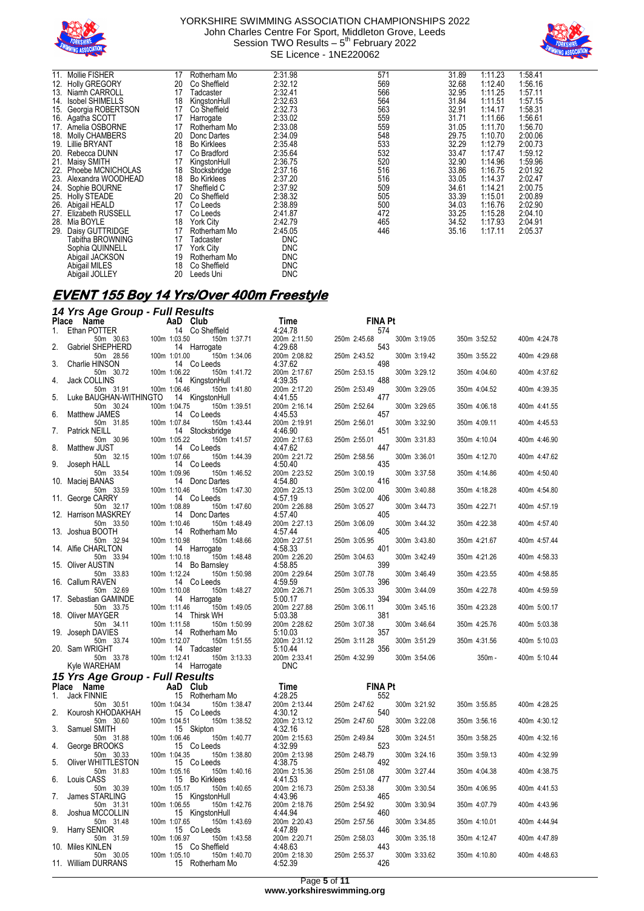



| 11. | Mollie FISHER                      | 17       | Rotherham Mo                     | 2:31.98            | 571        | 31.89          | 1:11.23            | 1:58.41            |
|-----|------------------------------------|----------|----------------------------------|--------------------|------------|----------------|--------------------|--------------------|
| 12. | <b>Holly GREGORY</b>               | 20       | Co Sheffield                     | 2:32.12            | 569        | 32.68          | 1:12.40            | 1:56.16            |
| 13. | Niamh CARROLL                      | 17       | Tadcaster                        | 2:32.41            | 566        | 32.95          | 1:11.25            | 1:57.11            |
| 14. | <b>Isobel SHIMELLS</b>             | 18       | KingstonHull                     | 2:32.63            | 564        | 31.84          | 1:11.51            | 1:57.15            |
| 15. | Georgia ROBERTSON                  | 17       | Co Sheffield                     | 2:32.73            | 563        | 32.91          | 1:14.17            | 1:58.31            |
|     | 16. Agatha SCOTT                   | 17       | Harrogate                        | 2:33.02            | 559        | 31.71          | 1:11.66            | 1:56.61            |
|     | 17. Amelia OSBORNE                 | 17       | Rotherham Mo                     | 2:33.08            | 559        | 31.05          | 1:11.70            | 1:56.70            |
| 18. | Molly CHAMBERS                     | 20       | Donc Dartes                      | 2:34.09            | 548        | 29.75          | 1:10.70            | 2:00.06            |
| 19. | Lillie BRYANT                      | 18       | <b>Bo Kirklees</b>               | 2:35.48            | 533        | 32.29          | 1:12.79            | 2:00.73            |
|     | 20. Rebecca DUNN                   | 17       | Co Bradford                      | 2:35.64            | 532        | 33.47          | 1:17.47            | 1:59.12            |
| 21. | Maisy SMITH                        | 17       | KingstonHull                     | 2:36.75            | 520        | 32.90          | 1:14.96            | 1:59.96            |
|     | 22. Phoebe MCNICHOLAS              | 18       | Stocksbridge                     | 2:37.16            | 516        | 33.86          | 1:16.75            | 2:01.92            |
|     | 23. Alexandra WOODHEAD             | 18       | <b>Bo Kirklees</b>               | 2:37.20            | 516        | 33.05          | 1:14.37            | 2:02.47            |
| 24. | Sophie BOURNE                      | 17       | Sheffield C                      | 2:37.92            | 509        | 34.61          | 1:14.21            | 2:00.75            |
|     | 25. Holly STEADE                   | 20       | Co Sheffield                     | 2:38.32            | 505        | 33.39          | 1:15.01            | 2:00.89            |
| 26. | Abigail HEALD                      | 17<br>17 | Co Leeds                         | 2:38.89            | 500        | 34.03          | 1:16.76            | 2:02.90            |
| 28. | 27. Elizabeth RUSSELL<br>Mia BOYLE | 18       | Co Leeds                         | 2:41.87<br>2:42.79 | 472<br>465 | 33.25<br>34.52 | 1:15.28            | 2:04.10            |
| 29. | Daisy GUTTRIDGE                    | 17       | <b>York City</b><br>Rotherham Mo | 2:45.05            | 446        | 35.16          | 1:17.93<br>1:17.11 | 2:04.91<br>2:05.37 |
|     | Tabiṫha BROWNING                   | 17       | Tadcaster                        | <b>DNC</b>         |            |                |                    |                    |
|     | Sophia QUINNELL                    | 17       | York City                        | <b>DNC</b>         |            |                |                    |                    |
|     | Abigail JACKSON                    | 19       | Rotherham Mo                     | <b>DNC</b>         |            |                |                    |                    |
|     | Abigail MILES                      | 18       | Co Sheffield                     | <b>DNC</b>         |            |                |                    |                    |
|     | Abigail JOLLEY                     | 20       | Leeds Uni                        | <b>DNC</b>         |            |                |                    |                    |
|     |                                    |          |                                  |                    |            |                |                    |                    |

# **EVENT 155 Boy 14 Yrs/Over 400m Freestyle**

### *14 Yrs Age Group - Full Results*

| Place | Name                                 | AaD          | Club                            | Time                       | <b>FINA Pt</b>      |              |              |              |
|-------|--------------------------------------|--------------|---------------------------------|----------------------------|---------------------|--------------|--------------|--------------|
| 1.    | Ethan POTTER                         |              | 14 Co Sheffield                 | 4:24.78                    | 574                 |              |              |              |
| 2.    | 50m 30.63<br><b>Gabriel SHEPHERD</b> | 100m 1:03.50 | 150m 1:37.71                    | 200m 2:11.50<br>4:29.68    | 250m 2:45.68<br>543 | 300m 3:19.05 | 350m 3:52.52 | 400m 4:24.78 |
|       | 50m 28.56                            | 100m 1:01.00 | 14 Harrogate<br>150m 1:34.06    | 200m 2:08.82               | 250m 2:43.52        | 300m 3:19.42 | 350m 3:55.22 | 400m 4:29.68 |
| 3.    | Charlie HINSON                       |              | 14 Co Leeds                     | 4:37.62                    | 498                 |              |              |              |
|       | 50m 30.72                            | 100m 1:06.22 | 150m 1:41.72                    | 200m 2:17.67               | 250m 2:53.15        | 300m 3:29.12 | 350m 4:04.60 | 400m 4:37.62 |
| 4.    | Jack COLLINS<br>50m 31.91            | 100m 1:06.46 | 14 KingstonHull                 | 4:39.35<br>200m 2:17.20    | 488<br>250m 2:53.49 | 300m 3:29.05 | 350m 4:04.52 | 400m 4:39.35 |
| 5.    | Luke BAUGHAN-WITHINGTO               |              | 150m 1:41.80<br>14 KingstonHull | 4:41.55                    | 477                 |              |              |              |
|       | 50m 30.24                            | 100m 1:04.75 | 150m 1:39.51                    | 200m 2:16.14               | 250m 2:52.64        | 300m 3:29.65 | 350m 4:06.18 | 400m 4:41.55 |
| 6.    | Matthew JAMES                        |              | 14 Co Leeds                     | 4:45.53                    | 457                 |              |              |              |
| 7.    | 50m 31.85<br>Patrick NEILL           | 100m 1:07.84 | 150m 1:43.44<br>14 Stocksbridge | 200m 2:19.91<br>4:46.90    | 250m 2:56.01<br>451 | 300m 3:32.90 | 350m 4:09.11 | 400m 4:45.53 |
|       | 50m 30.96                            | 100m 1:05.22 | 150m 1:41.57                    | 200m 2:17.63               | 250m 2:55.01        | 300m 3:31.83 | 350m 4:10.04 | 400m 4:46.90 |
| 8.    | Matthew JUST                         |              | 14 Co Leeds                     | 4:47.62                    | 447                 |              |              |              |
| 9.    | 50m 32.15<br>Joseph HALL             | 100m 1:07.66 | 150m 1:44.39<br>14 Co Leeds     | 200m 2:21.72<br>4:50.40    | 250m 2:58.56<br>435 | 300m 3:36.01 | 350m 4:12.70 | 400m 4:47.62 |
|       | 50m 33.54                            | 100m 1:09.96 | 150m 1:46.52                    | 200m 2:23.52               | 250m 3:00.19        | 300m 3:37.58 | 350m 4:14.86 | 400m 4:50.40 |
|       | 10. Maciej BANAS                     |              | 14 Donc Dartes                  | 4:54.80                    | 416                 |              |              |              |
|       | 50m 33.59<br>11. George CARRY        | 100m 1:10.46 | 150m 1:47.30<br>14 Co Leeds     | 200m 2:25.13<br>4:57.19    | 250m 3:02.00<br>406 | 300m 3:40.88 | 350m 4:18.28 | 400m 4:54.80 |
|       | 50m 32.17                            | 100m 1:08.89 | 150m 1:47.60                    | 200m 2:26.88               | 250m 3:05.27        | 300m 3:44.73 | 350m 4:22.71 | 400m 4:57.19 |
|       | 12. Harrison MASKREY                 |              | 14 Donc Dartes                  | 4:57.40                    | 405                 |              |              |              |
|       | 50m 33.50<br>13. Joshua BOOTH        | 100m 1:10.46 | 150m 1:48.49<br>14 Rotherham Mo | 200m 2:27.13<br>4:57.44    | 250m 3:06.09<br>405 | 300m 3:44.32 | 350m 4:22.38 | 400m 4:57.40 |
|       | 50m 32.94                            | 100m 1:10.98 | 150m 1:48.66                    | 200m 2:27.51               | 250m 3:05.95        | 300m 3:43.80 | 350m 4:21.67 | 400m 4:57.44 |
|       | 14. Alfie CHARLTON                   |              | 14 Harrogate                    | 4:58.33                    | 401                 |              |              |              |
|       | 50m 33.94<br>15. Oliver AUSTIN       | 100m 1:10.18 | 150m 1:48.48<br>14 Bo Barnsley  | 200m 2:26.20<br>4:58.85    | 250m 3:04.63<br>399 | 300m 3:42.49 | 350m 4:21.26 | 400m 4:58.33 |
|       | 50m 33.83                            | 100m 1:12.24 | 150m 1:50.98                    | 200m 2:29.64               | 250m 3:07.78        | 300m 3:46.49 | 350m 4:23.55 | 400m 4:58.85 |
|       | 16. Callum RAVEN                     |              | 14 Co Leeds                     | 4:59.59                    | 396                 |              |              |              |
|       | 50m 32.69<br>17. Sebastian GAMINDE   | 100m 1:10.08 | 150m 1:48.27<br>14 Harrogate    | 200m 2:26.71<br>5:00.17    | 250m 3:05.33<br>394 | 300m 3:44.09 | 350m 4:22.78 | 400m 4:59.59 |
|       | 50m 33.75                            | 100m 1:11.46 | 150m 1:49.05                    | 200m 2:27.88               | 250m 3:06.11        | 300m 3:45.16 | 350m 4:23.28 | 400m 5:00.17 |
|       | 18. Oliver MAYGER                    |              | 14 Thirsk WH                    | 5:03.38                    | 381                 |              |              |              |
|       | 50m 34.11<br>19. Joseph DAVIES       | 100m 1:11.58 | 150m 1:50.99<br>14 Rotherham Mo | 200m 2:28.62<br>5:10.03    | 250m 3:07.38<br>357 | 300m 3:46.64 | 350m 4:25.76 | 400m 5:03.38 |
|       | 50m 33.74                            | 100m 1:12.07 | 150m 1:51.55                    | 200m 2:31.12               | 250m 3:11.28        | 300m 3:51.29 | 350m 4:31.56 | 400m 5:10.03 |
|       | 20. Sam WRIGHT                       |              | 14 Tadcaster                    | 5:10.44                    | 356                 |              |              |              |
|       | 50m 33.78<br>Kyle WAREHAM            | 100m 1:12.41 | 150m 3:13.33<br>14 Harrogate    | 200m 2:33.41<br><b>DNC</b> | 250m 4:32.99        | 300m 3:54.06 | $350m -$     | 400m 5:10.44 |
|       | 15 Yrs Age Group - Full Results      |              |                                 |                            |                     |              |              |              |
|       | Place Name                           | AaD Club     |                                 | Time                       | <b>FINA Pt</b>      |              |              |              |
| 1.    | Jack FINNIE                          |              | 15 Rotherham Mo                 | 4:28.25                    | 552                 |              |              |              |
|       | 50m 30.51                            | 100m 1:04.34 | 150m 1:38.47                    | 200m 2:13.44               | 250m 2:47.62        | 300m 3:21.92 | 350m 3:55.85 | 400m 4:28.25 |
| 2.    | Kourosh KHODAKHAH<br>50m 30.60       | 100m 1:04.51 | 15 Co Leeds<br>150m 1:38.52     | 4:30.12<br>200m 2:13.12    | 540<br>250m 2:47.60 | 300m 3:22.08 | 350m 3:56.16 | 400m 4:30.12 |
| 3.    | Samuel SMITH                         |              | 15 Skipton                      | 4:32.16                    | 528                 |              |              |              |
|       | 50m 31.88                            | 100m 1:06.46 | 150m 1:40.77                    | 200m 2:15.63               | 250m 2:49.84        | 300m 3:24.51 | 350m 3:58.25 | 400m 4:32.16 |
| 4.    | George BROOKS<br>50m 30.33           | 100m 1:04.35 | 15 Co Leeds<br>150m 1:38.80     | 4:32.99<br>200m 2:13.98    | 523<br>250m 2:48.79 | 300m 3:24.16 | 350m 3:59.13 | 400m 4:32.99 |
| 5.    | Oliver WHITTLESTON                   |              | 15 Co Leeds                     | 4:38.75                    | 492                 |              |              |              |
| 6.    | 50m 31.83<br>Louis CASS              | 100m 1:05.16 | 150m 1:40.16<br>15 Bo Kirklees  | 200m 2:15.36<br>4:41.53    | 250m 2:51.08<br>477 | 300m 3:27.44 | 350m 4:04.38 | 400m 4:38.75 |
|       | 50m 30.39                            | 100m 1:05.17 | 150m 1:40.65                    | 200m 2:16.73               | 250m 2:53.38        | 300m 3:30.54 | 350m 4:06.95 | 400m 4:41.53 |
| 7.    | James STARLING                       |              | 15 KingstonHull                 | 4:43.96                    | 465                 |              |              |              |
| 8.    | 50m 31.31<br>Joshua MCCOLLIN         | 100m 1:06.55 | 150m 1:42.76<br>15 KingstonHull | 200m 2:18.76<br>4:44.94    | 250m 2:54.92<br>460 | 300m 3:30.94 | 350m 4:07.79 | 400m 4:43.96 |
|       | 50m 31.48                            | 100m 1:07.65 | 150m 1:43.69                    | 200m 2:20.43               | 250m 2:57.56        | 300m 3:34.85 | 350m 4:10.01 | 400m 4:44.94 |
| 9.    | Harry SENIOR                         |              | 15 Co Leeds                     | 4:47.89                    | 446                 |              |              |              |
| 10.   | 50m 31.59<br>Miles KINLEN            | 100m 1:06.97 | 150m 1:43.58<br>15 Co Sheffield | 200m 2:20.71<br>4:48.63    | 250m 2:58.03<br>443 | 300m 3:35.18 | 350m 4:12.47 | 400m 4:47.89 |
|       | 50m 30.05                            | 100m 1:05.10 | 150m 1:40.70                    | 200m 2:18.30               | 250m 2:55.37        | 300m 3:33.62 | 350m 4:10.80 | 400m 4:48.63 |
|       | 11. William DURRANS                  |              | 15 Rotherham Mo                 | 4:52.39                    | 426                 |              |              |              |
|       |                                      |              |                                 |                            |                     |              |              |              |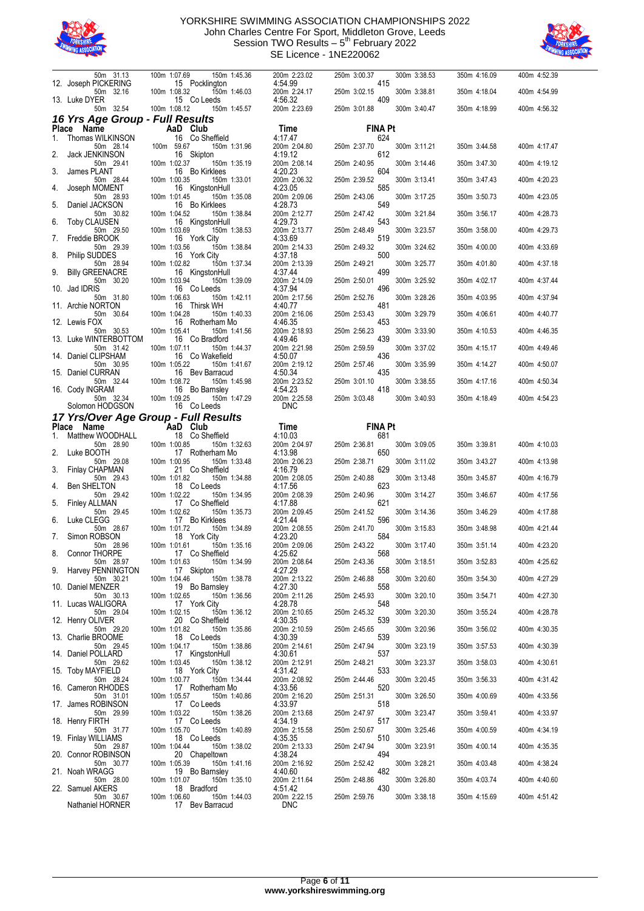



|    | 50m 31.13<br>12. Joseph PICKERING                 | 100m 1:07.69<br>150m 1:45.36<br>15 Pocklington                 | 200m 2:23.02<br>4:54.99               | 250m 3:00.37<br>415   | 300m 3:38.53 | 350m 4:16.09 | 400m 4:52.39 |
|----|---------------------------------------------------|----------------------------------------------------------------|---------------------------------------|-----------------------|--------------|--------------|--------------|
|    | 50m 32.16                                         | 100m 1:08.32<br>150m 1:46.03                                   | 200m 2:24.17                          | 250m 3:02.15          | 300m 3:38.81 | 350m 4:18.04 | 400m 4:54.99 |
|    | 13. Luke DYER<br>50m 32.54                        | 15 Co Leeds<br>100m 1:08.12<br>150m 1:45.57                    | 4:56.32<br>200m 2:23.69               | 409<br>250m 3:01.88   | 300m 3:40.47 | 350m 4:18.99 | 400m 4:56.32 |
|    | 16 Yrs Age Group - Full Results                   |                                                                |                                       |                       |              |              |              |
| 1. | Place Name<br>Thomas WILKINSON                    | AaD Club<br>16 Co Sheffield                                    | Time<br>4:17.47                       | <b>FINA Pt</b><br>624 |              |              |              |
|    | 50m 28.14                                         | 100m 59.67<br>150m 1:31.96                                     | 200m 2:04.80                          | 250m 2:37.70          | 300m 3:11.21 | 350m 3:44.58 | 400m 4:17.47 |
| 2. | Jack JENKINSON<br>50m 29.41                       | 16 Skipton<br>100m 1:02.37<br>150m 1:35.19                     | 4:19.12<br>200m 2:08.14               | 612<br>250m 2:40.95   | 300m 3:14.46 | 350m 3:47.30 | 400m 4:19.12 |
| 3. | James PLANT<br>50m 28.44                          | 16 Bo Kirklees<br>100m 1:00.35<br>150m 1:33.01                 | 4:20.23<br>200m 2:06.32               | 604<br>250m 2:39.52   | 300m 3:13.41 | 350m 3:47.43 | 400m 4:20.23 |
|    | Joseph MOMENT<br>50m 28.93                        | 16 KingstonHull<br>100m 1:01.45                                | 4:23.05<br>200m 2:09.06               | 585<br>250m 2:43.06   | 300m 3:17.25 | 350m 3:50.73 | 400m 4:23.05 |
| 5. | Daniel JACKSON                                    | 150m 1:35.08<br>16 Bo Kirklees                                 | 4:28.73                               | 549                   |              |              |              |
| 6. | 50m 30.82<br><b>Toby CLAUSEN</b>                  | 100m 1:04.52<br>150m 1:38.84<br>16 KingstonHull                | 200m 2:12.77<br>4:29.73               | 250m 2:47.42<br>543   | 300m 3:21.84 | 350m 3:56.17 | 400m 4:28.73 |
| 7. | 50m 29.50<br>Freddie BROOK                        | 100m 1:03.69<br>150m 1:38.53<br>16 York City                   | 200m 2:13.77<br>4:33.69               | 250m 2:48.49<br>519   | 300m 3:23.57 | 350m 3:58.00 | 400m 4:29.73 |
|    | 50m 29.39                                         | 100m 1:03.56<br>150m 1:38.84                                   | 200m 2:14.33                          | 250m 2:49.32          | 300m 3:24.62 | 350m 4:00.00 | 400m 4:33.69 |
| 8. | <b>Philip SUDDES</b><br>50m 28.94                 | 16 York City<br>100m 1:02.82<br>150m 1:37.34                   | 4:37.18<br>200m 2:13.39               | 500<br>250m 2:49.21   | 300m 3:25.77 | 350m 4:01.80 | 400m 4:37.18 |
| 9. | <b>Billy GREENACRE</b><br>50m 30.20               | 16 KingstonHull<br>100m 1:03.94<br>150m 1:39.09                | 4:37.44<br>200m 2:14.09               | 499<br>250m 2:50.01   | 300m 3:25.92 | 350m 4:02.17 | 400m 4:37.44 |
|    | 10. Jad IDRIS<br>50m 31.80                        | 16 Co Leeds<br>100m 1:06.63<br>150m 1:42.11                    | 4:37.94<br>200m 2:17.56               | 496<br>250m 2:52.76   | 300m 3:28.26 | 350m 4:03.95 | 400m 4:37.94 |
|    | 11. Archie NORTON                                 | 16 Thirsk WH                                                   | 4:40.77                               | 481                   |              |              |              |
|    | 50m 30.64<br>12. Lewis FOX                        | 100m 1:04.28<br>150m 1:40.33<br>16 Rotherham Mo                | 200m 2:16.06<br>4:46.35               | 250m 2:53.43<br>453   | 300m 3:29.79 | 350m 4:06.61 | 400m 4:40.77 |
|    | 50m 30.53<br>13. Luke WINTERBOTTOM                | 100m 1:05.41<br>150m 1:41.56<br>16 Co Bradford                 | 200m 2:18.93<br>4:49.46               | 250m 2:56.23<br>439   | 300m 3:33.90 | 350m 4:10.53 | 400m 4:46.35 |
|    | 50m 31.42<br>14. Daniel CLIPSHAM                  | 100m 1:07.11<br>150m 1:44.37<br>16 Co Wakefield                | 200m 2:21.98<br>4:50.07               | 250m 2:59.59<br>436   | 300m 3:37.02 | 350m 4:15.17 | 400m 4:49.46 |
|    | 50m 30.95                                         | 100m 1:05.22<br>150m 1:41.67                                   | 200m 2:19.12                          | 250m 2:57.46          | 300m 3:35.99 | 350m 4:14.27 | 400m 4:50.07 |
|    | 15. Daniel CURRAN<br>50m 32.44                    | 16 Bev Barracud<br>100m 1:08.72<br>150m 1:45.98                | 4:50.34<br>200m 2:23.52               | 435<br>250m 3:01.10   | 300m 3:38.55 | 350m 4:17.16 | 400m 4:50.34 |
|    | 16. Cody INGRAM<br>50m 32.34                      | 16 Bo Barnsley<br>100m 1:09.25<br>150m 1:47.29                 | 4:54.23<br>200m 2:25.58               | 418<br>250m 3:03.48   | 300m 3:40.93 | 350m 4:18.49 | 400m 4:54.23 |
|    | Solomon HODGSON                                   | 16 Co Leeds                                                    | <b>DNC</b>                            |                       |              |              |              |
|    | 17 Yrs/Over Age Group - Full Results              |                                                                |                                       |                       |              |              |              |
|    | Place Name                                        | AaD Club                                                       | <b>Time</b>                           | <b>FINA Pt</b>        |              |              |              |
|    |                                                   |                                                                |                                       |                       |              |              |              |
|    | Matthew WOODHALL<br>50m 28.90                     | 18 Co Sheffield<br>100m 1:00.85<br>150m 1:32.63                | 4:10.03<br>200m 2:04.97               | 681<br>250m 2:36.81   | 300m 3:09.05 | 350m 3:39.81 | 400m 4:10.03 |
| 2. | Luke BOOTH<br>50m 29.08                           | 17 Rotherham Mo<br>100m 1:00.95<br>150m 1:33.48                | 4:13.98<br>200m 2:06.23               | 650<br>250m 2:38.71   | 300m 3:11.02 | 350m 3:43.27 | 400m 4:13.98 |
| 3. | Finlay CHAPMAN<br>50m 29.43                       | 21 Co Sheffield<br>100m 1:01.82                                | 4:16.79                               | 629                   |              |              |              |
| 4. | <b>Ben SHELTON</b>                                | 150m 1:34.88<br>18 Co Leeds                                    | 200m 2:08.05<br>4:17.56               | 250m 2:40.88<br>623   | 300m 3:13.48 | 350m 3:45.87 | 400m 4:16.79 |
| 5. | 50m 29.42<br><b>Finley ALLMAN</b>                 | 150m 1:34.95<br>100m 1:02.22<br>17 Co Sheffield                | 200m 2:08.39<br>4:17.88               | 250m 2:40.96<br>621   | 300m 3:14.27 | 350m 3:46.67 | 400m 4:17.56 |
| 6. | 50m 29.45<br>Luke CLEGG                           | 100m 1:02.62<br>150m 1:35.73<br>17 Bo Kirklees                 | 200m 2:09.45<br>4:21.44               | 250m 2:41.52<br>596   | 300m 3:14.36 | 350m 3:46.29 | 400m 4:17.88 |
|    | 50m 28.67                                         | 100m 1:01.72<br>150m 1:34.89                                   | 200m 2:08.55                          | 250m 2:41.70          | 300m 3:15.83 | 350m 3:48.98 | 400m 4:21.44 |
|    | Simon ROBSON<br>50m 28.96                         | 18 York City<br>100m 1:01.61<br>150m 1:35.16                   | 4:23.20<br>200m 2:09.06               | 584<br>250m 2:43.22   | 300m 3:17.40 | 350m 3:51.14 | 400m 4:23.20 |
| 8. | Connor THORPE<br>50m 28.97                        | 17 Co Sheffield<br>100m 1:01.63<br>150m 1:34.99                | 4:25.62<br>200m 2:08.64               | 568<br>250m 2:43.36   | 300m 3:18.51 | 350m 3:52.83 | 400m 4:25.62 |
| 9. | Harvey PENNINGTON<br>50m 30.21                    | 17 Skipton<br>100m 1:04.46<br>150m 1:38.78                     | 4:27.29<br>200m 2:13.22               | 558<br>250m 2:46.88   | 300m 3:20.60 | 350m 3:54.30 | 400m 4:27.29 |
|    | 10. Daniel MENZER                                 | 19 Bo Barnsley                                                 | 4:27.30                               | 558                   |              |              |              |
|    | 50m 30.13<br>11. Lucas WALIGORA                   | 150m 1:36.56<br>100m 1:02.65<br>17 York City                   | 200m 2:11.26<br>4:28.78               | 250m 2:45.93<br>548   | 300m 3:20.10 | 350m 3:54.71 | 400m 4:27.30 |
|    | 50m 29.04<br>12. Henry OLIVER                     | 100m 1:02.15<br>150m 1:36.12<br>20 Co Sheffield                | 200m 2:10.65<br>4:30.35               | 250m 2:45.32<br>539   | 300m 3:20.30 | 350m 3:55.24 | 400m 4:28.78 |
|    | 50m 29.20<br>13. Charlie BROOME                   | 100m 1:01.82<br>150m 1:35.86<br>18 Co Leeds                    | 200m 2:10.59<br>4:30.39               | 250m 2:45.65<br>539   | 300m 3:20.96 | 350m 3:56.02 | 400m 4:30.35 |
|    | 50m 29.45                                         | 100m 1:04.17<br>150m 1:38.86                                   | 200m 2:14.61                          | 250m 2:47.94          | 300m 3:23.19 | 350m 3:57.53 | 400m 4:30.39 |
|    | 14. Daniel POLLARD<br>50m 29.62                   | 17 KingstonHull<br>150m 1:38.12<br>100m 1:03.45                | 4:30.61<br>200m 2:12.91               | 537<br>250m 2:48.21   | 300m 3:23.37 | 350m 3:58.03 | 400m 4:30.61 |
|    | 15. Toby MAYFIELD<br>50m 28.24                    | 18 York City<br>100m 1:00.77<br>150m 1:34.44                   | 4:31.42<br>200m 2:08.92               | 533<br>250m 2:44.46   | 300m 3:20.45 | 350m 3:56.33 | 400m 4:31.42 |
|    | 16. Cameron RHODES<br>50m 31.01                   | 17 Rotherham Mo<br>150m 1:40.86<br>100m 1:05.57                | 4:33.56<br>200m 2:16.20               | 520<br>250m 2:51.31   | 300m 3:26.50 | 350m 4:00.69 | 400m 4:33.56 |
|    | 17. James ROBINSON                                | 17 Co Leeds                                                    | 4:33.97                               | 518                   |              |              |              |
|    | 50m 29.99<br>18. Henry FIRTH                      | 150m 1:38.26<br>100m 1:03.22<br>17 Co Leeds                    | 200m 2:13.68<br>4:34.19               | 250m 2:47.97<br>517   | 300m 3:23.47 | 350m 3:59.41 | 400m 4:33.97 |
|    | 50m 31.77<br>19. Finlay WILLIAMS                  | 100m 1:05.70<br>150m 1:40.89<br>18 Co Leeds                    | 200m 2:15.58<br>4:35.35               | 250m 2:50.67<br>510   | 300m 3:25.46 | 350m 4:00.59 | 400m 4:34.19 |
|    | 50m 29.87<br>20. Connor ROBINSON                  | 100m 1:04.44<br>150m 1:38.02<br>20 Chapeltown                  | 200m 2:13.33<br>4:38.24               | 250m 2:47.94<br>494   | 300m 3:23.91 | 350m 4:00.14 | 400m 4:35.35 |
|    | 50m 30.77                                         | 100m 1:05.39<br>150m 1:41.16                                   | 200m 2:16.92                          | 250m 2:52.42          | 300m 3:28.21 | 350m 4:03.48 | 400m 4:38.24 |
|    | 21. Noah WRAGG<br>50m 28.00                       | 19 Bo Barnsley<br>150m 1:35.10<br>100m 1:01.07                 | 4:40.60<br>200m 2:11.64               | 482<br>250m 2:48.86   | 300m 3:26.80 | 350m 4:03.74 | 400m 4:40.60 |
|    | 22. Samuel AKERS<br>50m 30.67<br>Nathaniel HORNER | 18 Bradford<br>100m 1:06.60<br>150m 1:44.03<br>17 Bev Barracud | 4:51.42<br>200m 2:22.15<br><b>DNC</b> | 430<br>250m 2:59.76   | 300m 3:38.18 | 350m 4:15.69 | 400m 4:51.42 |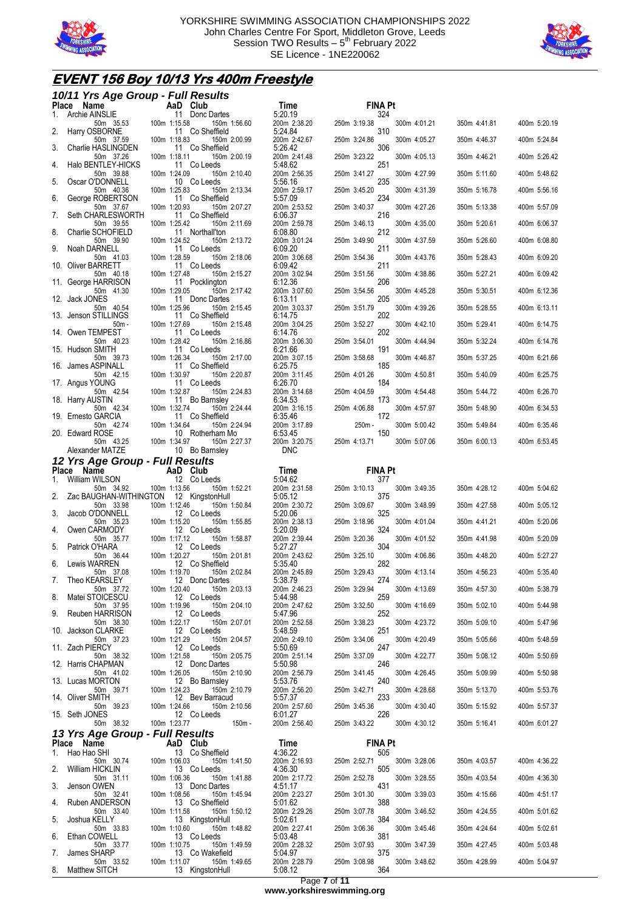



# **EVENT 156 Boy 10/13 Yrs 400m Freestyle**

|             | 10/11 Yrs Age Group - Full Results                 |                                                                    |                                    |                            |              |              |              |
|-------------|----------------------------------------------------|--------------------------------------------------------------------|------------------------------------|----------------------------|--------------|--------------|--------------|
| Place<br>1. | Name<br>Archie AINSLIE                             | AaD Club<br>11 Donc Dartes                                         | Time<br>5:20.19                    | <b>FINA Pt</b><br>324      |              |              |              |
| 2.          | 50m 35.53<br>Harry OSBORNE                         | 100m 1:15.58<br>150m 1:56.60<br>11 Co Sheffield                    | 200m 2:38.20<br>5:24.84            | 250m 3:19.38<br>310        | 300m 4:01.21 | 350m 4:41.81 | 400m 5:20.19 |
|             | 50m 37.59                                          | 100m 1:18.83<br>150m 2:00.99                                       | 200m 2:42.67                       | 250m 3:24.86               | 300m 4:05.27 | 350m 4:46.37 | 400m 5:24.84 |
| 3.          | Charlie HASLINGDEN<br>50m 37.26                    | 11 Co Sheffield<br>150m 2:00.19<br>100m 1:18.11                    | 5:26.42<br>200m 2:41.48            | 306<br>250m 3:23.22        | 300m 4:05.13 | 350m 4:46.21 | 400m 5:26.42 |
| 4.          | Halo BENTLEY-HICKS<br>50m 39.88                    | 11 Co Leeds<br>150m 2:10.40<br>100m 1:24.09                        | 5:48.62<br>200m 2:56.35            | 251<br>250m 3:41.27        | 300m 4:27.99 | 350m 5:11.60 | 400m 5:48.62 |
| 5.          | Oscar O'DONNELL<br>50m 40.36                       | 10 Co Leeds<br>100m 1:25.83<br>150m 2:13.34                        | 5:56.16<br>200m 2:59.17            | 235<br>250m 3:45.20        | 300m 4:31.39 | 350m 5:16.78 | 400m 5:56.16 |
| 6.          | George ROBERTSON                                   | 11 Co Sheffield                                                    | 5:57.09                            | 234                        |              |              |              |
| 7.          | 50m 37.67<br>Seth CHARLESWORTH                     | 100m 1:20.93<br>150m 2:07.27<br>11 Co Sheffield                    | 200m 2:53.52<br>6:06.37            | 250m 3:40.37<br>216        | 300m 4:27.26 | 350m 5:13.38 | 400m 5:57.09 |
| 8.          | 50m 39.55<br>Charlie SCHOFIELD                     | 100m 1:25.42<br>150m 2:11.69<br>11 Northall'ton                    | 200m 2:59.78<br>6:08.80            | 250m 3:46.13<br>212        | 300m 4:35.00 | 350m 5:20.61 | 400m 6:06.37 |
| 9.          | 50m 39.90<br>Noah DARNELL                          | 100m 1:24.52<br>150m 2:13.72<br>11 Co Leeds                        | 200m 3:01.24<br>6:09.20            | 250m 3:49.90<br>211        | 300m 4:37.59 | 350m 5:26.60 | 400m 6:08.80 |
|             | 50m 41.03<br>10. Oliver BARRETT                    | 100m 1:28.59<br>150m 2:18.06<br>11 Co Leeds                        | 200m 3:06.68<br>6:09.42            | 250m 3:54.36<br>211        | 300m 4:43.76 | 350m 5:28.43 | 400m 6:09.20 |
|             | 50m 40.18                                          | 100m 1:27.48<br>150m 2:15.27                                       | 200m 3:02.94                       | 250m 3:51.56               | 300m 4:38.86 | 350m 5:27.21 | 400m 6:09.42 |
|             | 11. George HARRISON<br>50m 41.30                   | 11 Pocklington<br>100m 1:29.05<br>150m 2:17.42                     | 6:12.36<br>200m 3:07.60            | 206<br>250m 3:54.56        | 300m 4:45.28 | 350m 5:30.51 | 400m 6:12.36 |
|             | 12. Jack JONES<br>50m 40.54                        | 11 Donc Dartes<br>100m 1:25.96<br>150m 2:15.45                     | 6:13.11<br>200m 3:03.37            | 205<br>250m 3:51.79        | 300m 4:39.26 | 350m 5:28.55 | 400m 6:13.11 |
|             | 13. Jenson STILLINGS<br>$50m -$                    | 11 Co Sheffield<br>100m 1:27.69<br>150m 2:15.48                    | 6:14.75<br>200m 3:04.25            | 202<br>250m 3:52.27        | 300m 4:42.10 | 350m 5:29.41 | 400m 6:14.75 |
|             | 14. Owen TEMPEST<br>50m 40.23                      | 11 Co Leeds<br>100m 1:28.42<br>150m 2:16.86                        | 6:14.76<br>200m 3:06.30            | 202<br>250m 3:54.01        | 300m 4:44.94 |              |              |
|             | 15. Hudson SMITH                                   | 11 Co Leeds                                                        | 6:21.66                            | 191                        |              | 350m 5:32.24 | 400m 6:14.76 |
|             | 50m 39.73<br>16. James ASPINALL                    | 100m 1:26.34<br>150m 2:17.00<br>11 Co Sheffield                    | 200m 3:07.15<br>6:25.75            | 250m 3:58.68<br>185        | 300m 4:46.87 | 350m 5:37.25 | 400m 6:21.66 |
|             | 50m 42.15<br>17. Angus YOUNG                       | 100m 1:30.97<br>150m 2:20.87<br>11 Co Leeds                        | 200m 3:11.45<br>6:26.70            | 250m 4:01.26<br>184        | 300m 4:50.81 | 350m 5:40.09 | 400m 6:25.75 |
|             | 50m 42.54<br>18. Harry AUSTIN                      | 100m 1:32.87<br>150m 2:24.83<br>11 Bo Barnsley                     | 200m 3:14.68<br>6:34.53            | 250m 4:04.59<br>173        | 300m 4:54.48 | 350m 5:44.72 | 400m 6:26.70 |
|             | 50m 42.34                                          | 100m 1:32.74<br>150m 2:24.44                                       | 200m 3:16.15                       | 250m 4:06.88               | 300m 4:57.97 | 350m 5:48.90 | 400m 6:34.53 |
|             | 19. Ernesto GARCIA<br>50m 42.74                    | 11 Co Sheffield<br>100m 1:34.64<br>150m 2:24.94                    | 6:35.46<br>200m 3:17.89            | 172<br>250m -              | 300m 5:00.42 | 350m 5:49.84 | 400m 6:35.46 |
|             | 20. Edward ROSE<br>50m 43.25                       | 10 Rotherham Mo<br>100m 1:34.97<br>150m 2:27.37                    | 6:53.45<br>200m 3:20.75            | 150<br>250m 4:13.71        | 300m 5:07.06 | 350m 6:00.13 | 400m 6:53.45 |
|             | Alexander MATZE<br>12 Yrs Age Group - Full Results | 10 Bo Barnsley                                                     | <b>DNC</b>                         |                            |              |              |              |
|             | Place Name                                         | AaD Club                                                           | Time                               | <b>FINA Pt</b>             |              |              |              |
| 1.          | William WILSON<br>50m 34.92                        | 12 Co Leeds<br>100m 1:13.56<br>150m 1:52.21                        | 5:04.62<br>200m 2:31.58            | 377<br>250m 3:10.13        | 300m 3:49.35 | 350m 4:28.12 | 400m 5:04.62 |
| 2.          | Zac BAUGHAN-WITHINGTON                             | 12 KingstonHull<br>100m 1:12.46                                    | 5:05.12<br>200m 2:30.72            | 375<br>250m 3:09.67        | 300m 3:48.99 | 350m 4:27.58 | 400m 5:05.12 |
| 3.          | 50m 33.98<br>Jacob O'DONNELL                       | 150m 1:50.84<br>12 Co Leeds                                        | 5:20.06                            | 325                        |              |              |              |
| 4.          | 50m 35.23<br>Owen CARMODY                          | 100m 1:15.20<br>150m 1:55.85<br>12 Co Leeds                        | 200m 2:38.13<br>5:20.09            | 250m 3:18.96<br>324        | 300m 4:01.04 | 350m 4:41.21 | 400m 5:20.06 |
| 5.          | 50m 35.77<br>Patrick O'HARA                        | 100m 1:17.12<br>150m 1:58.87<br>12 Co Leeds                        | 200m 2:39.44<br>5:27.27            | 250m 3:20.36<br>304        | 300m 4:01.52 | 350m 4:41.98 | 400m 5:20.09 |
| 6.          | 50m 36.44<br>Lewis WARREN                          | 100m 1:20.27<br>150m 2:01.81<br>12 Co Sheffield                    | 200m 2:43.62<br>5:35.40            | 250m 3:25.10<br>282        | 300m 4:06.86 | 350m 4:48.20 | 400m 5:27.27 |
|             | 50m 37.08                                          | 100m 1:19.70                                                       | 200m 2:45.89                       |                            |              |              |              |
| 7.          |                                                    | 150m 2:02.84                                                       |                                    | 250m 3:29.43               | 300m 4:13.14 | 350m 4:56.23 | 400m 5:35.40 |
|             | Theo KEARSLEY<br>50m 37.72                         | 12 Donc Dartes<br>150m 2:03.13<br>100m 1:20.40                     | 5:38.79<br>200m 2:46.23            | 274<br>250m 3:29.94        | 300m 4:13.69 | 350m 4:57.30 | 400m 5:38.79 |
| 8.          | Matei STOICESCU<br>50m 37.95                       | 12 Co Leeds<br>150m 2:04.10<br>100m 1:19.96                        | 5:44.98<br>200m 2:47.62            | 259<br>250m 3:32.50        | 300m 4:16.69 | 350m 5:02.10 | 400m 5:44.98 |
| 9.          | Reuben HARRISON                                    | 12 Co Leeds                                                        | 5:47.96                            | 252                        |              |              |              |
|             | 50m 38.30<br>10. Jackson CLARKE                    | 100m 1:22.17<br>150m 2:07.01<br>12 Co Leeds                        | 200m 2:52.58<br>5:48.59            | 250m 3:38.23<br>251        | 300m 4:23.72 | 350m 5:09.10 | 400m 5:47.96 |
|             | 50m 37.23<br>11. Zach PIERCY                       | 100m 1:21.29<br>150m 2:04.57<br>12 Co Leeds                        | 200m 2:49.10<br>5:50.69            | 250m 3:34.06<br>247        | 300m 4:20.49 | 350m 5:05.66 | 400m 5:48.59 |
|             | 50m 38.32<br>12. Harris CHAPMAN                    | 100m 1:21.58<br>150m 2:05.75<br>12 Donc Dartes                     | 200m 2:51.14<br>5:50.98            | 250m 3:37.09<br>246        | 300m 4:22.77 | 350m 5:08.12 | 400m 5:50.69 |
|             | 50m 41.02<br>13. Lucas MORTON                      | 150m 2:10.90<br>100m 1:26.05<br>12 Bo Barnsley                     | 200m 2:56.79<br>5:53.76            | 250m 3:41.45<br>240        | 300m 4:26.45 | 350m 5:09.99 | 400m 5:50.98 |
|             | 50m 39.71                                          | 100m 1:24.23<br>150m 2:10.79                                       | 200m 2:56.20                       | 250m 3:42.71               | 300m 4:28.68 | 350m 5:13.70 | 400m 5:53.76 |
|             | 14. Oliver SMITH<br>50m 39.23                      | 12 Bev Barracud<br>100m 1:24.66<br>150m 2:10.56                    | 5:57.37<br>200m 2:57.60            | 233<br>250m 3:45.36        | 300m 4:30.40 | 350m 5:15.92 | 400m 5:57.37 |
|             | 15. Seth JONES<br>50m 38.32                        | 12 Co Leeds<br>100m 1:23.77<br>$150m -$                            | 6:01.27<br>200m 2:56.40            | 226<br>250m 3:43.22        | 300m 4:30.12 | 350m 5:16.41 | 400m 6:01.27 |
|             | 13 Yrs Age Group - Full Results                    |                                                                    |                                    |                            |              |              |              |
| 1.          | Place Name<br>Hao Hao SHI                          | AaD Club<br>13 Co Sheffield                                        | Time<br>4:36.22                    | <b>FINA Pt</b><br>505      |              |              |              |
| 2.          | 50m 30.74<br>William HICKLIN                       | 100m 1:06.03<br>150m 1:41.50<br>13 Co Leeds                        | 200m 2:16.93<br>4:36.30            | 250m 2:52.71<br>505        | 300m 3:28.06 | 350m 4:03.57 | 400m 4:36.22 |
| 3.          | 50m 31.11<br>Jenson OWEN                           | 100m 1:06.36<br>150m 1:41.88<br>13 Donc Dartes                     | 200m 2:17.72<br>4:51.17            | 250m 2:52.78<br>431        | 300m 3:28.55 | 350m 4:03.54 | 400m 4:36.30 |
| 4.          | 50m 32.41<br>Ruben ANDERSON                        | 100m 1:08.56<br>150m 1:45.94<br>13 Co Sheffield                    | 200m 2:23.27<br>5:01.62            | 250m 3:01.30<br>388        | 300m 3:39.03 | 350m 4:15.66 | 400m 4:51.17 |
|             | 50m 33.40                                          | 100m 1:11.58<br>150m 1:50.12                                       | 200m 2:29.26                       | 250m 3:07.78               | 300m 3:46.52 | 350m 4:24.55 | 400m 5:01.62 |
| 5.          | Joshua KELLY<br>50m 33.83                          | 13 KingstonHull<br>150m 1:48.82<br>100m 1:10.60                    | 5:02.61<br>200m 2:27.41            | 384<br>250m 3:06.36        | 300m 3:45.46 | 350m 4:24.64 | 400m 5:02.61 |
| 6.          | Ethan COWELL<br>50m 33.77                          | 13 Co Leeds<br>100m 1:10.75<br>150m 1:49.59                        | 5:03.48<br>200m 2:28.32            | 381<br>250m 3:07.93        | 300m 3:47.39 | 350m 4:27.45 | 400m 5:03.48 |
| 7.          | James SHARP<br>50m 33.52<br>8. Matthew SITCH       | 13 Co Wakefield<br>100m 1:11.07<br>150m 1:49.65<br>13 KingstonHull | 5:04.97<br>200m 2:28.79<br>5:08.12 | 375<br>250m 3:08.98<br>364 | 300m 3:48.62 | 350m 4:28.99 | 400m 5:04.97 |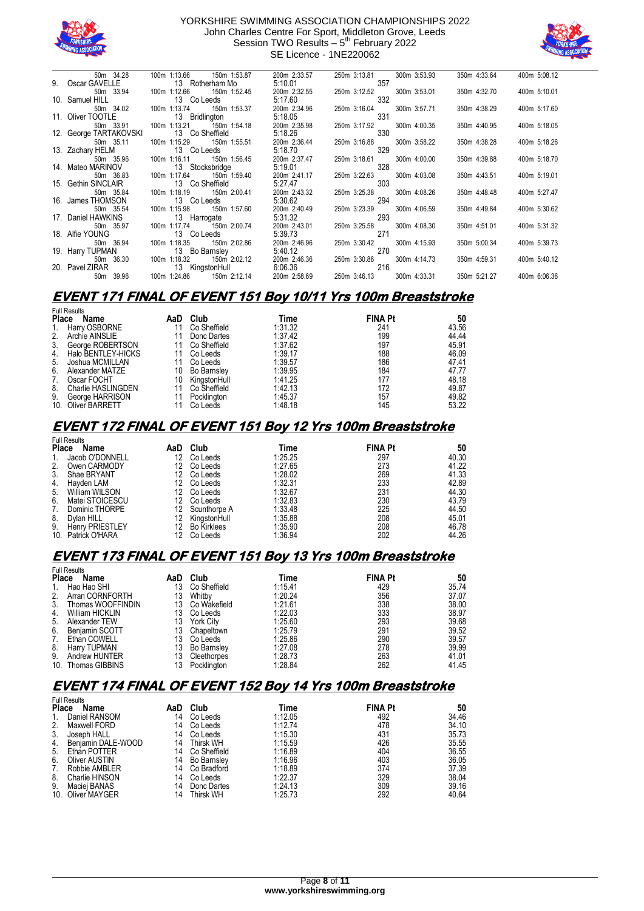



| 50m 34.28                    | 100m 1:13.66 150m 1:53.87         | 200m 2:33.57 | 250m 3:13.81 300m 3:53.93 |              | 350m 4:33.64 | 400m 5:08.12 |
|------------------------------|-----------------------------------|--------------|---------------------------|--------------|--------------|--------------|
|                              | 9. Oscar GAVELLE 13 Rotherham Mo  | 5:10.01      | 357                       |              |              |              |
| 50m 33.94                    | 100m 1:12.66<br>150m 1:52.45      | 200m 2:32.55 | 250m 3:12.52              | 300m 3:53.01 | 350m 4:32.70 | 400m 5:10.01 |
| 10. Samuel HILL              | 13 Co Leeds                       | 5:17.60      | 332                       |              |              |              |
| 50m 34.02                    | 150m 1:53.37<br>100m 1:13.74      | 200m 2:34.96 | 250m 3:16.04 300m 3:57.71 |              | 350m 4:38.29 | 400m 5:17.60 |
| 11. Oliver TOOTLE            | 13 Bridlington                    | 5:18.05      | 331                       |              |              |              |
| 50m 33.91                    | 100m 1:13.21 150m 1:54.18         | 200m 2:35.98 | 250m 3:17.92 300m 4:00.35 |              | 350m 4:40.95 | 400m 5:18.05 |
| 12. George TARTAKOVSKI       | 13 Co Sheffield                   | 5:18.26      | 330                       |              |              |              |
| 50m 35.11                    | 100m 1:15.29<br>150m 1:55.51      | 200m 2:36.44 | 250m 3:16.88 300m 3:58.22 |              | 350m 4:38.28 | 400m 5:18.26 |
| 13. Zachary HELM 13 Co Leeds |                                   | 5:18.70      | 329                       |              |              |              |
| 50m 35.96                    | 150m 1:56.45<br>100m 1:16.11      | 200m 2:37.47 | 250m 3:18.61 300m 4:00.00 |              | 350m 4:39.88 | 400m 5:18.70 |
|                              | 14. Mateo MARINOV 13 Stocksbridge | 5:19.01      | 328                       |              |              |              |
| 50m 36.83                    | 100m 1:17.64 150m 1:59.40         | 200m 2:41.17 | 250m 3:22.63 300m 4:03.08 |              | 350m 4:43.51 | 400m 5:19.01 |
| 15. Gethin SINCLAIR          | 13 Co Sheffield                   | 5:27.47      | 303                       |              |              |              |
| 50m 35.84                    | 100m 1:18.19    150m 2:00.41      | 200m 2:43.32 | 250m 3:25.38              | 300m 4:08.26 | 350m 4:48.48 | 400m 5:27.47 |
| 16. James THOMSON            | 13 Co Leeds                       | 5:30.62      | 294                       |              |              |              |
| 50m 35.54                    | 100m 1:15.98 150m 1:57.60         | 200m 2:40.49 | 250m 3:23.39              | 300m 4:06.59 | 350m 4:49.84 | 400m 5:30.62 |
| 17. Daniel HAWKINS           | 13 Harrogate                      | 5:31.32      | 293                       |              |              |              |
| 50m 35.97                    | 100m 1:17.74 150m 2:00.74         | 200m 2:43.01 | 250m 3:25.58              | 300m 4:08.30 | 350m 4:51.01 | 400m 5:31.32 |
| 18. Alfie YOUNG              | 13 Co Leeds                       | 5:39.73      | 271                       |              |              |              |
| 50m 36.94                    | 150m 2:02.86<br>100m 1:18.35      | 200m 2:46.96 | 250m 3:30.42              | 300m 4:15.93 | 350m 5:00.34 | 400m 5:39.73 |
| 19. Harry TUPMAN             | 13 Bo Barnsley                    | 5:40.12      | 270                       |              |              |              |
| 50m 36.30                    | 100m 1:18.32   150m 2:02.12       | 200m 2:46.36 | 250m 3:30.86              | 300m 4:14.73 | 350m 4:59.31 | 400m 5:40.12 |
|                              | 20. Pavel ZIRAR 13 KingstonHull   | 6:06.36      | 216                       |              |              |              |
| 50m 39.96                    |                                   | 200m 2:58.69 | 250m 3:46.13              | 300m 4:33.31 | 350m 5:21.27 | 400m 6:06.36 |

# **EVENT 171 FINAL OF EVENT 151 Boy 10/11 Yrs 100m Breaststroke**

| <b>Full Results</b> |                    |     |                    |         |                |       |  |  |  |
|---------------------|--------------------|-----|--------------------|---------|----------------|-------|--|--|--|
| <b>Place</b>        | Name               | AaD | Club               | Time    | <b>FINA Pt</b> | 50    |  |  |  |
| 1.                  | Harry OSBORNE      |     | Co Sheffield       | 1:31.32 | 241            | 43.56 |  |  |  |
| 2.                  | Archie AINSLIE     |     | Donc Dartes        | 1:37.42 | 199            | 44.44 |  |  |  |
| 3.                  | George ROBERTSON   | 11  | Co Sheffield       | 1:37.62 | 197            | 45.91 |  |  |  |
| 4.                  | Halo BENTLEY-HICKS | 11  | Co Leeds           | 1:39.17 | 188            | 46.09 |  |  |  |
| 5.                  | Joshua MCMILLAN    |     | Co Leeds           | 1:39.57 | 186            | 47.41 |  |  |  |
| 6.                  | Alexander MATZE    | 10  | <b>Bo Barnsley</b> | 1:39.95 | 184            | 47.77 |  |  |  |
| 7.                  | Oscar FOCHT        | 10  | KingstonHull       | 1:41.25 | 177            | 48.18 |  |  |  |
| 8.                  | Charlie HASLINGDEN |     | Co Sheffield       | 1:42.13 | 172            | 49.87 |  |  |  |
| 9.                  | George HARRISON    |     | Pocklington        | 1:45.37 | 157            | 49.82 |  |  |  |
|                     | 10. Oliver BARRETT |     | Co Leeds           | 1:48.18 | 145            | 53.22 |  |  |  |

## **EVENT 172 FINAL OF EVENT 151 Boy 12 Yrs 100m Breaststroke**

| <b>Full Results</b>   |     |                    |         |                |       |  |  |  |  |  |
|-----------------------|-----|--------------------|---------|----------------|-------|--|--|--|--|--|
| <b>Place</b><br>Name  | AaD | Club               | Time    | <b>FINA Pt</b> | 50    |  |  |  |  |  |
| Jacob O'DONNELL<br>1. | 12  | Co Leeds           | 1:25.25 | 297            | 40.30 |  |  |  |  |  |
| 2.<br>Owen CARMODY    | 12  | Co Leeds           | 1:27.65 | 273            | 41.22 |  |  |  |  |  |
| 3.<br>Shae BRYANT     | 12  | Co Leeds           | 1:28.02 | 269            | 41.33 |  |  |  |  |  |
| 4.<br>Havden LAM      | 12  | Co Leeds           | 1:32.31 | 233            | 42.89 |  |  |  |  |  |
| 5.<br>William WILSON  | 12  | Co Leeds           | 1:32.67 | 231            | 44.30 |  |  |  |  |  |
| 6.<br>Matei STOICESCU | 12  | Co Leeds           | 1:32.83 | 230            | 43.79 |  |  |  |  |  |
| 7.<br>Dominic THORPE  | 12  | Scunthorpe A       | 1:33.48 | 225            | 44.50 |  |  |  |  |  |
| 8.<br>Dylan HILL      | 12  | KingstonHull       | 1:35.88 | 208            | 45.01 |  |  |  |  |  |
| 9.<br>Henry PRIESTLEY | 12  | <b>Bo Kirklees</b> | 1:35.90 | 208            | 46.78 |  |  |  |  |  |
| 10. Patrick O'HARA    |     | Co Leeds           | 1:36.94 | 202            | 44.26 |  |  |  |  |  |

### **EVENT 173 FINAL OF EVENT 151 Boy 13 Yrs 100m Breaststroke**

|             | <b>Full Results</b>    |     |                    |         |                |       |  |  |  |  |  |
|-------------|------------------------|-----|--------------------|---------|----------------|-------|--|--|--|--|--|
| Place       | Name                   | AaD | Club               | Time    | <b>FINA Pt</b> | 50    |  |  |  |  |  |
| $1_{\cdot}$ | Hao Hao SHI            | 13  | Co Sheffield       | 1:15.41 | 429            | 35.74 |  |  |  |  |  |
| 2.          | Arran CORNFORTH        | 13  | Whitby             | 1:20.24 | 356            | 37.07 |  |  |  |  |  |
| 3.          | Thomas WOOFFINDIN      | 13  | Co Wakefield       | 1:21.61 | 338            | 38.00 |  |  |  |  |  |
| 4.          | <b>William HICKLIN</b> | 13  | Co Leeds           | 1:22.03 | 333            | 38.97 |  |  |  |  |  |
| 5.          | Alexander TEW          | 13  | <b>York City</b>   | 1:25.60 | 293            | 39.68 |  |  |  |  |  |
| 6.          | Benjamin SCOTT         | 13  | Chapeltown         | 1:25.79 | 291            | 39.52 |  |  |  |  |  |
| 7.          | Ethan COWELL           | 13  | Co Leeds           | 1:25.86 | 290            | 39.57 |  |  |  |  |  |
| 8.          | Harry TUPMAN           | 13  | <b>Bo Barnsley</b> | 1:27.08 | 278            | 39.99 |  |  |  |  |  |
| 9.          | Andrew HUNTER          | 13  | Cleethorpes        | 1:28.73 | 263            | 41.01 |  |  |  |  |  |
|             | 10. Thomas GIBBINS     | 13  | Pocklington        | 1:28.84 | 262            | 41.45 |  |  |  |  |  |

### **EVENT 174 FINAL OF EVENT 152 Boy 14 Yrs 100m Breaststroke**

|                | <b>Full Results</b> |     |                  |         |                |       |  |  |  |  |
|----------------|---------------------|-----|------------------|---------|----------------|-------|--|--|--|--|
| <b>Place</b>   | Name                | AaD | Club             | Time    | <b>FINA Pt</b> | 50    |  |  |  |  |
| 1.             | Daniel RANSOM       | 14  | Co Leeds         | 1:12.05 | 492            | 34.46 |  |  |  |  |
| 2.             | Maxwell FORD        | 14  | Co Leeds         | 1:12.74 | 478            | 34.10 |  |  |  |  |
| 3.             | Joseph HALL         | 14  | Co Leeds         | 1:15.30 | 431            | 35.73 |  |  |  |  |
| 4.             | Benjamin DALE-WOOD  | 14  | <b>Thirsk WH</b> | 1:15.59 | 426            | 35.55 |  |  |  |  |
| 5 <sub>1</sub> | Ethan POTTER        | 14  | Co Sheffield     | 1:16.89 | 404            | 36.55 |  |  |  |  |
| 6.             | Oliver AUSTIN       | 14  | Bo Barnsley      | 1:16.96 | 403            | 36.05 |  |  |  |  |
| 7.             | Robbie AMBLER       | 14  | Co Bradford      | 1:18.89 | 374            | 37.39 |  |  |  |  |
| 8.             | Charlie HINSON      | 14  | Co Leeds         | 1:22.37 | 329            | 38.04 |  |  |  |  |
| 9.             | Maciej BANAS        | 14  | Donc Dartes      | 1:24.13 | 309            | 39.16 |  |  |  |  |
|                | 10. Oliver MAYGER   | 14  | <b>Thirsk WH</b> | 1:25.73 | 292            | 40.64 |  |  |  |  |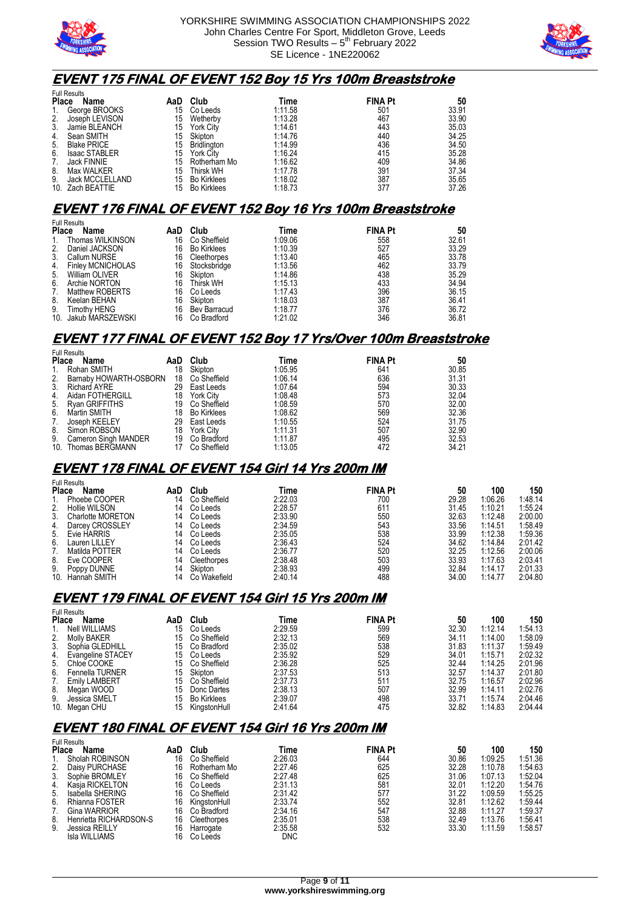



## **EVENT 175 FINAL OF EVENT 152 Boy 15 Yrs 100m Breaststroke**

|              | <b>Full Results</b>  |     |                    |         |                |       |  |  |  |
|--------------|----------------------|-----|--------------------|---------|----------------|-------|--|--|--|
| <b>Place</b> | Name                 | AaD | Club               | Time    | <b>FINA Pt</b> | 50    |  |  |  |
| 1.           | George BROOKS        | 15  | Co Leeds           | 1:11.58 | 501            | 33.91 |  |  |  |
| 2.           | Joseph LEVISON       | 15  | Wetherby           | 1:13.28 | 467            | 33.90 |  |  |  |
| 3.           | Jamie BLEANCH        | 15  | York City          | 1:14.61 | 443            | 35.03 |  |  |  |
| 4.           | Sean SMITH           | 15  | Skipton            | 1:14.76 | 440            | 34.25 |  |  |  |
| 5.           | <b>Blake PRICE</b>   | 15  | <b>Bridlington</b> | 1:14.99 | 436            | 34.50 |  |  |  |
| 6.           | <b>Isaac STABLER</b> | 15  | York City          | 1:16.24 | 415            | 35.28 |  |  |  |
| 7.           | Jack FINNIE          | 15  | Rotherham Mo       | 1:16.62 | 409            | 34.86 |  |  |  |
| 8.           | Max WALKER           | 15  | Thirsk WH          | 1:17.78 | 391            | 37.34 |  |  |  |
| 9.           | Jack MCCLELLAND      | 15  | <b>Bo Kirklees</b> | 1:18.02 | 387            | 35.65 |  |  |  |
|              | 10. Zach BEATTIE     | 15  | <b>Bo Kirklees</b> | 1:18.73 | 377            | 37.26 |  |  |  |

### **EVENT 176 FINAL OF EVENT 152 Boy 16 Yrs 100m Breaststroke**

|              | <b>Full Results</b>      |     |                    |         |                |       |  |  |  |  |
|--------------|--------------------------|-----|--------------------|---------|----------------|-------|--|--|--|--|
| <b>Place</b> | Name                     | AaD | Club               | Time    | <b>FINA Pt</b> | 50    |  |  |  |  |
| 1.           | Thomas WILKINSON         | 16  | Co Sheffield       | 1:09.06 | 558            | 32.61 |  |  |  |  |
| 2.           | Daniel JACKSON           | 16  | <b>Bo Kirklees</b> | 1:10.39 | 527            | 33.29 |  |  |  |  |
| 3.           | Callum NURSE             | 16  | Cleethorpes        | 1:13.40 | 465            | 33.78 |  |  |  |  |
| 4.           | <b>Finley MCNICHOLAS</b> | 16  | Stocksbridge       | 1:13.56 | 462            | 33.79 |  |  |  |  |
| 5.           | William OLIVER           | 16  | Skipton            | 1:14.86 | 438            | 35.29 |  |  |  |  |
| 6.           | Archie NORTON            | 16  | <b>Thirsk WH</b>   | 1:15.13 | 433            | 34.94 |  |  |  |  |
| 7.           | Matthew ROBERTS          | 16  | Co Leeds           | 1:17.43 | 396            | 36.15 |  |  |  |  |
| 8.           | Keelan BEHAN             | 16  | Skipton            | 1:18.03 | 387            | 36.41 |  |  |  |  |
| 9.           | <b>Timothy HENG</b>      | 16  | Bev Barracud       | 1:18.77 | 376            | 36.72 |  |  |  |  |
| 10.          | Jakub MARSZEWSKI         | 16  | Co Bradford        | 1:21.02 | 346            | 36.81 |  |  |  |  |

### **EVENT 177 FINAL OF EVENT 152 Boy 17 Yrs/Over 100m Breaststroke**

|              | <b>Full Results</b>    |     |                    |         |                |       |  |  |  |  |
|--------------|------------------------|-----|--------------------|---------|----------------|-------|--|--|--|--|
| <b>Place</b> | Name                   | AaD | Club               | Time    | <b>FINA Pt</b> | 50    |  |  |  |  |
| 1.           | Rohan SMITH            | 18  | Skipton            | 1:05.95 | 641            | 30.85 |  |  |  |  |
| 2.           | Barnaby HOWARTH-OSBORN | 18  | Co Sheffield       | 1:06.14 | 636            | 31.31 |  |  |  |  |
| 3.           | <b>Richard AYRE</b>    | 29  | East Leeds         | 1:07.64 | 594            | 30.33 |  |  |  |  |
| 4.           | Aidan FOTHERGILL       | 18  | <b>York City</b>   | 1:08.48 | 573            | 32.04 |  |  |  |  |
| 5.           | Rvan GRIFFITHS         | 19  | Co Sheffield       | 1:08.59 | 570            | 32.00 |  |  |  |  |
| 6.           | Martin SMITH           | 18  | <b>Bo Kirklees</b> | 1:08.62 | 569            | 32.36 |  |  |  |  |
| 7.           | Joseph KEELEY          | 29  | East Leeds         | 1:10.55 | 524            | 31.75 |  |  |  |  |
| 8.           | Simon ROBSON           | 18  | <b>York City</b>   | 1:11.31 | 507            | 32.90 |  |  |  |  |
| 9.           | Cameron Singh MANDER   | 19  | Co Bradford        | 1:11.87 | 495            | 32.53 |  |  |  |  |
|              | 10. Thomas BERGMANN    | 17  | Co Sheffield       | 1:13.05 | 472            | 34.21 |  |  |  |  |

### **EVENT 178 FINAL OF EVENT 154 Girl 14 Yrs 200m IM**  Full Results

| <b>Place</b> | Name              | AaD | Club         | Гіmе    | <b>FINA Pt</b> | 50    | 100     | 150     |
|--------------|-------------------|-----|--------------|---------|----------------|-------|---------|---------|
|              | Phoebe COOPER     | 14  | Co Sheffield | 2:22.03 | 700            | 29.28 | 1:06.26 | 1:48.14 |
| 2.           | Hollie WILSON     | 14  | Co Leeds     | 2:28.57 | 611            | 31.45 | 1:10.21 | 1:55.24 |
| 3.           | Charlotte MORETON | 14  | Co Leeds     | 2:33.90 | 550            | 32.63 | 1:12.48 | 2:00.00 |
| 4.           | Darcey CROSSLEY   | 14  | Co Leeds     | 2:34.59 | 543            | 33.56 | 1:14.51 | 1:58.49 |
| 5.           | Evie HARRIS       | 14  | Co Leeds     | 2:35.05 | 538            | 33.99 | 1:12.38 | 1:59.36 |
| 6.           | Lauren LILLEY     | 14  | Co Leeds     | 2:36.43 | 524            | 34.62 | 1:14.84 | 2:01.42 |
|              | Matilda POTTER    | 14  | Co Leeds     | 2:36.77 | 520            | 32.25 | 1:12.56 | 2:00.06 |
| 8.           | Eve COOPER        | 14  | Cleethorpes  | 2:38.48 | 503            | 33.93 | 1:17.63 | 2:03.41 |
| 9.           | Poppy DUNNE       |     | Skipton      | 2:38.93 | 499            | 32.84 | 1:14.17 | 2:01.33 |
|              | 10 Hannah SMITH   | 14  | Co Wakefield | 2.4014  | 488            | 34 00 | 1.1477  | 2.0480  |

### **EVENT 179 FINAL OF EVENT 154 Girl 15 Yrs 200m IM**  Full Results

| Name                 | AaD                                           | Club               | Time    | <b>FINA Pt</b> | 50    | 100     | 150     |
|----------------------|-----------------------------------------------|--------------------|---------|----------------|-------|---------|---------|
| Nell WILLIAMS        | 15                                            | Co Leeds           | 2:29.59 | 599            | 32.30 | 1:12.14 | 1:54.13 |
| Molly BAKER          | 15                                            | Co Sheffield       | 2:32.13 | 569            | 34.11 | 1:14.00 | 1:58.09 |
| Sophia GLEDHILL      | 15                                            | Co Bradford        | 2:35.02 | 538            | 31.83 | 1:11.37 | 1:59.49 |
| Evangeline STACEY    | 15                                            | Co Leeds           | 2:35.92 | 529            | 34.01 | 1:15.71 | 2:02.32 |
| Chloe COOKE          | 15                                            | Co Sheffield       | 2:36.28 | 525            | 32.44 | 1:14.25 | 2:01.96 |
| Fennella TURNER      | 15                                            | Skipton            | 2:37.53 | 513            | 32.57 | 1:14.37 | 2:01.80 |
| <b>Emily LAMBERT</b> | 15                                            | Co Sheffield       | 2:37.73 | 511            | 32.75 | 1:16.57 | 2:02.96 |
| Megan WOOD           | 15                                            | Donc Dartes        | 2:38.13 | 507            | 32.99 | 1:14.11 | 2:02.76 |
| Jessica SMELT        | 15                                            | <b>Bo Kirklees</b> | 2:39.07 | 498            | 33.71 | 1:15.74 | 2:04.46 |
|                      | 15                                            | KingstonHull       | 2:41.64 | 475            | 32.82 | 1:14.83 | 2:04.44 |
| 3.<br>5.             | rull Results<br><b>Place</b><br>10. Megan CHU |                    |         |                |       |         |         |

# **EVENT 180 FINAL OF EVENT 154 Girl 16 Yrs 200m IM**

|              | <b>Full Results</b>    |     |                    |         |                |       |         |         |  |  |
|--------------|------------------------|-----|--------------------|---------|----------------|-------|---------|---------|--|--|
| <b>Place</b> | Name                   | AaD | Club               | Time    | <b>FINA Pt</b> | 50    | 100     | 150     |  |  |
|              | Sholah ROBINSON        | 16  | Co Sheffield       | 2:26.03 | 644            | 30.86 | 1:09.25 | 1:51.36 |  |  |
| 2.           | Daisy PURCHASE         | 16  | Rotherham Mo       | 2:27.46 | 625            | 32.28 | 1:10.78 | 1:54.63 |  |  |
| 3.           | Sophie BROMLEY         | 16  | Co Sheffield       | 2:27.48 | 625            | 31.06 | 1:07.13 | 1:52.04 |  |  |
| 4.           | Kasia RICKELTON        | 16  | Co Leeds           | 2:31.13 | 581            | 32.01 | 1:12.20 | 1:54.76 |  |  |
| 5.           | Isabella SHERING       | 16  | Co Sheffield       | 2:31.42 | 577            | 31.22 | 1:09.59 | 1:55.25 |  |  |
| 6.           | Rhianna FOSTER         | 16  | KinastonHull       | 2:33.74 | 552            | 32.81 | 1:12.62 | 1:59.44 |  |  |
|              | <b>Gina WARRIOR</b>    | 16  | Co Bradford        | 2:34.16 | 547            | 32.88 | 1:11.27 | 1.59.37 |  |  |
| 8.           | Henrietta RICHARDSON-S | 16  | <b>Cleethorpes</b> | 2:35.01 | 538            | 32.49 | 1:13.76 | 1:56.41 |  |  |
| 9.           | Jessica REILLY         | 16  | Harrogate          | 2:35.58 | 532            | 33.30 | 1:11.59 | 1:58.57 |  |  |
|              | Isla WILLIAMS          | 16  | Co Leeds           | DNC     |                |       |         |         |  |  |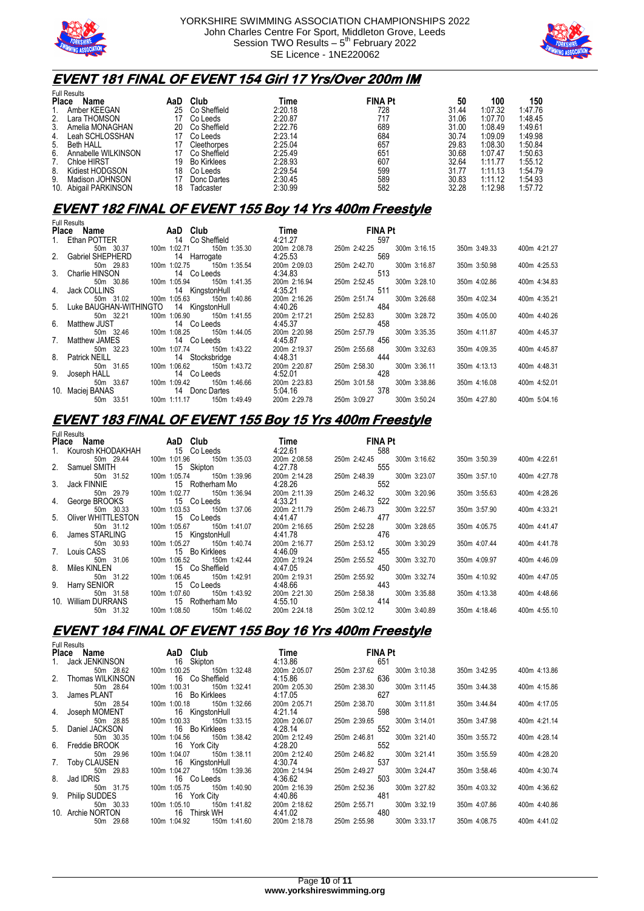



## **EVENT 181 FINAL OF EVENT 154 Girl 17 Yrs/Over 200m IM**

|              | <b>Full Results</b> |     |                    |         |                |       |         |         |  |
|--------------|---------------------|-----|--------------------|---------|----------------|-------|---------|---------|--|
| <b>Place</b> | <b>Name</b>         | AaD | Club               | Time    | <b>FINA Pt</b> | 50    | 100     | 150     |  |
|              | Amber KEEGAN        | 25  | Co Sheffield       | 2:20.18 | 728            | 31.44 | 1:07.32 | 1:47.76 |  |
| 2.           | Lara THOMSON        |     | Co Leeds           | 2:20.87 | 717            | 31.06 | 1:07.70 | 1:48.45 |  |
| 3.           | Amelia MONAGHAN     | 20  | Co Sheffield       | 2:22.76 | 689            | 31.00 | 1:08.49 | 1:49.61 |  |
| 4.           | Leah SCHLOSSHAN     |     | Co Leeds           | 2:23.14 | 684            | 30.74 | 1:09.09 | 1:49.98 |  |
| 5.           | <b>Beth HALL</b>    |     | Cleethorpes        | 2:25.04 | 657            | 29.83 | 1:08.30 | 1:50.84 |  |
| 6.           | Annabelle WILKINSON |     | Co Sheffield       | 2:25.49 | 651            | 30.68 | 1:07.47 | 1:50.63 |  |
| 7.           | <b>Chloe HIRST</b>  | 19  | <b>Bo Kirklees</b> | 2:28.93 | 607            | 32.64 | 1:11.77 | 1:55.12 |  |
| 8.           | Kidiest HODGSON     | 18  | Co Leeds           | 2:29.54 | 599            | 31.77 | 1:11.13 | 1:54.79 |  |
| 9.           | Madison JOHNSON     |     | Donc Dartes        | 2:30.45 | 589            | 30.83 | 1:11.12 | 1:54.93 |  |
| 10.          | Abigail PARKINSON   | 18  | Tadcaster          | 2:30.99 | 582            | 32.28 | 1:12.98 | 1:57.72 |  |

# **EVENT 182 FINAL OF EVENT 155 Boy 14 Yrs 400m Freestyle**

| <b>Full Results</b>       |              |                           |              |                |              |              |              |
|---------------------------|--------------|---------------------------|--------------|----------------|--------------|--------------|--------------|
| Place Name                |              | AaD Club <b>Data Club</b> | Time         | <b>FINA Pt</b> |              |              |              |
| 1. Ethan POTTER           |              | 14 Co Sheffield           | 4:21.27      | 597            |              |              |              |
| 50m 30.37                 | 100m 1:02.71 | 150m 1:35.30              | 200m 2:08.78 | 250m 2:42.25   | 300m 3:16.15 | 350m 3:49.33 | 400m 4:21.27 |
| 2. Gabriel SHEPHERD       |              | 14 Harrogate              | 4:25.53      | 569            |              |              |              |
| 50m 29.83                 | 100m 1:02.75 | 150m 1:35.54              | 200m 2:09.03 | 250m 2:42.70   | 300m 3:16.87 | 350m 3:50.98 | 400m 4:25.53 |
| 3. Charlie HINSON         |              | 14 Co Leeds               | 4:34.83      | 513            |              |              |              |
| 50m 30.86                 | 100m 1:05.94 | 150m 1:41.35              | 200m 2:16.94 | 250m 2:52.45   | 300m 3:28.10 | 350m 4:02.86 | 400m 4:34.83 |
| 4. Jack COLLINS           |              | 14 KingstonHull           | 4:35.21      | 511            |              |              |              |
| 50m 31.02                 | 100m 1:05.63 | 150m 1:40.86              | 200m 2:16.26 | 250m 2:51.74   | 300m 3:26.68 | 350m 4:02.34 | 400m 4:35.21 |
| 5. Luke BAUGHAN-WITHINGTO |              | 14 KingstonHull           | 4:40.26      | 484            |              |              |              |
| 50m 32.21                 | 100m 1:06.90 | 150m 1:41.55              | 200m 2:17.21 | 250m 2:52.83   | 300m 3:28.72 | 350m 4:05.00 | 400m 4:40.26 |
| 6. Matthew JUST           |              | 14 Co Leeds               | 4:45.37      | 458            |              |              |              |
| 50m 32.46                 | 100m 1:08.25 | 150m 1:44.05              | 200m 2:20.98 | 250m 2:57.79   | 300m 3:35.35 | 350m 4:11.87 | 400m 4:45.37 |
| 7. Matthew JAMES          |              | 14 Co Leeds               | 4:45.87      | 456            |              |              |              |
| 50m 32.23                 | 100m 1:07.74 | 150m 1:43.22              | 200m 2:19.37 | 250m 2:55.68   | 300m 3:32.63 | 350m 4:09.35 | 400m 4:45.87 |
| 8. Patrick NEILL          |              | 14 Stocksbridge           | 4:48.31      | 444            |              |              |              |
| 50m 31.65                 | 100m 1:06.62 | 150m 1:43.72              | 200m 2:20.87 | 250m 2:58.30   | 300m 3:36.11 | 350m 4:13.13 | 400m 4:48.31 |
| 9. Joseph HALL            |              | 14 Co Leeds               | 4:52.01      | 428            |              |              |              |
| 50m 33.67                 | 100m 1:09.42 | 150m 1:46.66              | 200m 2:23.83 | 250m 3:01.58   | 300m 3:38.86 | 350m 4:16.08 | 400m 4:52.01 |
| 10. Maciej BANAS          |              | 14 Donc Dartes            | 5:04.16      | 378            |              |              |              |
| 33.51<br>50m              | 100m 1:11.17 | 150m 1:49.49              | 200m 2:29.78 | 250m 3:09.27   | 300m 3:50.24 | 350m 4:27.80 | 400m 5:04.16 |

### **EVENT 183 FINAL OF EVENT 155 Boy 15 Yrs 400m Freestyle**

| <b>Full Results</b>           |                                                 |                         |                                     |              |              |
|-------------------------------|-------------------------------------------------|-------------------------|-------------------------------------|--------------|--------------|
|                               | Place Name AaD Club                             | <b>Time</b>             | <b>FINA Pt</b>                      |              |              |
| 1. Kourosh KHODAKHAH          | 15 Co Leeds                                     | 4:22.61                 | 588                                 |              |              |
| 50m 29.44<br>2. Samuel SMITH  | 150m 1:35.03<br>100m 1:01.96<br>15 Skipton      | 200m 2:08.58<br>4:27.78 | 300m 3:16.62<br>250m 2:42.45<br>555 | 350m 3:50.39 | 400m 4:22.61 |
|                               |                                                 |                         |                                     |              |              |
| 50m 31.52<br>3. Jack FINNIE   | 150m 1:39.96<br>100m 1:05.74<br>15 Rotherham Mo | 200m 2:14.28<br>4:28.26 | 250m 2:48.39<br>300m 3:23.07<br>552 | 350m 3:57.10 | 400m 4:27.78 |
| 50m 29.79                     | 150m 1:36.94<br>100m 1:02.77                    | 200m 2:11.39            | 300m 3:20.96<br>250m 2:46.32<br>522 | 350m 3:55.63 | 400m 4:28.26 |
| 4. George BROOKS<br>50m 30.33 | 15 Co Leeds<br>100m 1:03.53<br>150m 1:37.06     | 4:33.21<br>200m 2:11.79 | 250m 2:46.73<br>300m 3:22.57        | 350m 3:57.90 | 400m 4:33.21 |
| 5. Oliver WHITTLESTON         | 15 Co Leeds                                     | 4:41.47                 | 477                                 |              |              |
| 50m 31.12                     | 100m 1:05.67<br>150m 1:41.07                    | 200m 2:16.65            | 250m 2:52.28<br>300m 3:28.65        | 350m 4:05.75 | 400m 4:41.47 |
| 6. James STARLING             | 15 KingstonHull                                 | 4:41.78                 | 476                                 |              |              |
| 50m 30.93                     | 100m 1:05.27<br>150m 1:40.74                    | 200m 2:16.77            | 250m 2:53.12<br>300m 3:30.29        | 350m 4:07.44 | 400m 4:41.78 |
| 7. Louis CASS                 | 15 Bo Kirklees                                  | 4:46.09                 | 455                                 |              |              |
| 50m 31.06<br>8. Miles KINLEN  | 100m 1:06.52<br>150m 1:42.44<br>15 Co Sheffield | 200m 2:19.24<br>4:47.05 | 250m 2:55.52<br>300m 3:32.70<br>450 | 350m 4:09.97 | 400m 4:46.09 |
| 50m 31.22                     | 150m 1:42.91<br>100m 1:06.45                    | 200m 2:19.31            | 250m 2:55.92<br>300m 3:32.74        | 350m 4:10.92 | 400m 4:47.05 |
| 9. Harry SENIOR               | 15 Co Leeds                                     | 4:48.66                 | 443                                 |              |              |
| 50m 31.58                     | 100m 1:07.60<br>150m 1:43.92                    | 200m 2:21.30            | 250m 2:58.38<br>300m 3:35.88        | 350m 4:13.38 | 400m 4:48.66 |
| 10. William DURRANS           | 15 Rotherham Mo                                 | 4:55.10                 | 414                                 |              |              |
| 50m 31.32                     | 150m 1:46.02<br>100m 1:08.50                    | 200m 2:24.18            | 250m 3:02.12<br>300m 3:40.89        | 350m 4:18.46 | 400m 4:55.10 |

### **EVENT 184 FINAL OF EVENT 155 Boy 16 Yrs 400m Freestyle**

| <b>Full Results</b> |                              |              |                              |              |              |  |  |  |  |
|---------------------|------------------------------|--------------|------------------------------|--------------|--------------|--|--|--|--|
| Place Name          | AaD Club                     | <b>Time</b>  | <b>FINA Pt</b>               |              |              |  |  |  |  |
| 1. Jack JENKINSON   | 16 Skipton                   | 4:13.86      | 651                          |              |              |  |  |  |  |
| 50m 28.62           | 100m 1:00.25<br>150m 1:32.48 | 200m 2:05.07 | 300m 3:10.38<br>250m 2:37.62 | 350m 3:42.95 | 400m 4:13.86 |  |  |  |  |
| 2. Thomas WILKINSON | 16 Co Sheffield              | 4:15.86      | 636                          |              |              |  |  |  |  |
| 50m 28.64           | 100m 1:00.31<br>150m 1:32.41 | 200m 2:05.30 | 300m 3:11.45<br>250m 2:38.30 | 350m 3:44.38 | 400m 4:15.86 |  |  |  |  |
| 3. James PLANT      | 16 Bo Kirklees               | 4:17.05      | 627                          |              |              |  |  |  |  |
| 50m 28.54           | 150m 1:32.66<br>100m 1:00.18 | 200m 2:05.71 | 250m 2:38.70<br>300m 3:11.81 | 350m 3:44.84 | 400m 4:17.05 |  |  |  |  |
| 4. Joseph MOMENT    | 16 KingstonHull              | 4:21.14      | 598                          |              |              |  |  |  |  |
| 50m 28.85           | 150m 1:33.15<br>100m 1:00.33 | 200m 2:06.07 | 300m 3:14.01<br>250m 2:39.65 | 350m 3:47.98 | 400m 4:21.14 |  |  |  |  |
| 5. Daniel JACKSON   | 16 Bo Kirklees               | 4:28.14      | 552                          |              |              |  |  |  |  |
| 50m 30.35           | 100m 1:04.56<br>150m 1:38.42 | 200m 2:12.49 | 300m 3:21.40<br>250m 2:46.81 | 350m 3:55.72 | 400m 4:28.14 |  |  |  |  |
| 6. Freddie BROOK    | 16 York City                 | 4:28.20      | 552                          |              |              |  |  |  |  |
| 50m 29.96           | 100m 1:04.07<br>150m 1:38.11 | 200m 2:12.40 | 300m 3:21.41<br>250m 2:46.82 | 350m 3:55.59 | 400m 4:28.20 |  |  |  |  |
| 7. Toby CLAUSEN     | 16 KingstonHull              | 4:30.74      | 537                          |              |              |  |  |  |  |
| 50m 29.83           | 100m 1:04.27<br>150m 1:39.36 | 200m 2:14.94 | 250m 2:49.27<br>300m 3:24.47 | 350m 3:58.46 | 400m 4:30.74 |  |  |  |  |
| 8. Jad IDRIS        | 16 Co Leeds                  | 4:36.62      | 503                          |              |              |  |  |  |  |
| 50m 31.75           | 150m 1:40.90<br>100m 1:05.75 | 200m 2:16.39 | 250m 2:52.36<br>300m 3:27.82 | 350m 4:03.32 | 400m 4:36.62 |  |  |  |  |
| 9. Philip SUDDES    | 16 York City                 | 4:40.86      | 481                          |              |              |  |  |  |  |
| 50m 30.33           | 100m 1:05.10<br>150m 1:41.82 | 200m 2:18.62 | 300m 3:32.19<br>250m 2:55.71 | 350m 4:07.86 | 400m 4:40.86 |  |  |  |  |
| 10. Archie NORTON   | 16 Thirsk WH                 | 4:41.02      | 480                          |              |              |  |  |  |  |
| 50m 29.68           | 150m 1:41.60<br>100m 1:04.92 | 200m 2:18.78 | 250m 2:55.98<br>300m 3:33.17 | 350m 4:08.75 | 400m 4:41.02 |  |  |  |  |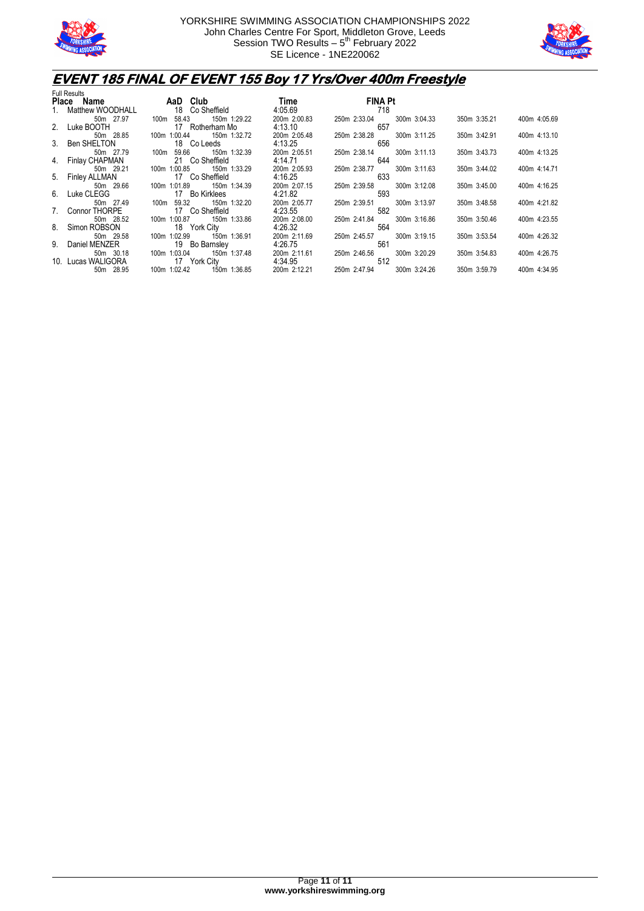



# **EVENT 185 FINAL OF EVENT 155 Boy 17 Yrs/Over 400m Freestyle**

|    | <b>Full Results</b> |                               |              |                              |              |              |
|----|---------------------|-------------------------------|--------------|------------------------------|--------------|--------------|
|    | Place Name          | AaD Club                      | <b>Time</b>  | <b>FINA Pt</b>               |              |              |
| 1. | Matthew WOODHALL    | 18 Co Sheffield               | 4:05.69      | 718                          |              |              |
|    | 50m 27.97           | 150m 1:29.22<br>58.43<br>100m | 200m 2:00.83 | 300m 3:04.33<br>250m 2:33.04 | 350m 3:35.21 | 400m 4:05.69 |
|    | 2. Luke BOOTH       | 17 Rotherham Mo               | 4:13.10      | 657                          |              |              |
|    | 50m 28.85           | 100m 1:00.44<br>150m 1:32.72  | 200m 2:05.48 | 250m 2:38.28 300m 3:11.25    | 350m 3:42.91 | 400m 4:13.10 |
|    | 3. Ben SHELTON      | 18 Co Leeds                   | 4:13.25      | 656                          |              |              |
|    | 50m 27.79           | 59.66<br>150m 1:32.39<br>100m | 200m 2:05.51 | 300m 3:11.13<br>250m 2:38.14 | 350m 3:43.73 | 400m 4:13.25 |
|    | 4. Finlay CHAPMAN   | 21 Co Sheffield               | 4:14.71      | 644                          |              |              |
|    | 50m 29.21           | 100m 1:00.85<br>150m 1:33.29  | 200m 2:05.93 | 300m 3:11.63<br>250m 2:38.77 | 350m 3:44.02 | 400m 4:14.71 |
|    | 5. Finley ALLMAN    | 17 Co Sheffield               | 4:16.25      | 633                          |              |              |
|    | 50m 29.66           | 100m 1:01.89<br>150m 1:34.39  | 200m 2:07.15 | 300m 3:12.08<br>250m 2:39.58 | 350m 3:45.00 | 400m 4:16.25 |
|    | 6. Luke CLEGG       | 17 Bo Kirklees                | 4:21.82      | 593                          |              |              |
|    | 50m 27.49           | 59.32<br>150m 1:32.20<br>100m | 200m 2:05.77 | 300m 3:13.97<br>250m 2:39.51 | 350m 3:48.58 | 400m 4:21.82 |
|    | 7. Connor THORPE    | 17 Co Sheffield               | 4:23.55      | 582                          |              |              |
|    | 50m 28.52           | 100m 1:00.87<br>150m 1:33.86  | 200m 2:08.00 | 300m 3:16.86<br>250m 2:41.84 | 350m 3:50.46 | 400m 4:23.55 |
|    | 8. Simon ROBSON     | 18 York City                  | 4:26.32      | 564                          |              |              |
|    | 50m 29.58           | 100m 1:02.99<br>150m 1:36.91  | 200m 2:11.69 | 300m 3:19.15<br>250m 2:45.57 | 350m 3:53.54 | 400m 4:26.32 |
|    | 9. Daniel MENZER    | 19 Bo Barnsley                | 4:26.75      | 561                          |              |              |
|    | 50m 30.18           | 150m 1:37.48<br>100m 1:03.04  | 200m 2:11.61 | 300m 3:20.29<br>250m 2:46.56 | 350m 3:54.83 | 400m 4:26.75 |
|    | 10. Lucas WALIGORA  | 17 York City                  | 4:34.95      | 512                          |              |              |
|    | 50m 28.95           | 100m 1:02.42<br>150m 1:36.85  | 200m 2:12.21 | 300m 3:24.26<br>250m 2:47.94 | 350m 3:59.79 | 400m 4:34.95 |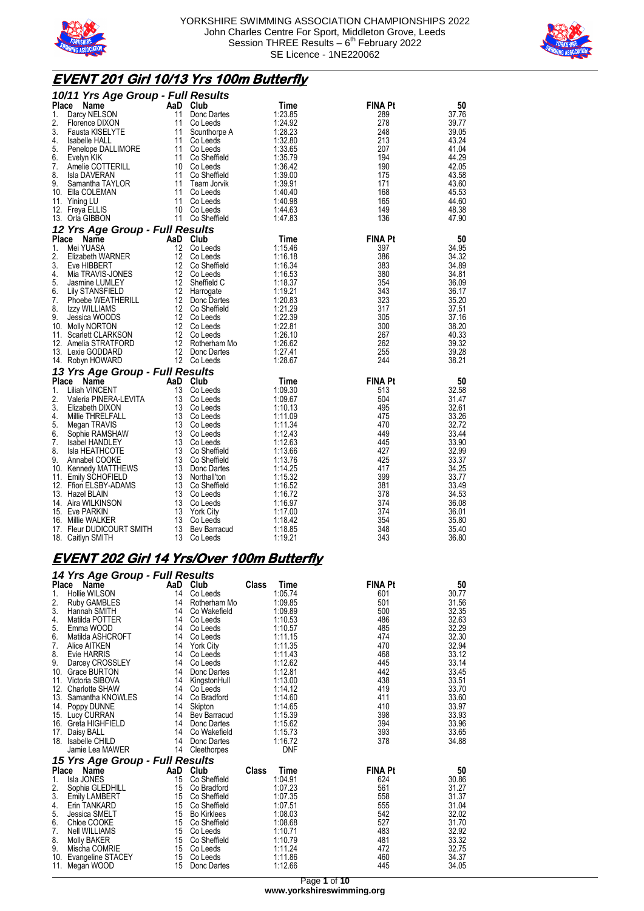



# **EVENT 201 Girl 10/13 Yrs 100m Butterfly**

|              | 10/11 Yrs Age Group - Full Results            |                       |                          |                    |                |                |
|--------------|-----------------------------------------------|-----------------------|--------------------------|--------------------|----------------|----------------|
| <b>Place</b> | Name                                          | AaD                   | Club                     | Time               | <b>FINA Pt</b> | 50             |
| 1.           | Darcy NELSON                                  | 11                    | Donc Dartes              | 1:23.85            | 289            | 37.76          |
| 2.           | Florence DIXON                                | 11                    | Co Leeds                 | 1:24.92            | 278            | 39.77          |
| 3.           | <b>Fausta KISELYTE</b>                        | 11                    | Scunthorpe A             | 1:28.23            | 248            | 39.05          |
| 4.           | <b>Isabelle HALL</b>                          | 11                    | Co Leeds                 | 1:32.80            | 213            | 43.24          |
| 5.           | Penelope DALLIMORE                            | 11                    | Co Leeds                 | 1:33.65            | 207            | 41.04          |
| 6.           | Evelyn KIK                                    | 11                    | Co Sheffield             | 1:35.79            | 194            | 44.29          |
| 7.           | Amelie COTTERILL                              |                       | 10 Co Leeds              | 1:36.42            | 190            | 42.05          |
| 8.           | <b>Isla DAVERAN</b>                           | 11                    | Co Sheffield             | 1:39.00            | 175            | 43.58          |
| 9.           | Samantha TAYLOR                               | 11                    | Team Jorvik              | 1:39.91            | 171            | 43.60          |
|              | 10. Ella COLEMAN                              | 11                    | Co Leeds                 | 1:40.40            | 168            | 45.53          |
| 11.          | Yining LU                                     | 11                    | Co Leeds                 | 1:40.98            | 165            | 44.60          |
|              | 12. Freya ELLIS                               | 10                    | Co Leeds                 | 1:44.63            | 149            | 48.38          |
|              | 13. Orla GIBBON                               | 11                    | Co Sheffield             | 1:47.83            | 136            | 47.90          |
|              | 12 Yrs Age Group - Full Results               |                       |                          |                    |                |                |
|              | Place<br>Name                                 | AaD                   | Club                     | Time               | <b>FINA Pt</b> | 50             |
| 1.           | Mei YUASA                                     | 12                    | Co Leeds                 | 1:15.46            | 397            | 34.95          |
| 2.           | Elizabeth WARNER                              | 12                    | Co Leeds                 | 1:16.18            | 386            | 34.32          |
| 3.           | Eve HIBBERT                                   | 12                    | Co Sheffield             | 1:16.34            | 383            | 34.89          |
| 4.           | Mia TRAVIS-JONES                              | 12                    | Co Leeds                 | 1:16.53            | 380            | 34.81          |
| 5.           | Jasmine LUMLEY                                |                       | 12 Sheffield C           | 1:18.37            | 354            | 36.09          |
| 6.           | <b>Lily STANSFIELD</b>                        | 12                    | Harrogate                | 1:19.21            | 343            | 36.17          |
| 7.           | Phoebe WEATHERILL                             | 12                    | Donc Dartes              | 1:20.83            | 323            | 35.20          |
| 8.           | Izzy WILLIAMS                                 | 12                    | Co Sheffield             | 1:21.29            | 317            | 37.51          |
| 9.           | Jessica WOODS                                 |                       | 12 Co Leeds              | 1:22.39            | 305            | 37.16          |
|              | 10. Molly NORTON                              | 12                    | Co Leeds                 | 1:22.81<br>1:26.10 | 300<br>267     | 38.20          |
|              | 11. Scarlett CLARKSON<br>12. Amelia STRATFORD | 12<br>12 <sup>°</sup> | Co Leeds<br>Rotherham Mo | 1:26.62            | 262            | 40.33<br>39.32 |
|              | 13. Lexie GODDARD                             | 12 <sup>°</sup>       | Donc Dartes              | 1:27.41            | 255            | 39.28          |
|              | 14. Robyn HOWARD                              |                       | 12 Co Leeds              | 1:28.67            | 244            | 38.21          |
|              |                                               |                       |                          |                    |                |                |
|              | 13 Yrs Age Group - Full Results               |                       |                          |                    |                |                |
| Place        | Name                                          | AaD                   | Club                     | Time               | <b>FINA Pt</b> | 50             |
| 1.           | <b>Liliah VINCENT</b>                         | 13                    | Co Leeds                 | 1:09.30            | 513<br>504     | 32.58          |
| 2.<br>3.     | Valeria PINERA-LEVITA                         | 13<br>13              | Co Leeds                 | 1:09.67<br>1:10.13 | 495            | 31.47<br>32.61 |
| 4.           | Elizabeth DIXON<br>Millie THRELFALL           | 13                    | Co Leeds<br>Co Leeds     | 1:11.09            | 475            | 33.26          |
| 5.           | Megan TRAVIS                                  | 13                    | Co Leeds                 | 1:11.34            | 470            | 32.72          |
| 6.           | Sophie RAMSHAW                                | 13                    | Co Leeds                 | 1:12.43            | 449            | 33.44          |
| 7.           | <b>Isabel HANDLEY</b>                         | 13                    | Co Leeds                 | 1:12.63            | 445            | 33.90          |
| 8.           | Isla HEATHCOTE                                | 13                    | Co Sheffield             | 1:13.66            | 427            | 32.99          |
| 9.           | Annabel COOKE                                 | 13                    | Co Sheffield             | 1:13.76            | 425            | 33.37          |
|              | 10. Kennedy MATTHEWS                          | 13                    | Donc Dartes              | 1:14.25            | 417            | 34.25          |
| 11.          | Emily SCHOFIELD                               | 13                    | Northall'ton             | 1:15.32            | 399            | 33.77          |
|              | 12. Ffion ELSBY-ADAMS                         | 13                    | Co Sheffield             | 1:16.52            | 381            | 33.49          |
|              | 13. Hazel BLAIN                               | 13                    | Co Leeds                 | 1:16.72            | 378            | 34.53          |
|              | 14. Aira WILKINSON                            | 13                    | Co Leeds                 | 1:16.97            | 374            | 36.08          |
|              | 15. Eve PARKIN                                | 13                    | <b>York City</b>         | 1:17.00            | 374            | 36.01          |
|              | 16. Millie WALKER                             | 13                    | Co Leeds                 | 1:18.42            | 354            | 35.80          |
| 17.          | Fleur DUDICOURT SMITH                         | 13                    | Bev Barracud             | 1:18.85            | 348            | 35.40          |
| 18.          | Caitlyn SMITH                                 | 13                    | Co Leeds                 | 1:19.21            | 343            | 36.80          |

### **EVENT 202 Girl 14 Yrs/Over 100m Butterfly**

|              | 14 Yrs Age Group - Full Results |     |                    |              |            |                |       |
|--------------|---------------------------------|-----|--------------------|--------------|------------|----------------|-------|
| Place        | <b>Name</b>                     | AaD | Club               | <b>Class</b> | Time       | <b>FINA Pt</b> | 50    |
| 1.           | <b>Hollie WILSON</b>            | 14  | Co Leeds           |              | 1:05.74    | 601            | 30.77 |
| 2.           | Ruby GAMBLES                    | 14  | Rotherham Mo       |              | 1:09.85    | 501            | 31.56 |
| 3.           | Hannah SMITH                    | 14  | Co Wakefield       |              | 1:09.89    | 500            | 32.35 |
| 4.           | Matilda POTTER                  | 14  | Co Leeds           |              | 1:10.53    | 486            | 32.63 |
| 5.           | Emma WOOD                       | 14  | Co Leeds           |              | 1:10.57    | 485            | 32.29 |
| 6.           | Matilda ASHCROFT                | 14  | Co Leeds           |              | 1:11.15    | 474            | 32.30 |
| 7.           | <b>Alice AITKEN</b>             | 14  | <b>York City</b>   |              | 1:11.35    | 470            | 32.94 |
| 8.           | Evie HARRIS                     | 14  | Co Leeds           |              | 1:11.43    | 468            | 33.12 |
| 9.           | Darcey CROSSLEY                 | 14  | Co Leeds           |              | 1:12.62    | 445            | 33.14 |
| 10.          | <b>Grace BURTON</b>             | 14  | Donc Dartes        |              | 1:12.81    | 442            | 33.45 |
| 11.          | Victoria SIBOVA                 | 14  | KingstonHull       |              | 1:13.00    | 438            | 33.51 |
| 12.          | <b>Charlotte SHAW</b>           | 14  | Co Leeds           |              | 1:14.12    | 419            | 33.70 |
| 13.          | Samantha KNOWLES                | 14  | Co Bradford        |              | 1:14.60    | 411            | 33.60 |
| 14.          | Poppy DUNNE                     | 14  | Skipton            |              | 1:14.65    | 410            | 33.97 |
| 15.          | Lucy CURRAN                     | 14  | Bev Barracud       |              | 1:15.39    | 398            | 33.93 |
| 16.          | Greta HIGHFIELD                 | 14  | Donc Dartes        |              | 1:15.62    | 394            | 33.96 |
| 17.          | Daisy BALL                      | 14  | Co Wakefield       |              | 1:15.73    | 393            | 33.65 |
|              | 18. Isabelle CHILD              | 14  | Donc Dartes        |              | 1:16.72    | 378            | 34.88 |
|              | Jamie Lea MAWER                 | 14  | Cleethorpes        |              | <b>DNF</b> |                |       |
|              | 15 Yrs Age Group - Full Results |     |                    |              |            |                |       |
| <b>Place</b> | Name                            | AaD | Club               | Class        | Time       | <b>FINA Pt</b> | 50    |
| 1.           | Isla JONES                      | 15  | Co Sheffield       |              | 1:04.91    | 624            | 30.86 |
| 2.           | Sophia GLEDHILL                 | 15  | Co Bradford        |              | 1:07.23    | 561            | 31.27 |
| 3.           | <b>Emily LAMBERT</b>            | 15  | Co Sheffield       |              | 1:07.35    | 558            | 31.37 |
| 4.           | Erin TANKARD                    | 15  | Co Sheffield       |              | 1:07.51    | 555            | 31.04 |
| 5.           | Jessica SMELT                   | 15  | <b>Bo Kirklees</b> |              | 1:08.03    | 542            | 32.02 |
| 6.           | Chloe COOKE                     | 15  | Co Sheffield       |              | 1:08.68    | 527            | 31.70 |
| 7.           | <b>Nell WILLIAMS</b>            | 15  | Co Leeds           |              | 1:10.71    | 483            | 32.92 |
| 8.           | <b>Molly BAKER</b>              | 15  | Co Sheffield       |              | 1:10.79    | 481            | 33.32 |
| 9.           | Mischa COMRIE                   | 15  | Co Leeds           |              | 1:11.24    | 472            | 32.75 |
| 10.          | Evangeline STACEY               | 15  | Co Leeds           |              | 1:11.86    | 460            | 34.37 |
| 11.          | Megan WOOD                      | 15  | Donc Dartes        |              | 1:12.66    | 445            | 34.05 |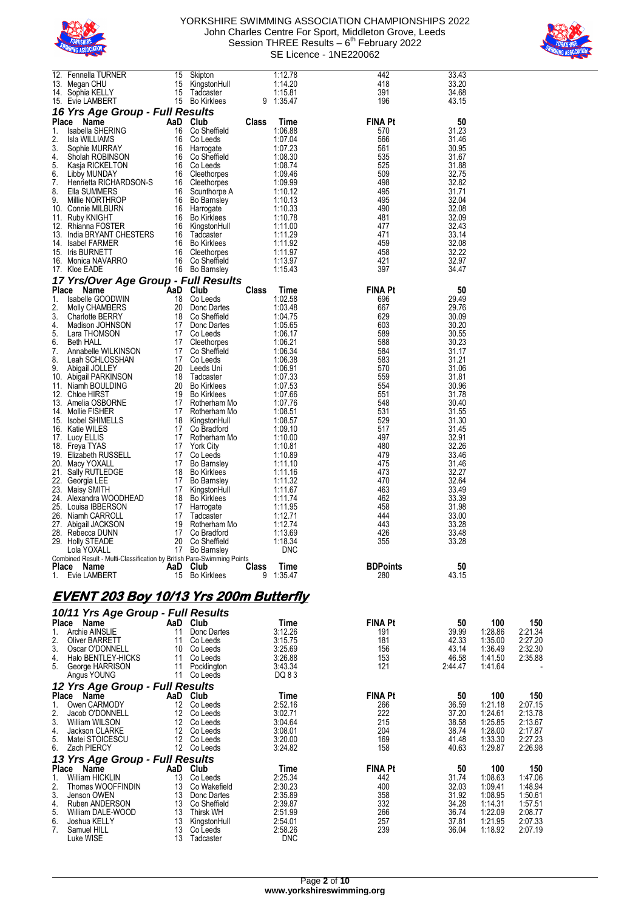



| 12. Fennella TURNER                                                    | 15       | Skipton                            |                   | 1:12.78            | 442                    | 33.43          |                    |                    |
|------------------------------------------------------------------------|----------|------------------------------------|-------------------|--------------------|------------------------|----------------|--------------------|--------------------|
| 13. Megan CHU<br>14. Sophia KELLY                                      |          | 15 KingstonHull<br>15 Tadcaster    |                   | 1:14.20<br>1:15.81 | 418<br>391             | 33.20<br>34.68 |                    |                    |
| 15. Evie LAMBERT                                                       |          | 15 Bo Kirklees                     |                   | 9 1:35.47          | 196                    | 43.15          |                    |                    |
| 16 Yrs Age Group - Full Results                                        |          |                                    |                   |                    |                        |                |                    |                    |
| Place Name                                                             |          | AaD Club                           | Class             | Time               | <b>FINA Pt</b>         | 50             |                    |                    |
| Isabella SHERING<br>1.                                                 |          | 16 Co Sheffield                    |                   | 1:06.88            | 570                    | 31.23          |                    |                    |
| 2.<br>Isla WILLIAMS                                                    | 16       | Co Leeds                           |                   | 1:07.04            | 566                    | 31.46          |                    |                    |
| 3.<br>Sophie MURRAY<br>4.<br>Sholah ROBINSON                           |          | 16 Harrogate<br>16 Co Sheffield    |                   | 1:07.23<br>1:08.30 | 561<br>535             | 30.95<br>31.67 |                    |                    |
| 5.<br>Kasja RICKELTON                                                  |          | 16 Co Leeds                        |                   | 1:08.74            | 525                    | 31.88          |                    |                    |
| Libby MUNDAY<br>6.                                                     |          | 16 Cleethorpes                     |                   | 1:09.46            | 509                    | 32.75          |                    |                    |
| Henrietta RICHARDSON-S<br>7.                                           |          | 16 Cleethorpes                     |                   | 1:09.99            | 498                    | 32.82          |                    |                    |
| 8.<br>Ella SUMMERS<br>9.<br>Millie NORTHROP                            |          | 16 Scunthorpe A<br>16 Bo Barnsley  |                   | 1:10.12<br>1:10.13 | 495<br>495             | 31.71<br>32.04 |                    |                    |
| 10. Connie MILBURN                                                     |          | 16 Harrogate                       |                   | 1:10.33            | 490                    | 32.08          |                    |                    |
| 11. Ruby KNIGHT                                                        |          | 16 Bo Kirklees                     |                   | 1:10.78            | 481                    | 32.09          |                    |                    |
| 12. Rhianna FOSTER                                                     |          | 16 KingstonHull                    |                   | 1:11.00            | 477                    | 32.43          |                    |                    |
| 13. India BRYANT CHESTERS                                              |          | 16 Tadcaster                       |                   | 1:11.29            | 471                    | 33.14          |                    |                    |
| 14. Isabel FARMER<br>15. Iris BURNETT                                  |          | 16 Bo Kirklees<br>16 Cleethorpes   |                   | 1:11.92<br>1:11.97 | 459<br>458             | 32.08<br>32.22 |                    |                    |
| 16. Monica NAVARRO                                                     |          | 16 Co Sheffield                    |                   | 1:13.97            | 421                    | 32.97          |                    |                    |
| 17. Kloe EADE                                                          |          | 16 Bo Barnsley                     |                   | 1:15.43            | 397                    | 34.47          |                    |                    |
| 17 Yrs/Over Age Group - Full Results                                   |          |                                    |                   |                    |                        |                |                    |                    |
| Place Name                                                             |          | AaD Club                           | Class             | Time               | <b>FINA Pt</b>         | 50             |                    |                    |
| Isabelle GOODWIN<br>1.                                                 |          | 18 Co Leeds                        |                   | 1:02.58            | 696                    | 29.49          |                    |                    |
| Molly CHAMBERS                                                         | 20       | Donc Dartes                        |                   | 1:03.48            | 667                    | 29.76          |                    |                    |
| 3.<br><b>Charlotte BERRY</b><br>Madison JOHNSON<br>4.                  |          | 18 Co Sheffield<br>17 Donc Dartes  |                   | 1:04.75<br>1:05.65 | 629<br>603             | 30.09<br>30.20 |                    |                    |
| 5.<br>Lara THOMSON                                                     |          | 17 Co Leeds                        |                   | 1:06.17            | 589                    | 30.55          |                    |                    |
| <b>Beth HALL</b><br>6.                                                 |          | 17 Cleethorpes                     |                   | 1:06.21            | 588                    | 30.23          |                    |                    |
| 7.<br>Annabelle WILKINSON                                              |          | 17 Co Sheffield                    |                   | 1:06.34            | 584                    | 31.17          |                    |                    |
| 8.<br>Leah SCHLOSSHAN                                                  |          | 17 Co Leeds                        |                   | 1:06.38            | 583                    | 31.21          |                    |                    |
| 9.<br>Abigail JOLLEY<br>10. Abigail PARKINSON                          |          | 20 Leeds Uni<br>18 Tadcaster       |                   | 1:06.91<br>1:07.33 | 570<br>559             | 31.06<br>31.81 |                    |                    |
| 11. Niamh BOULDING                                                     |          | 20 Bo Kirklees                     |                   | 1:07.53            | 554                    | 30.96          |                    |                    |
| 12. Chloe HIRST                                                        |          | 19 Bo Kirklees                     |                   | 1:07.66            | 551                    | 31.78          |                    |                    |
| 13. Amelia OSBORNE                                                     |          | 17 Rotherham Mo<br>17 Potherham Mo |                   | 1:07.76            | 548                    | 30.40          |                    |                    |
| 14. Mollie FISHER                                                      |          | 17 Rotherham Mo                    |                   | 1:08.51            | 531<br>529             | 31.55          |                    |                    |
| 15. Isobel SHIMELLS<br>16. Katie WILES                                 |          | 18 KingstonHull<br>17 Co Bradford  |                   | 1:08.57<br>1:09.10 | 517                    | 31.30<br>31.45 |                    |                    |
| 17. Lucy ELLIS                                                         |          | 17 Rotherham Mo                    |                   | 1:10.00            | 497                    | 32.91          |                    |                    |
| 18. Freya TYAS                                                         |          | 17 York City                       |                   | 1:10.81            | 480                    | 32.26          |                    |                    |
| 19. Elizabeth RUSSELL                                                  | 17       | Co Leeds                           |                   | 1:10.89            | 479                    | 33.46          |                    |                    |
| 20. Macy YOXALL                                                        | 17       | Bo Barnsley                        |                   | 1:11.10            | 475                    | 31.46          |                    |                    |
| 21. Sally RUTLEDGE<br>22. Georgia LEE                                  |          | 18 Bo Kirklees<br>17 Bo Barnsley   |                   | 1:11.16<br>1:11.32 | 473<br>470             | 32.27<br>32.64 |                    |                    |
| 23. Maisy SMITH                                                        |          | 17 KingstonHull                    |                   | 1:11.67            | 463                    | 33.49          |                    |                    |
| 24. Alexandra WOODHEAD                                                 |          | 18 Bo Kirklees                     |                   | 1:11.74            | 462                    | 33.39          |                    |                    |
| 25. Louisa IBBERSON                                                    |          | 17 Harrogate                       |                   | 1:11.95            | 458                    | 31.98          |                    |                    |
| 26. Niamh CARROLL                                                      | 17       | Tadcaster                          |                   | 1:12.71<br>1:12.74 | 444                    | 33.00          |                    |                    |
| 27.   Abigail JACKSON<br>28.   Rebecca DUNN                            | 19<br>17 | Rotherham Mo<br>Co Bradford        |                   | 1:13.69            | 443<br>426             | 33.28<br>33.48 |                    |                    |
| 29. Holly STEADE                                                       | 20       | Co Sheffield                       |                   | 1:18.34            | 355                    | 33.28          |                    |                    |
| Lola YOXALL                                                            | 17       | <b>Bo Barnsley</b>                 |                   | <b>DNC</b>         |                        |                |                    |                    |
| Combined Result - Multi-Classification by British Para-Swimming Points |          |                                    |                   |                    |                        |                |                    |                    |
| Place Name<br>1. Evie LAMBERT                                          |          | AaD Club<br>15 Bo Kirklees         | <b>Class</b><br>9 | Time<br>1:35.47    | <b>BDPoints</b><br>280 | 50<br>43.15    |                    |                    |
|                                                                        |          |                                    |                   |                    |                        |                |                    |                    |
| <u>EVENT 203 Boy 10/13 Yrs 200m Butterfly</u>                          |          |                                    |                   |                    |                        |                |                    |                    |
|                                                                        |          |                                    |                   |                    |                        |                |                    |                    |
| 10/11 Yrs Age Group - Full Results                                     |          |                                    |                   |                    |                        |                |                    |                    |
| Place Name                                                             |          | AaD Club                           |                   | Time               | <b>FINA Pt</b>         | 50             | 100                | 150                |
| Archie AINSLIE<br>1.<br>2.<br><b>Oliver BARRETT</b>                    | 11       | 11 Donc Dartes<br>Co Leeds         |                   | 3:12.26<br>3:15.75 | 191<br>181             | 39.99<br>42.33 | 1:28.86<br>1:35.00 | 2:21.34<br>2:27.20 |
| 3.<br>Oscar O'DONNELL                                                  |          | 10 Co Leeds                        |                   | 3:25.69            | 156                    | 43.14          | 1:36.49            | 2:32.30            |
| Halo BENTLEY-HICKS<br>4.                                               | 11       | Co Leeds                           |                   | 3:26.88            | 153                    | 46.58          | 1:41.50            | 2:35.88            |
| George HARRISON<br>5.                                                  | 11       | Pocklington                        |                   | 3:43.34            | 121                    | 2:44.47        | 1:41.64            |                    |
| Angus YOUNG                                                            |          | 11 Co Leeds                        |                   | DQ 83              |                        |                |                    |                    |
| 12 Yrs Age Group - Full Results                                        |          |                                    |                   |                    |                        |                |                    |                    |
| Place Name                                                             |          | AaD Club                           |                   | Time               | <b>FINA Pt</b>         | 50             | 100                | 150                |
| Owen CARMODY<br>1.                                                     |          | 12 Co Leeds                        |                   | 2:52.16            | 266                    | 36.59          | 1:21.18            | 2:07.15            |
| 2.<br>Jacob O'DONNELL<br>3.<br>William WILSON                          |          | 12 Co Leeds<br>12 Co Leeds         |                   | 3:02.71<br>3:04.64 | 222<br>215             | 37.20<br>38.58 | 1:24.61<br>1:25.85 | 2:13.78<br>2:13.67 |
| 4.<br>Jackson CLARKE                                                   |          | 12 Co Leeds                        |                   | 3:08.01            | 204                    | 38.74          | 1:28.00            | 2:17.87            |
| 5.<br>Matei STOICESCU                                                  |          | 12 Co Leeds                        |                   | 3:20.00            | 169                    | 41.48          | 1:33.30            | 2:27.23            |
| 6.<br>Zach PIERCY                                                      |          | 12 Co Leeds                        |                   | 3:24.82            | 158                    | 40.63          | 1:29.87            | 2:26.98            |
| 13 Yrs Age Group - Full Results                                        |          |                                    |                   |                    |                        |                |                    |                    |
| Place Name                                                             |          | AaD Club                           |                   | Time               | <b>FINA Pt</b>         | 50             | 100                | 150                |
| William HICKLIN<br>1.<br>Thomas WOOFFINDIN                             | 13       | Co Leeds<br>13 Co Wakefield        |                   | 2:25.34<br>2:30.23 | 442<br>400             | 31.74<br>32.03 | 1:08.63<br>1:09.41 | 1:47.06<br>1:48.94 |
| 2.<br>3.<br>Jenson OWEN                                                | 13       | Donc Dartes                        |                   | 2:35.89            | 358                    | 31.92          | 1:08.95            | 1:50.61            |
| Ruben ANDERSON<br>4.                                                   |          | 13 Co Sheffield                    |                   | 2:39.87            | 332                    | 34.28          | 1:14.31            | 1:57.51            |
| 5.<br>William DALE-WOOD                                                |          | 13 Thirsk WH                       |                   | 2:51.99            | 266                    | 36.74          | 1:22.09            | 2:08.77            |
| 6.<br>Joshua KELLY                                                     | 13       | KingstonHull                       |                   | 2:54.01            | 257                    | 37.81          | 1:21.95            | 2:07.33            |
| 7.<br>Samuel HILL<br>Luke WISE                                         |          | 13 Co Leeds<br>13 Tadcaster        |                   | 2:58.26            | 239                    | 36.04          | 1:18.92            | 2:07.19            |
|                                                                        |          |                                    |                   | <b>DNC</b>         |                        |                |                    |                    |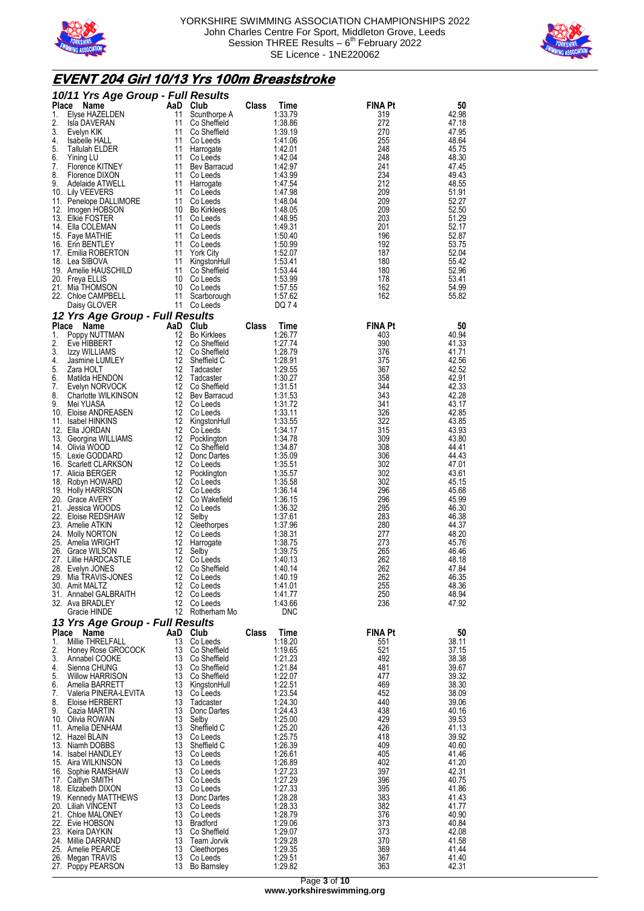



## **EVENT 204 Girl 10/13 Yrs 100m Breaststroke**

|              | 10/11 Yrs Age Group - Full Results         |                |                                   |       |                    |                       |                |
|--------------|--------------------------------------------|----------------|-----------------------------------|-------|--------------------|-----------------------|----------------|
| Place<br>1.  | Name<br>Elyse HAZELDEN                     | AaD Club<br>11 | Scunthorpe A                      | Class | Time<br>1:33.79    | <b>FINA Pt</b><br>319 | 50<br>42.98    |
| 2.           | Isla DAVERAN                               | 11             | Co Sheffield                      |       | 1:38.86            | 272                   | 47.18          |
| 3.           | Evelyn KIK                                 | 11             | Co Sheffield                      |       | 1:39.19            | 270                   | 47.95          |
| 4.           | <b>Isabelle HALL</b>                       | 11             | Co Leeds                          |       | 1:41.06            | 255                   | 48.64          |
| 5.<br>6.     | Tallulah ELDER<br>Yining LU                | 11             | Harrogate<br>11 Co Leeds          |       | 1:42.01<br>1:42.04 | 248<br>248            | 45.75<br>48.30 |
| 7.           | Florence KITNEY                            | 11             | Bev Barracud                      |       | 1:42.97            | 241                   | 47.45          |
| 8.           | Florence DIXON                             | 11             | Co Leeds                          |       | 1:43.99            | 234                   | 49.43          |
| 9.           | Adelaide ATWELL                            | 11             | Harrogate                         |       | 1:47.54            | 212                   | 48.55          |
|              | 10. Lily VEEVERS<br>11. Penelope DALLIMORE | 11<br>11       | Co Leeds<br>Co Leeds              |       | 1:47.98<br>1:48.04 | 209<br>209            | 51.91<br>52.27 |
|              | 12. Imogen HOBSON                          |                | 10 Bo Kirklees                    |       | 1:48.05            | 209                   | 52.50          |
|              | 13. Elkie FOSTER                           |                | 11 Co Leeds                       |       | 1:48.95            | 203                   | 51.29          |
|              | 14. Ella COLEMAN                           | 11             | Co Leeds                          |       | 1:49.31            | 201                   | 52.17          |
|              | 15. Faye MATHIE                            | 11             | 11 Co Leeds                       |       | 1:50.40<br>1:50.99 | 196                   | 52.87<br>53.75 |
|              | 16. Erin BENTLEY<br>17. Emilia ROBERTON    | 11             | Co Leeds<br><b>York City</b>      |       | 1:52.07            | 192<br>187            | 52.04          |
|              | 18. Lea SIBOVA                             | 11             | KingstonHull                      |       | 1:53.41            | 180                   | 55.42          |
|              | 19. Amelie HAUSCHILD                       | 11             | Co Sheffield                      |       | 1:53.44            | 180                   | 52.96          |
|              | 20. Freya ELLIS                            | 10             | Co Leeds                          |       | 1:53.99            | 178                   | 53.41          |
|              | 21. Mia THOMSON<br>22. Chloe CAMPBELL      | 11             | 10 Co Leeds                       |       | 1:57.55<br>1:57.62 | 162<br>162            | 54.99<br>55.82 |
|              | Daisy GLOVER                               |                | Scarborough<br>11 Co Leeds        |       | DQ 74              |                       |                |
|              | 12 Yrs Age Group - Full Results            |                |                                   |       |                    |                       |                |
| <b>Place</b> | Name                                       | AaD            | Club                              | Class | Time               | <b>FINA Pt</b>        | 50             |
| 1.           | Poppy NUTTMAN                              | 12             | <b>Bo Kirklees</b>                |       | 1:26.77            | 403                   | 40.94          |
| 2.<br>3.     | Eve HIBBERT                                | 12             | 12 Co Sheffield                   |       | 1:27.74<br>1:28.79 | 390                   | 41.33<br>41.71 |
| 4.           | Izzy WILLIAMS<br>Jasmine LUMLEY            | 12             | Co Sheffield<br>Sheffield C       |       | 1:28.91            | 376<br>375            | 42.56          |
| 5.           | Zara HOLT                                  | 12             | Tadcaster                         |       | 1:29.55            | 367                   | 42.52          |
| 6.           | Matilda HENDON                             | 12             | Tadcaster                         |       | 1:30.27            | 358                   | 42.91          |
| 7.           | Evelyn NORVOCK                             |                | 12 Co Sheffield                   |       | 1:31.51            | 344                   | 42.33          |
| 8.<br>9.     | Charlotte WILKINSON<br>Mei YUASA           | 12             | 12 Bev Barracud<br>Co Leeds       |       | 1:31.53<br>1:31.72 | 343<br>341            | 42.28<br>43.17 |
|              | 10. Eloise ANDREASEN                       |                | 12 Co Leeds                       |       | 1:33.11            | 326                   | 42.85          |
|              | 11. Isabel HINKINS                         |                | 12 KingstonHull                   |       | 1:33.55            | 322                   | 43.85          |
|              | 12. Ella JORDAN                            | 12             | Co Leeds                          |       | 1:34.17            | 315                   | 43.93          |
|              | 13. Georgina WILLIAMS                      | 12             | Pocklington                       |       | 1:34.78            | 309                   | 43.80          |
|              | 14. Olivia WOOD<br>15. Lexie GODDARD       | 12             | 12 Co Sheffield<br>Donc Dartes    |       | 1:34.87<br>1:35.09 | 308<br>306            | 44.41<br>44.43 |
|              | 16. Scarlett CLARKSON                      |                | 12 Co Leeds                       |       | 1:35.51            | 302                   | 47.01          |
|              | 17. Alicia BERGER                          |                | 12 Pocklington                    |       | 1:35.57            | 302                   | 43.61          |
|              | 18. Robyn HOWARD                           | 12             | Co Leeds                          |       | 1:35.58            | 302                   | 45.15          |
|              | 19. Holly HARRISON                         |                | 12 Co Leeds                       |       | 1:36.14            | 296                   | 45.68          |
| 21.          | 20. Grace AVERY<br>Jessica WOODS           | 12             | 12 Co Wakefield<br>Co Leeds       |       | 1:36.15<br>1:36.32 | 296<br>295            | 45.99<br>46.30 |
|              | 22. Eloise REDSHAW                         | 12             | Selby                             |       | 1:37.61            | 283                   | 46.38          |
|              | 23. Amelie ATKIN                           |                | 12 Cleethorpes                    |       | 1:37.96            | 280                   | 44.37          |
|              | 24. Molly NORTON                           | 12             | Co Leeds                          |       | 1:38.31            | 277                   | 48.20          |
|              | 25. Amelia WRIGHT<br>26. Grace WILSON      | 12<br>12       | Harrogate<br>Selby                |       | 1:38.75<br>1:39.75 | 273<br>265            | 45.76<br>46.46 |
|              | 27. Lillie HARDCASTLE                      | 12             | Co Leeds                          |       | 1:40.13            | 262                   | 48.18          |
|              | 28. Evelyn JONES                           | 12             | Co Sheffield                      |       | 1:40.14            | 262                   | 47.84          |
|              | 29. Mia TRAVIS-JONES                       |                | 12 Co Leeds                       |       | 1:40.19            | 262                   | 46.35          |
|              | 30. Amit MALTZ<br>31. Annabel GALBRAITH    |                | 12 Co Leeds<br>12 Co Leeds        |       | 1:41.01            | 255                   | 48.36          |
|              | 32. Ava BRADLEY                            |                | 12 Co Leeds                       |       | 1:41.77<br>1:43.66 | 250<br>236            | 48.94<br>47.92 |
|              | Gracie HINDE                               |                | 12 Rotherham Mo                   |       | <b>DNC</b>         |                       |                |
|              | 13 Yrs Age Group - Full Results            |                |                                   |       |                    |                       |                |
| Place        | Name                                       | AaD Club       |                                   | Class | Time               | <b>FINA Pt</b>        | 50             |
| 1.<br>2.     | Millie THRELFALL<br>Honey Rose GROCOCK     |                | 13 Co Leeds<br>13 Co Sheffield    |       | 1:18.20<br>1:19.65 | 551<br>521            | 38.11<br>37.15 |
| 3.           | Annabel COOKE                              |                | 13 Co Sheffield                   |       | 1:21.23            | 492                   | 38.38          |
| 4.           | Sienna CHUNG                               |                | 13 Co Sheffield                   |       | 1:21.84            | 481                   | 39.67          |
| 5.           | <b>Willow HARRISON</b>                     |                | 13 Co Sheffield                   |       | 1:22.07            | 477                   | 39.32          |
| 6.           | Amelia BARRETT                             |                | 13 KingstonHull                   |       | 1:22.51            | 469                   | 38.30          |
| 7.<br>8.     | Valeria PINERA-LEVITA<br>Eloise HERBERT    |                | 13 Co Leeds<br>13 Tadcaster       |       | 1:23.54<br>1:24.30 | 452<br>440            | 38.09<br>39.06 |
| 9.           | Cazia MARTIN                               |                | 13 Donc Dartes                    |       | 1:24.43            | 438                   | 40.16          |
|              | 10. Olivia ROWAN                           |                | 13 Selby                          |       | 1:25.00            | 429                   | 39.53          |
|              | 11. Amelia DENHAM                          |                | 13 Sheffield C                    |       | 1:25.20            | 426                   | 41.13          |
|              | 12. Hazel BLAIN<br>13. Niamh DOBBS         |                | 13 Co Leeds<br>13 Sheffield C     |       | 1:25.75<br>1:26.39 | 418<br>409            | 39.92<br>40.60 |
|              | 14. Isabel HANDLEY                         |                | 13 Co Leeds                       |       | 1:26.61            | 405                   | 41.46          |
|              | 15. Aira WILKINSON                         |                | 13 Co Leeds                       |       | 1:26.89            | 402                   | 41.20          |
|              | 16. Sophie RAMSHAW                         |                | 13 Co Leeds                       |       | 1:27.23            | 397                   | 42.31          |
|              | 17. Caitlyn SMITH<br>18. Elizabeth DIXON   |                | 13 Co Leeds<br>13 Co Leeds        |       | 1:27.29<br>1:27.33 | 396<br>395            | 40.75<br>41.86 |
|              | 19. Kennedy MATTHEWS                       |                | 13 Donc Dartes                    |       | 1:28.28            | 383                   | 41.43          |
|              | 20. Liliah VINCENT                         |                | 13 Co Leeds                       |       | 1:28.33            | 382                   | 41.77          |
|              | 21. Chloe MALONEY                          |                | 13 Co Leeds                       |       | 1:28.79            | 376                   | 40.90          |
|              | 22. Evie HOBSON                            |                | 13 Bradford                       |       | 1:29.06            | 373                   | 40.84          |
|              | 23. Keira DAYKIN<br>24. Millie DARRAND     |                | 13 Co Sheffield<br>13 Team Jorvik |       | 1:29.07<br>1:29.28 | 373<br>370            | 42.08<br>41.58 |
|              | 25. Amelie PEARCE                          |                | 13 Cleethorpes                    |       | 1:29.35            | 369                   | 41.44          |
|              | 26. Megan TRAVIS                           |                | 13 Co Leeds                       |       | 1:29.51            | 367                   | 41.40          |
|              | 27. Poppy PEARSON                          |                | 13 Bo Barnsley                    |       | 1:29.82            | 363                   | 42.31          |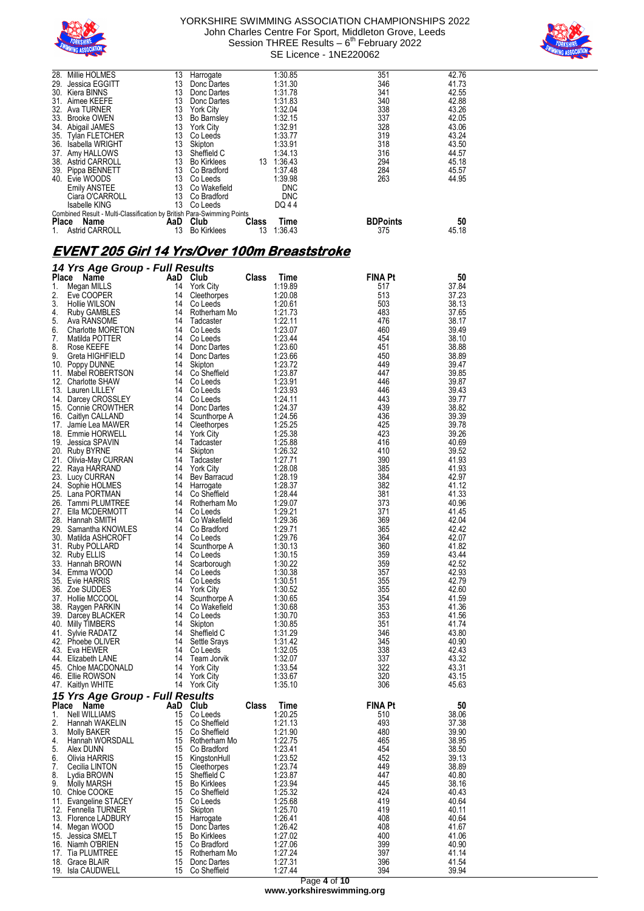



| Millie HOLMES         | 13                                                                                                                                                                                                                                            | Harrogate          |       | 1:30.85                                                                | 351 | 42.76           |
|-----------------------|-----------------------------------------------------------------------------------------------------------------------------------------------------------------------------------------------------------------------------------------------|--------------------|-------|------------------------------------------------------------------------|-----|-----------------|
| Jessica EGGITT        | 13                                                                                                                                                                                                                                            | Donc Dartes        |       | 1:31.30                                                                | 346 | 41.73           |
|                       | 13                                                                                                                                                                                                                                            | Donc Dartes        |       | 1:31.78                                                                | 341 | 42.55           |
| Aimee KEEFE           | 13                                                                                                                                                                                                                                            | Donc Dartes        |       | 1:31.83                                                                | 340 | 42.88           |
|                       | 13                                                                                                                                                                                                                                            | York Citv          |       | 1:32.04                                                                | 338 | 43.26           |
|                       | 13                                                                                                                                                                                                                                            | <b>Bo Barnsley</b> |       | 1:32.15                                                                | 337 | 42.05           |
| Abigail JAMES         | 13                                                                                                                                                                                                                                            | <b>York City</b>   |       | 1:32.91                                                                | 328 | 43.06           |
|                       | 13                                                                                                                                                                                                                                            | Co Leeds           |       | 1:33.77                                                                | 319 | 43.24           |
|                       | 13                                                                                                                                                                                                                                            | Skipton            |       | 1:33.91                                                                | 318 | 43.50           |
|                       | 13                                                                                                                                                                                                                                            | Sheffield C        |       | 1:34.13                                                                | 316 | 44.57           |
|                       | 13                                                                                                                                                                                                                                            | <b>Bo Kirklees</b> | 13    | 1:36.43                                                                | 294 | 45.18           |
|                       | 13                                                                                                                                                                                                                                            | Co Bradford        |       | 1:37.48                                                                | 284 | 45.57           |
|                       | 13                                                                                                                                                                                                                                            | Co Leeds           |       | 1:39.98                                                                | 263 | 44.95           |
|                       | 13                                                                                                                                                                                                                                            | Co Wakefield       |       | <b>DNC</b>                                                             |     |                 |
| Ciara O'CARROLL       | 13                                                                                                                                                                                                                                            | Co Bradford        |       | <b>DNC</b>                                                             |     |                 |
| Isabelle KING         | 13                                                                                                                                                                                                                                            | Co Leeds           |       | DQ 44                                                                  |     |                 |
|                       |                                                                                                                                                                                                                                               |                    |       |                                                                        |     |                 |
| Name                  | AaD                                                                                                                                                                                                                                           | Club               | Class | Time                                                                   |     | 50              |
| <b>Astrid CARROLL</b> | 13                                                                                                                                                                                                                                            | <b>Bo Kirklees</b> | 13    | 1:36.43                                                                | 375 | 45.18           |
|                       | 29.<br>30. Kiera BINNS<br>31.<br>32. Ava TURNER<br>33. Brooke OWEN<br>34.<br>35. Tylan FLETCHER<br>36. Isabella WRIGHT<br>37. Amy HALLOWS<br>38. Astrid CARROLL<br>39. Pippa BENNETT<br>40. Evie WOODS<br><b>Emily ANSTEE</b><br><b>Place</b> |                    |       | Combined Result - Multi-Classification by British Para-Swimming Points |     | <b>BDPoints</b> |

# **EVENT 205 Girl 14 Yrs/Over 100m Breaststroke**

|          | 14 Yrs Age Group - Full Results            |          |                                   |       |                    |                |                |
|----------|--------------------------------------------|----------|-----------------------------------|-------|--------------------|----------------|----------------|
| Place    | Name                                       | AaD      | Club                              | Class | Time               | <b>FINA Pt</b> | 50             |
| 1.       | Megan MILLS                                | 14       | <b>York City</b>                  |       | 1:19.89            | 517            | 37.84          |
| 2.       | Eve COOPER                                 | 14       | Cleethorpes                       |       | 1:20.08            | 513            | 37.23          |
| 3.<br>4. | Hollie WILSON                              | 14<br>14 | Co Leeds                          |       | 1:20.61<br>1:21.73 | 503<br>483     | 38.13          |
| 5.       | Ruby GAMBLES<br>Ava RANSOME                | 14       | Rotherham Mo<br>Tadcaster         |       | 1:22.11            | 476            | 37.65<br>38.17 |
| 6.       | Charlotte MORETON                          | 14       | Co Leeds                          |       | 1:23.07            | 460            | 39.49          |
| 7.       | Matilda POTTER                             | 14       | Co Leeds                          |       | 1:23.44            | 454            | 38.10          |
| 8.       | Rose KEEFE                                 | 14       | Donc Dartes                       |       | 1:23.60            | 451            | 38.88          |
| 9.       | Greta HIGHFIELD                            | 14       | Donc Dartes                       |       | 1:23.66            | 450            | 38.89          |
| 10.      | Poppy DUNNE                                | 14       | Skipton                           |       | 1:23.72            | 449            | 39.47          |
| 11.      | Mabel ROBERTSON                            | 14       | Co Sheffield                      |       | 1:23.87            | 447            | 39.85          |
|          | 12. Charlotte SHAW                         | 14       | Co Leeds                          |       | 1:23.91            | 446            | 39.87          |
|          | 13. Lauren LILLEY                          | 14<br>14 | Co Leeds<br>Co Leeds              |       | 1:23.93<br>1:24.11 | 446<br>443     | 39.43<br>39.77 |
|          | 14. Darcey CROSSLEY<br>15. Connie CROWTHER | 14       | Donc Dartes                       |       | 1:24.37            | 439            | 38.82          |
|          | 16. Caitlyn CALLAND                        | 14       | Scunthorpe A                      |       | 1:24.56            | 436            | 39.39          |
| 17.      | Jamie Lea MAWER                            | 14       | Cleethorpes                       |       | 1:25.25            | 425            | 39.78          |
|          | 18. Emmie HORWELL                          | 14       | <b>York City</b>                  |       | 1:25.38            | 423            | 39.26          |
|          | 19. Jessica SPAVIN                         | 14       | Tadcaster                         |       | 1:25.88            | 416            | 40.69          |
|          | 20. Ruby BYRNE                             | 14       | Skipton                           |       | 1:26.32            | 410            | 39.52          |
|          | 21. Olivia-May CURRAN                      | 14       | Tadcaster                         |       | 1:27.71            | 390            | 41.93          |
|          | 22. Raya HARRAND                           | 14       | <b>York City</b>                  |       | 1:28.08            | 385            | 41.93          |
|          | 23. Lucy CURRAN<br>24. Sophie HOLMES       | 14<br>14 | Bev Barracud<br>Harrogate         |       | 1:28.19<br>1:28.37 | 384<br>382     | 42.97<br>41.12 |
|          | 25. Lana PORTMAN                           | 14       | Co Sheffield                      |       | 1:28.44            | 381            | 41.33          |
|          | 26. Tammi PLUMTREE                         | 14       | Rotherham Mo                      |       | 1:29.07            | 373            | 40.96          |
|          | 27. Ella MCDERMOTT                         | 14       | Co Leeds                          |       | 1:29.21            | 371            | 41.45          |
|          | 28. Hannah SMITH                           | 14       | Co Wakefield                      |       | 1:29.36            | 369            | 42.04          |
|          | 29. Samantha KNOWLES                       | 14       | Co Bradford                       |       | 1:29.71            | 365            | 42.42          |
| 30.      | Matilda ASHCROFT                           | 14       | Co Leeds                          |       | 1:29.76            | 364            | 42.07          |
| 31.      | Ruby POLLARD                               | 14       | Scunthorpe A                      |       | 1:30.13            | 360            | 41.82          |
|          | 32. Ruby ELLIS                             | 14       | Co Leeds                          |       | 1:30.15            | 359            | 43.44<br>42.52 |
|          | 33. Hannah BROWN<br>34. Emma WOOD          | 14<br>14 | Scarborough<br>Co Leeds           |       | 1:30.22<br>1:30.38 | 359<br>357     | 42.93          |
|          | 35. Evie HARRIS                            | 14       | Co Leeds                          |       | 1:30.51            | 355            | 42.79          |
|          | 36.Zoe SUDDES                              | 14       | <b>York City</b>                  |       | 1:30.52            | 355            | 42.60          |
|          | 37. Hollie MCCOOL                          | 14       | Scunthorpe A                      |       | 1:30.65            | 354            | 41.59          |
|          | 38. Raygen PARKIN                          | 14       | Co Wakefield                      |       | 1:30.68            | 353            | 41.36          |
|          | 39. Darcey BLACKER                         | 14       | Co Leeds                          |       | 1:30.70            | 353            | 41.56          |
|          | 40. Milly TIMBERS                          | 14       | Skipton                           |       | 1:30.85            | 351            | 41.74          |
| 41.      | Sylvie RADATZ                              | 14       | Sheffield C                       |       | 1:31.29            | 346            | 43.80          |
|          | 42. Phoebe OLIVER<br>43. Eva HEWER         | 14<br>14 | Settle Srays<br>Co Leeds          |       | 1:31.42<br>1:32.05 | 345<br>338     | 40.90<br>42.43 |
|          | 44. Elizabeth LANE                         | 14       | Team Jorvik                       |       | 1:32.07            | 337            | 43.32          |
|          | 45. Chloe MACDONALD                        | 14       | <b>York City</b>                  |       | 1:33.54            | 322            | 43.31          |
|          | 46. Ellie ROWSON                           | 14       | <b>York City</b>                  |       | 1:33.67            | 320            | 43.15          |
|          | 47. Kaitlyn WHITE                          | 14       | <b>York City</b>                  |       | 1:35.10            | 306            | 45.63          |
|          | 15 Yrs Age Group - Full Results            |          |                                   |       |                    |                |                |
| Place    | Name                                       | AaD      | Club                              | Class | <b>Time</b>        | <b>FINA Pt</b> | 50             |
| 1.       | <b>Nell WILLIAMS</b>                       | 15       | Co Leeds                          |       | 1:20.25            | 510            | 38.06          |
| 2.       | Hannah WAKELIN                             | 15       | Co Sheffield                      |       | 1:21.13            | 493            | 37.38          |
| 3.       | Molly BAKER                                | 15       | Co Sheffield                      |       | 1:21.90            | 480            | 39.90          |
| 4.       | Hannah WORSDALL                            | 15       | Rotherham Mo                      |       | 1:22.75            | 465            | 38.95          |
| 5.<br>6. | Alex DUNN<br>Olivia HARRIS                 | 15<br>15 | Co Bradford<br>KingstonHull       |       | 1:23.41<br>1:23.52 | 454<br>452     | 38.50<br>39.13 |
| 7.       | Cecilia LINTON                             | 15       | Cleethorpes                       |       | 1:23.74            | 449            | 38.89          |
| 8.       | Lydia BROWN                                | 15       | Sheffield C                       |       | 1:23.87            | 447            | 40.80          |
| 9.       | <b>Molly MARSH</b>                         | 15       | <b>Bo Kirklees</b>                |       | 1:23.94            | 445            | 38.16          |
|          | 10. Chloe COOKE                            | 15       | Co Sheffield                      |       | 1:25.32            | 424            | 40.43          |
|          | 11. Evangeline STACEY                      | 15       | Co Leeds                          |       | 1:25.68            | 419            | 40.64          |
|          | 12. Fennella TURNER                        | 15       | Skipton                           |       | 1:25.70            | 419            | 40.11          |
|          | 13. Florence LADBURY                       | 15       | Harrogate                         |       | 1:26.41            | 408            | 40.64          |
|          | 14. Megan WOOD<br>15. Jessica SMELT        | 15<br>15 | Donc Dartes<br><b>Bo Kirklees</b> |       | 1:26.42<br>1:27.02 | 408<br>400     | 41.67          |
|          | 16. Niamh O'BRIEN                          | 15       | Co Bradford                       |       | 1:27.06            | 399            | 41.06<br>40.90 |
|          | 17. Tia PLUMTREE                           | 15       | Rotherham Mo                      |       | 1:27.24            | 397            | 41.14          |
|          | 18. Grace BLAIR                            | 15       | Donc Dartes                       |       | 1:27.31            | 396            | 41.54          |
|          | 19. Isla CAUDWELL                          | 15       | Co Sheffield                      |       | 1:27.44            | 394            | 39.94          |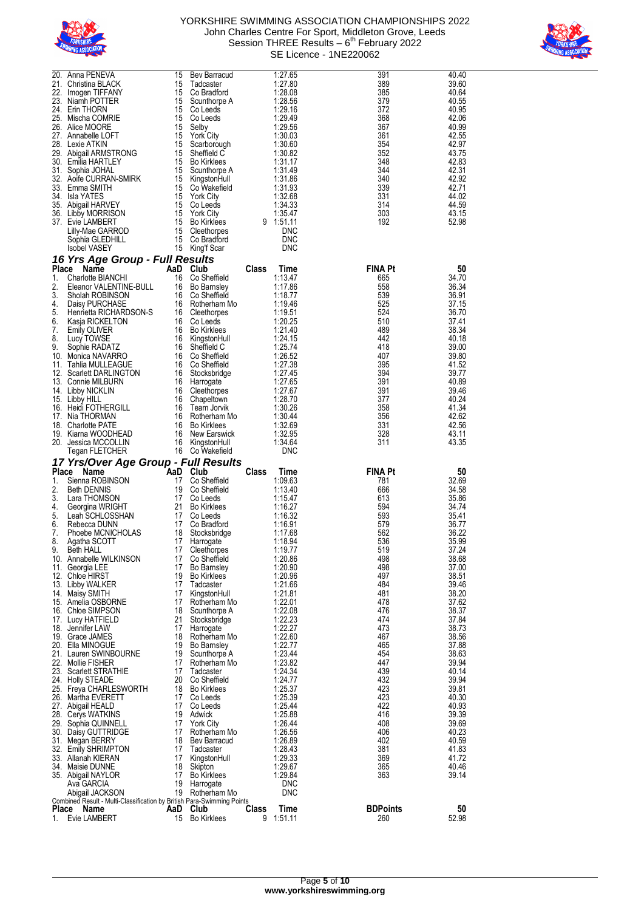



| 20.                | Anna PENEVA                                                            | 15        | Bev Barracud               |            | 1:27.65         | 391                    | 40.40       |
|--------------------|------------------------------------------------------------------------|-----------|----------------------------|------------|-----------------|------------------------|-------------|
|                    | 21. Christina BLACK                                                    | 15        | Tadcaster                  |            | 1:27.80         | 389                    | 39.60       |
|                    |                                                                        |           |                            |            |                 |                        |             |
| 22.                | Imogen TIFFANY                                                         | 15        | Co Bradford                |            | 1:28.08         | 385                    | 40.64       |
|                    | 23. Niamh POTTER                                                       | 15        | Scunthorpe A               |            | 1:28.56         | 379                    | 40.55       |
|                    | 24. Erin THORN                                                         | 15        | Co Leeds                   |            | 1:29.16         | 372                    | 40.95       |
|                    | 25. Mischa COMRIE                                                      | 15        | Co Leeds                   |            | 1:29.49         | 368                    | 42.06       |
|                    |                                                                        | 15        |                            |            |                 | 367                    |             |
|                    | 26. Alice MOORE                                                        |           | Selby                      |            | 1:29.56         |                        | 40.99       |
|                    | 27. Annabelle LOFT                                                     | 15        | York City                  |            | 1:30.03         | 361                    | 42.55       |
|                    | 28. Lexie ATKIN                                                        | 15        | Scarborough                |            | 1:30.60         | 354                    | 42.97       |
|                    | 29. Abigail ARMSTRONG                                                  | 15        | Sheffield C                |            | 1:30.82         | 352                    | 43.75       |
|                    |                                                                        |           |                            |            |                 |                        |             |
|                    | 30. Emilia HARTLEY                                                     | 15        | <b>Bo Kirklees</b>         |            | 1:31.17         | 348                    | 42.83       |
|                    | 31. Sophia JOHAL                                                       | 15        | Scunthorpe A               |            | 1:31.49         | 344                    | 42.31       |
|                    | 32. Aoife CURRAN-SMIRK                                                 | 15        | KingstonHull               |            | 1:31.86         | 340                    | 42.92       |
|                    | 33. Emma SMITH                                                         | 15        | Co Wakefield               |            | 1:31.93         | 339                    | 42.71       |
|                    | 34. Isla YATES                                                         | 15        |                            |            | 1:32.68         | 331                    | 44.02       |
|                    |                                                                        |           | <b>York City</b>           |            |                 |                        |             |
|                    | 35. Abigail HARVEY                                                     | 15        | Co Leeds                   |            | 1:34.33         | 314                    | 44.59       |
|                    | 36. Libby MORRISON                                                     | 15        | <b>York City</b>           |            | 1:35.47         | 303                    | 43.15       |
|                    | 37. Evie LAMBERT                                                       | 15        | <b>Bo Kirklees</b>         | 9          | 1:51.11         | 192                    | 52.98       |
|                    |                                                                        | 15        | Cleethorpes                |            | DNC             |                        |             |
|                    | Lilly-Mae GARROD                                                       |           |                            |            |                 |                        |             |
|                    | Sophia GLEDHILL                                                        | 15        | Co Bradford                |            | <b>DNC</b>      |                        |             |
|                    | <b>Isobel VASEY</b>                                                    | 15        | King'f Scar                |            | DNC             |                        |             |
|                    |                                                                        |           |                            |            |                 |                        |             |
|                    | 16 Yrs Age Group - Full Results                                        |           |                            |            |                 |                        |             |
| <b>Place</b>       | Name                                                                   | AaD       | Club                       | Class      | Time            | <b>FINA Pt</b>         | 50          |
| 1.                 | Charlotte BIANCHI                                                      | 16        | Co Sheffield               |            | 1:13.47         | 665                    | 34.70       |
|                    |                                                                        |           |                            |            |                 |                        |             |
| 2.                 | Eleanor VALENTINE-BULL                                                 | 16        | <b>Bo Barnsley</b>         |            | 1:17.86         | 558                    | 36.34       |
| 3.                 | Sholah ROBINSON                                                        | 16        | Co Sheffield               |            | 1:18.77         | 539                    | 36.91       |
| 4.                 | Daisy PURCHASE                                                         | 16        | Rotherham Mo               |            | 1:19.46         | 525                    | 37.15       |
| 5.                 | Henrietta RICHARDSON-S                                                 | 16        | Cleethorpes                |            | 1:19.51         | 524                    | 36.70       |
|                    |                                                                        |           |                            |            |                 |                        |             |
| 6.                 | Kasja RICKELTON                                                        | 16        | Co Leeds                   |            | 1:20.25         | 510                    | 37.41       |
| 7.                 | <b>Emily OLIVER</b>                                                    | 16        | <b>Bo Kirklees</b>         |            | 1:21.40         | 489                    | 38.34       |
| 8.                 | Lucy TOWSE                                                             | 16        | KingstonHull               |            | 1:24.15         | 442                    | 40.18       |
| 9.                 | Sophie RADATZ                                                          | 16        | Sheffield C                |            | 1:25.74         | 418                    | 39.00       |
|                    | 10. Monica NAVARRO                                                     | 16        | Co Sheffield               |            | 1:26.52         | 407                    | 39.80       |
|                    |                                                                        |           |                            |            |                 |                        |             |
| 11.                | <b>Tahlia MULLEAGUE</b>                                                | 16        | Co Sheffield               |            | 1:27.38         | 395                    | 41.52       |
| 12.                | <b>Scarlett DARLINGTON</b>                                             | 16        | Stocksbridge               |            | 1:27.45         | 394                    | 39.77       |
|                    | 13. Connie MILBURN                                                     | 16        | Harrogate                  |            | 1:27.65         | 391                    | 40.89       |
|                    | 14. Libby NICKLIN                                                      | 16        | Cleethorpes                |            | 1:27.67         | 391                    | 39.46       |
|                    |                                                                        |           |                            |            |                 |                        |             |
|                    | 15. Libby HILL                                                         | 16        | Chapeltown                 |            | 1:28.70         | 377                    | 40.24       |
|                    | 16. Heidi FOTHERGILL                                                   | 16        | Team Jorvik                |            | 1:30.26         | 358                    | 41.34       |
| 17.                | Nia THORMAN                                                            | 16        | Rotherham Mo               |            | 1:30.44         | 356                    | 42.62       |
|                    | 18. Charlotte PATE                                                     | 16        | <b>Bo Kirklees</b>         |            | 1:32.69         | 331                    | 42.56       |
|                    |                                                                        |           |                            |            |                 |                        |             |
|                    | 19. Kiarna WOODHEAD                                                    | 16        | New Earswick               |            | 1:32.95         | 328                    | 43.11       |
|                    | 20. Jessica MCCOLLIN                                                   | 16        | KingstonHull               |            | 1:34.64         | 311                    | 43.35       |
|                    | Tegan FLETCHER                                                         |           | 16 Co Wakefield            |            | DNC             |                        |             |
|                    |                                                                        |           |                            |            |                 |                        |             |
|                    | 17 Yrs/Over Age Group - Full Results                                   |           |                            |            |                 |                        |             |
| <b>Place</b>       | Name                                                                   | AaD       | Club                       | Class      | Time            | <b>FINA Pt</b>         | 50          |
| 1.                 | Sienna ROBINSON                                                        | 17        | Co Sheffield               |            | 1:09.63         | 781                    | 32.69       |
|                    |                                                                        |           |                            |            |                 |                        |             |
| 2.                 | <b>Beth DENNIS</b>                                                     | 19        | Co Sheffield               |            | 1:13.40         | 666                    | 34.58       |
| 3.                 | Lara THOMSON                                                           | 17        | Co Leeds                   |            | 1:15.47         | 613                    | 35.86       |
| 4.                 | Georgina WRIGHT                                                        | 21        | <b>Bo Kirklees</b>         |            | 1:16.27         | 594                    | 34.74       |
| 5.                 | Leah SCHLOSSHAN                                                        | 17        | Co Leeds                   |            | 1:16.32         | 593                    | 35.41       |
| 6.                 | Rebecca DUNN                                                           | 17        | Co Bradford                |            | 1:16.91         | 579                    | 36.77       |
|                    |                                                                        |           |                            |            |                 |                        |             |
| 7.                 | Phoebe MCNICHOLAS                                                      | 18        | Stocksbridge               |            | 1:17.68         | 562                    | 36.22       |
| 8.                 | Agatha SCOTT                                                           | 17        | Harrogate                  |            | 1:18.94         | 536                    | 35.99       |
| 9                  | <b>Beth HALL</b>                                                       | 17        | Cleethorpes                |            | 1:19.77         | 519                    | 37.24       |
|                    | 10. Annabelle WILKINSON                                                | 17        | Co Sheffield               |            | 1:20.86         | 498                    | 38.68       |
| 11.                | Georgia LEE                                                            | 17        | <b>Bo Barnsley</b>         |            | 1:20.90         | 498                    | 37.00       |
|                    |                                                                        |           |                            |            |                 |                        |             |
| 12.                | <b>Chloe HIRST</b>                                                     | 19        | <b>Bo Kirklees</b>         |            | 1:20.96         | 497                    | 38.51       |
|                    | 13. Libby WALKER                                                       | 17        | Tadcaster                  |            | 1:21.66         | 484                    | 39.46       |
|                    | 14. Maisy SMITH                                                        | 17        | KingstonHull               |            | 1:21.81         | 481                    | 38.20       |
|                    | 15. Amelia OSBORNE                                                     | 17        | Rotherham Mo               |            | 1:22.01         | 478                    | 37.62       |
|                    | 16. Chloe SIMPSON                                                      | 18        | Scunthorpe A               |            | 1:22.08         | 476                    | 38.37       |
|                    |                                                                        |           |                            |            |                 |                        |             |
| 17.                | Lucy HATFIELD                                                          | 21        | Stocksbridge               |            | 1:22.23         | 474                    | 37.84       |
|                    | 18. Jennifer LAW                                                       | 17        | Harrogate                  |            | 1:22.27         | 473                    | 38.73       |
|                    | 19. Grace JAMES                                                        | 18        | Rotherham Mo               |            | 1:22.60         | 467                    | 38.56       |
|                    | 20. Ella MINOGUE                                                       | 19        | <b>Bo Barnsley</b>         |            | 1:22.77         | 465                    | 37.88       |
|                    |                                                                        | 19        |                            |            | 1:23.44         | 454                    |             |
|                    | 21. Lauren SWINBOURNE                                                  |           | Scunthorpe A               |            |                 |                        | 38.63       |
|                    | 22. Mollie FISHER                                                      | 17        | Rotherham Mo               |            | 1:23.82         | 447                    | 39.94       |
|                    | 23. Scarlett STRATHIE                                                  | 17        | Tadcaster                  |            | 1:24.34         | 439                    | 40.14       |
|                    | 24. Holly STEADE                                                       | 20        | Co Sheffield               |            | 1:24.77         | 432                    | 39.94       |
|                    | 25. Freya CHARLESWORTH                                                 | 18        | <b>Bo Kirklees</b>         |            | 1:25.37         | 423                    | 39.81       |
|                    |                                                                        |           |                            |            |                 |                        |             |
|                    | 26. Martha EVERETT                                                     | 17        | Co Leeds                   |            | 1:25.39         | 423                    | 40.30       |
|                    | 27. Abigail HEALD                                                      | 17        | Co Leeds                   |            | 1:25.44         | 422                    | 40.93       |
|                    | 28. Cerys WATKINS                                                      | 19        | Adwick                     |            | 1:25.88         | 416                    | 39.39       |
|                    | 29. Sophia QUINNELL                                                    | 17        | <b>York City</b>           |            | 1:26.44         | 408                    | 39.69       |
|                    |                                                                        | 17        | Rotherham Mo               |            | 1:26.56         | 406                    | 40.23       |
|                    | 30. Daisy GUTTRIDGE                                                    |           |                            |            |                 |                        |             |
|                    | 31. Megan BERRY                                                        | 18        | <b>Bev Barracud</b>        |            | 1:26.89         | 402                    | 40.59       |
| 32.                | <b>Emily SHRIMPTON</b>                                                 | 17        | Tadcaster                  |            | 1:28.43         | 381                    | 41.83       |
|                    | 33. Allanah KIERAN                                                     | 17        | KingstonHull               |            | 1:29.33         | 369                    | 41.72       |
|                    | 34. Maisie DUNNE                                                       | 18        | Skipton                    |            | 1:29.67         | 365                    | 40.46       |
|                    |                                                                        |           |                            |            |                 |                        |             |
|                    | 35. Abigail NAYLOR                                                     | 17        | <b>Bo Kirklees</b>         |            | 1:29.84         | 363                    | 39.14       |
|                    | Ava GARCIA                                                             | 19        | Harrogate                  |            | DNC             |                        |             |
|                    | Abigail JACKSON                                                        | 19        | Rotherham Mo               |            | <b>DNC</b>      |                        |             |
|                    | Combined Result - Multi-Classification by British Para-Swimming Points |           |                            |            |                 |                        |             |
|                    |                                                                        |           |                            |            |                 |                        |             |
|                    |                                                                        |           |                            |            |                 |                        |             |
| <b>Place</b><br>1. | Name<br>Evie LAMBERT                                                   | AaD<br>15 | Club<br><b>Bo Kirklees</b> | Class<br>9 | Time<br>1:51.11 | <b>BDPoints</b><br>260 | 50<br>52.98 |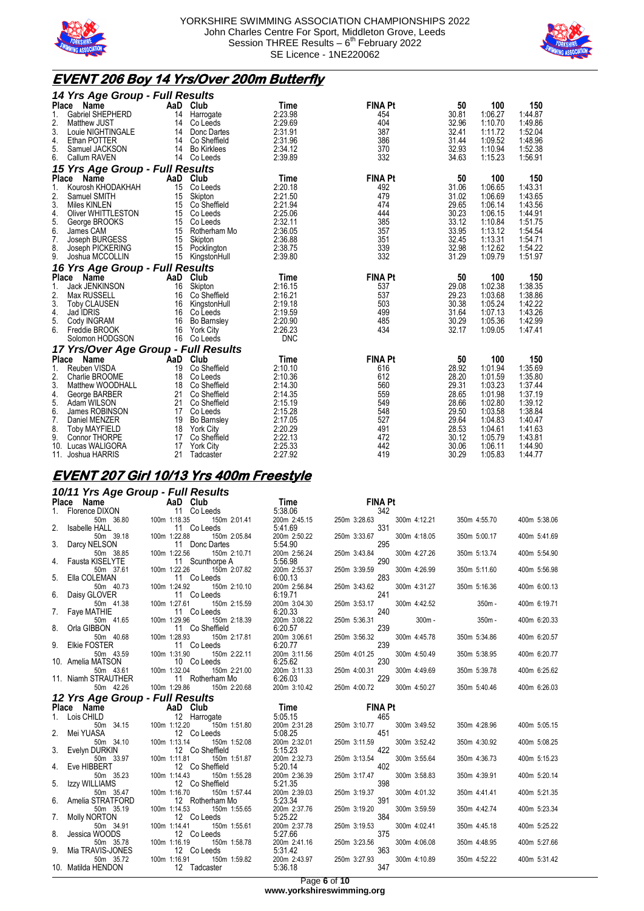



# **EVENT 206 Boy 14 Yrs/Over 200m Butterfly**

| 14 Yrs Age Group - Full Results      |    |                  |            |                |       |         |         |
|--------------------------------------|----|------------------|------------|----------------|-------|---------|---------|
| Place<br>Name                        |    | AaD Club         | Time       | <b>FINA Pt</b> | 50    | 100     | 150     |
| Gabriel SHEPHERD<br>1.               | 14 | Harrogate        | 2:23.98    | 454            | 30.81 | 1:06.27 | 1:44.87 |
| 2.<br>Matthew JUST                   | 14 | Co Leeds         | 2:29.69    | 404            | 32.96 | 1:10.70 | 1:49.86 |
| 3.<br>Louie NIGHTINGALE              | 14 | Donc Dartes      | 2:31.91    | 387            | 32.41 | 1:11.72 | 1:52.04 |
| 4.<br>Ethan POTTER                   | 14 | Co Sheffield     | 2:31.96    | 386            | 31.44 | 1:09.52 | 1:48.96 |
| 5.<br>Samuel JACKSON                 |    | 14 Bo Kirklees   | 2:34.12    | 370            | 32.93 | 1:10.94 | 1:52.38 |
| 6.<br>Callum RAVEN                   |    | 14 Co Leeds      | 2:39.89    | 332            | 34.63 | 1:15.23 | 1:56.91 |
| 15 Yrs Age Group - Full Results      |    |                  |            |                |       |         |         |
| <b>Place</b><br>Name                 |    | AaD Club         | Time       | <b>FINA Pt</b> | 50    | 100     | 150     |
| 1.<br>Kourosh KHODAKHAH              | 15 | Co Leeds         | 2:20.18    | 492            | 31.06 | 1:06.65 | 1:43.31 |
| 2.<br>Samuel SMITH                   | 15 | Skipton          | 2:21.50    | 479            | 31.02 | 1:06.69 | 1:43.65 |
| 3.<br>Miles KINLEN                   | 15 | Co Sheffield     | 2:21.94    | 474            | 29.65 | 1:06.14 | 1:43.56 |
| 4.<br><b>Oliver WHITTLESTON</b>      |    | 15 Co Leeds      | 2:25.06    | 444            | 30.23 | 1:06.15 | 1:44.91 |
| 5.<br>George BROOKS                  |    | 15 Co Leeds      | 2:32.11    | 385            | 33.12 | 1:10.84 | 1:51.75 |
| 6.<br>James CAM                      | 15 | Rotherham Mo     | 2:36.05    | 357            | 33.95 | 1:13.12 | 1:54.54 |
| 7.<br>Joseph BURGESS                 | 15 | Skipton          | 2:36.88    | 351            | 32.45 | 1:13.31 | 1:54.71 |
| 8.<br>Joseph PICKERING               |    | 15 Pocklington   | 2:38.75    | 339            | 32.98 | 1:12.62 | 1:54.22 |
| 9.<br>Joshua MCCOLLIN                | 15 | KingstonHull     | 2:39.80    | 332            | 31.29 | 1:09.79 | 1:51.97 |
| 16 Yrs Age Group - Full Results      |    |                  |            |                |       |         |         |
| <b>Place</b><br>Name                 |    | AaD Club         | Time       | <b>FINA Pt</b> | 50    | 100     | 150     |
| Jack JENKINSON<br>1.                 | 16 | Skipton          | 2:16.15    | 537            | 29.08 | 1:02.38 | 1:38.35 |
| 2.<br><b>Max RUSSELL</b>             | 16 | Co Sheffield     | 2:16.21    | 537            | 29.23 | 1:03.68 | 1:38.86 |
| 3.<br><b>Toby CLAUSEN</b>            | 16 | KingstonHull     | 2:19.18    | 503            | 30.38 | 1:05.24 | 1:42.22 |
| 4.<br>Jad IDRIS                      |    | 16 Co Leeds      | 2:19.59    | 499            | 31.64 | 1:07.13 | 1:43.26 |
| 5.<br>Cody INGRAM                    | 16 | Bo Barnsley      | 2:20.90    | 485            | 30.29 | 1:05.36 | 1:42.99 |
| 6.<br>Freddie BROOK                  | 16 | <b>York City</b> | 2:26.23    | 434            | 32.17 | 1:09.05 | 1:47.41 |
| Solomon HODGSON                      | 16 | Co Leeds         | <b>DNC</b> |                |       |         |         |
| 17 Yrs/Over Age Group - Full Results |    |                  |            |                |       |         |         |
| <b>Place</b><br>Name                 |    | AaD Club         | Time       | <b>FINA Pt</b> | 50    | 100     | 150     |
| <b>Reuben VISDA</b><br>1.            | 19 | Co Sheffield     | 2:10.10    | 616            | 28.92 | 1:01.94 | 1:35.69 |
| 2.<br>Charlie BROOME                 | 18 | Co Leeds         | 2:10.36    | 612            | 28.20 | 1:01.59 | 1:35.80 |
| 3.<br>Matthew WOODHALL               | 18 | Co Sheffield     | 2:14.30    | 560            | 29.31 | 1:03.23 | 1:37.44 |
| 4.<br>George BARBER                  | 21 | Co Sheffield     | 2:14.35    | 559            | 28.65 | 1:01.98 | 1:37.19 |
| 5.<br>Adam WILSON                    | 21 | Co Sheffield     | 2:15.19    | 549            | 28.66 | 1:02.80 | 1:39.12 |
| 6.<br>James ROBINSON                 | 17 | Co Leeds         | 2:15.28    | 548            | 29.50 | 1:03.58 | 1:38.84 |
| 7.<br>Daniel MENZER                  | 19 | Bo Barnsley      | 2:17.05    | 527            | 29.64 | 1:04.83 | 1:40.47 |
| 8.<br><b>Toby MAYFIELD</b>           | 18 | <b>York City</b> | 2:20.29    | 491            | 28.53 | 1:04.61 | 1:41.63 |
| 9.<br><b>Connor THORPE</b>           | 17 | Co Sheffield     | 2:22.13    | 472            | 30.12 | 1:05.79 | 1:43.81 |
| 10.<br>Lucas WALIGORA                | 17 | <b>York City</b> | 2:25.33    | 442            | 30.06 | 1:06.11 | 1:44.90 |
| 11. Joshua HARRIS                    | 21 | Tadcaster        | 2:27.92    | 419            | 30.29 | 1:05.83 | 1:44.77 |

## **EVENT 207 Girl 10/13 Yrs 400m Freestyle**

|    | 10/11 Yrs Age Group - Full Results |                                                 |                         |                                     |              |              |  |  |  |  |  |  |
|----|------------------------------------|-------------------------------------------------|-------------------------|-------------------------------------|--------------|--------------|--|--|--|--|--|--|
|    | Place Name                         | AaD Club                                        | Time                    | <b>FINA Pt</b>                      |              |              |  |  |  |  |  |  |
| 1. | Florence DIXON                     | 11 Co Leeds                                     | 5:38.06                 | 342                                 |              |              |  |  |  |  |  |  |
|    | 50m 36.80                          | 100m 1:18.35<br>150m 2:01.41                    | 200m 2:45.15            | 300m 4:12.21<br>250m 3:28.63        | 350m 4:55.70 | 400m 5:38.06 |  |  |  |  |  |  |
| 2. | <b>Isabelle HALL</b>               | 11 Co Leeds                                     | 5:41.69                 | 331                                 |              |              |  |  |  |  |  |  |
|    | 50m 39.18                          | 150m 2:05.84<br>100m 1:22.88                    | 200m 2:50.22            | 250m 3:33.67<br>300m 4:18.05        | 350m 5:00.17 | 400m 5:41.69 |  |  |  |  |  |  |
| 3. | Darcy NELSON                       | 11 Donc Dartes                                  | 5:54.90                 | 295                                 |              |              |  |  |  |  |  |  |
|    | 50m 38.85                          | 100m 1:22.56<br>150m 2:10.71                    | 200m 2:56.24            | 250m 3:43.84<br>300m 4:27.26        | 350m 5:13.74 | 400m 5:54.90 |  |  |  |  |  |  |
| 4. | Fausta KISELYTE                    | 11 Scunthorpe A                                 | 5:56.98                 | 290                                 |              |              |  |  |  |  |  |  |
|    | 50m 37.61                          | 100m 1:22.26<br>150m 2:07.82                    | 200m 2:55.37            | 300m 4:26.99<br>250m 3:39.59        | 350m 5:11.60 | 400m 5:56.98 |  |  |  |  |  |  |
| 5. | Ella COLEMAN                       | 11 Co Leeds                                     | 6:00.13                 | 283                                 |              |              |  |  |  |  |  |  |
|    | 50m 40.73                          | 100m 1:24.92<br>150m 2:10.10<br>11 Co Leeds     | 200m 2:56.84<br>6:19.71 | 250m 3:43.62<br>300m 4:31.27<br>241 | 350m 5:16.36 | 400m 6:00.13 |  |  |  |  |  |  |
| 6. | Daisy GLOVER<br>50m 41.38          | 100m 1:27.61<br>150m 2:15.59                    | 200m 3:04.30            | 300m 4:42.52<br>250m 3:53.17        | 350m -       | 400m 6:19.71 |  |  |  |  |  |  |
| 7. | Faye MATHIE                        | 11 Co Leeds                                     | 6:20.33                 | 240                                 |              |              |  |  |  |  |  |  |
|    | 50m 41.65                          | 100m 1:29.96<br>150m 2:18.39                    | 200m 3:08.22            | 250m 5:36.31<br>$300m -$            | $350m -$     | 400m 6:20.33 |  |  |  |  |  |  |
| 8. | Orla GIBBON                        | 11 Co Sheffield                                 | 6:20.57                 | 239                                 |              |              |  |  |  |  |  |  |
|    | 50m 40.68                          | 100m 1:28.93<br>150m 2:17.81                    | 200m 3:06.61            | 250m 3:56.32<br>300m 4:45.78        | 350m 5:34.86 | 400m 6:20.57 |  |  |  |  |  |  |
| 9. | <b>Elkie FOSTER</b>                | 11 Co Leeds                                     | 6:20.77                 | 239                                 |              |              |  |  |  |  |  |  |
|    | 50m 43.59                          | 100m 1:31.90<br>150m 2:22.11                    | 200m 3:11.56            | 250m 4:01.25<br>300m 4:50.49        | 350m 5:38.95 | 400m 6:20.77 |  |  |  |  |  |  |
|    | 10. Amelia MATSON                  | 10 Co Leeds                                     | 6:25.62                 | 230                                 |              |              |  |  |  |  |  |  |
|    | 50m 43.61                          | 150m 2:21.00<br>100m 1:32.04                    | 200m 3:11.33            | 300m 4:49.69<br>250m 4:00.31        | 350m 5:39.78 | 400m 6:25.62 |  |  |  |  |  |  |
|    | 11. Niamh STRAUTHER                | 11 Rotherham Mo                                 | 6:26.03                 | 229                                 |              |              |  |  |  |  |  |  |
|    | 50m 42.26                          | 100m 1:29.86<br>150m 2:20.68                    | 200m 3:10.42            | 250m 4:00.72<br>300m 4:50.27        | 350m 5:40.46 | 400m 6:26.03 |  |  |  |  |  |  |
|    | 12 Yrs Age Group - Full Results    |                                                 |                         |                                     |              |              |  |  |  |  |  |  |
|    | Place Name                         | AaD Club                                        | Time                    | <b>FINA Pt</b>                      |              |              |  |  |  |  |  |  |
|    | Lois CHILD                         | 12 Harrogate                                    | 5:05.15                 | 465                                 |              |              |  |  |  |  |  |  |
|    | 50m 34.15                          | 100m 1:12.20<br>150m 1:51.80                    | 200m 2:31.28            | 250m 3:10.77<br>300m 3:49.52        | 350m 4:28.96 | 400m 5:05.15 |  |  |  |  |  |  |
| 2. | Mei YUASA                          | 12 Co Leeds                                     | 5:08.25                 | 451                                 |              |              |  |  |  |  |  |  |
|    | 50m 34.10                          | 100m 1:13.14<br>150m 1:52.08                    | 200m 2:32.01            | 300m 3:52.42<br>250m 3:11.59        | 350m 4:30.92 | 400m 5:08.25 |  |  |  |  |  |  |
| 3. | Evelyn DURKIN                      | 12 Co Sheffield                                 | 5:15.23                 | 422                                 |              |              |  |  |  |  |  |  |
|    | 50m 33.97<br>Eve HIBBERT           | 100m 1:11.81<br>150m 1:51.87<br>12 Co Sheffield | 200m 2:32.73<br>5:20.14 | 250m 3:13.54<br>300m 3:55.64<br>402 | 350m 4:36.73 | 400m 5:15.23 |  |  |  |  |  |  |
| 4. | 50m 35.23                          | 100m 1:14.43<br>150m 1:55.28                    | 200m 2:36.39            | 250m 3:17.47<br>300m 3:58.83        |              | 400m 5:20.14 |  |  |  |  |  |  |
| 5. | Izzy WILLIAMS                      | 12 Co Sheffield                                 | 5:21.35                 | 398                                 | 350m 4:39.91 |              |  |  |  |  |  |  |
|    | 50m 35.47                          | 100m 1:16.70<br>150m 1:57.44                    | 200m 2:39.03            | 250m 3:19.37<br>300m 4:01.32        | 350m 4:41.41 | 400m 5:21.35 |  |  |  |  |  |  |
| 6. | Amelia STRATFORD                   | 12 Rotherham Mo                                 | 5:23.34                 | 391                                 |              |              |  |  |  |  |  |  |
|    | 50m 35.19                          | 100m 1:14.53<br>150m 1:55.65                    | 200m 2:37.76            | 250m 3:19.20<br>300m 3:59.59        | 350m 4:42.74 | 400m 5:23.34 |  |  |  |  |  |  |
| 7. | <b>Molly NORTON</b>                | 12 Co Leeds                                     | 5:25.22                 | 384                                 |              |              |  |  |  |  |  |  |
|    | 50m 34.91                          | 100m 1:14.41<br>150m 1:55.61                    | 200m 2:37.78            | 250m 3:19.53<br>300m 4:02.41        | 350m 4:45.18 | 400m 5:25.22 |  |  |  |  |  |  |
| 8. | Jessica WOODS                      | 12 Co Leeds                                     | 5:27.66                 | 375                                 |              |              |  |  |  |  |  |  |
|    | 50m 35.78                          | 100m 1:16.19<br>150m 1:58.78                    | 200m 2:41.16            | 250m 3:23.56<br>300m 4:06.08        | 350m 4:48.95 | 400m 5:27.66 |  |  |  |  |  |  |
| 9. | Mia TRAVIS-JONES                   | 12 Co Leeds                                     | 5:31.42                 | 363                                 |              |              |  |  |  |  |  |  |
|    | 50m 35.72                          | 100m 1:16.91<br>150m 1:59.82                    | 200m 2:43.97            | 250m 3:27.93<br>300m 4:10.89        | 350m 4:52.22 | 400m 5:31.42 |  |  |  |  |  |  |
|    | 10. Matilda HENDON                 | 12 Tadcaster                                    | 5:36.18                 | 347                                 |              |              |  |  |  |  |  |  |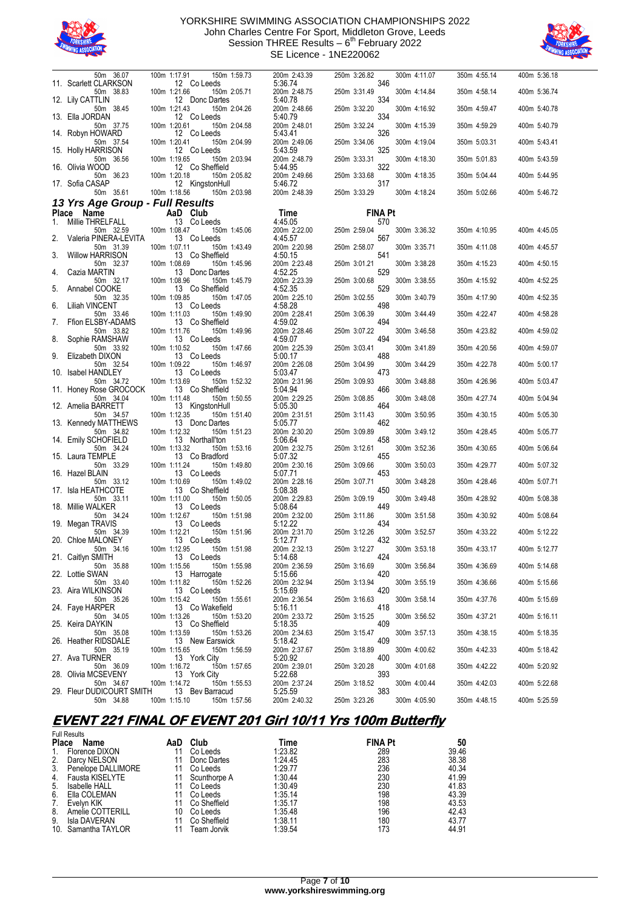



|    | 50m 36.07                          | 100m 1:17.91                    | 150m 1:59.73 | 200m 2:43.39            | 250m 3:26.82          | 300m 4:11.07 | 350m 4:55.14 | 400m 5:36.18 |
|----|------------------------------------|---------------------------------|--------------|-------------------------|-----------------------|--------------|--------------|--------------|
|    | 11. Scarlett CLARKSON              | 12 Co Leeds                     |              | 5:36.74                 | 346                   |              |              |              |
|    | 50m 38.83                          | 100m 1:21.66                    | 150m 2:05.71 | 200m 2:48.75            | 250m 3:31.49          | 300m 4:14.84 | 350m 4:58.14 | 400m 5:36.74 |
|    | 12. Lily CATTLIN                   | 12 Donc Dartes                  |              | 5:40.78                 | 334                   |              |              |              |
|    | 50m 38.45                          | 100m 1:21.43                    | 150m 2:04.26 | 200m 2:48.66            | 250m 3:32.20          | 300m 4:16.92 | 350m 4:59.47 | 400m 5:40.78 |
|    | 13. Ella JORDAN                    | 12 Co Leeds                     |              | 5:40.79                 | 334                   |              |              |              |
|    | 50m 37.75                          | 100m 1:20.61                    | 150m 2:04.58 | 200m 2:48.01            | 250m 3:32.24          | 300m 4:15.39 | 350m 4:59.29 | 400m 5:40.79 |
|    | 14. Robyn HOWARD                   | 12 Co Leeds                     |              | 5:43.41                 | 326                   |              |              |              |
|    | 50m 37.54                          | 100m 1:20.41                    | 150m 2:04.99 | 200m 2:49.06            | 250m 3:34.06          | 300m 4:19.04 | 350m 5:03.31 | 400m 5:43.41 |
|    | 15. Holly HARRISON                 | 12 Co Leeds                     |              | 5:43.59                 | 325                   |              |              |              |
|    | 50m 36.56                          | 100m 1:19.65                    | 150m 2:03.94 | 200m 2:48.79            | 250m 3:33.31          | 300m 4:18.30 | 350m 5:01.83 | 400m 5:43.59 |
|    | 16. Olivia WOOD                    | 12 Co Sheffield                 |              | 5:44.95                 | 322                   |              |              |              |
|    | 50m 36.23<br>17. Sofia CASAP       | 100m 1:20.18<br>12 KingstonHull | 150m 2:05.82 | 200m 2:49.66<br>5:46.72 | 250m 3:33.68<br>317   | 300m 4:18.35 | 350m 5:04.44 | 400m 5:44.95 |
|    | 50m 35.61                          | 100m 1:18.56                    | 150m 2:03.98 | 200m 2:48.39            | 250m 3:33.29          | 300m 4:18.24 | 350m 5:02.66 | 400m 5:46.72 |
|    |                                    |                                 |              |                         |                       |              |              |              |
|    | 13 Yrs Age Group - Full Results    |                                 |              |                         |                       |              |              |              |
|    | Place Name<br>Millie THRELFALL     | AaD Club                        |              | Time<br>4:45.05         | <b>FINA Pt</b><br>570 |              |              |              |
| 1. |                                    | 13 Co Leeds<br>100m 1:08.47     |              | 200m 2:22.00            | 250m 2:59.04          |              |              |              |
| 2. | 50m 32.59<br>Valeria PINERA-LEVITA | 13 Co Leeds                     | 150m 1:45.06 | 4:45.57                 | 567                   | 300m 3:36.32 | 350m 4:10.95 | 400m 4:45.05 |
|    | 50m 31.39                          | 100m 1:07.11                    | 150m 1:43.49 | 200m 2:20.98            | 250m 2:58.07          | 300m 3:35.71 | 350m 4:11.08 | 400m 4:45.57 |
| 3. | <b>Willow HARRISON</b>             | 13 Co Sheffield                 |              | 4:50.15                 | 541                   |              |              |              |
|    | 50m 32.37                          | 100m 1:08.69                    | 150m 1:45.96 | 200m 2:23.48            | 250m 3:01.21          | 300m 3:38.28 | 350m 4:15.23 | 400m 4:50.15 |
| 4. | Cazia MARTIN                       | 13 Donc Dartes                  |              | 4:52.25                 | 529                   |              |              |              |
|    | 50m 32.17                          | 100m 1:08.96                    | 150m 1:45.79 | 200m 2:23.39            | 250m 3:00.68          | 300m 3:38.55 | 350m 4:15.92 | 400m 4:52.25 |
| 5. | Annabel COOKE                      | 13 Co Sheffield                 |              | 4:52.35                 | 529                   |              |              |              |
|    | 50m 32.35                          | 100m 1:09.85                    | 150m 1:47.05 | 200m 2:25.10            | 250m 3:02.55          | 300m 3:40.79 | 350m 4:17.90 | 400m 4:52.35 |
| 6. | Liliah VINCENT                     | 13 Co Leeds                     |              | 4:58.28                 | 498                   |              |              |              |
|    | 50m 33.46                          | 100m 1:11.03                    | 150m 1:49.90 | 200m 2:28.41            | 250m 3:06.39          | 300m 3:44.49 | 350m 4:22.47 | 400m 4:58.28 |
| 7. | Ffion ELSBY-ADAMS                  | 13 Co Sheffield                 |              | 4:59.02                 | 494                   |              |              |              |
| 8. | 50m 33.82<br>Sophie RAMSHAW        | 100m 1:11.76<br>13 Co Leeds     | 150m 1:49.96 | 200m 2:28.46<br>4:59.07 | 250m 3:07.22<br>494   | 300m 3:46.58 | 350m 4:23.82 | 400m 4:59.02 |
|    | 50m 33.92                          | 100m 1:10.52                    | 150m 1:47.66 | 200m 2:25.39            | 250m 3:03.41          | 300m 3:41.89 | 350m 4:20.56 | 400m 4:59.07 |
| 9. | Elizabeth DIXON                    | 13 Co Leeds                     |              | 5:00.17                 | 488                   |              |              |              |
|    | 50m 32.54                          | 100m 1:09.22                    | 150m 1:46.97 | 200m 2:26.08            | 250m 3:04.99          | 300m 3:44.29 | 350m 4:22.78 | 400m 5:00.17 |
|    | 10. Isabel HANDLEY                 | 13 Co Leeds                     |              | 5:03.47                 | 473                   |              |              |              |
|    | 50m 34.72                          | 100m 1:13.69                    | 150m 1:52.32 | 200m 2:31.96            | 250m 3:09.93          | 300m 3:48.88 | 350m 4:26.96 | 400m 5:03.47 |
|    | 11. Honey Rose GROCOCK             | 13 Co Sheffield                 |              | 5:04.94                 | 466                   |              |              |              |
|    | 50m 34.04                          | 100m 1:11.48                    | 150m 1:50.55 | 200m 2:29.25            | 250m 3:08.85          | 300m 3:48.08 | 350m 4:27.74 | 400m 5:04.94 |
|    | 12. Amelia BARRETT                 | 13 KingstonHull                 |              | 5:05.30                 | 464                   |              |              |              |
|    | 50m 34.57                          | 100m 1:12.35                    | 150m 1:51.40 | 200m 2:31.51            | 250m 3:11.43          | 300m 3:50.95 | 350m 4:30.15 | 400m 5:05.30 |
|    | 13. Kennedy MATTHEWS               | 13 Donc Dartes                  |              | 5:05.77                 | 462                   |              |              |              |
|    | 50m 34.82                          | 100m 1:12.32                    | 150m 1:51.23 | 200m 2:30.20<br>5:06.64 | 250m 3:09.89<br>458   | 300m 3:49.12 | 350m 4:28.45 | 400m 5:05.77 |
|    | 14. Emily SCHOFIELD<br>50m 34.24   | 13 Northall'ton<br>100m 1:13.32 | 150m 1:53.16 | 200m 2:32.75            | 250m 3:12.61          | 300m 3:52.36 | 350m 4:30.65 | 400m 5:06.64 |
|    | 15. Laura TEMPLE                   | 13 Co Bradford                  |              | 5:07.32                 | 455                   |              |              |              |
|    | 50m 33.29                          | 100m 1:11.24                    | 150m 1:49.80 | 200m 2:30.16            | 250m 3:09.66          | 300m 3:50.03 | 350m 4:29.77 | 400m 5:07.32 |
|    | 16. Hazel BLAIN                    | 13 Co Leeds                     |              | 5:07.71                 | 453                   |              |              |              |
|    | 50m 33.12                          | 100m 1:10.69                    | 150m 1:49.02 | 200m 2:28.16            | 250m 3:07.71          | 300m 3:48.28 | 350m 4:28.46 | 400m 5:07.71 |
|    | 17. Isla HEATHCOTE                 | 13 Co Sheffield                 |              | 5:08.38                 | 450                   |              |              |              |
|    | 50m 33.11                          | 100m 1:11.00                    | 150m 1:50.05 | 200m 2:29.83            | 250m 3:09.19          | 300m 3:49.48 | 350m 4:28.92 | 400m 5:08.38 |
|    | 18. Millie WALKER                  | 13 Co Leeds                     |              | 5:08.64                 | 449                   |              |              |              |
|    | 50m 34.24                          | 100m 1:12.67                    | 150m 1:51.98 | 200m 2:32.00            | 250m 3:11.86          | 300m 3:51.58 | 350m 4:30.92 | 400m 5:08.64 |
|    | 19. Megan TRAVIS<br>50m 34.39      | 13 Co Leeds<br>100m 1:12.21     |              | 5:12.22<br>200m 2:31.70 | 434<br>250m 3:12.26   | 300m 3:52.57 | 350m 4:33.22 | 400m 5:12.22 |
|    | 20. Chloe MALONEY                  | 13 Co Leeds                     | 150m 1:51.96 | 5:12.77                 | 432                   |              |              |              |
|    | 50m 34.16                          | 100m 1:12.95                    | 150m 1:51.98 | 200m 2:32.13            | 250m 3:12.27          | 300m 3:53.18 | 350m 4:33.17 | 400m 5:12.77 |
|    | 21. Caitlyn SMITH                  | 13 Co Leeds                     |              | 5:14.68                 | 424                   |              |              |              |
|    | 50m 35.88                          | 100m 1:15.56                    | 150m 1:55.98 | 200m 2:36.59            | 250m 3:16.69          | 300m 3:56.84 | 350m 4:36.69 | 400m 5:14.68 |
|    | 22. Lottie SWAN                    | 13 Harrogate                    |              | 5:15.66                 | 420                   |              |              |              |
|    | 50m 33.40                          | 100m 1:11.82                    | 150m 1:52.26 | 200m 2:32.94            | 250m 3:13.94          | 300m 3:55.19 | 350m 4:36.66 | 400m 5:15.66 |
|    | 23. Aira WILKINSON                 | 13 Co Leeds                     |              | 5:15.69                 | 420                   |              |              |              |
|    | 50m 35.26                          | 100m 1:15.42                    | 150m 1:55.61 | 200m 2:36.54            | 250m 3:16.63          | 300m 3:58.14 | 350m 4:37.76 | 400m 5:15.69 |
|    | 24. Faye HARPER                    | 13 Co Wakefield                 |              | 5:16.11                 | 418                   |              |              |              |
|    | 50m 34.05                          | 100m 1:13.26<br>13 Co Sheffield | 150m 1:53.20 | 200m 2:33.72            | 250m 3:15.25<br>409   | 300m 3:56.52 | 350m 4:37.21 | 400m 5:16.11 |
|    | 25. Keira DAYKIN<br>50m 35.08      | 100m 1:13.59                    | 150m 1:53.26 | 5:18.35<br>200m 2:34.63 | 250m 3:15.47          | 300m 3:57.13 | 350m 4:38.15 | 400m 5:18.35 |
|    | 26. Heather RIDSDALE               | 13 New Earswick                 |              | 5:18.42                 | 409                   |              |              |              |
|    | 50m 35.19                          | 100m 1:15.65                    | 150m 1:56.59 | 200m 2:37.67            | 250m 3:18.89          | 300m 4:00.62 | 350m 4:42.33 | 400m 5:18.42 |
|    | 27. Ava TURNER                     | 13 York City                    |              | 5:20.92                 | 400                   |              |              |              |
|    | 50m 36.09                          | 100m 1:16.72                    | 150m 1:57.65 | 200m 2:39.01            | 250m 3:20.28          | 300m 4:01.68 | 350m 4:42.22 | 400m 5:20.92 |
|    | 28. Olivia MCSEVENY                | 13 York City                    |              | 5:22.68                 | 393                   |              |              |              |
|    | 50m 34.67                          | 100m 1:14.72                    | 150m 1:55.53 | 200m 2:37.24            | 250m 3:18.52          | 300m 4:00.44 | 350m 4:42.03 | 400m 5:22.68 |
|    | 29. Fleur DUDICOURT SMITH          | 13 Bev Barracud                 |              | 5:25.59                 | 383                   |              |              |              |
|    | 50m 34.88                          | 100m 1:15.10                    | 150m 1:57.56 | 200m 2:40.32            | 250m 3:23.26          | 300m 4:05.90 | 350m 4:48.15 | 400m 5:25.59 |

# **EVENT 221 FINAL OF EVENT 201 Girl 10/11 Yrs 100m Butterfly**

|                | <b>Full Results</b>    |     |              |         |                |       |
|----------------|------------------------|-----|--------------|---------|----------------|-------|
| <b>Place</b>   | Name                   | AaD | Club         | Time    | <b>FINA Pt</b> | 50    |
| $1_{\cdot}$    | Florence DIXON         | 11  | Co Leeds     | 1:23.82 | 289            | 39.46 |
| 2.             | Darcy NELSON           | 11  | Donc Dartes  | 1:24.45 | 283            | 38.38 |
| 3 <sub>1</sub> | Penelope DALLIMORE     | 11  | Co Leeds     | 1:29.77 | 236            | 40.34 |
| 4.             | <b>Fausta KISELYTE</b> | 11  | Scunthorpe A | 1:30.44 | 230            | 41.99 |
| 5.             | Isabelle HALL          | 11  | Co Leeds     | 1:30.49 | 230            | 41.83 |
| 6.             | Ella COLEMAN           | 11  | Co Leeds     | 1:35.14 | 198            | 43.39 |
| 7.             | Evelyn KIK             | 11  | Co Sheffield | 1:35.17 | 198            | 43.53 |
| 8.             | Amelie COTTERILL       | 10  | Co Leeds     | 1:35.48 | 196            | 42.43 |
| 9.             | Isla DAVERAN           | 11  | Co Sheffield | 1:38.11 | 180            | 43.77 |
|                | 10. Samantha TAYLOR    | 11  | Team Jorvik  | 1:39.54 | 173            | 44.91 |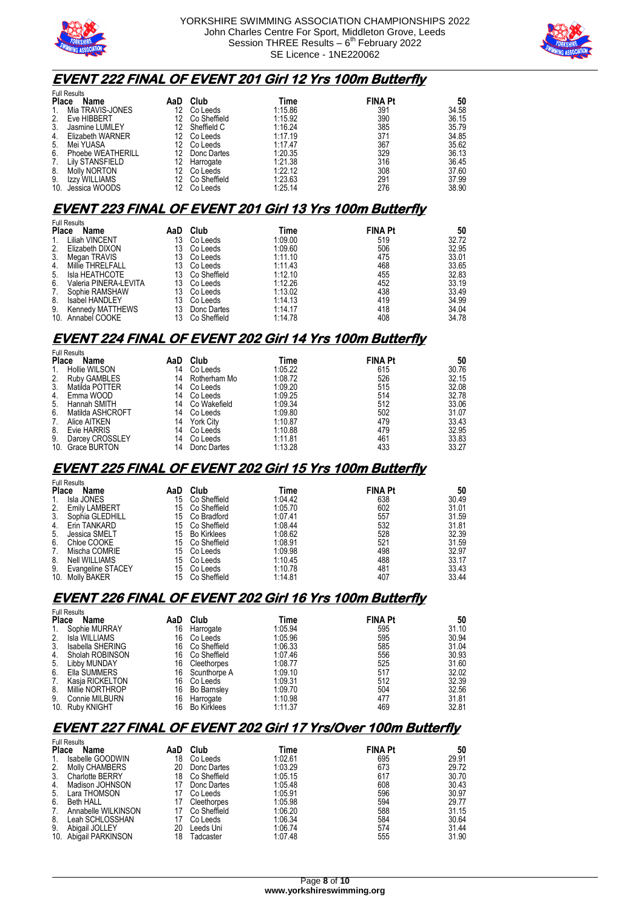



## **EVENT 222 FINAL OF EVENT 201 Girl 12 Yrs 100m Butterfly**

|              | <b>Full Results</b>      |     |              |         |                |       |  |  |  |  |
|--------------|--------------------------|-----|--------------|---------|----------------|-------|--|--|--|--|
| <b>Place</b> | Name                     | AaD | Club         | Time    | <b>FINA Pt</b> | 50    |  |  |  |  |
| $1_{\cdot}$  | Mia TRAVIS-JONES         | 12  | Co Leeds     | 1:15.86 | 391            | 34.58 |  |  |  |  |
| 2.           | Eve HIBBERT              | 12  | Co Sheffield | 1:15.92 | 390            | 36.15 |  |  |  |  |
| 3.           | Jasmine LUMLEY           | 12  | Sheffield C  | 1:16.24 | 385            | 35.79 |  |  |  |  |
| 4.           | Elizabeth WARNER         | 12  | Co Leeds     | 1:17.19 | 371            | 34.85 |  |  |  |  |
| 5.           | Mei YUASA                | 12  | Co Leeds     | 1:17.47 | 367            | 35.62 |  |  |  |  |
| 6.           | <b>Phoebe WEATHERILL</b> | 12  | Donc Dartes  | 1:20.35 | 329            | 36.13 |  |  |  |  |
| 7.           | <b>Lily STANSFIELD</b>   | 12  | Harrogate    | 1:21.38 | 316            | 36.45 |  |  |  |  |
| 8.           | Molly NORTON             | 12  | Co Leeds     | 1:22.12 | 308            | 37.60 |  |  |  |  |
| 9.           | Izzy WILLIAMS            | 12  | Co Sheffield | 1:23.63 | 291            | 37.99 |  |  |  |  |
| 10.          | Jessica WOODS            |     | Co Leeds     | 1:25.14 | 276            | 38.90 |  |  |  |  |

### **EVENT 223 FINAL OF EVENT 201 Girl 13 Yrs 100m Butterfly**

|              | <b>Full Results</b>     |     |              |         |                |       |  |  |  |  |
|--------------|-------------------------|-----|--------------|---------|----------------|-------|--|--|--|--|
| <b>Place</b> | Name                    | AaD | Club         | Time    | <b>FINA Pt</b> | 50    |  |  |  |  |
| 1.           | <b>Liliah VINCENT</b>   | 13  | Co Leeds     | 1:09.00 | 519            | 32.72 |  |  |  |  |
| 2.           | Elizabeth DIXON         | 13  | Co Leeds     | 1:09.60 | 506            | 32.95 |  |  |  |  |
| 3.           | Megan TRAVIS            | 13  | Co Leeds     | 1:11.10 | 475            | 33.01 |  |  |  |  |
| 4.           | Millie THRELFALL        | 13  | Co Leeds     | 1:11.43 | 468            | 33.65 |  |  |  |  |
| 5.           | Isla HEATHCOTE          | 13  | Co Sheffield | 1:12.10 | 455            | 32.83 |  |  |  |  |
| 6.           | Valeria PINERA-LEVITA   | 13  | Co Leeds     | 1:12.26 | 452            | 33.19 |  |  |  |  |
| 7.           | Sophie RAMSHAW          | 13  | Co Leeds     | 1:13.02 | 438            | 33.49 |  |  |  |  |
| 8.           | <b>Isabel HANDLEY</b>   | 13  | Co Leeds     | 1:14.13 | 419            | 34.99 |  |  |  |  |
| 9.           | <b>Kennedy MATTHEWS</b> | 13  | Donc Dartes  | 1:14.17 | 418            | 34.04 |  |  |  |  |
|              | 10. Annabel COOKE       | 13  | Co Sheffield | 1:14.78 | 408            | 34.78 |  |  |  |  |

# **EVENT 224 FINAL OF EVENT 202 Girl 14 Yrs 100m Butterfly**

|              | <b>Full Results</b> |     |                  |         |                |       |  |  |
|--------------|---------------------|-----|------------------|---------|----------------|-------|--|--|
| <b>Place</b> | Name                | AaD | Club             | Time    | <b>FINA Pt</b> | 50    |  |  |
| $1_{\cdot}$  | Hollie WILSON       | 14  | Co Leeds         | 1:05.22 | 615            | 30.76 |  |  |
| 2.           | <b>Ruby GAMBLES</b> | 14  | Rotherham Mo     | 1:08.72 | 526            | 32.15 |  |  |
| 3.           | Matilda POTTER      | 14  | Co Leeds         | 1:09.20 | 515            | 32.08 |  |  |
| 4.           | Emma WOOD           | 14  | Co Leeds         | 1:09.25 | 514            | 32.78 |  |  |
| 5.           | Hannah SMITH        | 14  | Co Wakefield     | 1:09.34 | 512            | 33.06 |  |  |
| 6.           | Matilda ASHCROFT    | 14  | Co Leeds         | 1:09.80 | 502            | 31.07 |  |  |
| 7.           | Alice AITKEN        | 14  | <b>York City</b> | 1:10.87 | 479            | 33.43 |  |  |
| 8.           | Evie HARRIS         | 14  | Co Leeds         | 1:10.88 | 479            | 32.95 |  |  |
| 9.           | Darcey CROSSLEY     | 14  | Co Leeds         | 1:11.81 | 461            | 33.83 |  |  |
|              | 10. Grace BURTON    | 14  | Donc Dartes      | 1:13.28 | 433            | 33.27 |  |  |

### **EVENT 225 FINAL OF EVENT 202 Girl 15 Yrs 100m Butterfly**

|              | <b>Full Results</b>  |     |                    |         |                |       |  |  |  |  |  |
|--------------|----------------------|-----|--------------------|---------|----------------|-------|--|--|--|--|--|
| <b>Place</b> | Name                 | AaD | Club               | Time    | <b>FINA Pt</b> | 50    |  |  |  |  |  |
| 1.           | Isla JONES           | 15  | Co Sheffield       | 1:04.42 | 638            | 30.49 |  |  |  |  |  |
| 2.           | <b>Emily LAMBERT</b> | 15  | Co Sheffield       | 1:05.70 | 602            | 31.01 |  |  |  |  |  |
| 3.           | Sophia GLEDHILL      |     | 15 Co Bradford     | 1:07.41 | 557            | 31.59 |  |  |  |  |  |
| 4.           | Erin TANKARD         | 15  | Co Sheffield       | 1:08.44 | 532            | 31.81 |  |  |  |  |  |
| 5.           | Jessica SMELT        | 15  | <b>Bo Kirklees</b> | 1:08.62 | 528            | 32.39 |  |  |  |  |  |
| 6.           | Chloe COOKE          |     | 15 Co Sheffield    | 1:08.91 | 521            | 31.59 |  |  |  |  |  |
| 7.           | Mischa COMRIE        | 15  | Co Leeds           | 1:09.98 | 498            | 32.97 |  |  |  |  |  |
| 8.           | <b>Nell WILLIAMS</b> | 15  | Co Leeds           | 1:10.45 | 488            | 33.17 |  |  |  |  |  |
| 9.           | Evangeline STACEY    | 15  | Co Leeds           | 1:10.78 | 481            | 33.43 |  |  |  |  |  |
| 10.          | Molly BAKER          | 15  | Co Sheffield       | 1:14.81 | 407            | 33.44 |  |  |  |  |  |

# **EVENT 226 FINAL OF EVENT 202 Girl 16 Yrs 100m Butterfly**

|       | <b>Full Results</b> |     |                    |         |                |       |  |  |
|-------|---------------------|-----|--------------------|---------|----------------|-------|--|--|
| Place | Name                | AaD | Club               | Time    | <b>FINA Pt</b> | 50    |  |  |
| 1.    | Sophie MURRAY       | 16  | Harrogate          | 1:05.94 | 595            | 31.10 |  |  |
| 2.    | Isla WILLIAMS       | 16  | Co Leeds           | 1:05.96 | 595            | 30.94 |  |  |
| 3.    | Isabella SHERING    | 16  | Co Sheffield       | 1:06.33 | 585            | 31.04 |  |  |
| 4.    | Sholah ROBINSON     | 16  | Co Sheffield       | 1:07.46 | 556            | 30.93 |  |  |
| 5.    | Libby MUNDAY        | 16  | Cleethorpes        | 1:08.77 | 525            | 31.60 |  |  |
| 6.    | Ella SUMMERS        | 16  | Scunthorpe A       | 1:09.10 | 517            | 32.02 |  |  |
| 7.    | Kasja RICKELTON     | 16  | Co Leeds           | 1:09.31 | 512            | 32.39 |  |  |
| 8.    | Millie NORTHROP     | 16  | <b>Bo Barnsley</b> | 1:09.70 | 504            | 32.56 |  |  |
| 9.    | Connie MILBURN      | 16  | Harrogate          | 1:10.98 | 477            | 31.81 |  |  |
|       | 10. Ruby KNIGHT     | 16  | <b>Bo Kirklees</b> | 1:11.37 | 469            | 32.81 |  |  |

# **EVENT 227 FINAL OF EVENT 202 Girl 17 Yrs/Over 100m Butterfly**

|              | <b>Full Results</b>    |     |              |         |                |       |  |  |  |  |
|--------------|------------------------|-----|--------------|---------|----------------|-------|--|--|--|--|
| <b>Place</b> | Name                   | AaD | Club         | Time    | <b>FINA Pt</b> | 50    |  |  |  |  |
| $1_{\cdot}$  | Isabelle GOODWIN       | 18  | Co Leeds     | 1:02.61 | 695            | 29.91 |  |  |  |  |
| 2.           | Molly CHAMBERS         | 20  | Donc Dartes  | 1:03.29 | 673            | 29.72 |  |  |  |  |
| 3.           | <b>Charlotte BERRY</b> | 18  | Co Sheffield | 1:05.15 | 617            | 30.70 |  |  |  |  |
| 4.           | Madison JOHNSON        |     | Donc Dartes  | 1:05.48 | 608            | 30.43 |  |  |  |  |
| 5.           | Lara THOMSON           |     | Co Leeds     | 1:05.91 | 596            | 30.97 |  |  |  |  |
| 6.           | <b>Beth HALL</b>       |     | Cleethorpes  | 1:05.98 | 594            | 29.77 |  |  |  |  |
| 7.           | Annabelle WILKINSON    |     | Co Sheffield | 1:06.20 | 588            | 31.15 |  |  |  |  |
| 8.           | Leah SCHLOSSHAN        |     | Co Leeds     | 1:06.34 | 584            | 30.64 |  |  |  |  |
| 9.           | Abigail JOLLEY         | 20  | Leeds Uni    | 1:06.74 | 574            | 31.44 |  |  |  |  |
|              | 10. Abigail PARKINSON  | 18  | Tadcaster    | 1:07.48 | 555            | 31.90 |  |  |  |  |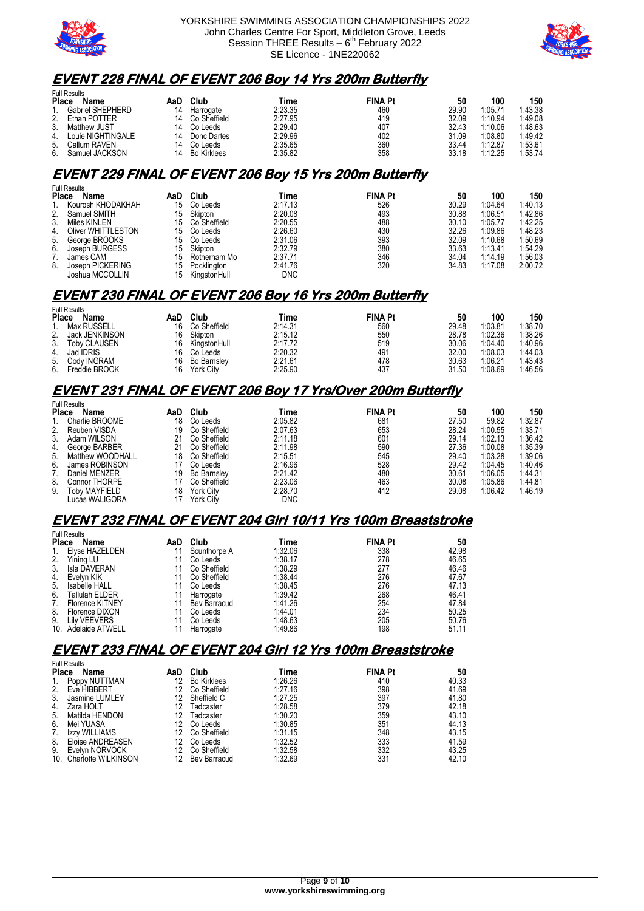



### **EVENT 228 FINAL OF EVENT 206 Boy 14 Yrs 200m Butterfly**

|                      | <b>Full Results</b><br>50 |     |                    |         |                |       |         |         |  |
|----------------------|---------------------------|-----|--------------------|---------|----------------|-------|---------|---------|--|
| <b>Place</b><br>Name |                           | AaD | Club               | Time    | <b>FINA Pt</b> |       | 100     | 150     |  |
|                      | Gabriel SHEPHERD          | 14  | Harrogate          | 2:23.35 | 460            | 29.90 | 1:05.71 | :43.38  |  |
| 2.                   | Ethan POTTER              | 14  | Co Sheffield       | 2:27.95 | 419            | 32.09 | 1:10.94 | :49.08  |  |
| 3.                   | Matthew JUST              | 14  | Co Leeds           | 2:29.40 | 407            | 32.43 | 1:10.06 | :48.63  |  |
| 4.                   | Louie NIGHTINGALE         | 14  | Donc Dartes        | 2:29.96 | 402            | 31.09 | 1:08.80 | 1:49.42 |  |
| 5.                   | Callum RAVEN              |     | Co Leeds           | 2:35.65 | 360            | 33.44 | 1:12.87 | :53.61  |  |
| 6.                   | Samuel JACKSON            |     | <b>Bo Kirklees</b> | 2:35.82 | 358            | 33.18 | 1:12.25 | :53.74  |  |

### **EVENT 229 FINAL OF EVENT 206 Boy 15 Yrs 200m Butterfly**

| <b>Full Results</b> |                           |     |              |            |                |       |         |         |
|---------------------|---------------------------|-----|--------------|------------|----------------|-------|---------|---------|
| <b>Place</b>        | Name                      | AaD | Club         | Time       | <b>FINA Pt</b> | 50    | 100     | 150     |
|                     | Kourosh KHODAKHAH         | 15  | Co Leeds     | 2:17.13    | 526            | 30.29 | 1:04.64 | 1:40.13 |
| 2.                  | Samuel SMITH              | 15  | Skipton      | 2:20.08    | 493            | 30.88 | 1:06.51 | 1:42.86 |
| 3.                  | Miles KINLEN              | 15. | Co Sheffield | 2:20.55    | 488            | 30.10 | 1:05.77 | 1:42.25 |
| 4.                  | <b>Oliver WHITTLESTON</b> | 15. | Co Leeds     | 2:26.60    | 430            | 32.26 | 1:09.86 | 1:48.23 |
| 5.                  | George BROOKS             | 15. | Co Leeds     | 2:31.06    | 393            | 32.09 | 1:10.68 | 1:50.69 |
| 6.                  | Joseph BURGESS            | 15  | Skipton      | 2:32.79    | 380            | 33.63 | 1:13.41 | 1:54.29 |
|                     | James CAM                 | 15  | Rotherham Mo | 2:37.71    | 346            | 34.04 | 1:14.19 | 1:56.03 |
| 8.                  | Joseph PICKERING          | 15  | Pocklington  | 2:41.76    | 320            | 34.83 | 1:17.08 | 2:00.72 |
|                     | Joshua MCCOLLIN           | 15  | KingstonHull | <b>DNC</b> |                |       |         |         |

## **EVENT 230 FINAL OF EVENT 206 Boy 16 Yrs 200m Butterfly**

|              | <b>Full Results</b> |     |                    |         |                |       |         |         |  |  |
|--------------|---------------------|-----|--------------------|---------|----------------|-------|---------|---------|--|--|
| <b>Place</b> | Name                | AaD | Club               | Time    | <b>FINA Pt</b> | 50    | 100     | 150     |  |  |
| 1            | Max RUSSELL         | 16  | Co Sheffield       | 2:14.31 | 560            | 29.48 | 1:03.81 | 1:38.70 |  |  |
| 2.           | Jack JENKINSON      | 16  | Skipton            | 2:15.12 | 550            | 28.78 | 1:02.36 | 1:38.26 |  |  |
| 3.           | <b>Toby CLAUSEN</b> | 16  | KinastonHull       | 2:17.72 | 519            | 30.06 | 1:04.40 | 1:40.96 |  |  |
| 4.           | Jad IDRIS           | 16  | Co Leeds           | 2:20.32 | 491            | 32.00 | 1:08.03 | 1:44.03 |  |  |
|              | 5. Cody INGRAM      | 16  | <b>Bo Barnsley</b> | 2:21.61 | 478            | 30.63 | 1:06.21 | 1:43.43 |  |  |
| 6.           | Freddie BROOK       | 16  | <b>York City</b>   | 2:25.90 | 437            | 31.50 | 1:08.69 | 1:46.56 |  |  |

# **EVENT 231 FINAL OF EVENT 206 Boy 17 Yrs/Over 200m Butterfly**

| <b>Full Results</b> |                      |     |                    |            |                |       |         |         |
|---------------------|----------------------|-----|--------------------|------------|----------------|-------|---------|---------|
| <b>Place</b>        | Name                 | AaD | Club               | Time       | <b>FINA Pt</b> | 50    | 100     | 150     |
|                     | Charlie BROOME       | 18  | Co Leeds           | 2:05.82    | 681            | 27.50 | 59.82   | 1:32.87 |
|                     | 2. Reuben VISDA      | 19  | Co Sheffield       | 2:07.63    | 653            | 28.24 | 1:00.55 | 1:33.71 |
| 3.                  | Adam WILSON          | 21  | Co Sheffield       | 2:11.18    | 601            | 29.14 | 1:02.13 | 1:36.42 |
| 4.                  | George BARBER        | 21  | Co Sheffield       | 2:11.98    | 590            | 27.36 | 1:00.08 | 1:35.39 |
|                     | 5. Matthew WOODHALL  | 18  | Co Sheffield       | 2:15.51    | 545            | 29.40 | 1:03.28 | 1:39.06 |
| 6.                  | James ROBINSON       |     | Co Leeds           | 2:16.96    | 528            | 29.42 | 1:04.45 | 1:40.46 |
| 7.                  | Daniel MENZER        | 19  | <b>Bo Barnslev</b> | 2:21.42    | 480            | 30.61 | 1:06.05 | 1:44.31 |
| 8.                  | <b>Connor THORPE</b> |     | Co Sheffield       | 2:23.06    | 463            | 30.08 | 1:05.86 | 1:44.81 |
| 9.                  | Toby MAYFIELD        | 18  | <b>York City</b>   | 2:28.70    | 412            | 29.08 | 1:06.42 | 1:46.19 |
|                     | Lucas WALIGORA       |     | <b>York City</b>   | <b>DNC</b> |                |       |         |         |

### **EVENT 232 FINAL OF EVENT 204 Girl 10/11 Yrs 100m Breaststroke**

|              | <b>Full Results</b>    |     |              |         |                |       |
|--------------|------------------------|-----|--------------|---------|----------------|-------|
| <b>Place</b> | <b>Name</b>            | AaD | Club         | Time    | <b>FINA Pt</b> | 50    |
|              | Elyse HAZELDEN         |     | Scunthorpe A | 1:32.06 | 338            | 42.98 |
|              | Yining LU              |     | Co Leeds     | 1:38.17 | 278            | 46.65 |
|              | Isla DAVERAN           |     | Co Sheffield | 1:38.29 | 277            | 46.46 |
| 4.           | Evelyn KIK             |     | Co Sheffield | 1:38.44 | 276            | 47.67 |
| 5.           | <b>Isabelle HALL</b>   |     | Co Leeds     | 1:38.45 | 276            | 47.13 |
| 6.           | Tallulah ELDER         |     | Harrogate    | 1:39.42 | 268            | 46.41 |
| 7.           | <b>Florence KITNEY</b> |     | Bev Barracud | 1:41.26 | 254            | 47.84 |
| 8.           | Florence DIXON         |     | Co Leeds     | 1:44.01 | 234            | 50.25 |
| 9.           | <b>Lily VEEVERS</b>    |     | Co Leeds     | 1:48.63 | 205            | 50.76 |
| 10.          | Adelaide ATWELL        |     | Harrogate    | 1:49.86 | 198            | 51.11 |

### **EVENT 233 FINAL OF EVENT 204 Girl 12 Yrs 100m Breaststroke**

|              | <b>Full Results</b>     |     |                    |         |                |       |
|--------------|-------------------------|-----|--------------------|---------|----------------|-------|
| <b>Place</b> | Name                    | AaD | Club               | Time    | <b>FINA Pt</b> | 50    |
| 1.           | Poppy NUTTMAN           | 12  | <b>Bo Kirklees</b> | 1:26.26 | 410            | 40.33 |
| 2.           | Eve HIBBERT             | 12  | Co Sheffield       | 1:27.16 | 398            | 41.69 |
| 3.           | Jasmine LUMLEY          | 12. | Sheffield C        | 1:27.25 | 397            | 41.80 |
| 4.           | Zara HOLT               | 12  | Tadcaster          | 1:28.58 | 379            | 42.18 |
| 5.           | Matilda HENDON          | 12  | Tadcaster          | 1:30.20 | 359            | 43.10 |
| 6.           | Mei YUASA               | 12  | Co Leeds           | 1:30.85 | 351            | 44.13 |
| 7.           | Izzy WILLIAMS           | 12  | Co Sheffield       | 1:31.15 | 348            | 43.15 |
| 8.           | Eloise ANDREASEN        | 12  | Co Leeds           | 1:32.52 | 333            | 41.59 |
| 9.           | Evelyn NORVOCK          | 12  | Co Sheffield       | 1:32.58 | 332            | 43.25 |
|              | 10. Charlotte WILKINSON | 12. | Bev Barracud       | 1:32.69 | 331            | 42.10 |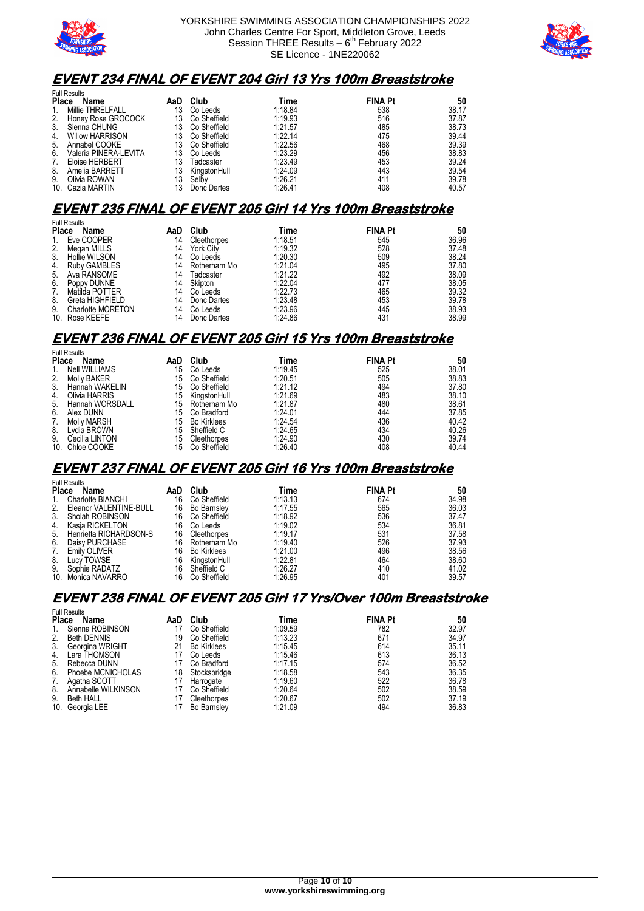



## **EVENT 234 FINAL OF EVENT 204 Girl 13 Yrs 100m Breaststroke**

|              | <b>Full Results</b>    |     |              |         |                |       |
|--------------|------------------------|-----|--------------|---------|----------------|-------|
| <b>Place</b> | Name                   | AaD | Club         | Time    | <b>FINA Pt</b> | 50    |
| 1.           | Millie THRELFALL       | 13  | Co Leeds     | 1:18.84 | 538            | 38.17 |
| 2.           | Honey Rose GROCOCK     | 13  | Co Sheffield | 1:19.93 | 516            | 37.87 |
| 3.           | Sienna CHUNG           | 13  | Co Sheffield | 1:21.57 | 485            | 38.73 |
| 4.           | <b>Willow HARRISON</b> | 13  | Co Sheffield | 1:22.14 | 475            | 39.44 |
| 5.           | Annabel COOKE          | 13  | Co Sheffield | 1:22.56 | 468            | 39.39 |
| 6.           | Valeria PINERA-LEVITA  | 13  | Co Leeds     | 1:23.29 | 456            | 38.83 |
| 7.           | Eloise HERBERT         | 13  | Tadcaster    | 1:23.49 | 453            | 39.24 |
| 8.           | Amelia BARRETT         | 13  | KingstonHull | 1:24.09 | 443            | 39.54 |
| 9.           | Olivia ROWAN           | 13  | Selby        | 1:26.21 | 411            | 39.78 |
|              | 10. Cazia MARTIN       |     | Donc Dartes  | 1:26.41 | 408            | 40.57 |

### **EVENT 235 FINAL OF EVENT 205 Girl 14 Yrs 100m Breaststroke**

|              | <b>Full Results</b>      |     |                  |         |                |       |
|--------------|--------------------------|-----|------------------|---------|----------------|-------|
| <b>Place</b> | Name                     | AaD | Club             | Time    | <b>FINA Pt</b> | 50    |
| 1.           | Eve COOPER               | 14  | Cleethorpes      | 1:18.51 | 545            | 36.96 |
| 2.           | Megan MILLS              | 14  | <b>York City</b> | 1:19.32 | 528            | 37.48 |
| 3.           | Hollie WILSON            | 14  | Co Leeds         | 1:20.30 | 509            | 38.24 |
| 4.           | <b>Ruby GAMBLES</b>      | 14  | Rotherham Mo     | 1:21.04 | 495            | 37.80 |
| 5.           | Ava RANSOME              | 14  | Tadcaster        | 1:21.22 | 492            | 38.09 |
| 6.           | Poppy DUNNE              | 14  | Skipton          | 1:22.04 | 477            | 38.05 |
| 7.           | Matilda POTTER           | 14  | Co Leeds         | 1:22.73 | 465            | 39.32 |
| 8.           | Greta HIGHFIELD          | 14  | Donc Dartes      | 1:23.48 | 453            | 39.78 |
| 9.           | <b>Charlotte MORETON</b> | 14  | Co Leeds         | 1:23.96 | 445            | 38.93 |
|              | 10. Rose KEEFE           | 14  | Donc Dartes      | 1:24.86 | 431            | 38.99 |

## **EVENT 236 FINAL OF EVENT 205 Girl 15 Yrs 100m Breaststroke**

|              | <b>Full Results</b>  |     |                    |         |                |       |  |  |  |  |  |
|--------------|----------------------|-----|--------------------|---------|----------------|-------|--|--|--|--|--|
| <b>Place</b> | Name                 | AaD | Club               | Time    | <b>FINA Pt</b> | 50    |  |  |  |  |  |
| 1.           | <b>Nell WILLIAMS</b> | 15  | Co Leeds           | 1:19.45 | 525            | 38.01 |  |  |  |  |  |
| 2.           | <b>Molly BAKER</b>   | 15  | Co Sheffield       | 1:20.51 | 505            | 38.83 |  |  |  |  |  |
| 3.           | Hannah WAKELIN       | 15  | Co Sheffield       | 1:21.12 | 494            | 37.80 |  |  |  |  |  |
| 4.           | Olivia HARRIS        | 15  | KingstonHull       | 1:21.69 | 483            | 38.10 |  |  |  |  |  |
| 5.           | Hannah WORSDALL      | 15  | Rotherham Mo       | 1:21.87 | 480            | 38.61 |  |  |  |  |  |
| 6.           | Alex DUNN            | 15  | Co Bradford        | 1:24.01 | 444            | 37.85 |  |  |  |  |  |
| 7.           | <b>Molly MARSH</b>   | 15  | <b>Bo Kirklees</b> | 1:24.54 | 436            | 40.42 |  |  |  |  |  |
| 8.           | Lydia BROWN          | 15  | Sheffield C        | 1:24.65 | 434            | 40.26 |  |  |  |  |  |
| 9.           | Cecilia LINTON       | 15  | Cleethorpes        | 1:24.90 | 430            | 39.74 |  |  |  |  |  |
|              | 10. Chloe COOKE      | 15  | Co Sheffield       | 1:26.40 | 408            | 40.44 |  |  |  |  |  |

### **EVENT 237 FINAL OF EVENT 205 Girl 16 Yrs 100m Breaststroke**

|              | <b>Full Results</b>    |     |                    |         |                |       |  |  |  |  |  |
|--------------|------------------------|-----|--------------------|---------|----------------|-------|--|--|--|--|--|
| <b>Place</b> | Name                   | AaD | Club               | Time    | <b>FINA Pt</b> | 50    |  |  |  |  |  |
| 1.           | Charlotte BIANCHI      | 16  | Co Sheffield       | 1:13.13 | 674            | 34.98 |  |  |  |  |  |
| 2.           | Eleanor VALENTINE-BULL | 16  | <b>Bo Barnsley</b> | 1:17.55 | 565            | 36.03 |  |  |  |  |  |
| 3.           | Sholah ROBINSON        | 16  | Co Sheffield       | 1:18.92 | 536            | 37.47 |  |  |  |  |  |
| 4.           | Kasia RICKELTON        | 16  | Co Leeds           | 1:19.02 | 534            | 36.81 |  |  |  |  |  |
| 5.           | Henrietta RICHARDSON-S | 16  | Cleethorpes        | 1:19.17 | 531            | 37.58 |  |  |  |  |  |
| 6.           | Daisy PURCHASE         | 16  | Rotherham Mo       | 1:19.40 | 526            | 37.93 |  |  |  |  |  |
| 7.           | Emily OLIVER           | 16  | <b>Bo Kirklees</b> | 1:21.00 | 496            | 38.56 |  |  |  |  |  |
| 8.           | Lucy TOWSE             | 16  | KingstonHull       | 1:22.81 | 464            | 38.60 |  |  |  |  |  |
| 9.           | Sophie RADATZ          | 16  | Sheffield C        | 1:26.27 | 410            | 41.02 |  |  |  |  |  |
|              | 10. Monica NAVARRO     | 16  | Co Sheffield       | 1:26.95 | 401            | 39.57 |  |  |  |  |  |

## **EVENT 238 FINAL OF EVENT 205 Girl 17 Yrs/Over 100m Breaststroke**

| <b>Full Results</b> |                     |     |                    |         |                |       |  |  |
|---------------------|---------------------|-----|--------------------|---------|----------------|-------|--|--|
| <b>Place</b>        | Name                | AaD | Club               | Time    | <b>FINA Pt</b> | 50    |  |  |
| 1.                  | Sienna ROBINSON     |     | Co Sheffield       | 1:09.59 | 782            | 32.97 |  |  |
| 2.                  | <b>Beth DENNIS</b>  | 19  | Co Sheffield       | 1:13.23 | 671            | 34.97 |  |  |
| 3.                  | Georgina WRIGHT     | 21  | <b>Bo Kirklees</b> | 1:15.45 | 614            | 35.11 |  |  |
| 4.                  | Lara THOMSON        |     | Co Leeds           | 1:15.46 | 613            | 36.13 |  |  |
| 5.                  | Rebecca DUNN        |     | Co Bradford        | 1:17.15 | 574            | 36.52 |  |  |
| 6.                  | Phoebe MCNICHOLAS   | 18  | Stocksbridge       | 1:18.58 | 543            | 36.35 |  |  |
| 7.                  | Agatha SCOTT        |     | Harrogate          | 1:19.60 | 522            | 36.78 |  |  |
| 8.                  | Annabelle WILKINSON |     | Co Sheffield       | 1:20.64 | 502            | 38.59 |  |  |
| 9.                  | <b>Beth HALL</b>    |     | Cleethorpes        | 1:20.67 | 502            | 37.19 |  |  |
| 10.                 | Georgia LEE         |     | Bo Barnsley        | 1:21.09 | 494            | 36.83 |  |  |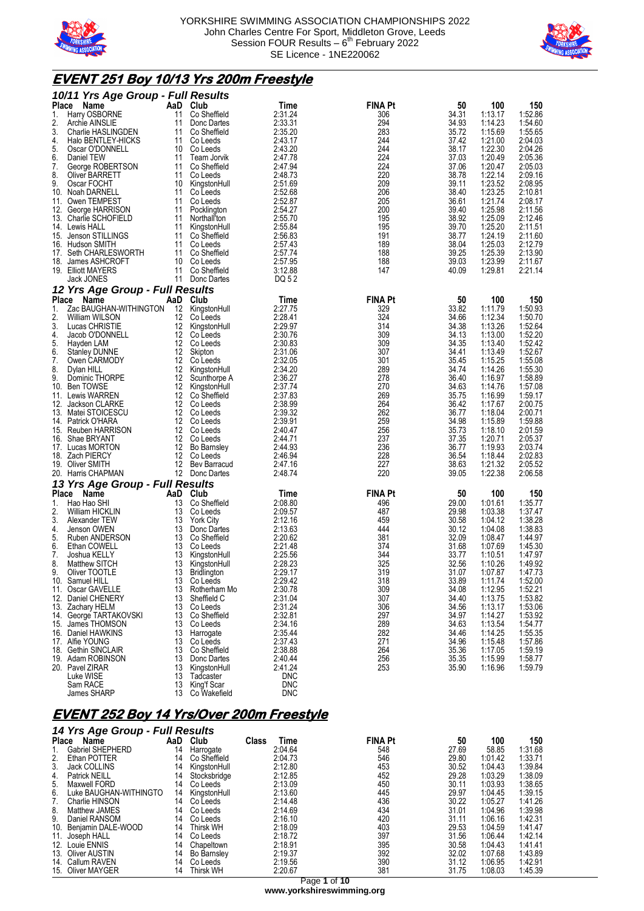



# **EVENT 251 Boy 10/13 Yrs 200m Freestyle**

|              | 10/11 Yrs Age Group - Full Results         |          |                                 |                    |                |                |                    |                    |
|--------------|--------------------------------------------|----------|---------------------------------|--------------------|----------------|----------------|--------------------|--------------------|
| Place        | Name                                       | AaD      | Club                            | Time               | <b>FINA Pt</b> | 50             | 100                | 150                |
| 1.           | Harry OSBORNE                              | 11       | Co Sheffield                    | 2:31.24            | 306            | 34.31          | 1:13.17            | 1:52.86            |
| 2.           | Archie AINSLIE                             | 11       | Donc Dartes                     | 2:33.31            | 294            | 34.93          | 1:14.23            | 1:54.60            |
| 3.           | Charlie HASLINGDEN                         | 11       | Co Sheffield                    | 2:35.20            | 283            | 35.72          | 1:15.69            | 1:55.65            |
| 4.           | Halo BENTLEY-HICKS                         | 11       | Co Leeds                        | 2:43.17            | 244            | 37.42          | 1:21.00            | 2:04.03            |
| 5.           | Oscar O'DONNELL                            | 10       | Co Leeds                        | 2:43.20            | 244            | 38.17          | 1:22.30            | 2:04.26            |
| 6.<br>7.     | Daniel TEW                                 | 11<br>11 | Team Jorvik                     | 2:47.78<br>2:47.94 | 224<br>224     | 37.03<br>37.06 | 1:20.49<br>1:20.47 | 2:05.36<br>2:05.03 |
| 8.           | George ROBERTSON<br>Oliver BARRETT         | 11       | Co Sheffield<br>Co Leeds        | 2:48.73            | 220            | 38.78          | 1:22.14            | 2:09.16            |
| 9.           | Oscar FOCHT                                | 10       | KingstonHull                    | 2:51.69            | 209            | 39.11          | 1:23.52            | 2:08.95            |
| 10.          | Noah DARNELL                               | 11       | Co Leeds                        | 2:52.68            | 206            | 38.40          | 1:23.25            | 2:10.81            |
|              | 11. Owen TEMPEST                           | 11       | Co Leeds                        | 2:52.87            | 205            | 36.61          | 1:21.74            | 2:08.17            |
|              | 12. George HARRISON                        | 11       | Pocklington                     | 2:54.27            | 200            | 39.40          | 1:25.98            | 2:11.56            |
|              | 13. Charlie SCHOFIELD                      | 11       | Northall'ton                    | 2:55.70            | 195            | 38.92          | 1:25.09            | 2:12.46            |
|              | 14. Lewis HALL                             | 11       | KingstonHull                    | 2:55.84            | 195            | 39.70          | 1:25.20            | 2:11.51            |
|              | 15. Jenson STILLINGS                       | 11       | Co Sheffield                    | 2:56.83            | 191            | 38.77          | 1:24.19            | 2:11.60            |
|              | 16. Hudson SMITH<br>17. Seth CHARLESWORTH  | 11<br>11 | Co Leeds<br>Co Sheffield        | 2:57.43<br>2:57.74 | 189<br>188     | 38.04<br>39.25 | 1:25.03<br>1:25.39 | 2:12.79<br>2:13.90 |
|              | 18. James ASHCROFT                         | 10       | Co Leeds                        | 2:57.95            | 188            | 39.03          | 1:23.99            | 2:11.67            |
|              | 19. Elliott MAYERS                         | 11       | Co Sheffield                    | 3:12.88            | 147            | 40.09          | 1:29.81            | 2:21.14            |
|              | Jack JONES                                 | 11       | Donc Dartes                     | DQ 52              |                |                |                    |                    |
|              | 12 Yrs Age Group - Full Results            |          |                                 |                    |                |                |                    |                    |
| Place        | Name                                       | AaD      | Club                            | Time               | <b>FINA Pt</b> | 50             | 100                | 150                |
| 1.           | Zac BAUGHAN-WITHINGTON                     | 12       | KingstonHull                    | 2:27.75            | 329            | 33.82          | 1:11.79            | 1:50.93            |
| 2.           | William WILSON                             | 12       | Co Leeds                        | 2:28.41            | 324            | 34.66          | 1:12.34            | 1:50.70            |
| 3.           | Lucas CHRISTIE                             | 12       | KingstonHull                    | 2:29.97            | 314            | 34.38          | 1:13.26            | 1:52.64            |
| 4.           | Jacob O'DONNELL                            | 12       | Co Leeds                        | 2:30.76            | 309            | 34.13          | 1:13.00            | 1:52.20            |
| 5.           | Hayden LAM<br><b>Stanley DUNNE</b>         | 12<br>12 | Co Leeds                        | 2:30.83<br>2:31.06 | 309<br>307     | 34.35<br>34.41 | 1:13.40<br>1:13.49 | 1:52.42<br>1:52.67 |
| 6.<br>7.     | Owen CARMODY                               | 12       | Skipton<br>Co Leeds             | 2:32.05            | 301            | 35.45          | 1:15.25            | 1:55.08            |
| 8.           | Dylan HILL                                 | 12       | KingstonHull                    | 2:34.20            | 289            | 34.74          | 1:14.26            | 1:55.30            |
| 9.           | Dominic THORPE                             | 12       | Scunthorpe A                    | 2:36.27            | 278            | 36.40          | 1:16.97            | 1:58.89            |
| 10.          | <b>Ben TOWSE</b>                           | 12       | KingstonHull                    | 2:37.74            | 270            | 34.63          | 1:14.76            | 1:57.08            |
|              | 11. Lewis WARREN                           | 12       | Co Sheffield                    | 2:37.83            | 269            | 35.75          | 1:16.99            | 1:59.17            |
|              | 12. Jackson CLARKE                         | 12       | Co Leeds                        | 2:38.99            | 264            | 36.42          | 1:17.67            | 2:00.75            |
| 13.          | Matei STOICESCU                            | 12       | Co Leeds                        | 2:39.32            | 262            | 36.77          | 1:18.04            | 2:00.71            |
|              | 14. Patrick O'HARA                         | 12       | Co Leeds                        | 2:39.91            | 259            | 34.98          | 1:15.89            | 1:59.88            |
| 16.          | 15. Reuben HARRISON<br>Shae BRYANT         | 12<br>12 | Co Leeds<br>Co Leeds            | 2:40.47<br>2:44.71 | 256<br>237     | 35.73<br>37.35 | 1:18.10<br>1:20.71 | 2:01.59<br>2:05.37 |
|              | 17. Lucas MORTON                           | 12       | <b>Bo Barnsley</b>              | 2:44.93            | 236            | 36.77          | 1:19.93            | 2:03.74            |
|              | 18. Zach PIERCY                            | 12       | Co Leeds                        | 2:46.94            | 228            | 36.54          | 1:18.44            | 2:02.83            |
|              | 19. Oliver SMITH                           | 12       | Bev Barracud                    | 2:47.16            | 227            | 38.63          | 1:21.32            | 2:05.52            |
|              | 20. Harris CHAPMAN                         |          | 12 Donc Dartes                  | 2:48.74            | 220            | 39.05          | 1:22.38            | 2:06.58            |
|              | 13 Yrs Age Group - Full Results            |          |                                 |                    |                |                |                    |                    |
| <b>Place</b> | Name                                       | AaD      | Club                            | Time               | <b>FINA Pt</b> | 50             | 100                | 150                |
| 1.           | Hao Hao SHI                                | 13       | Co Sheffield                    | 2:08.80            | 496            | 29.00          | 1:01.61            | 1:35.77            |
| 2.           | William HICKLIN                            | 13       | Co Leeds                        | 2:09.57            | 487            | 29.98          | 1:03.38            | 1:37.47            |
| 3.<br>4.     | Alexander TEW<br>Jenson OWEN               | 13<br>13 | <b>York City</b><br>Donc Dartes | 2:12.16<br>2:13.63 | 459<br>444     | 30.58<br>30.12 | 1:04.12<br>1:04.08 | 1:38.28<br>1:38.83 |
| 5.           | Ruben ANDERSON                             | 13       | Co Sheffield                    | 2:20.62            | 381            | 32.09          | 1:08.47            | 1:44.97            |
| 6.           | Ethan COWELL                               | 13       | Co Leeds                        | 2:21.48            | 374            | 31.68          | 1:07.69            | 1:45.30            |
| 7.           | Joshua KELLY                               | 13       | KingstonHull                    | 2:25.56            | 344            | 33.77          | 1:10.51            | 1:47.97            |
| 8.           | Matthew SITCH                              | 13       | KingstonHull                    | 2:28.23            | 325            | 32.56          | 1:10.26            | 1:49.92            |
| 9.           | Oliver TOOTLE                              | 13       | Bridlington                     | 2:29.17            | 319            | 31.07          | 1:07.87            | 1:47.73            |
|              | 10. Samuel HILL                            | 13       | Co Leeds                        | 2:29.42            | 318            | 33.89          | 1:11.74            | 1:52.00            |
|              | 11. Oscar GAVELLE                          | 13       | Rotherham Mo                    | 2:30.78            | 309            | 34.08          | 1:12.95            | 1:52.21            |
|              | 12. Daniel CHENERY                         | 13       | Sheffield C                     | 2:31.04            | 307            | 34.40          | 1:13.75            | 1:53.82            |
|              | 13. Zachary HELM<br>14. George TARTAKOVSKI | 13<br>13 | Co Leeds<br>Co Sheffield        | 2:31.24<br>2:32.81 | 306<br>297     | 34.56<br>34.97 | 1:13.17<br>1:14.27 | 1:53.06<br>1:53.92 |
|              | 15. James THOMSON                          | 13       | Co Leeds                        | 2:34.16            | 289            | 34.63          | 1:13.54            | 1:54.77            |
|              | 16. Daniel HAWKINS                         | 13       | Harrogate                       | 2:35.44            | 282            | 34.46          | 1:14.25            | 1:55.35            |
|              | 17. Alfie YOUNG                            | 13       | Co Leeds                        | 2:37.43            | 271            | 34.96          | 1:15.48            | 1:57.86            |
|              | 18. Gethin SINCLAIR                        | 13       | Co Sheffield                    | 2:38.88            | 264            | 35.36          | 1:17.05            | 1:59.19            |
|              | 19. Adam ROBINSON                          | 13       | Donc Dartes                     | 2:40.44            | 256            | 35.35          | 1:15.99            | 1:58.77            |
|              | 20. Pavel ZIRAR                            | 13       | KingstonHull                    | 2:41.24            | 253            | 35.90          | 1:16.96            | 1:59.79            |
|              | Luke WISE                                  | 13       | Tadcaster                       | <b>DNC</b>         |                |                |                    |                    |
|              | Sam RACE                                   | 13       | King'f Scar                     | DNC                |                |                |                    |                    |

# **EVENT 252 Boy 14 Yrs/Over 200m Freestyle**

James SHARP 13 Co Wakefield DNC

|              | 14 Yrs Age Group - Full Results |     |                  |       |         |                |       |         |         |  |  |  |
|--------------|---------------------------------|-----|------------------|-------|---------|----------------|-------|---------|---------|--|--|--|
| <b>Place</b> | <b>Name</b>                     | AaD | Club             | Class | Time    | <b>FINA Pt</b> | 50    | 100     | 150     |  |  |  |
|              | <b>Gabriel SHEPHERD</b>         | 14  | Harrogate        |       | 2:04.64 | 548            | 27.69 | 58.85   | 1:31.68 |  |  |  |
| 2.           | Ethan POTTER                    | 14  | Co Sheffield     |       | 2:04.73 | 546            | 29.80 | 1:01.42 | 1:33.71 |  |  |  |
| 3.           | Jack COLLINS                    | 14  | KingstonHull     |       | 2:12.80 | 453            | 30.52 | 1:04.43 | 1:39.84 |  |  |  |
| 4.           | <b>Patrick NEILL</b>            | 14  | Stocksbridge     |       | 2:12.85 | 452            | 29.28 | 1:03.29 | 1:38.09 |  |  |  |
| 5.           | Maxwell FORD                    | 14  | Co Leeds         |       | 2:13.09 | 450            | 30.11 | 1:03.93 | 1:38.65 |  |  |  |
| 6.           | Luke BAUGHAN-WITHINGTO          | 14  | KingstonHull     |       | 2:13.60 | 445            | 29.97 | 1:04.45 | 1:39.15 |  |  |  |
| 7.           | Charlie HINSON                  | 14  | Co Leeds         |       | 2:14.48 | 436            | 30.22 | 1:05.27 | 1:41.26 |  |  |  |
| 8.           | Matthew JAMES                   | 14  | Co Leeds         |       | 2:14.69 | 434            | 31.01 | 1:04.96 | 1:39.98 |  |  |  |
| 9.           | Daniel RANSOM                   | 14  | Co Leeds         |       | 2:16.10 | 420            | 31.11 | 1:06.16 | 1:42.31 |  |  |  |
| 10.          | Benjamin DALE-WOOD              | 14  | <b>Thirsk WH</b> |       | 2:18.09 | 403            | 29.53 | 1:04.59 | 1:41.47 |  |  |  |
| 11.          | Joseph HALL                     | 14  | Co Leeds         |       | 2:18.72 | 397            | 31.56 | 1:06.44 | 1:42.14 |  |  |  |
| 12.          | Louie ENNIS                     | 14  | Chapeltown       |       | 2:18.91 | 395            | 30.58 | 1:04.43 | 1:41.41 |  |  |  |
| 13.          | <b>Oliver AUSTIN</b>            | 14  | Bo Barnsley      |       | 2:19.37 | 392            | 32.02 | 1:07.68 | 1:43.89 |  |  |  |
| 14.          | Callum RAVEN                    | 14  | Co Leeds         |       | 2:19.56 | 390            | 31.12 | 1:06.95 | 1:42.91 |  |  |  |
| 15.          | Oliver MAYGER                   | 14  | <b>Thirsk WH</b> |       | 2:20.67 | 381            | 31.75 | 1:08.03 | 1:45.39 |  |  |  |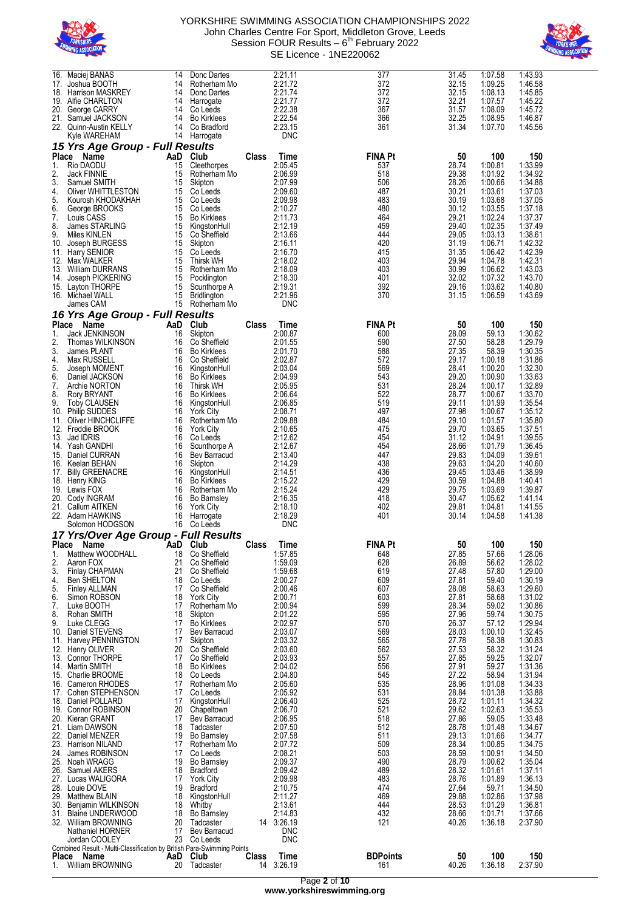



| 16.<br>Maciej BANAS<br>Joshua BOOTH<br>17.<br>18.<br><b>Harrison MASKREY</b><br>19.<br>Alfie CHARLTON<br>20. George CARRY<br>21. Samuel JACKSON<br>22. Quinn-Austin KELLY<br>Kyle WAREHAM                                                                                                                                                                                                                                                                                                                                                                                                                                                                                                                                                                                                                                                                                                                               | 14<br>14<br>14<br>14<br>14<br>14<br>14                                                                                                                                                             | Donc Dartes<br>Rotherham Mo<br>Donc Dartes<br>Harrogate<br>Co Leeds<br><b>Bo Kirklees</b><br>Co Bradford<br>14 Harrogate                                                                                                                                                                                                                                                                                                                                                                                                                                                    |             | 2:21.11<br>2:21.72<br>2:21.74<br>2:21.77<br>2:22.38<br>2:22.54<br>2:23.15<br><b>DNC</b>                                                                                                                                                                                                                                                                                                             | 377<br>372<br>372<br>372<br>367<br>366<br>361                                                                                                                                                                                                  | 31.45<br>32.15<br>32.15<br>32.21<br>31.57<br>32.25<br>31.34                                                                                                                                                                                                                                        | 1:07.58<br>1:09.25<br>1:08.13<br>1:07.57<br>1:08.09<br>1:08.95<br>1:07.70                                                                                                                                                                                                                                                           | 1:43.93<br>1:46.58<br>1:45.85<br>1:45.22<br>1:45.72<br>1:46.87<br>1:45.56                                                                                                                                                                                                                                                                                           |
|-------------------------------------------------------------------------------------------------------------------------------------------------------------------------------------------------------------------------------------------------------------------------------------------------------------------------------------------------------------------------------------------------------------------------------------------------------------------------------------------------------------------------------------------------------------------------------------------------------------------------------------------------------------------------------------------------------------------------------------------------------------------------------------------------------------------------------------------------------------------------------------------------------------------------|----------------------------------------------------------------------------------------------------------------------------------------------------------------------------------------------------|-----------------------------------------------------------------------------------------------------------------------------------------------------------------------------------------------------------------------------------------------------------------------------------------------------------------------------------------------------------------------------------------------------------------------------------------------------------------------------------------------------------------------------------------------------------------------------|-------------|-----------------------------------------------------------------------------------------------------------------------------------------------------------------------------------------------------------------------------------------------------------------------------------------------------------------------------------------------------------------------------------------------------|------------------------------------------------------------------------------------------------------------------------------------------------------------------------------------------------------------------------------------------------|----------------------------------------------------------------------------------------------------------------------------------------------------------------------------------------------------------------------------------------------------------------------------------------------------|-------------------------------------------------------------------------------------------------------------------------------------------------------------------------------------------------------------------------------------------------------------------------------------------------------------------------------------|---------------------------------------------------------------------------------------------------------------------------------------------------------------------------------------------------------------------------------------------------------------------------------------------------------------------------------------------------------------------|
| 15 Yrs Age Group - Full Results<br>Place<br>Name<br>1.<br>Rio DAODU<br>2.<br><b>Jack FINNIE</b><br>3.<br>Samuel SMITH<br>4.<br>Oliver WHITTLESTON<br>5.<br>Kourosh KHODAKHAH<br>6.<br>George BROOKS<br>7.<br>Louis CASS<br>8.<br>James STARLING<br>9.<br>Miles KINLEN<br>10.<br>Joseph BURGESS<br>11. Harry SENIOR<br>12.<br>Max WALKER<br><b>William DURRANS</b><br>13.<br>Joseph PICKERING<br>14.<br>15. Layton THORPE<br>16. Michael WALL<br>James CAM<br>16 Yrs Age Group - Full Results                                                                                                                                                                                                                                                                                                                                                                                                                            | AaD<br>15<br>15<br>15<br>15<br>15<br>15<br>15<br>15<br>15<br>15<br>15<br>15<br>15<br>15<br>15<br>15                                                                                                | Club<br>Cleethorpes<br>Rotherham Mo<br>Skipton<br>Co Leeds<br>Co Leeds<br>Co Leeds<br><b>Bo Kirklees</b><br>KingstonHull<br>Co Sheffield<br>Skipton<br>Co Leeds<br>Thirsk WH<br>Rotherham Mo<br>Pocklington<br>Scunthorpe A<br><b>Bridlington</b><br>15 Rotherham Mo                                                                                                                                                                                                                                                                                                        | Class       | Time<br>2:05.45<br>2:06.99<br>2:07.99<br>2:09.60<br>2:09.98<br>2:10.27<br>2:11.73<br>2:12.19<br>2:13.66<br>2:16.11<br>2:16.70<br>2:18.02<br>2:18.09<br>2:18.30<br>2:19.31<br>2:21.96<br><b>DNC</b>                                                                                                                                                                                                  | <b>FINA Pt</b><br>537<br>518<br>506<br>487<br>483<br>480<br>464<br>459<br>444<br>420<br>415<br>403<br>403<br>401<br>392<br>370                                                                                                                 | 50<br>28.74<br>29.38<br>28.26<br>30.21<br>30.19<br>30.12<br>29.21<br>29.40<br>29.05<br>31.19<br>31.35<br>29.94<br>30.99<br>32.02<br>29.16<br>31.15                                                                                                                                                 | 100<br>1:00.81<br>1:01.92<br>1:00.66<br>1:03.61<br>1:03.68<br>1:03.55<br>1:02.24<br>1:02.35<br>1:03.13<br>1:06.71<br>1:06.42<br>1:04.78<br>1:06.62<br>1:07.32<br>1:03.62<br>1:06.59                                                                                                                                                 | 150<br>1:33.99<br>1:34.92<br>1:34.88<br>1:37.03<br>1:37.05<br>1:37.18<br>1:37.37<br>1:37.49<br>1:38.61<br>1:42.32<br>1:42.39<br>1:42.31<br>1:43.03<br>1:43.70<br>1:40.80<br>1:43.69                                                                                                                                                                                 |
| <b>Place</b><br>Name<br>1.<br>Jack JENKINSON<br>2.<br>Thomas WILKINSON<br>3.<br>James PLANT<br>4.<br><b>Max RUSSELL</b><br>5.<br>Joseph MOMENT<br>6.<br>Daniel JACKSON<br>7.<br>Archie NORTON<br>8.<br><b>Rory BRYANT</b><br>9.<br><b>Toby CLAUSEN</b><br><b>Philip SUDDES</b><br>10.<br>11. Oliver HINCHCLIFFE<br>12. Freddie BROOK<br>13.<br>Jad IDRIS<br>14. Yash GANDHI<br>15. Daniel CURRAN<br>16.<br>Keelan BEHAN<br>17. Billy GREENACRE<br>18. Henry KING<br>19. Lewis FOX<br>20. Cody INGRAM<br>21. Callum AITKEN<br>22. Adam HAWKINS<br>Solomon HODGSON                                                                                                                                                                                                                                                                                                                                                        | AaD<br>16<br>16<br>16<br>16<br>16<br>16<br>16<br>16<br>16<br>16<br>16<br>16<br>16<br>16<br>16<br>16<br>16<br>16<br>16<br>16<br>16<br>16<br>16                                                      | Club<br>Skipton<br>Co Sheffield<br><b>Bo Kirklees</b><br>Co Sheffield<br>KingstonHull<br><b>Bo Kirklees</b><br><b>Thirsk WH</b><br><b>Bo Kirklees</b><br>KingstonHull<br><b>York City</b><br>Rotherham Mo<br><b>York City</b><br>Co Leeds<br>Scunthorpe A<br>Bev Barracud<br>Skipton<br>KingstonHull<br><b>Bo Kirklees</b><br>Rotherham Mo<br>Bo Barnsley<br><b>York City</b><br>Harrogate<br>Co Leeds                                                                                                                                                                      | Class       | Time<br>2:00.87<br>2:01.55<br>2:01.70<br>2:02.87<br>2:03.04<br>2:04.99<br>2:05.95<br>2:06.64<br>2:06.85<br>2:08.71<br>2:09.88<br>2:10.65<br>2:12.62<br>2:12.67<br>2:13.40<br>2:14.29<br>2:14.51<br>2:15.22<br>2:15.24<br>2:16.35<br>2:18.10<br>2:18.29<br><b>DNC</b>                                                                                                                                | <b>FINA Pt</b><br>600<br>590<br>588<br>572<br>569<br>543<br>531<br>522<br>519<br>497<br>484<br>475<br>454<br>454<br>447<br>438<br>436<br>429<br>429<br>418<br>402<br>401                                                                       | 50<br>28.09<br>27.50<br>27.35<br>29.17<br>28.41<br>29.20<br>28.24<br>28.77<br>29.11<br>27.98<br>29.10<br>29.70<br>31.12<br>28.66<br>29.83<br>29.63<br>29.45<br>30.59<br>29.75<br>30.47<br>29.81<br>30.14                                                                                           | 100<br>59.13<br>58.28<br>58.39<br>1:00.18<br>1:00.20<br>1:00.90<br>1:00.17<br>1:00.67<br>1:01.99<br>1:00.67<br>1:01.57<br>1:03.65<br>1:04.91<br>1:01.79<br>1:04.09<br>1:04.20<br>1:03.46<br>1:04.88<br>1:03.69<br>1:05.62<br>1:04.81<br>1:04.58                                                                                     | 150<br>1:30.62<br>1:29.79<br>1:30.35<br>1:31.86<br>1:32.30<br>1:33.63<br>1:32.89<br>1:33.70<br>1:35.54<br>1:35.12<br>1:35.80<br>1:37.51<br>1:39.55<br>1:36.45<br>1:39.61<br>1:40.60<br>1:38.99<br>1:40.41<br>1:39.87<br>1:41.14<br>1:41.55<br>1:41.38                                                                                                               |
| 17 Yrs/Over Age Group - Full Results<br><b>Place</b><br>Name<br>Matthew WOODHALL<br>1.<br>2.<br>Aaron FOX<br>3.<br><b>Finlay CHAPMAN</b><br>4.<br><b>Ben SHELTON</b><br>5.<br><b>Finley ALLMAN</b><br>6.<br>Simon ROBSON<br>7.<br>Luke BOOTH<br>8.<br>Rohan SMITH<br>9.<br>Luke CLEGG<br>10. Daniel STEVENS<br>11. Harvey PENNINGTON<br>12. Henry OLIVER<br>13. Connor THORPE<br>14. Martin SMITH<br>15. Charlie BROOME<br>16. Cameron RHODES<br>17. Cohen STEPHENSON<br>18. Daniel POLLARD<br>19. Connor ROBINSON<br>20. Kieran GRANT<br>21. Liam DAWSON<br>22. Daniel MENZER<br>23. Harrison NILAND<br>24. James ROBINSON<br>25. Noah WRAGG<br>26. Samuel AKERS<br>27. Lucas WALIGORA<br>28. Louie DOVE<br>29. Matthew BLAIN<br>30. Benjamin WILKINSON<br>31. Blaine UNDERWOOD<br>32. William BROWNING<br>Nathaniel HORNER<br>Jordan COOLEY<br>Combined Result - Multi-Classification by British Para-Swimming Points | 18<br>21<br>21<br>18<br>17<br>18<br>17<br>18<br>17<br>17<br>17<br>20<br>17<br>18<br>18<br>17<br>17<br>17<br>20<br>17<br>18<br>19<br>17<br>17<br>19<br>18<br>17<br>19<br>18<br>18<br>18<br>20<br>17 | AaD Club<br>Co Sheffield<br>Co Sheffield<br>Co Sheffield<br>Co Leeds<br>Co Sheffield<br><b>York City</b><br>Rotherham Mo<br>Skipton<br><b>Bo Kirklees</b><br>Bev Barracud<br>Skipton<br>Co Sheffield<br>Co Sheffield<br><b>Bo Kirklees</b><br>Co Leeds<br>Rotherham Mo<br>Co Leeds<br>KingstonHull<br>Chapeltown<br>Bev Barracud<br>Tadcaster<br><b>Bo Barnsley</b><br>Rotherham Mo<br>Co Leeds<br><b>Bo Barnsley</b><br><b>Bradford</b><br><b>York City</b><br><b>Bradford</b><br>KingstonHull<br>Whitby<br><b>Bo Barnsley</b><br>Tadcaster<br>Bev Barracud<br>23 Co Leeds | Class       | Time<br>1:57.85<br>1:59.09<br>1:59.68<br>2:00.27<br>2:00.46<br>2:00.71<br>2:00.94<br>2:01.22<br>2:02.97<br>2:03.07<br>2:03.32<br>2:03.60<br>2:03.93<br>2:04.02<br>2:04.80<br>2:05.60<br>2:05.92<br>2:06.40<br>2:06.70<br>2:06.95<br>2:07.50<br>2:07.58<br>2:07.72<br>2:08.21<br>2:09.37<br>2:09.42<br>2:09.98<br>2:10.75<br>2:11.27<br>2:13.61<br>2:14.83<br>14 3:26.19<br><b>DNC</b><br><b>DNC</b> | <b>FINA Pt</b><br>648<br>628<br>619<br>609<br>607<br>603<br>599<br>595<br>570<br>569<br>565<br>562<br>557<br>556<br>545<br>535<br>531<br>525<br>521<br>518<br>512<br>511<br>509<br>503<br>490<br>489<br>483<br>474<br>469<br>444<br>432<br>121 | 50<br>27.85<br>26.89<br>27.48<br>27.81<br>28.08<br>27.81<br>28.34<br>27.96<br>26.37<br>28.03<br>27.78<br>27.53<br>27.85<br>27.91<br>27.22<br>28.96<br>28.84<br>28.72<br>29.62<br>27.86<br>28.78<br>29.13<br>28.34<br>28.59<br>28.79<br>28.32<br>28.76<br>27.64<br>29.88<br>28.53<br>28.66<br>40.26 | 100<br>57.66<br>56.62<br>57.80<br>59.40<br>58.63<br>58.68<br>59.02<br>59.74<br>57.12<br>1:00.10<br>58.38<br>58.32<br>59.25<br>59.27<br>58.94<br>1:01.08<br>1:01.38<br>1:01.11<br>1:02.63<br>59.05<br>1:01.48<br>1:01.66<br>1:00.85<br>1:00.91<br>1:00.62<br>1:01.61<br>1:01.89<br>59.71<br>1:02.86<br>1:01.29<br>1:01.71<br>1:36.18 | 150<br>1:28.06<br>1:28.02<br>1:29.00<br>1:30.19<br>1:29.60<br>1:31.02<br>1:30.86<br>1:30.75<br>1:29.94<br>1:32.45<br>1:30.83<br>1:31.24<br>1:32.07<br>1:31.36<br>1:31.94<br>1:34.33<br>1:33.88<br>1:34.32<br>1:35.53<br>1:33.48<br>1:34.67<br>1:34.77<br>1:34.75<br>1:34.50<br>1:35.04<br>1:37.11<br>1:36.13<br>1:34.50<br>1:37.98<br>1:36.81<br>1:37.66<br>2:37.90 |
| <b>Place</b><br>Name<br>William BROWNING<br>1.                                                                                                                                                                                                                                                                                                                                                                                                                                                                                                                                                                                                                                                                                                                                                                                                                                                                          | AaD<br>20                                                                                                                                                                                          | Club<br>Tadcaster                                                                                                                                                                                                                                                                                                                                                                                                                                                                                                                                                           | Class<br>14 | Time<br>3:26.19                                                                                                                                                                                                                                                                                                                                                                                     | <b>BDPoints</b><br>161                                                                                                                                                                                                                         | 50<br>40.26                                                                                                                                                                                                                                                                                        | 100<br>1:36.18                                                                                                                                                                                                                                                                                                                      | 150<br>2:37.90                                                                                                                                                                                                                                                                                                                                                      |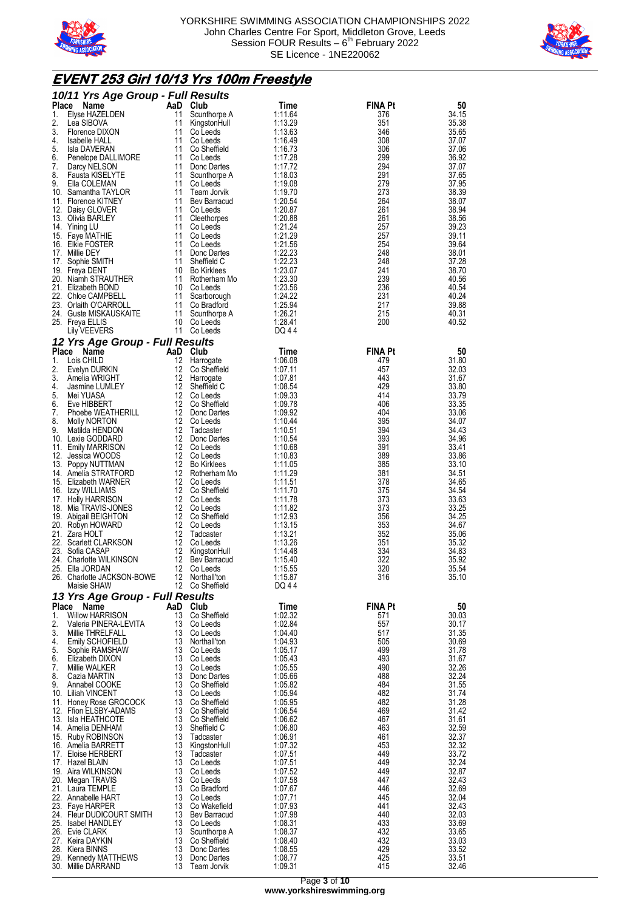



# **EVENT 253 Girl 10/13 Yrs 100m Freestyle**

|             | 10/11 Yrs Age Group - Full Results              |          |                                       |                    |                       |                |
|-------------|-------------------------------------------------|----------|---------------------------------------|--------------------|-----------------------|----------------|
| Place<br>1. | Name<br>Elyse HAZELDEN                          | 11       | AaD Club<br>Scunthorpe A              | Time<br>1:11.64    | <b>FINA Pt</b><br>376 | 50<br>34.15    |
| 2.          | Lea SIBOVA                                      | 11       | KingstonHull                          | 1:13.29            | 351                   | 35.38          |
| 3.          | Florence DIXON                                  | 11       | Co Leeds                              | 1:13.63            | 346                   | 35.65          |
| 4.<br>5.    | <b>Isabelle HALL</b><br>Isla DAVERAN            | 11<br>11 | Co Leeds<br>Co Sheffield              | 1:16.49<br>1:16.73 | 308<br>306            | 37.07<br>37.06 |
| 6.          | Penelope DALLIMORE                              | 11       | Co Leeds                              | 1:17.28            | 299                   | 36.92          |
| 7.<br>8.    | Darcy NELSON                                    | 11       | Donc Dartes                           | 1:17.72            | 294<br>291            | 37.07          |
| 9.          | <b>Fausta KISELYTE</b><br>Ella COLEMAN          | 11<br>11 | Scunthorpe A<br>Co Leeds              | 1:18.03<br>1:19.08 | 279                   | 37.65<br>37.95 |
|             | 10. Samantha TAYLOR                             | 11       | Team Jorvik                           | 1:19.70            | 273                   | 38.39          |
|             | 11. Florence KITNEY                             | 11<br>11 | Bev Barracud<br>Co Leeds              | 1:20.54            | 264<br>261            | 38.07<br>38.94 |
| 12.         | Daisy GLOVER<br>13. Olivia BARLEY               | 11       | Cleethorpes                           | 1:20.87<br>1:20.88 | 261                   | 38.56          |
|             | 14. Yining LU                                   | 11       | Co Leeds                              | 1:21.24            | 257                   | 39.23          |
|             | 15. Faye MATHIE<br>16. Elkie FOSTER             | 11<br>11 | Co Leeds<br>Co Leeds                  | 1:21.29<br>1:21.56 | 257<br>254            | 39.11<br>39.64 |
| 17.         | Millie DEY                                      | 11       | Donc Dartes                           | 1:22.23            | 248                   | 38.01          |
| 17.         | Sophie SMITH                                    | 11       | Sheffield C                           | 1:22.23            | 248                   | 37.28          |
|             | 19. Freya DENT<br>20. Niamh STRAUTHER           | 10       | <b>Bo Kirklees</b><br>11 Rotherham Mo | 1:23.07<br>1:23.30 | 241<br>239            | 38.70<br>40.56 |
|             | 21. Elizabeth BOND                              | 10       | Co Leeds                              | 1:23.56            | 236                   | 40.54          |
|             | 22. Chloe CAMPBELL<br>23. Orlaith O'CARROLL     | 11       | Scarborough                           | 1:24.22<br>1:25.94 | 231<br>217            | 40.24<br>39.88 |
|             | 24. Guste MISKAUSKAITE                          | 11       | 11 Co Bradford<br>Scunthorpe A        | 1:26.21            | 215                   | 40.31          |
|             | 25. Freya ELLIS                                 | 10       | Co Leeds                              | 1:28.41            | 200                   | 40.52          |
|             | <b>Lily VEEVERS</b>                             |          | 11 Co Leeds                           | DQ 44              |                       |                |
| Place       | 12 Yrs Age Group - Full Results<br>AaD<br>Name  |          | Club                                  | Time               | <b>FINA Pt</b>        | 50             |
| 1.          | Lois CHILD                                      | 12       | Harrogate                             | 1:06.08            | 479                   | 31.80          |
| 2.          | Evelyn DURKIN                                   | 12       | Co Sheffield                          | 1:07.11            | 457                   | 32.03          |
| 3.<br>4.    | Amelia WRIGHT<br>Jasmine LUMLEY                 | 12<br>12 | Harrogate<br>Sheffield C              | 1:07.81<br>1:08.54 | 443<br>429            | 31.67<br>33.80 |
| 5.          | Mei YUASA                                       |          | 12 Co Leeds                           | 1:09.33            | 414                   | 33.79          |
| 6.          | Eve HIBBERT                                     | 12       | Co Sheffield                          | 1:09.78            | 406                   | 33.35          |
| 7.<br>8.    | Phoebe WEATHERILL<br>Molly NORTON               | 12       | Donc Dartes<br>12 Co Leeds            | 1:09.92<br>1:10.44 | 404<br>395            | 33.06<br>34.07 |
| 9.          | Matilda HENDON                                  | 12       | Tadcaster                             | 1:10.51            | 394                   | 34.43          |
|             | 10. Lexie GODDARD                               | 12       | Donc Dartes                           | 1:10.54            | 393                   | 34.96          |
| 12.         | 11. Emily MARRISON<br>Jessica WOODS             | 12       | 12 Co Leeds<br>Co Leeds               | 1:10.68<br>1:10.83 | 391<br>389            | 33.41<br>33.86 |
|             | 13. Poppy NUTTMAN                               | 12       | <b>Bo Kirklees</b>                    | 1:11.05            | 385                   | 33.10          |
|             | 14. Amelia STRATFORD<br>15. Elizabeth WARNER    | 12       | 12 Rotherham Mo<br>Co Leeds           | 1:11.29<br>1:11.51 | 381<br>378            | 34.51<br>34.65 |
|             | 16. Izzy WILLIAMS                               | 12       | Co Sheffield                          | 1:11.70            | 375                   | 34.54          |
|             | 17. Holly HARRISON                              | 12       | Co Leeds                              | 1:11.78            | 373                   | 33.63          |
|             | 18. Mia TRAVIS-JONES<br>19. Abigail BEIGHTON    | 12<br>12 | Co Leeds<br>Co Sheffield              | 1:11.82<br>1:12.93 | 373<br>356            | 33.25<br>34.25 |
|             | 20. Robyn HOWARD                                | 12       | Co Leeds                              | 1:13.15            | 353                   | 34.67          |
|             | 21. Zara HOLT                                   | 12       | Tadcaster                             | 1:13.21            | 352                   | 35.06          |
|             | 22. Scarlett CLARKSON<br>23. Sofia CASAP        | 12<br>12 | Co Leeds<br>KingstonHull              | 1:13.26<br>1:14.48 | 351<br>334            | 35.32<br>34.83 |
|             | 24. Charlotte WILKINSON                         | 12       | Bev Barracud                          | 1:15.40            | 322                   | 35.92          |
|             | 25. Ella JORDAN<br>26. Charlotte JACKSON-BOWE   | 12       | Co Leeds<br>12 Northall'ton           | 1:15.55<br>1:15.87 | 320<br>316            | 35.54<br>35.10 |
|             | Maisie SHAW                                     |          | 12 Co Sheffield                       | DQ 44              |                       |                |
|             | 13 Yrs Age Group - Full Results                 |          |                                       |                    |                       |                |
| Place       | Name                                            |          | AaD Club                              | Time               | <b>FINA Pt</b>        | 50             |
| 1.<br>2.    | <b>Willow HARRISON</b><br>Valeria PINERA-LEVITA | 13<br>13 | Co Sheffield<br>Co Leeds              | 1:02.32<br>1:02.84 | 571<br>557            | 30.03<br>30.17 |
| 3.          | Millie THRELFALL                                | 13       | Co Leeds                              | 1:04.40            | 517                   | 31.35          |
| 4.<br>5.    | Emily SCHOFIELD<br>Sophie RAMSHAW               |          | 13 Northall'ton<br>13 Co Leeds        | 1:04.93<br>1:05.17 | 505<br>499            | 30.69<br>31.78 |
| 6.          | Elizabeth DIXON                                 |          | 13 Co Leeds                           | 1:05.43            | 493                   | 31.67          |
| 7.          | Millie WALKER                                   |          | 13 Co Leeds                           | 1:05.55            | 490                   | 32.26          |
| 8.<br>9.    | Cazia MARTIN<br>Annabel COOKE                   | 13<br>13 | Donc Dartes<br>Co Sheffield           | 1:05.66<br>1:05.82 | 488<br>484            | 32.24<br>31.55 |
|             | 10. Liliah VINCENT                              |          | 13 Co Leeds                           | 1:05.94            | 482                   | 31.74          |
|             | 11. Honey Rose GROCOCK                          | 13       | Co Sheffield                          | 1:05.95            | 482                   | 31.28          |
|             | 12. Ffion ELSBY-ADAMS<br>13. Isla HEATHCOTE     | 13       | Co Sheffield<br>13 Co Sheffield       | 1:06.54<br>1:06.62 | 469<br>467            | 31.42<br>31.61 |
|             | 14. Amelia DENHAM                               | 13       | Sheffield C                           | 1:06.80            | 463                   | 32.59          |
|             | 15. Ruby ROBINSON<br>16. Amelia BARRETT         | 13       | Tadcaster<br>13 KingstonHull          | 1:06.91<br>1:07.32 | 461<br>453            | 32.37<br>32.32 |
|             | 17. Eloise HERBERT                              | 13       | Tadcaster                             | 1:07.51            | 449                   | 33.72          |
|             | 17. Hazel BLAIN                                 | 13       | Co Leeds                              | 1:07.51            | 449                   | 32.24          |
|             | 19. Aira WILKINSON<br>20. Megan TRAVIS          | 13       | 13 Co Leeds<br>Co Leeds               | 1:07.52<br>1:07.58 | 449<br>447            | 32.87<br>32.43 |
|             | 21. Laura TEMPLE                                | 13       | Co Bradford                           | 1:07.67            | 446                   | 32.69          |
|             | 22. Annabelle HART                              | 13       | Co Leeds                              | 1:07.71            | 445                   | 32.04          |
|             | 23. Faye HARPER<br>24. Fleur DUDICOURT SMITH    | 13<br>13 | Co Wakefield<br>Bev Barracud          | 1:07.93<br>1:07.98 | 441<br>440            | 32.43<br>32.03 |
|             | 25. Isabel HANDLEY                              |          | 13 Co Leeds                           | 1:08.31            | 433                   | 33.69          |
|             | 26. Evie CLARK<br>27. Keira DAYKIN              | 13<br>13 | Scunthorpe A<br>Co Sheffield          | 1:08.37<br>1:08.40 | 432<br>432            | 33.65<br>33.03 |
|             | 28. Kiera BINNS                                 |          | 13 Donc Dartes                        | 1:08.55            | 429                   | 33.52          |
|             | 29. Kennedy MATTHEWS                            | 13       | Donc Dartes                           | 1:08.77            | 425                   | 33.51          |
|             | 30. Millie DARRAND                              |          | 13 Team Jorvik                        | 1:09.31            | 415                   | 32.46          |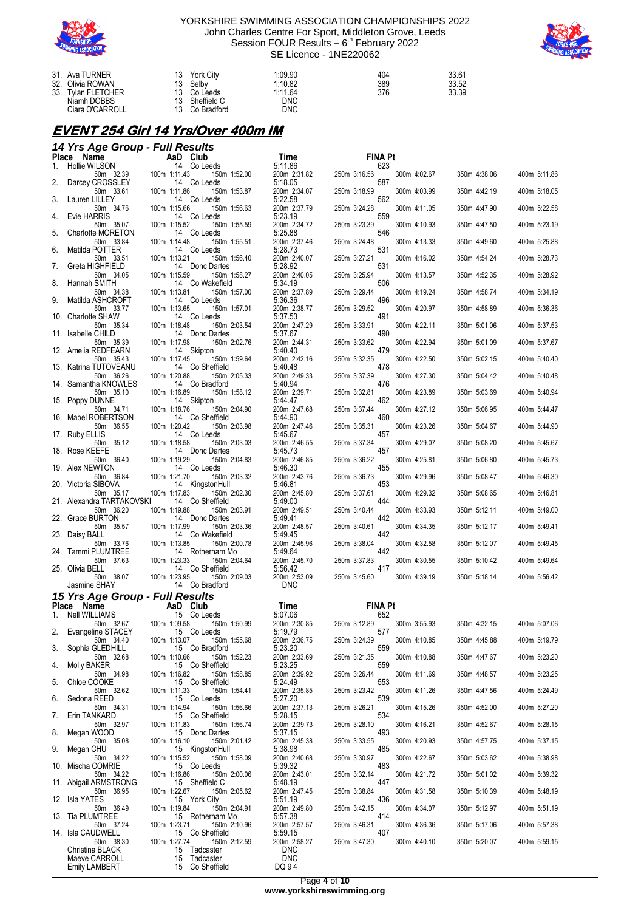



|     | 31. Ava TURNER        | 13 | <b>York City</b> | 1:09.90    | 404 | 33.61 |  |
|-----|-----------------------|----|------------------|------------|-----|-------|--|
| 32. | Olivia ROWAN          | 13 | Selby            | 1:10.82    | 389 | 33.52 |  |
| 33. | <b>Tylan FLETCHER</b> | 13 | Co Leeds         | 1:11.64    | 376 | 33.39 |  |
|     | Niamh DOBBS           | 13 | Sheffield C      | <b>DNC</b> |     |       |  |
|     | Ciara O'CARROLL       | 13 | Co Bradford      | <b>DNC</b> |     |       |  |

# **EVENT 254 Girl 14 Yrs/Over 400m IM**

|             | 14 Yrs Age Group - Full Results               |              |                                    |                          |                       |              |              |              |
|-------------|-----------------------------------------------|--------------|------------------------------------|--------------------------|-----------------------|--------------|--------------|--------------|
| Place<br>1. | Name<br>Hollie WILSON                         |              | AaD Club<br>14 Co Leeds            | Time<br>5:11.86          | <b>FINA Pt</b><br>623 |              |              |              |
|             | 50m 32.39                                     | 100m 1:11.43 | 150m 1:52.00                       | 200m 2:31.82             | 250m 3:16.56          | 300m 4:02.67 | 350m 4:38.06 | 400m 5:11.86 |
| 2.          | Darcey CROSSLEY<br>50m 33.61                  | 100m 1:11.86 | 14 Co Leeds<br>150m 1:53.87        | 5:18.05<br>200m 2:34.07  | 587<br>250m 3:18.99   | 300m 4:03.99 | 350m 4:42.19 | 400m 5:18.05 |
| 3.          | Lauren LILLEY<br>50m 34.76                    | 100m 1:15.66 | 14 Co Leeds<br>150m 1:56.63        | 5:22.58<br>200m 2:37.79  | 562<br>250m 3:24.28   | 300m 4:11.05 | 350m 4:47.90 | 400m 5:22.58 |
| 4.          | Evie HARRIS                                   |              | 14 Co Leeds                        | 5:23.19                  | 559                   |              |              |              |
| 5.          | 50m 35.07<br>Charlotte MORETON                | 100m 1:15.52 | 150m 1:55.59<br>14 Co Leeds        | 200m 2:34.72<br>5:25.88  | 250m 3:23.39<br>546   | 300m 4:10.93 | 350m 4:47.50 | 400m 5:23.19 |
| 6.          | 50m 33.84<br>Matilda POTTER                   | 100m 1:14.48 | 150m 1:55.51<br>14 Co Leeds        | 200m 2:37.46<br>5:28.73  | 250m 3:24.48<br>531   | 300m 4:13.33 | 350m 4:49.60 | 400m 5:25.88 |
|             | 50m 33.51                                     | 100m 1:13.21 | 150m 1:56.40<br>14 Donc Dartes     | 200m 2:40.07             | 250m 3:27.21          | 300m 4:16.02 | 350m 4:54.24 | 400m 5:28.73 |
| 7.          | Greta HIGHFIELD<br>50m 34.05                  | 100m 1:15.59 | 150m 1:58.27                       | 5:28.92<br>200m 2:40.05  | 531<br>250m 3:25.94   | 300m 4:13.57 | 350m 4:52.35 | 400m 5:28.92 |
| 8.          | Hannah SMITH<br>50m 34.38                     | 100m 1:13.81 | 14 Co Wakefield<br>150m 1:57.00    | 5:34.19<br>200m 2:37.89  | 506<br>250m 3:29.44   | 300m 4:19.24 | 350m 4:58.74 | 400m 5:34.19 |
| 9.          | Matilda ASHCROFT<br>50m 33.77                 | 100m 1:13.65 | 14 Co Leeds<br>150m 1:57.01        | 5:36.36<br>200m 2:38.77  | 496<br>250m 3:29.52   | 300m 4:20.97 | 350m 4:58.89 | 400m 5:36.36 |
|             | 10. Charlotte SHAW                            |              | 14 Co Leeds                        | 5:37.53                  | 491                   |              |              |              |
|             | 50m 35.34<br>11. Isabelle CHILD               | 100m 1:18.48 | 150m 2:03.54<br>14 Donc Dartes     | 200m 2:47.29<br>5:37.67  | 250m 3:33.91<br>490   | 300m 4:22.11 | 350m 5:01.06 | 400m 5:37.53 |
|             | 50m 35.39<br>12. Amelia REDFEARN              | 100m 1:17.98 | 150m 2:02.76<br>14 Skipton         | 200m 2:44.31<br>5:40.40  | 250m 3:33.62<br>479   | 300m 4:22.94 | 350m 5:01.09 | 400m 5:37.67 |
|             | 50m 35.43<br>13. Katrina TUTOVEANU            | 100m 1:17.45 | 150m 1:59.64<br>14 Co Sheffield    | 200m 2:42.16<br>5:40.48  | 250m 3:32.35<br>478   | 300m 4:22.50 | 350m 5:02.15 | 400m 5:40.40 |
|             | 50m 36.26                                     | 100m 1:20.88 | 150m 2:05.33                       | 200m 2:49.33<br>5:40.94  | 250m 3:37.39<br>476   | 300m 4:27.30 | 350m 5:04.42 | 400m 5:40.48 |
|             | 14. Samantha KNOWLES<br>50m 35.10             | 100m 1:16.89 | 14 Co Bradford<br>150m 1:58.12     | 200m 2:39.71             | 250m 3:32.81          | 300m 4:23.89 | 350m 5:03.69 | 400m 5:40.94 |
|             | 15. Poppy DUNNE<br>50m 34.71                  | 100m 1:18.76 | 14 Skipton<br>150m 2:04.90         | 5:44.47<br>200m 2:47.68  | 462<br>250m 3:37.44   | 300m 4:27.12 | 350m 5:06.95 | 400m 5:44.47 |
|             | 16. Mabel ROBERTSON<br>50m 36.55              | 100m 1:20.42 | 14 Co Sheffield<br>150m 2:03.98    | 5:44.90<br>200m 2:47.46  | 460<br>250m 3:35.31   | 300m 4:23.26 | 350m 5:04.67 | 400m 5:44.90 |
|             | 17. Ruby ELLIS<br>50m 35.12                   | 100m 1:18.58 | 14 Co Leeds<br>150m 2:03.03        | 5:45.67<br>200m 2:46.55  | 457<br>250m 3:37.34   | 300m 4:29.07 | 350m 5:08.20 | 400m 5:45.67 |
|             | 18. Rose KEEFE                                |              | 14 Donc Dartes                     | 5:45.73                  | 457                   |              |              |              |
|             | 50m 36.40<br>19. Alex NEWTON                  | 100m 1:19.29 | 150m 2:04.83<br>14 Co Leeds        | 200m 2:46.85<br>5:46.30  | 250m 3:36.22<br>455   | 300m 4:25.81 | 350m 5:06.80 | 400m 5:45.73 |
|             | 50m 36.84<br>20. Victoria SIBOVA              | 100m 1:21.70 | 150m 2:03.32<br>14 KingstonHull    | 200m 2:43.76<br>5:46.81  | 250m 3:36.73<br>453   | 300m 4:29.96 | 350m 5:08.47 | 400m 5:46.30 |
|             | 50m 35.17<br>21. Alexandra TARTAKOVSKI        | 100m 1:17.83 | 150m 2:02.30<br>14 Co Sheffield    | 200m 2:45.80<br>5:49.00  | 250m 3:37.61<br>444   | 300m 4:29.32 | 350m 5:08.65 | 400m 5:46.81 |
|             | 50m 36.20                                     | 100m 1:19.88 | 150m 2:03.91                       | 200m 2:49.51             | 250m 3:40.44<br>442   | 300m 4:33.93 | 350m 5:12.11 | 400m 5:49.00 |
|             | 22. Grace BURTON<br>50m 35.57                 | 100m 1:17.99 | 14 Donc Dartes<br>150m 2:03.36     | 5:49.41<br>200m 2:48.57  | 250m 3:40.61          | 300m 4:34.35 | 350m 5:12.17 | 400m 5:49.41 |
|             | 23. Daisy BALL<br>50m 33.76                   | 100m 1:13.85 | 14 Co Wakefield<br>150m 2:00.78    | 5:49.45<br>200m 2:45.96  | 442<br>250m 3:38.04   | 300m 4:32.58 | 350m 5:12.07 | 400m 5:49.45 |
|             | 24. Tammi PLUMTREE<br>50m 37.63               | 100m 1:23.33 | 14 Rotherham Mo<br>150m 2:04.64    | 5:49.64<br>200m 2:45.70  | 442<br>250m 3:37.83   | 300m 4:30.55 | 350m 5:10.42 | 400m 5:49.64 |
|             | 25. Olivia BELL<br>50m 38.07                  | 100m 1:23.95 | 14 Co Sheffield<br>150m 2:09.03    | 5:56.42<br>200m 2:53.09  | 417<br>250m 3:45.60   | 300m 4:39.19 | 350m 5:18.14 | 400m 5:56.42 |
|             | Jasmine SHAY                                  |              | 14 Co Bradford                     | <b>DNC</b>               |                       |              |              |              |
|             | 15 Yrs Age Group - Full Results<br>Place Name |              | AaD Club                           | Time                     | <b>FINA Pt</b>        |              |              |              |
|             | 1. Nell WILLIAMS                              |              | 15 Co Leeds                        | 5:07.06                  | 652                   |              |              |              |
| 2.          | 50m 32.67<br>Evangeline STACEY                | 100m 1:09.58 | 150m 1:50.99<br>15 Co Leeds        | 200m 2:30.85<br>5:19.79  | 250m 3:12.89<br>577   | 300m 3:55.93 | 350m 4:32.15 | 400m 5:07.06 |
| 3.          | 50m 34.40<br>Sophia GLEDHILL                  | 100m 1:13.07 | 150m 1:55.68<br>15 Co Bradford     | 200m 2:36.75<br>5:23.20  | 250m 3:24.39<br>559   | 300m 4:10.85 | 350m 4:45.88 | 400m 5:19.79 |
|             | 50m 32.68                                     | 100m 1:10.66 | 150m 1:52.23<br>15 Co Sheffield    | 200m 2:33.69             | 250m 3:21.35<br>559   | 300m 4:10.88 | 350m 4:47.67 | 400m 5:23.20 |
| 4.          | Molly BAKER<br>50m 34.98                      | 100m 1:16.82 | 150m 1:58.85                       | 5:23.25<br>200m 2:39.92  | 250m 3:26.44          | 300m 4:11.69 | 350m 4:48.57 | 400m 5:23.25 |
| 5.          | Chloe COOKE<br>50m 32.62                      | 100m 1:11.33 | 15 Co Sheffield<br>150m 1:54.41    | 5:24.49<br>200m 2:35.85  | 553<br>250m 3:23.42   | 300m 4:11.26 | 350m 4:47.56 | 400m 5:24.49 |
| 6.          | Sedona REED<br>50m 34.31                      | 100m 1:14.94 | 15 Co Leeds<br>150m 1:56.66        | 5:27.20<br>200m 2:37.13  | 539<br>250m 3:26.21   | 300m 4:15.26 | 350m 4:52.00 | 400m 5:27.20 |
| 7.          | Erin TANKARD<br>50m 32.97                     | 100m 1:11.83 | 15 Co Sheffield<br>150m 1:56.74    | 5:28.15<br>200m 2:39.73  | 534<br>250m 3:28.10   | 300m 4:16.21 | 350m 4:52.67 | 400m 5:28.15 |
| 8.          | Megan WOOD                                    |              | 15 Donc Dartes                     | 5:37.15                  | 493                   |              |              |              |
| 9.          | 50m 35.08<br>Megan CHU                        | 100m 1:16.10 | 150m 2:01.42<br>15 KingstonHull    | 200m 2:45.38<br>5:38.98  | 250m 3:33.55<br>485   | 300m 4:20.93 | 350m 4:57.75 | 400m 5:37.15 |
|             | 50m 34.22<br>10. Mischa COMRIE                | 100m 1:15.52 | 150m 1:58.09<br>15 Co Leeds        | 200m 2:40.68<br>5:39.32  | 250m 3:30.97<br>483   | 300m 4:22.67 | 350m 5:03.62 | 400m 5:38.98 |
|             | 50m 34.22<br>11. Abigail ARMSTRONG            | 100m 1:16.86 | 150m 2:00.06<br>15 Sheffield C     | 200m 2:43.01<br>5:48.19  | 250m 3:32.14<br>447   | 300m 4:21.72 | 350m 5:01.02 | 400m 5:39.32 |
|             | 50m 36.95<br>12. Isla YATES                   | 100m 1:22.67 | 150m 2:05.62<br>15 York City       | 200m 2:47.45<br>5:51.19  | 250m 3:38.84<br>436   | 300m 4:31.58 | 350m 5:10.39 | 400m 5:48.19 |
|             | 50m 36.49                                     | 100m 1:19.84 | 150m 2:04.91                       | 200m 2:49.80             | 250m 3:42.15          | 300m 4:34.07 | 350m 5:12.97 | 400m 5:51.19 |
|             | 13. Tia PLUMTREE<br>50m 37.24                 | 100m 1:23.71 | 15 Rotherham Mo<br>150m 2:10.96    | 5:57.38<br>200m 2:57.57  | 414<br>250m 3:46.31   | 300m 4:36.36 | 350m 5:17.06 | 400m 5:57.38 |
|             | 14. Isla CAUDWELL<br>50m 38.30                | 100m 1:27.74 | 15 Co Sheffield<br>150m 2:12.59    | 5:59.15<br>200m 2:58.27  | 407<br>250m 3:47.30   | 300m 4:40.10 | 350m 5:20.07 | 400m 5:59.15 |
|             | Christina BLACK<br>Maeve CARROLL              |              | 15<br>Tadcaster<br>15<br>Tadcaster | <b>DNC</b><br><b>DNC</b> |                       |              |              |              |
|             | <b>Emily LAMBERT</b>                          |              | Co Sheffield<br>15                 | DQ 94                    |                       |              |              |              |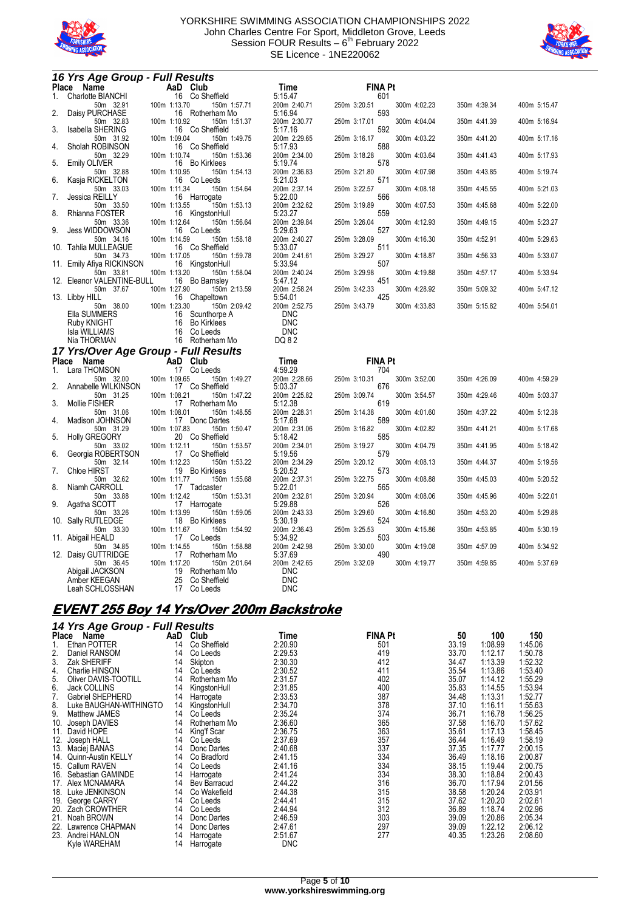



|              | 16 Yrs Age Group - Full Results        |                                                    |                          |                                     |              |              |
|--------------|----------------------------------------|----------------------------------------------------|--------------------------|-------------------------------------|--------------|--------------|
| <b>Place</b> | Name                                   | AaD Club                                           | Time                     | <b>FINA Pt</b>                      |              |              |
| 1.           | Charlotte BIANCHI<br>50m 32.91         | 16 Co Sheffield<br>100m 1:13.70<br>150m 1:57.71    | 5:15.47<br>200m 2:40.71  | 601<br>300m 4:02.23<br>250m 3:20.51 | 350m 4:39.34 | 400m 5:15.47 |
| 2.           | Daisy PURCHASE<br>50m 32.83            | 16 Rotherham Mo<br>100m 1:10.92<br>150m 1:51.37    | 5:16.94<br>200m 2:30.77  | 593<br>250m 3:17.01<br>300m 4:04.04 | 350m 4:41.39 | 400m 5:16.94 |
| 3.           | Isabella SHERING                       | 16 Co Sheffield                                    | 5:17.16                  | 592                                 |              |              |
| 4.           | 50m 31.92<br>Sholah ROBINSON           | 100m 1:09.04<br>150m 1:49.75<br>16 Co Sheffield    | 200m 2:29.65<br>5:17.93  | 250m 3:16.17<br>300m 4:03.22<br>588 | 350m 4:41.20 | 400m 5:17.16 |
| 5.           | 50m 32.29<br>Emily OLIVER              | 100m 1:10.74<br>150m 1:53.36<br>16 Bo Kirklees     | 200m 2:34.00<br>5:19.74  | 250m 3:18.28<br>300m 4:03.64<br>578 | 350m 4:41.43 | 400m 5:17.93 |
| 6.           | 50m 32.88<br>Kasja RICKELTON           | 100m 1:10.95<br>150m 1:54.13<br>16 Co Leeds        | 200m 2:36.83<br>5:21.03  | 250m 3:21.80<br>300m 4:07.98<br>571 | 350m 4:43.85 | 400m 5:19.74 |
|              | 50m 33.03                              | 100m 1:11.34<br>150m 1:54.64                       | 200m 2:37.14             | 250m 3:22.57<br>300m 4:08.18        | 350m 4:45.55 | 400m 5:21.03 |
| 7.           | Jessica REILLY<br>50m 33.50            | 16 Harrogate<br>100m 1:13.55<br>150m 1:53.13       | 5:22.00<br>200m 2:32.62  | 566<br>250m 3:19.89<br>300m 4:07.53 | 350m 4:45.68 | 400m 5:22.00 |
| 8.           | Rhianna FOSTER<br>50m 33.36            | 16<br>KingstonHull<br>100m 1:12.64<br>150m 1:56.64 | 5:23.27<br>200m 2:39.84  | 559<br>250m 3:26.04<br>300m 4:12.93 | 350m 4:49.15 | 400m 5:23.27 |
| 9.           | <b>Jess WIDDOWSON</b>                  | 16 Co Leeds                                        | 5:29.63                  | 527                                 |              |              |
|              | 50m 34.16<br>10. Tahlia MULLEAGUE      | 100m 1:14.59<br>150m 1:58.18<br>16 Co Sheffield    | 200m 2:40.27<br>5:33.07  | 250m 3:28.09<br>300m 4:16.30<br>511 | 350m 4:52.91 | 400m 5:29.63 |
|              | 50m 34.73<br>11. Emily Afiya RICKINSON | 100m 1:17.05<br>150m 1:59.78<br>16 KingstonHull    | 200m 2:41.61<br>5:33.94  | 250m 3:29.27<br>300m 4:18.87<br>507 | 350m 4:56.33 | 400m 5:33.07 |
|              | 50m 33.81                              | 100m 1:13.20<br>150m 1:58.04<br>16                 | 200m 2:40.24             | 250m 3:29.98<br>300m 4:19.88<br>451 | 350m 4:57.17 | 400m 5:33.94 |
| 12.          | Eleanor VALENTINE-BULL<br>50m 37.67    | Bo Barnsley<br>100m 1:27.90<br>150m 2:13.59        | 5:47.12<br>200m 2:58.24  | 250m 3:42.33<br>300m 4:28.92        | 350m 5:09.32 | 400m 5:47.12 |
|              | 13. Libby HILL<br>50m 38.00            | 16<br>Chapeltown<br>100m 1:23.30<br>150m 2:09.42   | 5:54.01<br>200m 2:52.75  | 425<br>250m 3:43.79<br>300m 4:33.83 | 350m 5:15.82 | 400m 5:54.01 |
|              | Ella SUMMERS                           | Scunthorpe A<br>16                                 | <b>DNC</b>               |                                     |              |              |
|              | Ruby KNIGHT<br>Isla WILLIAMS           | 16<br><b>Bo Kirklees</b><br>16<br>Co Leeds         | <b>DNC</b><br><b>DNC</b> |                                     |              |              |
|              |                                        |                                                    |                          |                                     |              |              |
|              | Nia THORMAN                            | 16 Rotherham Mo                                    | DQ 82                    |                                     |              |              |
|              |                                        | 17 Yrs/Over Age Group - Full Results               |                          |                                     |              |              |
| <b>Place</b> | Name                                   | AaD Club                                           | Time                     | <b>FINA Pt</b>                      |              |              |
| 1.           | Lara THOMSON<br>50m 32.00              | 17 Co Leeds<br>100m 1:09.65<br>150m 1:49.27        | 4:59.29<br>200m 2:28.66  | 704<br>250m 3:10.31<br>300m 3:52.00 | 350m 4:26.09 | 400m 4:59.29 |
| 2.           | Annabelle WILKINSON<br>50m 31.25       | 17 Co Sheffield<br>100m 1:08.21<br>150m 1:47.22    | 5:03.37<br>200m 2:25.82  | 676<br>250m 3:09.74<br>300m 3:54.57 | 350m 4:29.46 | 400m 5:03.37 |
| 3.           | Mollie FISHER                          | 17 Rotherham Mo                                    | 5:12.38                  | 619                                 |              |              |
| 4.           | 50m 31.06<br>Madison JOHNSON           | 100m 1:08.01<br>150m 1:48.55<br>17<br>Donc Dartes  | 200m 2:28.31<br>5:17.68  | 300m 4:01.60<br>250m 3:14.38<br>589 | 350m 4:37.22 | 400m 5:12.38 |
| 5.           | 50m 31.29<br><b>Holly GREGORY</b>      | 100m 1:07.83<br>150m 1:50.47<br>20 Co Sheffield    | 200m 2:31.06<br>5:18.42  | 250m 3:16.82<br>300m 4:02.82<br>585 | 350m 4:41.21 | 400m 5:17.68 |
|              | 50m 33.02                              | 100m 1:12.11<br>150m 1:53.57                       | 200m 2:34.01             | 250m 3:19.27<br>300m 4:04.79        | 350m 4:41.95 | 400m 5:18.42 |
| 6.           | Georgia ROBERTSON<br>50m 32.14         | 17 Co Sheffield<br>100m 1:12.23<br>150m 1:53.22    | 5:19.56<br>200m 2:34.29  | 579<br>250m 3:20.12<br>300m 4:08.13 | 350m 4:44.37 | 400m 5:19.56 |
| 7.           | <b>Chloe HIRST</b><br>50m 32.62        | 19 Bo Kirklees<br>100m 1:11.77<br>150m 1:55.68     | 5:20.52<br>200m 2:37.31  | 573<br>250m 3:22.75<br>300m 4:08.88 | 350m 4:45.03 | 400m 5:20.52 |
| 8.           | Niamh CARROLL                          | 17 Tadcaster<br>100m 1:12.42<br>150m 1:53.31       | 5:22.01<br>200m 2:32.81  | 565<br>300m 4:08.06                 | 350m 4:45.96 | 400m 5:22.01 |
| 9.           | 50m 33.88<br>Agatha SCOTT              | 17 Harrogate                                       | 5:29.88                  | 250m 3:20.94<br>526                 |              |              |
| 10.          | 50m 33.26<br>Sally RUTLEDGE            | 100m 1:13.99<br>150m 1:59.05<br>18 Bo Kirklees     | 200m 2:43.33<br>5:30.19  | 250m 3:29.60<br>300m 4:16.80<br>524 | 350m 4:53.20 | 400m 5:29.88 |
|              | 50m<br>33.30                           | 100m 1:11.67<br>150m 1:54.92<br>17 Co Leeds        | 200m 2:36.43<br>5:34.92  | 250m 3:25.53<br>300m 4:15.86<br>503 | 350m 4:53.85 | 400m 5:30.19 |
|              | 11. Abigail HEALD<br>50m 34.85         | 100m 1:14.55<br>150m 1:58.88                       | 200m 2:42.98             | 250m 3:30.00<br>300m 4:19.08        | 350m 4:57.09 | 400m 5:34.92 |
| 12.          | Daisy GUTTRIDGE<br>50m 36.45           | 17 Rotherham Mo<br>100m 1:17.20<br>150m 2:01.64    | 5:37.69<br>200m 2:42.65  | 490<br>250m 3:32.09<br>300m 4:19.77 | 350m 4:59.85 | 400m 5:37.69 |
|              | Abigail JACKSON<br>Amber KEEGAN        | 19<br>Rotherham Mo<br>25<br>Co Sheffield           | <b>DNC</b><br><b>DNC</b> |                                     |              |              |

# **EVENT 255 Boy 14 Yrs/Over 200m Backstroke**

### *14 Yrs Age Group - Full Results*

| Place | ◡<br>- - <b>.</b> -<br>Name | AaD | Club         | Time       | <b>FINA Pt</b> | 50    | 100     | 150     |
|-------|-----------------------------|-----|--------------|------------|----------------|-------|---------|---------|
|       | Ethan POTTER                | 14  | Co Sheffield | 2:20.90    | 501            | 33.19 | 1:08.99 | 1:45.06 |
| 2.    | Daniel RANSOM               | 14  | Co Leeds     | 2:29.53    | 419            | 33.70 | 1:12.17 | 1:50.78 |
| 3.    | Zak SHERIFF                 | 14  | Skipton      | 2:30.30    | 412            | 34.47 | 1:13.39 | 1:52.32 |
| 4.    | Charlie HINSON              | 14  | Co Leeds     | 2:30.52    | 411            | 35.54 | 1:13.86 | 1:53.40 |
| 5.    | Oliver DAVIS-TOOTILL        | 14  | Rotherham Mo | 2:31.57    | 402            | 35.07 | 1:14.12 | 1:55.29 |
| 6.    | <b>Jack COLLINS</b>         | 14  | KingstonHull | 2:31.85    | 400            | 35.83 | 1:14.55 | 1:53.94 |
| 7.    | Gabriel SHEPHERD            | 14  | Harrogate    | 2:33.53    | 387            | 34.48 | 1:13.31 | 1:52.77 |
| 8.    | Luke BAUGHAN-WITHINGTO      | 14  | KingstonHull | 2:34.70    | 378            | 37.10 | 1:16.11 | 1:55.63 |
| 9.    | <b>Matthew JAMES</b>        | 14  | Co Leeds     | 2:35.24    | 374            | 36.71 | 1:16.78 | 1:56.25 |
| 10.   | Joseph DAVIES               | 14  | Rotherham Mo | 2:36.60    | 365            | 37.58 | 1:16.70 | 1:57.62 |
| 11.   | David HOPE                  | 14  | King'f Scar  | 2:36.75    | 363            | 35.61 | 1:17.13 | 1:58.45 |
|       | 12. Joseph HALL             | 14  | Co Leeds     | 2:37.69    | 357            | 36.44 | 1:16.49 | 1:58.19 |
| 13.   | Maciej BANAS                | 14  | Donc Dartes  | 2:40.68    | 337            | 37.35 | 1:17.77 | 2:00.15 |
|       | 14. Quinn-Austin KELLY      | 14  | Co Bradford  | 2:41.15    | 334            | 36.49 | 1:18.16 | 2:00.87 |
| 15.   | Callum RAVEN                | 14  | Co Leeds     | 2:41.16    | 334            | 38.15 | 1:19.44 | 2:00.75 |
| 16.   | Sebastian GAMINDE           | 14  | Harrogate    | 2:41.24    | 334            | 38.30 | 1:18.84 | 2:00.43 |
|       | 17. Alex MCNAMARA           | 14  | Bev Barracud | 2:44.22    | 316            | 36.70 | 1:17.94 | 2:01.56 |
|       | 18. Luke JENKINSON          | 14  | Co Wakefield | 2:44.38    | 315            | 38.58 | 1:20.24 | 2:03.91 |
| 19.   | George CARRY                | 14  | Co Leeds     | 2:44.41    | 315            | 37.62 | 1:20.20 | 2:02.61 |
|       | 20. Zach CROWTHER           | 14  | Co Leeds     | 2:44.94    | 312            | 36.89 | 1:18.74 | 2:02.96 |
| 21.   | Noah BROWN                  | 14  | Donc Dartes  | 2:46.59    | 303            | 39.09 | 1:20.86 | 2:05.34 |
| 22.   | Lawrence CHAPMAN            | 14  | Donc Dartes  | 2:47.61    | 297            | 39.09 | 1:22.12 | 2:06.12 |
| 23.   | Andrei HANLON               | 14  | Harrogate    | 2:51.67    | 277            | 40.35 | 1:23.26 | 2:08.60 |
|       | Kyle WAREHAM                | 14  | Harrogate    | <b>DNC</b> |                |       |         |         |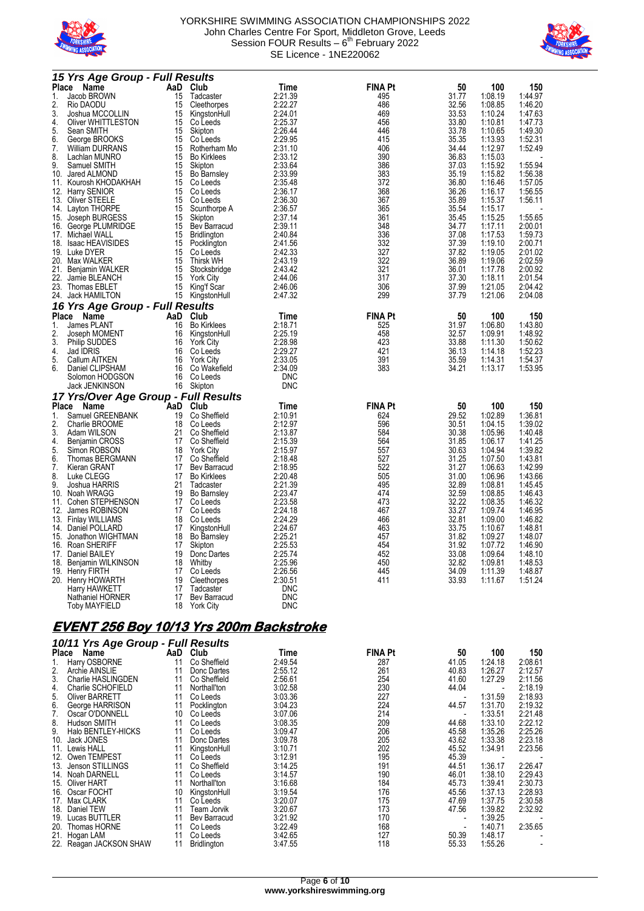



|            | 15 Yrs Age Group - Full Results      |          |                              |                    |                |                |                    |                    |
|------------|--------------------------------------|----------|------------------------------|--------------------|----------------|----------------|--------------------|--------------------|
| Place      | Name                                 |          | AaD Club                     | Time               | <b>FINA Pt</b> | 50             | 100                | 150                |
| 1.         | Jacob BROWN                          | 15       | Tadcaster                    | 2:21.39            | 495            | 31.77          | 1:08.19            | 1:44.97            |
| 2.         | Rio DAODU                            | 15       | Cleethorpes                  | 2:22.27            | 486            | 32.56          | 1:08.85            | 1:46.20            |
| 3.         | Joshua MCCOLLIN                      | 15       | KingstonHull                 | 2:24.01            | 469            | 33.53          | 1:10.24            | 1:47.63            |
| 4.         | Oliver WHITTLESTON                   | 15       | Co Leeds                     | 2:25.37            | 456            | 33.80          | 1:10.81            | 1:47.73            |
| 5.         | Sean SMITH                           | 15       | Skipton                      | 2:26.44            | 446            | 33.78          | 1:10.65            | 1:49.30            |
| 6.         | George BROOKS                        | 15       | Co Leeds                     | 2:29.95            | 415            | 35.35          | 1:13.93            | 1:52.31            |
| 7.         | <b>William DURRANS</b>               | 15       | Rotherham Mo                 | 2:31.10            | 406            | 34.44          | 1:12.97            | 1:52.49            |
| 8.         | Lachlan MUNRO                        | 15       | <b>Bo Kirklees</b>           | 2:33.12            | 390            | 36.83          | 1:15.03            |                    |
| 9.<br>10.  | Samuel SMITH<br>Jared ALMOND         | 15<br>15 | Skipton                      | 2:33.64<br>2:33.99 | 386<br>383     | 37.03<br>35.19 | 1:15.92<br>1:15.82 | 1:55.94<br>1:56.38 |
| 11.        | Kourosh KHODAKHAH                    | 15       | Bo Barnsley<br>Co Leeds      | 2:35.48            | 372            | 36.80          | 1:16.46            | 1:57.05            |
|            | 12. Harry SENIOR                     | 15       | Co Leeds                     | 2:36.17            | 368            | 36.26          | 1:16.17            | 1:56.55            |
| 13.        | Oliver STEELE                        | 15       | Co Leeds                     | 2:36.30            | 367            | 35.89          | 1:15.37            | 1.56.11            |
|            | 14. Layton THORPE                    | 15       | Scunthorpe A                 | 2:36.57            | 365            | 35.54          | 1:15.17            |                    |
| 15.        | Joseph BURGESS                       | 15       | Skipton                      | 2:37.14            | 361            | 35.45          | 1:15.25            | 1:55.65            |
| 16.        | George PLUMRIDGE                     | 15       | Bev Barracud                 | 2:39.11            | 348            | 34.77          | 1:17.11            | 2:00.01            |
|            | 17. Michael WALL                     | 15       | <b>Bridlington</b>           | 2:40.84            | 336            | 37.08          | 1:17.53            | 1:59.73            |
| 18.        | Isaac HEAVISIDES                     | 15       | Pocklington                  | 2:41.56            | 332            | 37.39          | 1:19.10            | 2:00.71            |
| 19.        | Luke DYER                            | 15       | Co Leeds                     | 2:42.33            | 327            | 37.82          | 1:19.05            | 2:01.02            |
|            | 20. Max WALKER                       | 15       | <b>Thirsk WH</b>             | 2:43.19            | 322            | 36.89          | 1:19.06            | 2:02.59            |
| 21.        | Benjamin WALKER                      | 15       | Stocksbridge                 | 2:43.42            | 321            | 36.01          | 1:17.78            | 2:00.92            |
| 22.        | Jamie BLEANCH                        | 15       | <b>York City</b>             | 2:44.06            | 317            | 37.30          | 1:18.11            | 2:01.54            |
| 23.        | Thomas EBLET                         | 15       | King'f Scar                  | 2:46.06            | 306            | 37.99          | 1:21.05            | 2:04.42            |
|            | 24. Jack HAMILTON                    | 15       | KingstonHull                 | 2:47.32            | 299            | 37.79          | 1:21.06            | 2:04.08            |
|            | 16 Yrs Age Group - Full Results      |          |                              |                    |                |                |                    |                    |
| Place      | Name                                 | AaD      | Club                         | Time               | <b>FINA Pt</b> | 50             | 100                | 150                |
| 1.         | James PLANT                          | 16       | <b>Bo Kirklees</b>           | 2:18.71            | 525            | 31.97          | 1:06.80            | 1:43.80            |
| 2.<br>3.   | Joseph MOMENT                        | 16<br>16 | KingstonHull                 | 2:25.19<br>2:28.98 | 458<br>423     | 32.57<br>33.88 | 1:09.91<br>1:11.30 | 1:48.92<br>1:50.62 |
| 4.         | <b>Philip SUDDES</b><br>Jad IDRIS    | 16       | <b>York City</b><br>Co Leeds | 2:29.27            | 421            | 36.13          | 1:14.18            | 1:52.23            |
| 5.         | Callum AITKEN                        | 16       | <b>York City</b>             | 2:33.05            | 391            | 35.59          | 1:14 31            | 1:54.37            |
| 6.         | Daniel CLIPSHAM                      | 16       | Co Wakefield                 | 2:34.09            | 383            | 34.21          | 1:13.17            | 1:53.95            |
|            | Solomon HODGSON                      | 16       | Co Leeds                     | <b>DNC</b>         |                |                |                    |                    |
|            | Jack JENKINSON                       | 16       | Skipton                      | <b>DNC</b>         |                |                |                    |                    |
|            | 17 Yrs/Over Age Group - Full Results |          |                              |                    |                |                |                    |                    |
| Place      | Name                                 | AaD      | Club                         | Time               | <b>FINA Pt</b> | 50             | 100                | 150                |
| 1.         | Samuel GREENBANK                     | 19       | Co Sheffield                 | 2:10.91            | 624            | 29.52          | 1:02.89            | 1:36.81            |
| 2.         | Charlie BROOME                       | 18       | Co Leeds                     | 2:12.97            | 596            | 30.51          | 1:04.15            | 1:39.02            |
| 3.         | Adam WILSON                          | 21       | Co Sheffield                 | 2:13.87            | 584            | 30.38          | 1:05.96            | 1:40.48            |
| 4.         | Benjamin CROSS                       | 17       | Co Sheffield                 | 2:15.39            | 564            | 31.85          | 1:06.17            | 1:41.25            |
| 5.         | Simon ROBSON                         | 18       | <b>York City</b>             | 2:15.97            | 557            | 30.63          | 1:04.94            | 1:39.82            |
| 6.         | Thomas BERGMANN                      | 17       | Co Sheffield                 | 2:18.48            | 527            | 31.25          | 1:07.50            | 1:43.81            |
| 7.         | Kieran GRANT                         | 17       | Bev Barracud                 | 2:18.95            | 522            | 31.27          | 1:06.63            | 1:42.99            |
| 8.         | Luke CLEGG                           | 17       | <b>Bo Kirklees</b>           | 2:20.48            | 505            | 31.00          | 1:06.96            | 1:43.66            |
| 9.         | Joshua HARRIS                        | 21       | Tadcaster                    | 2:21.39            | 495<br>474     | 32.89          | 1:08.81            | 1:45.45            |
| 10.<br>11. | Noah WRAGG<br>Cohen STEPHENSON       | 19<br>17 | Bo Barnsley<br>Co Leeds      | 2:23.47<br>2:23.58 | 473            | 32.59<br>32.22 | 1:08.85<br>1:08.35 | 1:46.43<br>1:46.32 |
| 12.        | James ROBINSON                       | 17       | Co Leeds                     | 2:24.18            | 467            | 33.27          | 1:09.74            | 1:46.95            |
| 13.        | <b>Finlay WILLIAMS</b>               | 18       | Co Leeds                     | 2:24.29            | 466            | 32.81          | 1:09.00            | 1:46.82            |
|            | 14. Daniel POLLARD                   | 17       | KingstonHull                 | 2:24.67            | 463            | 33.75          | 1:10.67            | 1:48.81            |
| 15.        | Jonathon WIGHTMAN                    | 18       | <b>Bo Barnsley</b>           | 2:25.21            | 457            | 31.82          | 1:09.27            | 1:48.07            |
| 16.        | Roan SHERIFF                         | 17       | Skipton                      | 2:25.53            | 454            | 31.92          | 1:07.72            | 1:46.90            |
| 17.        | Daniel BAILEY                        | 19       | Donc Dartes                  | 2:25.74            | 452            | 33.08          | 1:09.64            | 1:48.10            |
| 18.        | Benjamin WILKINSON                   | 18       | Whitby                       | 2:25.96            | 450            | 32.82          | 1:09.81            | 1:48.53            |
|            | 19. Henry FIRTH                      | 17       | Co Leeds                     | 2:26.56            | 445            | 34.09          | 1:11.39            | 1:48.87            |
|            | 20. Henry HOWARTH                    | 19       | Cleethorpes                  | 2:30.51            | 411            | 33.93          | 1:11.67            | 1:51.24            |
|            | Harry HAWKETT                        | 17       | Tadcaster                    | DNC                |                |                |                    |                    |
|            | Nathaniel HORNER                     | 17       | Bev Barracud                 | DNC                |                |                |                    |                    |
|            | <b>Toby MAYFIELD</b>                 | 18       | <b>York City</b>             | <b>DNC</b>         |                |                |                    |                    |

# **EVENT 256 Boy 10/13 Yrs 200m Backstroke**

|              | 10/11 Yrs Age Group - Full Results |     |                    |         |                |                          |         |         |
|--------------|------------------------------------|-----|--------------------|---------|----------------|--------------------------|---------|---------|
| <b>Place</b> | Name                               | AaD | Club               | Time    | <b>FINA Pt</b> | 50                       | 100     | 150     |
|              | Harry OSBORNE                      | 11  | Co Sheffield       | 2:49.54 | 287            | 41.05                    | 1:24.18 | 2:08.61 |
| 2.           | Archie AINSLIE                     | 11  | Donc Dartes        | 2:55.12 | 261            | 40.83                    | 1:26.27 | 2:12.57 |
| 3.           | Charlie HASLINGDEN                 | 11  | Co Sheffield       | 2:56.61 | 254            | 41.60                    | 1:27.29 | 2:11.56 |
| 4.           | Charlie SCHOFIELD                  | 11  | Northall'ton       | 3:02.58 | 230            | 44.04                    |         | 2:18.19 |
| 5.           | <b>Oliver BARRETT</b>              | 11  | Co Leeds           | 3:03.36 | 227            |                          | 1:31.59 | 2:18.93 |
| 6.           | George HARRISON                    | 11  | Pocklington        | 3:04.23 | 224            | 44.57                    | 1:31.70 | 2:19.32 |
| 7.           | Oscar O'DONNELL                    | 10  | Co Leeds           | 3:07.06 | 214            |                          | 1:33.51 | 2:21.48 |
| 8.           | Hudson SMITH                       | 11  | Co Leeds           | 3:08.35 | 209            | 44.68                    | 1:33.10 | 2:22.12 |
| 9.           | Halo BENTLEY-HICKS                 | 11  | Co Leeds           | 3:09.47 | 206            | 45.58                    | 1:35.26 | 2:25.26 |
| 10.          | Jack JONES                         | 11  | Donc Dartes        | 3:09.78 | 205            | 43.62                    | 1:33.38 | 2:23.18 |
| 11.          | Lewis HALL                         | 11  | KingstonHull       | 3:10.71 | 202            | 45.52                    | 1:34.91 | 2:23.56 |
| 12.          | Owen TEMPEST                       | 11  | Co Leeds           | 3:12.91 | 195            | 45.39                    |         |         |
| 13.          | Jenson STILLINGS                   | 11  | Co Sheffield       | 3:14.25 | 191            | 44.51                    | 1:36.17 | 2:26.47 |
| 14.          | Noah DARNELL                       | 11  | Co Leeds           | 3:14.57 | 190            | 46.01                    | 1:38.10 | 2:29.43 |
| 15.          | Oliver HART                        | 11  | Northall'ton       | 3:16.68 | 184            | 45.73                    | 1:39.41 | 2:30.73 |
| 16.          | Oscar FOCHT                        | 10  | KingstonHull       | 3:19.54 | 176            | 45.56                    | 1:37.13 | 2:28.93 |
| 17.          | Max CLARK                          | 11  | Co Leeds           | 3:20.07 | 175            | 47.69                    | 1:37.75 | 2:30.58 |
| 18.          | Daniel TEW                         | 11  | Team Jorvik        | 3:20.67 | 173            | 47.56                    | 1:39.82 | 2:32.92 |
| 19.          | Lucas BUTTLER                      | 11  | Bev Barracud       | 3:21.92 | 170            | $\overline{\phantom{a}}$ | 1:39.25 |         |
| 20.          | Thomas HORNE                       | 11  | Co Leeds           | 3:22.49 | 168            | $\overline{\phantom{a}}$ | 1:40.71 | 2:35.65 |
|              | 21. Hogan LAM                      | 11  | Co Leeds           | 3:42.65 | 127            | 50.39                    | 1:48.17 |         |
|              | 22. Reagan JACKSON SHAW            | 11  | <b>Bridlington</b> | 3:47.55 | 118            | 55.33                    | 1:55.26 |         |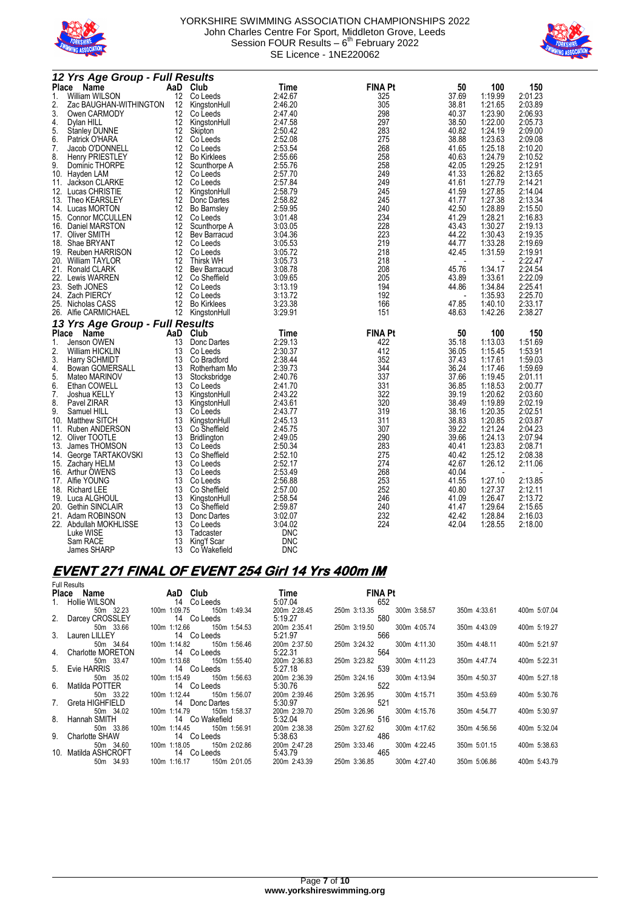



| 12 Yrs Age Group - Full Results<br>Place<br>AaD<br>Club<br>Time<br><b>FINA Pt</b><br>50<br>100<br>Name<br>William WILSON<br>12<br>Co Leeds<br>2:42.67<br>325<br>37.69<br>1:19.99<br>1.<br>305<br>2.<br>2:46.20<br>38.81<br>1:21.65<br>Zac BAUGHAN-WITHINGTON<br>12<br>KingstonHull<br>3.<br>298<br>1:23.90<br>Owen CARMODY<br>12<br>Co Leeds<br>2:47.40<br>40.37<br>297<br>12<br>2:47.58<br>38.50<br>1:22.00<br>4.<br>KingstonHull<br>Dylan HILL<br>283<br>5.<br>40.82<br>1:24.19<br><b>Stanley DUNNE</b><br>12<br>2:50.42<br>Skipton<br>12<br>2:52.08<br>275<br>38.88<br>1:23.63<br>6.<br>Patrick O'HARA<br>Co Leeds<br>268<br>1:25.18<br>7.<br>12<br>2:53.54<br>41.65<br>Jacob O'DONNELL<br>Co Leeds<br>258<br>1:24.79<br>8.<br>Henry PRIESTLEY<br>12<br>2:55.66<br>40.63<br><b>Bo Kirklees</b><br>258<br>42.05<br>1:29.25<br>9.<br>12<br>2:55.76<br>Dominic THORPE<br>Scunthorpe A<br>249<br>41.33<br>1:26.82<br>10.<br>Hayden LAM<br>12<br>Co Leeds<br>2:57.70<br>249<br>12<br>41.61<br>1:27.79<br>Jackson CLARKE<br>Co Leeds<br>2:57.84<br>11.<br>12<br>2:58.79<br>245<br>41.59<br>1:27.85<br>Lucas CHRISTIE<br>KingstonHull<br>12.<br>12<br>2:58.82<br>245<br>41.77<br>1:27.38<br>13. Theo KEARSLEY<br>Donc Dartes<br>240<br>1:28.89<br>14. Lucas MORTON<br>12<br>2:59.95<br>42.50<br><b>Bo Barnsley</b><br>234<br>12<br>41.29<br>1:28.21<br>15. Connor MCCULLEN<br>Co Leeds<br>3:01.48 | 150<br>2:01.23<br>2:03.89<br>2:06.93<br>2:05.73<br>2:09.00<br>2:09.08<br>2:10.20<br>2:10.52<br>2:12.91<br>2:13.65<br>2:14.21<br>2:14.04 |
|-----------------------------------------------------------------------------------------------------------------------------------------------------------------------------------------------------------------------------------------------------------------------------------------------------------------------------------------------------------------------------------------------------------------------------------------------------------------------------------------------------------------------------------------------------------------------------------------------------------------------------------------------------------------------------------------------------------------------------------------------------------------------------------------------------------------------------------------------------------------------------------------------------------------------------------------------------------------------------------------------------------------------------------------------------------------------------------------------------------------------------------------------------------------------------------------------------------------------------------------------------------------------------------------------------------------------------------------------------------------------------------------------|-----------------------------------------------------------------------------------------------------------------------------------------|
|                                                                                                                                                                                                                                                                                                                                                                                                                                                                                                                                                                                                                                                                                                                                                                                                                                                                                                                                                                                                                                                                                                                                                                                                                                                                                                                                                                                               |                                                                                                                                         |
|                                                                                                                                                                                                                                                                                                                                                                                                                                                                                                                                                                                                                                                                                                                                                                                                                                                                                                                                                                                                                                                                                                                                                                                                                                                                                                                                                                                               |                                                                                                                                         |
|                                                                                                                                                                                                                                                                                                                                                                                                                                                                                                                                                                                                                                                                                                                                                                                                                                                                                                                                                                                                                                                                                                                                                                                                                                                                                                                                                                                               |                                                                                                                                         |
|                                                                                                                                                                                                                                                                                                                                                                                                                                                                                                                                                                                                                                                                                                                                                                                                                                                                                                                                                                                                                                                                                                                                                                                                                                                                                                                                                                                               |                                                                                                                                         |
|                                                                                                                                                                                                                                                                                                                                                                                                                                                                                                                                                                                                                                                                                                                                                                                                                                                                                                                                                                                                                                                                                                                                                                                                                                                                                                                                                                                               |                                                                                                                                         |
|                                                                                                                                                                                                                                                                                                                                                                                                                                                                                                                                                                                                                                                                                                                                                                                                                                                                                                                                                                                                                                                                                                                                                                                                                                                                                                                                                                                               |                                                                                                                                         |
|                                                                                                                                                                                                                                                                                                                                                                                                                                                                                                                                                                                                                                                                                                                                                                                                                                                                                                                                                                                                                                                                                                                                                                                                                                                                                                                                                                                               |                                                                                                                                         |
|                                                                                                                                                                                                                                                                                                                                                                                                                                                                                                                                                                                                                                                                                                                                                                                                                                                                                                                                                                                                                                                                                                                                                                                                                                                                                                                                                                                               |                                                                                                                                         |
|                                                                                                                                                                                                                                                                                                                                                                                                                                                                                                                                                                                                                                                                                                                                                                                                                                                                                                                                                                                                                                                                                                                                                                                                                                                                                                                                                                                               |                                                                                                                                         |
|                                                                                                                                                                                                                                                                                                                                                                                                                                                                                                                                                                                                                                                                                                                                                                                                                                                                                                                                                                                                                                                                                                                                                                                                                                                                                                                                                                                               |                                                                                                                                         |
|                                                                                                                                                                                                                                                                                                                                                                                                                                                                                                                                                                                                                                                                                                                                                                                                                                                                                                                                                                                                                                                                                                                                                                                                                                                                                                                                                                                               |                                                                                                                                         |
|                                                                                                                                                                                                                                                                                                                                                                                                                                                                                                                                                                                                                                                                                                                                                                                                                                                                                                                                                                                                                                                                                                                                                                                                                                                                                                                                                                                               |                                                                                                                                         |
|                                                                                                                                                                                                                                                                                                                                                                                                                                                                                                                                                                                                                                                                                                                                                                                                                                                                                                                                                                                                                                                                                                                                                                                                                                                                                                                                                                                               |                                                                                                                                         |
|                                                                                                                                                                                                                                                                                                                                                                                                                                                                                                                                                                                                                                                                                                                                                                                                                                                                                                                                                                                                                                                                                                                                                                                                                                                                                                                                                                                               | 2:13.34                                                                                                                                 |
|                                                                                                                                                                                                                                                                                                                                                                                                                                                                                                                                                                                                                                                                                                                                                                                                                                                                                                                                                                                                                                                                                                                                                                                                                                                                                                                                                                                               | 2:15.50                                                                                                                                 |
|                                                                                                                                                                                                                                                                                                                                                                                                                                                                                                                                                                                                                                                                                                                                                                                                                                                                                                                                                                                                                                                                                                                                                                                                                                                                                                                                                                                               | 2:16.83                                                                                                                                 |
| 228<br>12<br>43.43<br>1:30.27<br>16. Daniel MARSTON<br>Scunthorpe A<br>3:03.05                                                                                                                                                                                                                                                                                                                                                                                                                                                                                                                                                                                                                                                                                                                                                                                                                                                                                                                                                                                                                                                                                                                                                                                                                                                                                                                | 2:19.13                                                                                                                                 |
| 12<br>223<br>44.22<br>1:30.43<br>17. Oliver SMITH<br>3:04.36<br>Bev Barracud                                                                                                                                                                                                                                                                                                                                                                                                                                                                                                                                                                                                                                                                                                                                                                                                                                                                                                                                                                                                                                                                                                                                                                                                                                                                                                                  | 2:19.35                                                                                                                                 |
| 219<br>1:33.28<br>18. Shae BRYANT<br>12<br>Co Leeds<br>3:05.53<br>44.77                                                                                                                                                                                                                                                                                                                                                                                                                                                                                                                                                                                                                                                                                                                                                                                                                                                                                                                                                                                                                                                                                                                                                                                                                                                                                                                       | 2:19.69                                                                                                                                 |
| 218<br>19. Reuben HARRISON<br>12<br>3:05.72<br>42.45<br>1:31.59<br>Co Leeds                                                                                                                                                                                                                                                                                                                                                                                                                                                                                                                                                                                                                                                                                                                                                                                                                                                                                                                                                                                                                                                                                                                                                                                                                                                                                                                   | 2:19.91                                                                                                                                 |
| 218<br>12<br>20. William TAYLOR<br><b>Thirsk WH</b><br>3:05.73                                                                                                                                                                                                                                                                                                                                                                                                                                                                                                                                                                                                                                                                                                                                                                                                                                                                                                                                                                                                                                                                                                                                                                                                                                                                                                                                | 2:22.47                                                                                                                                 |
| 21. Ronald CLARK<br>12<br>3:08.78<br>208<br>45.76<br>1:34.17<br>Bev Barracud                                                                                                                                                                                                                                                                                                                                                                                                                                                                                                                                                                                                                                                                                                                                                                                                                                                                                                                                                                                                                                                                                                                                                                                                                                                                                                                  | 2:24.54                                                                                                                                 |
| 22. Lewis WARREN<br>12<br>205<br>43.89<br>1:33.61<br>Co Sheffield<br>3:09.65                                                                                                                                                                                                                                                                                                                                                                                                                                                                                                                                                                                                                                                                                                                                                                                                                                                                                                                                                                                                                                                                                                                                                                                                                                                                                                                  | 2:22.09                                                                                                                                 |
| 194<br>23. Seth JONES<br>12<br>44.86<br>1:34.84<br>Co Leeds<br>3:13.19                                                                                                                                                                                                                                                                                                                                                                                                                                                                                                                                                                                                                                                                                                                                                                                                                                                                                                                                                                                                                                                                                                                                                                                                                                                                                                                        | 2:25.41                                                                                                                                 |
| 192<br>1:35.93<br>24. Zach PIERCY<br>12<br>Co Leeds<br>3:13.72<br>$\overline{\phantom{a}}$                                                                                                                                                                                                                                                                                                                                                                                                                                                                                                                                                                                                                                                                                                                                                                                                                                                                                                                                                                                                                                                                                                                                                                                                                                                                                                    | 2:25.70                                                                                                                                 |
| 166<br>25.<br>12<br>3:23.38<br>47.85<br>1:40.10<br>Nicholas CASS<br><b>Bo Kirklees</b>                                                                                                                                                                                                                                                                                                                                                                                                                                                                                                                                                                                                                                                                                                                                                                                                                                                                                                                                                                                                                                                                                                                                                                                                                                                                                                        | 2:33.17                                                                                                                                 |
| 26. Alfie CARMICHAEL<br>12 KingstonHull<br>3:29.91<br>151<br>48.63<br>1:42.26                                                                                                                                                                                                                                                                                                                                                                                                                                                                                                                                                                                                                                                                                                                                                                                                                                                                                                                                                                                                                                                                                                                                                                                                                                                                                                                 | 2:38.27                                                                                                                                 |
| 13 Yrs Age Group - Full Results                                                                                                                                                                                                                                                                                                                                                                                                                                                                                                                                                                                                                                                                                                                                                                                                                                                                                                                                                                                                                                                                                                                                                                                                                                                                                                                                                               |                                                                                                                                         |
| Club<br>Place<br><b>FINA Pt</b><br>Name<br>AaD<br>Time<br>50<br>100                                                                                                                                                                                                                                                                                                                                                                                                                                                                                                                                                                                                                                                                                                                                                                                                                                                                                                                                                                                                                                                                                                                                                                                                                                                                                                                           | 150                                                                                                                                     |
| 2:29.13<br>422<br>35.18<br>1:13.03<br>13<br>1.<br>Jenson OWEN<br>Donc Dartes                                                                                                                                                                                                                                                                                                                                                                                                                                                                                                                                                                                                                                                                                                                                                                                                                                                                                                                                                                                                                                                                                                                                                                                                                                                                                                                  | 1:51.69                                                                                                                                 |
| 2.<br>2:30.37<br>412<br>William HICKLIN<br>13<br>Co Leeds<br>36.05<br>1:15.45                                                                                                                                                                                                                                                                                                                                                                                                                                                                                                                                                                                                                                                                                                                                                                                                                                                                                                                                                                                                                                                                                                                                                                                                                                                                                                                 | 1:53.91                                                                                                                                 |
| 3.<br>13<br>2:38.44<br>352<br>37.43<br>1:17.61<br>Harry SCHMIDT<br>Co Bradford                                                                                                                                                                                                                                                                                                                                                                                                                                                                                                                                                                                                                                                                                                                                                                                                                                                                                                                                                                                                                                                                                                                                                                                                                                                                                                                | 1:59.03                                                                                                                                 |
| 344<br>36.24<br>2:39.73<br>1:17.46<br>13<br>4.<br>Bowan GOMERSALL<br>Rotherham Mo                                                                                                                                                                                                                                                                                                                                                                                                                                                                                                                                                                                                                                                                                                                                                                                                                                                                                                                                                                                                                                                                                                                                                                                                                                                                                                             | 1:59.69                                                                                                                                 |
| 5.<br>13<br>2:40.76<br>337<br>37.66<br>1:19.45<br>Mateo MARINOV<br>Stocksbridge                                                                                                                                                                                                                                                                                                                                                                                                                                                                                                                                                                                                                                                                                                                                                                                                                                                                                                                                                                                                                                                                                                                                                                                                                                                                                                               | 2:01.11                                                                                                                                 |
| 331<br>1:18.53<br>13<br>Co Leeds<br>2:41.70<br>36.85<br>6.<br>Ethan COWELL                                                                                                                                                                                                                                                                                                                                                                                                                                                                                                                                                                                                                                                                                                                                                                                                                                                                                                                                                                                                                                                                                                                                                                                                                                                                                                                    | 2:00.77                                                                                                                                 |
| 322<br>13<br>2:43.22<br>39.19<br>1:20.62<br>7.<br>Joshua KELLY<br>KingstonHull                                                                                                                                                                                                                                                                                                                                                                                                                                                                                                                                                                                                                                                                                                                                                                                                                                                                                                                                                                                                                                                                                                                                                                                                                                                                                                                | 2:03.60                                                                                                                                 |
| 8.<br>2:43.61<br>320<br>38.49<br>1:19.89<br>Pavel ZIRAR<br>13<br>KingstonHull                                                                                                                                                                                                                                                                                                                                                                                                                                                                                                                                                                                                                                                                                                                                                                                                                                                                                                                                                                                                                                                                                                                                                                                                                                                                                                                 | 2:02.19                                                                                                                                 |
| 13<br>2:43.77<br>319<br>38.16<br>1:20.35<br>9.<br>Samuel HILL<br>Co Leeds                                                                                                                                                                                                                                                                                                                                                                                                                                                                                                                                                                                                                                                                                                                                                                                                                                                                                                                                                                                                                                                                                                                                                                                                                                                                                                                     | 2:02.51                                                                                                                                 |
| 311<br>13<br>2:45.13<br>38.83<br>1:20.85<br>10.<br>Matthew SITCH<br>KingstonHull                                                                                                                                                                                                                                                                                                                                                                                                                                                                                                                                                                                                                                                                                                                                                                                                                                                                                                                                                                                                                                                                                                                                                                                                                                                                                                              | 2:03.87                                                                                                                                 |
| 1:21.24<br>11. Ruben ANDERSON<br>13<br>Co Sheffield<br>2:45.75<br>307<br>39.22                                                                                                                                                                                                                                                                                                                                                                                                                                                                                                                                                                                                                                                                                                                                                                                                                                                                                                                                                                                                                                                                                                                                                                                                                                                                                                                | 2:04.23                                                                                                                                 |
| 290<br>13<br>39.66<br>1:24.13<br>12. Oliver TOOTLE<br><b>Bridlington</b><br>2:49.05                                                                                                                                                                                                                                                                                                                                                                                                                                                                                                                                                                                                                                                                                                                                                                                                                                                                                                                                                                                                                                                                                                                                                                                                                                                                                                           | 2:07.94                                                                                                                                 |
| 283<br>2:50.34<br>40.41<br>1:23.83<br>13.<br>James THOMSON<br>13<br>Co Leeds                                                                                                                                                                                                                                                                                                                                                                                                                                                                                                                                                                                                                                                                                                                                                                                                                                                                                                                                                                                                                                                                                                                                                                                                                                                                                                                  | 2:08.71                                                                                                                                 |
| 1:25.12<br>14. George TARTAKOVSKI<br>13<br>Co Sheffield<br>2:52.10<br>275<br>40.42                                                                                                                                                                                                                                                                                                                                                                                                                                                                                                                                                                                                                                                                                                                                                                                                                                                                                                                                                                                                                                                                                                                                                                                                                                                                                                            | 2:08.38                                                                                                                                 |
| 13<br>Co Leeds<br>2:52.17<br>274<br>42.67<br>1:26.12<br>15. Zachary HELM                                                                                                                                                                                                                                                                                                                                                                                                                                                                                                                                                                                                                                                                                                                                                                                                                                                                                                                                                                                                                                                                                                                                                                                                                                                                                                                      | 2:11.06                                                                                                                                 |
| 2:53.49<br>268<br>16. Arthur OWENS<br>13<br>40.04<br>Co Leeds                                                                                                                                                                                                                                                                                                                                                                                                                                                                                                                                                                                                                                                                                                                                                                                                                                                                                                                                                                                                                                                                                                                                                                                                                                                                                                                                 |                                                                                                                                         |
| 253<br>41.55<br>1:27.10<br>17. Alfie YOUNG<br>13<br>2:56.88<br>Co Leeds                                                                                                                                                                                                                                                                                                                                                                                                                                                                                                                                                                                                                                                                                                                                                                                                                                                                                                                                                                                                                                                                                                                                                                                                                                                                                                                       | 2:13.85                                                                                                                                 |
| 13<br>252<br>1:27.37<br>18. Richard LEE<br>Co Sheffield<br>2:57.00<br>40.80                                                                                                                                                                                                                                                                                                                                                                                                                                                                                                                                                                                                                                                                                                                                                                                                                                                                                                                                                                                                                                                                                                                                                                                                                                                                                                                   | 2:12.11                                                                                                                                 |
| 13<br>246<br>1:26.47<br>19. Luca ALGHOUL<br>2:58.54<br>41.09<br>KingstonHull                                                                                                                                                                                                                                                                                                                                                                                                                                                                                                                                                                                                                                                                                                                                                                                                                                                                                                                                                                                                                                                                                                                                                                                                                                                                                                                  | 2:13.72                                                                                                                                 |
| 240<br>1:29.64<br>20. Gethin SINCLAIR<br>13<br>2:59.87<br>41.47<br>Co Sheffield                                                                                                                                                                                                                                                                                                                                                                                                                                                                                                                                                                                                                                                                                                                                                                                                                                                                                                                                                                                                                                                                                                                                                                                                                                                                                                               | 2:15.65                                                                                                                                 |
|                                                                                                                                                                                                                                                                                                                                                                                                                                                                                                                                                                                                                                                                                                                                                                                                                                                                                                                                                                                                                                                                                                                                                                                                                                                                                                                                                                                               | 2:16.03                                                                                                                                 |
|                                                                                                                                                                                                                                                                                                                                                                                                                                                                                                                                                                                                                                                                                                                                                                                                                                                                                                                                                                                                                                                                                                                                                                                                                                                                                                                                                                                               |                                                                                                                                         |
| 232<br>1:28.84<br>21. Adam ROBINSON<br>13<br>3:02.07<br>42.42<br>Donc Dartes                                                                                                                                                                                                                                                                                                                                                                                                                                                                                                                                                                                                                                                                                                                                                                                                                                                                                                                                                                                                                                                                                                                                                                                                                                                                                                                  |                                                                                                                                         |
| 224<br>22. Abdullah MOKHLISSE<br>42.04<br>13<br>3:04.02<br>1:28.55<br>Co Leeds                                                                                                                                                                                                                                                                                                                                                                                                                                                                                                                                                                                                                                                                                                                                                                                                                                                                                                                                                                                                                                                                                                                                                                                                                                                                                                                | 2:18.00                                                                                                                                 |
| Luke WISE<br>13<br>DNC<br>Tadcaster<br>13<br><b>DNC</b><br>Sam RACE<br>King'f Scar                                                                                                                                                                                                                                                                                                                                                                                                                                                                                                                                                                                                                                                                                                                                                                                                                                                                                                                                                                                                                                                                                                                                                                                                                                                                                                            |                                                                                                                                         |

## **EVENT 271 FINAL OF EVENT 254 Girl 14 Yrs 400m IM**

| <b>Full Results</b>  |                              |              |                              |              |              |
|----------------------|------------------------------|--------------|------------------------------|--------------|--------------|
| Place Name           | AaD Club                     | <b>Time</b>  | <b>FINA Pt</b>               |              |              |
| 1. Hollie WILSON     | 14 Co Leeds                  | 5:07.04      | 652                          |              |              |
| 50m 32.23            | 100m 1:09.75 150m 1:49.34    | 200m 2:28.45 | 250m 3:13.35<br>300m 3:58.57 | 350m 4:33.61 | 400m 5:07.04 |
| 2. Darcey CROSSLEY   | 14 Co Leeds                  | 5:19.27      | 580                          |              |              |
| 50m 33.66            | 100m 1:12.66<br>150m 1:54.53 | 200m 2:35.41 | 250m 3:19.50 300m 4:05.74    | 350m 4:43.09 | 400m 5:19.27 |
| 3. Lauren LILLEY     | 14 Co Leeds                  | 5:21.97      | 566                          |              |              |
| 50m 34.64            | 100m 1:14.82   150m 1:56.46  | 200m 2:37.50 | 300m 4:11.30<br>250m 3:24.32 | 350m 4:48.11 | 400m 5:21.97 |
| 4. Charlotte MORETON | 14 Co Leeds                  | 5:22.31      | 564                          |              |              |
| 50m 33.47            | 100m 1:13.68 150m 1:55.40    | 200m 2:36.83 | 300m 4:11.23<br>250m 3:23.82 | 350m 4:47.74 | 400m 5:22.31 |
| 5. Evie HARRIS       | 14 Co Leeds                  | 5:27.18      | 539                          |              |              |
| 50m 35.02            | 100m 1:15.49 150m 1:56.63    | 200m 2:36.39 | 250m 3:24.16<br>300m 4:13.94 | 350m 4:50.37 | 400m 5:27.18 |
| 6. Matilda POTTER    | 14 Co Leeds                  | 5:30.76      | 522                          |              |              |
| 50m 33.22            | 100m 1:12.44<br>150m 1:56.07 | 200m 2:39.46 | 250m 3:26.95 300m 4:15.71    | 350m 4:53.69 | 400m 5:30.76 |
| 7. Greta HIGHFIELD   | 14 Donc Dartes               | 5:30.97      | 521                          |              |              |
| 50m 34.02            | 100m 1:14.79<br>150m 1:58.37 | 200m 2:39.70 | 250m 3:26.96<br>300m 4:15.76 | 350m 4:54.77 | 400m 5:30.97 |
| 8. Hannah SMITH      | 14 Co Wakefield              | 5:32.04      | 516                          |              |              |
| 50m 33.86            | 100m 1:14.45   150m 1:56.91  | 200m 2:38.38 | 250m 3:27.62<br>300m 4:17.62 | 350m 4:56.56 | 400m 5:32.04 |
| 9. Charlotte SHAW    | 14 Co Leeds                  | 5:38.63      | 486                          |              |              |
| 50m 34.60            | 100m 1:18.05<br>150m 2:02.86 | 200m 2:47.28 | 300m 4:22.45<br>250m 3:33.46 | 350m 5:01.15 | 400m 5:38.63 |
| 10. Matilda ASHCROFT | 14 Co Leeds                  | 5:43.79      | 465                          |              |              |
| 50m 34.93            | 100m 1:16.17<br>150m 2:01.05 | 200m 2:43.39 | 300m 4:27.40<br>250m 3:36.85 | 350m 5:06.86 | 400m 5:43.79 |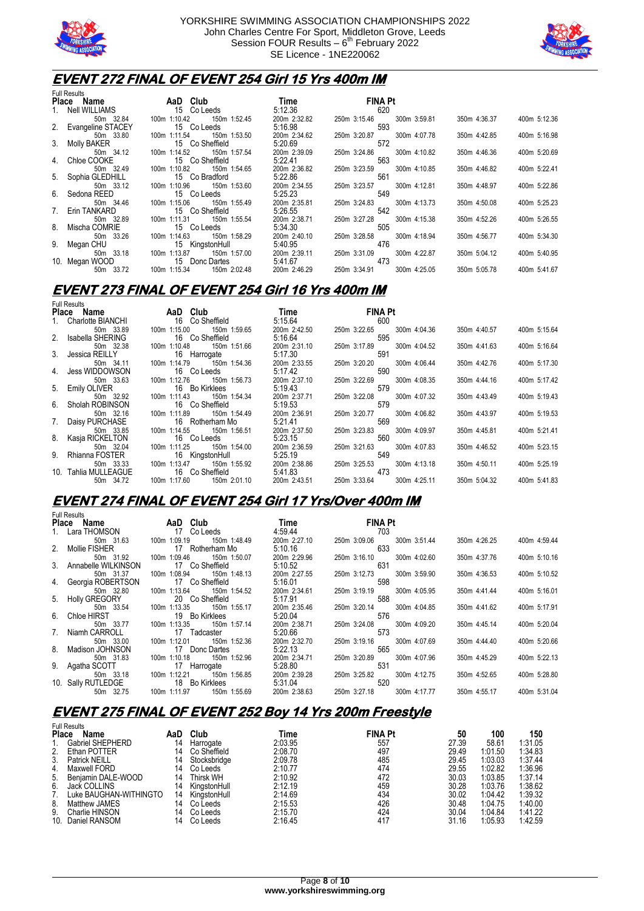



## **EVENT 272 FINAL OF EVENT 254 Girl 15 Yrs 400m IM**

|    | <b>Full Results</b>  |                              |              |                              |              |              |
|----|----------------------|------------------------------|--------------|------------------------------|--------------|--------------|
|    | Place Name           | AaD Club                     | <b>Time</b>  | <b>FINA Pt</b>               |              |              |
|    | 1. Nell WILLIAMS     | 15 Co Leeds                  | 5:12.36      | 620                          |              |              |
|    | 50m 32.84            | 100m 1:10.42<br>150m 1:52.45 | 200m 2:32.82 | 300m 3:59.81<br>250m 3:15.46 | 350m 4:36.37 | 400m 5:12.36 |
|    | 2. Evangeline STACEY | 15 Co Leeds                  | 5:16.98      | 593                          |              |              |
|    | 50m 33.80            | 100m 1:11.54<br>150m 1:53.50 | 200m 2:34.62 | 300m 4:07.78<br>250m 3:20.87 | 350m 4:42.85 | 400m 5:16.98 |
|    | 3. Molly BAKER       | 15 Co Sheffield              | 5:20.69      | 572                          |              |              |
|    | 50m 34.12            | 100m 1:14.52<br>150m 1:57.54 | 200m 2:39.09 | 300m 4:10.82<br>250m 3:24.86 | 350m 4:46.36 | 400m 5:20.69 |
|    | 4. Chloe COOKE       | 15 Co Sheffield              | 5:22.41      | 563                          |              |              |
|    | 50m 32.49            | 100m 1:10.82<br>150m 1:54.65 | 200m 2:36.82 | 300m 4:10.85<br>250m 3:23.59 | 350m 4:46.82 | 400m 5:22.41 |
|    | 5. Sophia GLEDHILL   | 15 Co Bradford               | 5:22.86      | 561                          |              |              |
|    | 50m 33.12            | 100m 1:10.96<br>150m 1:53.60 | 200m 2:34.55 | 250m 3:23.57<br>300m 4:12.81 | 350m 4:48.97 | 400m 5:22.86 |
|    | 6. Sedona REED       | 15 Co Leeds                  | 5:25.23      | 549                          |              |              |
|    | 50m 34.46            | 100m 1:15.06<br>150m 1:55.49 | 200m 2:35.81 | 300m 4:13.73<br>250m 3:24.83 | 350m 4:50.08 | 400m 5:25.23 |
|    | 7. Erin TANKARD      | 15 Co Sheffield              | 5:26.55      | 542                          |              |              |
|    | 50m 32.89            | 100m 1:11.31<br>150m 1:55.54 | 200m 2:38.71 | 250m 3:27.28<br>300m 4:15.38 | 350m 4:52.26 | 400m 5:26.55 |
| 8. | Mischa COMRIE        | 15 Co Leeds                  | 5:34.30      | 505                          |              |              |
|    | 50m 33.26            | 100m 1:14.63<br>150m 1:58.29 | 200m 2:40.10 | 300m 4:18.94<br>250m 3:28.58 | 350m 4:56.77 | 400m 5:34.30 |
|    | 9. Megan CHU         | 15 KingstonHull              | 5:40.95      | 476                          |              |              |
|    | 50m 33.18            | 100m 1:13.87<br>150m 1:57.00 | 200m 2:39.11 | 300m 4:22.87<br>250m 3:31.09 | 350m 5:04.12 | 400m 5:40.95 |
|    | 10. Megan WOOD       | <b>15</b> Donc Dartes        | 5:41.67      | 473                          |              |              |
|    | 50m 33.72            | 150m 2:02.48<br>100m 1:15.34 | 200m 2:46.29 | 300m 4:25.05<br>250m 3:34.91 | 350m 5:05.78 | 400m 5:41.67 |

## **EVENT 273 FINAL OF EVENT 254 Girl 16 Yrs 400m IM**

|    | <b>Full Results</b>  |                              |              |                              |              |              |
|----|----------------------|------------------------------|--------------|------------------------------|--------------|--------------|
|    | Place Name           | AaD Club                     | Time         | <b>FINA Pt</b>               |              |              |
| 1. | Charlotte BIANCHI    | 16 Co Sheffield              | 5:15.64      | 600                          |              |              |
|    | 50m 33.89            | 150m 1:59.65<br>100m 1:15.00 | 200m 2:42.50 | 300m 4:04.36<br>250m 3:22.65 | 350m 4:40.57 | 400m 5:15.64 |
|    | 2. Isabella SHERING  | 16 Co Sheffield              | 5:16.64      | 595                          |              |              |
|    | 50m 32.38            | 100m 1:10.48<br>150m 1:51.66 | 200m 2:31.10 | 250m 3:17.89<br>300m 4:04.52 | 350m 4:41.63 | 400m 5:16.64 |
|    | 3. Jessica REILLY    | 16 Harrogate                 | 5:17.30      | 591                          |              |              |
|    | 50m 34.11            | 100m 1:14.79<br>150m 1:54.36 | 200m 2:33.55 | 300m 4:06.44<br>250m 3:20.20 | 350m 4:42.76 | 400m 5:17.30 |
| 4. | Jess WIDDOWSON       | 16 Co Leeds                  | 5:17.42      | 590                          |              |              |
|    | 50m 33.63            | 100m 1:12.76<br>150m 1:56.73 | 200m 2:37.10 | 300m 4:08.35<br>250m 3:22.69 | 350m 4:44.16 | 400m 5:17.42 |
|    | 5. Emily OLIVER      | 16 Bo Kirklees               | 5:19.43      | 579                          |              |              |
|    | 50m 32.92            | 100m 1:11.43<br>150m 1:54.34 | 200m 2:37.71 | 300m 4:07.32<br>250m 3:22.08 | 350m 4:43.49 | 400m 5:19.43 |
|    | 6. Sholah ROBINSON   | 16 Co Sheffield              | 5:19.53      | 579                          |              |              |
|    | 50m 32.16            | 100m 1:11.89<br>150m 1:54.49 | 200m 2:36.91 | 250m 3:20.77<br>300m 4:06.82 | 350m 4:43.97 | 400m 5:19.53 |
|    | 7. Daisy PURCHASE    | 16 Rotherham Mo              | 5:21.41      | 569                          |              |              |
|    | 50m 33.85            | 100m 1:14.55<br>150m 1:56.51 | 200m 2:37.50 | 300m 4:09.97<br>250m 3:23.83 | 350m 4:45.81 | 400m 5:21.41 |
|    | 8. Kasja RICKELTON   | 16 Co Leeds                  | 5:23.15      | 560                          |              |              |
|    | 50m 32.04            | 150m 1:54.00<br>100m 1:11.25 | 200m 2:36.59 | 250m 3:21.63<br>300m 4:07.83 | 350m 4:46.52 | 400m 5:23.15 |
|    | 9. Rhianna FOSTER    | 16 KingstonHull              | 5:25.19      | 549                          |              |              |
|    | 50m 33.33            | 150m 1:55.92<br>100m 1:13.47 | 200m 2:38.86 | 250m 3:25.53<br>300m 4:13.18 | 350m 4:50.11 | 400m 5:25.19 |
|    | 10. Tahlia MULLEAGUE | 16 Co Sheffield              | 5:41.83      | 473                          |              |              |
|    | 50m 34.72            | 150m 2:01.10<br>100m 1:17.60 | 200m 2:43.51 | 250m 3:33.64<br>300m 4:25.11 | 350m 5:04.32 | 400m 5:41.83 |

# **EVENT 274 FINAL OF EVENT 254 Girl 17 Yrs/Over 400m IM**

| <b>Full Results</b>          |                              |              |                                     |              |              |
|------------------------------|------------------------------|--------------|-------------------------------------|--------------|--------------|
| Place Name                   | AaD Club                     | <b>Time</b>  | <b>FINA Pt</b>                      |              |              |
| 1. Lara THOMSON 17 Co Leeds  |                              | 4:59.44      | 703                                 |              |              |
| 50m 31.63                    | 150m 1:48.49<br>100m 1:09.19 | 200m 2:27.10 | 300m 3:51.44<br>250m 3:09.06<br>633 | 350m 4:26.25 | 400m 4:59.44 |
| 2. Mollie FISHER             | 17 Rotherham Mo              | 5:10.16      |                                     |              |              |
| 50m 31.92                    | 100m 1:09.46<br>150m 1:50.07 | 200m 2:29.96 | 250m 3:16.10 300m 4:02.60           | 350m 4:37.76 | 400m 5:10.16 |
| 3. Annabelle WILKINSON       | 17 Co Sheffield              | 5:10.52      | 631                                 |              |              |
| 50m 31.37                    | 100m 1:08.94<br>150m 1:48.13 | 200m 2:27.55 | 250m 3:12.73<br>300m 3:59.90        | 350m 4:36.53 | 400m 5:10.52 |
| 4. Georgia ROBERTSON         | 17 Co Sheffield              | 5:16.01      | 598                                 |              |              |
| 50m 32.80                    | 100m 1:13.64<br>150m 1:54.52 | 200m 2:34.61 | 300m 4:05.95<br>250m 3:19.19        | 350m 4:41.44 | 400m 5:16.01 |
| 5. Holly GREGORY             | 20 Co Sheffield              | 5:17.91      | 588                                 |              |              |
| 50m 33.54                    | 100m 1:13.35<br>150m 1:55.17 | 200m 2:35.46 | 300m 4:04.85<br>250m 3:20.14        | 350m 4:41.62 | 400m 5:17.91 |
| 6. Chloe HIRST               | 19 Bo Kirklees               | 5:20.04      | 576                                 |              |              |
| 50m 33.77                    | 150m 1:57.14<br>100m 1:13.35 | 200m 2:38.71 | 250m 3:24.08<br>300m 4:09.20        | 350m 4:45.14 | 400m 5:20.04 |
| 7. Niamh CARROLL             | 17 Tadcaster                 | 5:20.66      | 573                                 |              |              |
| 50m 33.00                    | 100m 1:12.01<br>150m 1:52.36 | 200m 2:32.70 | 300m 4:07.69<br>250m 3:19.16        | 350m 4:44.40 | 400m 5:20.66 |
| 8. Madison JOHNSON           | 17 Donc Dartes               | 5:22.13      | 565                                 |              |              |
| 50m 31.83                    |                              | 200m 2:34.71 | 300m 4:07.96<br>250m 3:20.89        | 350m 4:45.29 | 400m 5:22.13 |
| 9. Agatha SCOTT 17 Harrogate |                              | 5:28.80      | 531                                 |              |              |
| 50m 33.18                    | 100m 1:12.21<br>150m 1:56.85 | 200m 2:39.28 | 300m 4:12.75<br>250m 3:25.82        | 350m 4:52.65 | 400m 5:28.80 |
| 10. Sally RUTLEDGE           | 18 Bo Kirklees               | 5:31.04      | 520                                 |              |              |
| 50m 32.75                    | 100m 1:11.97<br>150m 1:55.69 | 200m 2:38.63 | 250m 3:27.18<br>300m 4:17.77        | 350m 4:55.17 | 400m 5:31.04 |
|                              |                              |              |                                     |              |              |

## **EVENT 275 FINAL OF EVENT 252 Boy 14 Yrs 200m Freestyle**

|              | <b>Full Results</b>     |     |              |         |                |       |         |         |
|--------------|-------------------------|-----|--------------|---------|----------------|-------|---------|---------|
| <b>Place</b> | Name                    | AaD | Club         | Time    | <b>FINA Pt</b> | 50    | 100     | 150     |
|              | <b>Gabriel SHEPHERD</b> | 14  | Harrogate    | 2:03.95 | 557            | 27.39 | 58.61   | 1:31.05 |
| 2.           | Ethan POTTER            | 14  | Co Sheffield | 2:08.70 | 497            | 29.49 | 1:01.50 | 1:34.83 |
| 3.           | <b>Patrick NEILL</b>    | 14  | Stocksbridge | 2:09.78 | 485            | 29.45 | 1:03.03 | 1:37.44 |
| 4.           | Maxwell FORD            | 14  | Co Leeds     | 2:10.77 | 474            | 29.55 | 1:02.82 | 1:36.96 |
| 5.           | Benjamin DALE-WOOD      | 14  | Thirsk WH    | 2:10.92 | 472            | 30.03 | 1:03.85 | 1:37.14 |
| 6.           | Jack COLLINS            | 14  | KingstonHull | 2:12.19 | 459            | 30.28 | 1:03.76 | 1:38.62 |
|              | Luke BAUGHAN-WITHINGTO  | 14  | KingstonHull | 2:14.69 | 434            | 30.02 | 1:04.42 | 1:39.32 |
| 8.           | Matthew JAMES           | 14  | Co Leeds     | 2:15.53 | 426            | 30.48 | 1:04.75 | 1:40.00 |
| 9.           | Charlie HINSON          | 14  | Co Leeds     | 2:15.70 | 424            | 30.04 | 1:04.84 | 1:41.22 |
| 10.          | Daniel RANSOM           | 14  | Co Leeds     | 2:16.45 | 417            | 31.16 | 1:05.93 | 1:42.59 |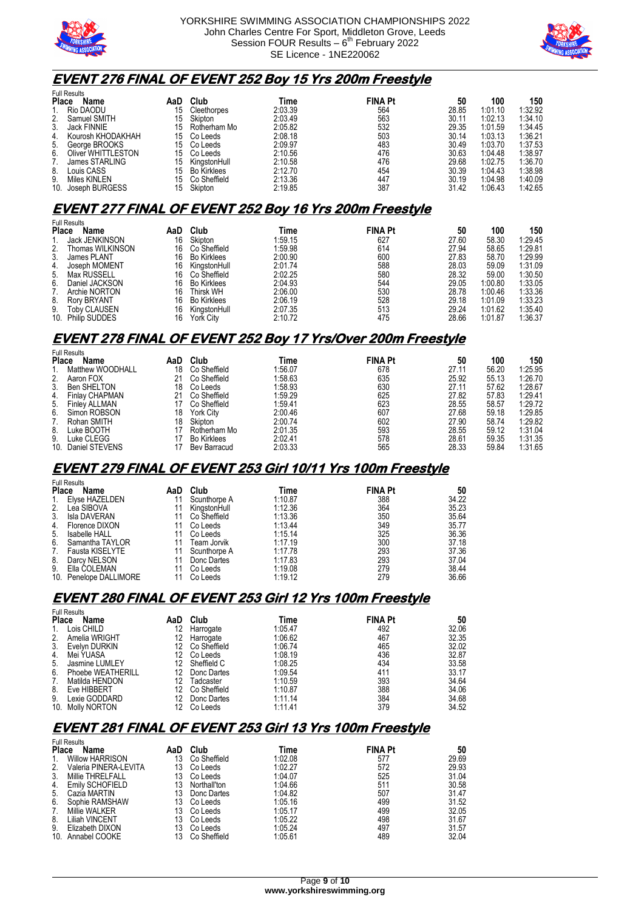

Full Results



## **EVENT 276 FINAL OF EVENT 252 Boy 15 Yrs 200m Freestyle**

| <b>Name</b>        | AaD                                 | Club               | Time    | <b>FINA Pt</b> | 50    | 100     | 150     |
|--------------------|-------------------------------------|--------------------|---------|----------------|-------|---------|---------|
| Rio DAODU          | 15                                  | Cleethorpes        | 2:03.39 | 564            | 28.85 | 1:01.10 | 1:32.92 |
| Samuel SMITH       | 15                                  | Skipton            | 2:03.49 | 563            | 30.11 | 1:02.13 | 1:34.10 |
| Jack FINNIE        | 15                                  | Rotherham Mo       | 2:05.82 | 532            | 29.35 | 1:01.59 | 1:34.45 |
| Kourosh KHODAKHAH  | 15                                  | Co Leeds           | 2:08.18 | 503            | 30.14 | 1:03.13 | :36.21  |
| George BROOKS      | 15                                  | Co Leeds           | 2:09.97 | 483            | 30.49 | 1:03.70 | 1:37.53 |
| Oliver WHITTLESTON | 15                                  | Co Leeds           | 2:10.56 | 476            | 30.63 | 1:04.48 | 1:38.97 |
| James STARLING     | 15                                  | KingstonHull       | 2:10.58 | 476            | 29.68 | 1:02.75 | 1:36.70 |
| Louis CASS         | 15                                  | <b>Bo Kirklees</b> | 2:12.70 | 454            | 30.39 | 1:04.43 | 1:38.98 |
| Miles KINLEN       | 15                                  | Co Sheffield       | 2:13.36 | 447            | 30.19 | 1:04.98 | 1:40.09 |
| Joseph BURGESS     | 15                                  | Skipton            | 2:19.85 | 387            | 31.42 | 1:06.43 | 1:42.65 |
|                    | <b>Full Results</b><br><b>Place</b> |                    |         |                |       |         |         |

### **EVENT 277 FINAL OF EVENT 252 Boy 16 Yrs 200m Freestyle**

|     | <b>Full Results</b>   |     |                    |         |                |       |         |         |
|-----|-----------------------|-----|--------------------|---------|----------------|-------|---------|---------|
|     | <b>Place</b><br>Name  | AaD | Club               | Time    | <b>FINA Pt</b> | 50    | 100     | 150     |
|     | <b>Jack JENKINSON</b> | 16  | Skipton            | 1:59.15 | 627            | 27.60 | 58.30   | 1:29.45 |
| 2.  | Thomas WILKINSON      | 16  | Co Sheffield       | 1:59.98 | 614            | 27.94 | 58.65   | 1:29.81 |
| 3.  | James PLANT           | 16  | <b>Bo Kirklees</b> | 2:00.90 | 600            | 27.83 | 58.70   | 1:29.99 |
| 4.  | Joseph MOMENT         | 16  | KingstonHull       | 2:01.74 | 588            | 28.03 | 59.09   | 1:31.09 |
| 5.  | Max RUSSELL           | 16  | Co Sheffield       | 2:02.25 | 580            | 28.32 | 59.00   | 1:30.50 |
| 6.  | Daniel JACKSON        | 16  | <b>Bo Kirklees</b> | 2:04.93 | 544            | 29.05 | 1:00.80 | 1:33.05 |
|     | Archie NORTON         | 16  | Thirsk WH          | 2:06.00 | 530            | 28.78 | 1:00.46 | 1:33.36 |
| 8.  | <b>Rory BRYANT</b>    | 16  | <b>Bo Kirklees</b> | 2:06.19 | 528            | 29.18 | 1:01.09 | 1:33.23 |
| 9.  | Toby CLAUSEN          | 16  | KingstonHull       | 2:07.35 | 513            | 29.24 | 1:01.62 | 1:35.40 |
| 10. | <b>Philip SUDDES</b>  | 16  | York City          | 2:10.72 | 475            | 28.66 | 1:01.87 | 1:36.37 |

## **EVENT 278 FINAL OF EVENT 252 Boy 17 Yrs/Over 200m Freestyle**

|              | <b>Full Results</b>   |     |                    |         |                |       |       |         |
|--------------|-----------------------|-----|--------------------|---------|----------------|-------|-------|---------|
| <b>Place</b> | Name                  | AaD | Club               | Time    | <b>FINA Pt</b> | 50    | 100   | 150     |
|              | Matthew WOODHALL      | 18  | Co Sheffield       | 1:56.07 | 678            | 27.11 | 56.20 | 1:25.95 |
| 2.           | Aaron FOX             | 21  | Co Sheffield       | 1:58.63 | 635            | 25.92 | 55.13 | 1:26.70 |
| 3.           | <b>Ben SHELTON</b>    | 18  | Co Leeds           | 1:58.93 | 630            | 27.11 | 57.62 | 1:28.67 |
| 4.           | <b>Finlay CHAPMAN</b> | 21  | Co Sheffield       | 1:59.29 | 625            | 27.82 | 57.83 | 1:29.41 |
| 5.           | Finley ALLMAN         |     | Co Sheffield       | 1:59.41 | 623            | 28.55 | 58.57 | 1:29.72 |
| 6.           | Simon ROBSON          | 18  | <b>York City</b>   | 2:00.46 | 607            | 27.68 | 59.18 | 1:29.85 |
| 7.           | Rohan SMITH           | 18  | Skipton            | 2:00.74 | 602            | 27.90 | 58.74 | 1:29.82 |
| 8.           | Luke BOOTH            |     | Rotherham Mo       | 2:01.35 | 593            | 28.55 | 59.12 | 1:31.04 |
| 9.           | Luke CLEGG            |     | <b>Bo Kirklees</b> | 2:02.41 | 578            | 28.61 | 59.35 | 1:31.35 |
| 10.          | Daniel STEVENS        |     | Bev Barracud       | 2:03.33 | 565            | 28.33 | 59.84 | 1:31.65 |

# **EVENT 279 FINAL OF EVENT 253 Girl 10/11 Yrs 100m Freestyle**

|              | טווטטטוווי וווע        |     |              |         |                |       |
|--------------|------------------------|-----|--------------|---------|----------------|-------|
| <b>Place</b> | Name                   | AaD | Club         | Time    | <b>FINA Pt</b> | 50    |
| 1.           | Elvse HAZELDEN         | 11  | Scunthorpe A | 1:10.87 | 388            | 34.22 |
| 2.           | Lea SIBOVA             |     | KingstonHull | 1:12.36 | 364            | 35.23 |
| 3.           | Isla DAVERAN           | 11  | Co Sheffield | 1:13.36 | 350            | 35.64 |
| 4.           | Florence DIXON         | 11  | Co Leeds     | 1:13.44 | 349            | 35.77 |
| 5.           | <b>Isabelle HALL</b>   | 11  | Co Leeds     | 1:15.14 | 325            | 36.36 |
| 6.           | Samantha TAYLOR        | 11  | Team Jorvik  | 1:17.19 | 300            | 37.18 |
| 7.           | Fausta KISELYTE        | 11  | Scunthorpe A | 1:17.78 | 293            | 37.36 |
| 8.           | Darcy NELSON           | 11  | Donc Dartes  | 1:17.83 | 293            | 37.04 |
| 9.           | Ella COLEMAN           | 11  | Co Leeds     | 1:19.08 | 279            | 38.44 |
|              | 10. Penelope DALLIMORE | 11  | Co Leeds     | 1:19.12 | 279            | 36.66 |

### **EVENT 280 FINAL OF EVENT 253 Girl 12 Yrs 100m Freestyle**

| <b>Full Results</b> |                          |     |              |         |                |       |
|---------------------|--------------------------|-----|--------------|---------|----------------|-------|
| <b>Place</b>        | Name                     | AaD | Club         | Time    | <b>FINA Pt</b> | 50    |
| $1_{\cdot}$         | Lois CHILD               |     | Harrogate    | 1:05.47 | 492            | 32.06 |
| 2.                  | Amelia WRIGHT            | 12  | Harrogate    | 1:06.62 | 467            | 32.35 |
| 3.                  | Evelyn DURKIN            | 12  | Co Sheffield | 1:06.74 | 465            | 32.02 |
| 4.                  | Mei YUASA                | 12  | Co Leeds     | 1:08.19 | 436            | 32.87 |
| 5.                  | Jasmine LUMLEY           | 12. | Sheffield C  | 1:08.25 | 434            | 33.58 |
| 6.                  | <b>Phoebe WEATHERILL</b> | 12  | Donc Dartes  | 1:09.54 | 411            | 33.17 |
| 7.                  | Matilda HENDON           | 12  | Tadcaster    | 1:10.59 | 393            | 34.64 |
| 8.                  | Eve HIBBERT              | 12  | Co Sheffield | 1:10.87 | 388            | 34.06 |
| 9.                  | Lexie GODDARD            | 12  | Donc Dartes  | 1:11.14 | 384            | 34.68 |
|                     | 10. Molly NORTON         |     | Co Leeds     | 1:11.41 | 379            | 34.52 |

# **EVENT 281 FINAL OF EVENT 253 Girl 13 Yrs 100m Freestyle**

|              | <b>Full Results</b>    |     |              |         |                |       |  |  |  |
|--------------|------------------------|-----|--------------|---------|----------------|-------|--|--|--|
| <b>Place</b> | Name                   | AaD | Club         | Time    | <b>FINA Pt</b> | 50    |  |  |  |
| 1.           | <b>Willow HARRISON</b> | 13  | Co Sheffield | 1:02.08 | 577            | 29.69 |  |  |  |
| 2.           | Valeria PINERA-LEVITA  | 13  | Co Leeds     | 1:02.27 | 572            | 29.93 |  |  |  |
| 3.           | Millie THRELFALL       | 13  | Co Leeds     | 1:04.07 | 525            | 31.04 |  |  |  |
| 4.           | Emily SCHOFIELD        | 13  | Northall'ton | 1:04.66 | 511            | 30.58 |  |  |  |
| 5.           | Cazia MARTIN           | 13  | Donc Dartes  | 1:04.82 | 507            | 31.47 |  |  |  |
| 6.           | Sophie RAMSHAW         | 13  | Co Leeds     | 1:05.16 | 499            | 31.52 |  |  |  |
| 7.           | Millie WALKER          | 13  | Co Leeds     | 1:05.17 | 499            | 32.05 |  |  |  |
| 8.           | <b>Liliah VINCENT</b>  | 13  | Co Leeds     | 1:05.22 | 498            | 31.67 |  |  |  |
| 9.           | Elizabeth DIXON        | 13  | Co Leeds     | 1:05.24 | 497            | 31.57 |  |  |  |
|              | 10. Annabel COOKE      | 13  | Co Sheffield | 1:05.61 | 489            | 32.04 |  |  |  |